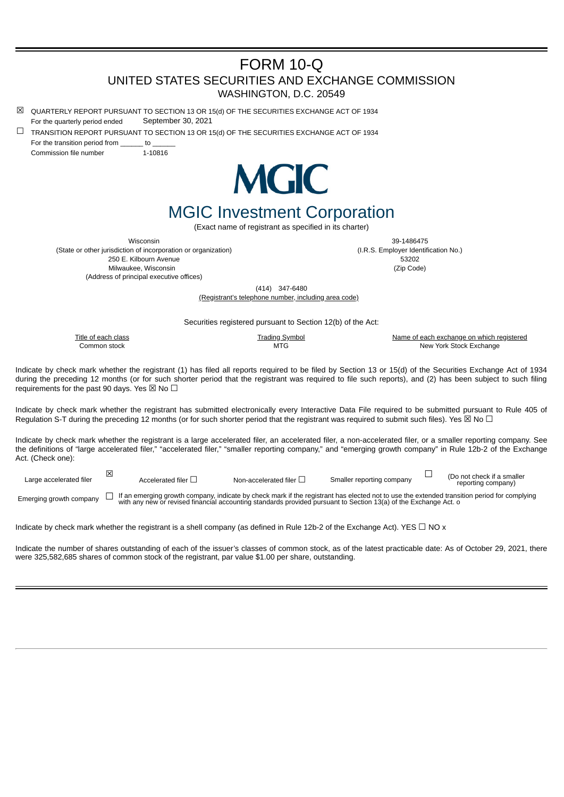# FORM 10-Q UNITED STATES SECURITIES AND EXCHANGE COMMISSION WASHINGTON, D.C. 20549

- $\boxtimes$  QUARTERLY REPORT PURSUANT TO SECTION 13 OR 15(d) OF THE SECURITIES EXCHANGE ACT OF 1934 For the quarterly period ended September 30, 2021
- $\Box$  TRANSITION REPORT PURSUANT TO SECTION 13 OR 15(d) OF THE SECURITIES EXCHANGE ACT OF 1934 For the transition period from to

Commission file number 1-10816



# MGIC Investment Corporation

(Exact name of registrant as specified in its charter)

(State or other jurisdiction of incorporation or organization) (I.R.S. Employer Identification No.) 250 E. Kilbourn Avenue 53202 Milwaukee, Wisconsin (Zip Code) (Address of principal executive offices)

Wisconsin 39-1486475

(414) 347-6480

(Registrant's telephone number, including area code)

Securities registered pursuant to Section 12(b) of the Act:

Title of each class **Trading Symbol** Trading Symbol Name of each exchange on which registered Common stock **MTG** New York Stock Exchange

Indicate by check mark whether the registrant (1) has filed all reports required to be filed by Section 13 or 15(d) of the Securities Exchange Act of 1934 during the preceding 12 months (or for such shorter period that the registrant was required to file such reports), and (2) has been subject to such filing requirements for the past 90 days. Yes  $\boxtimes$  No  $\Box$ 

Indicate by check mark whether the registrant has submitted electronically every Interactive Data File required to be submitted pursuant to Rule 405 of Regulation S-T during the preceding 12 months (or for such shorter period that the registrant was required to submit such files). Yes  $\boxtimes$  No  $\Box$ 

Indicate by check mark whether the registrant is a large accelerated filer, an accelerated filer, a non-accelerated filer, or a smaller reporting company. See the definitions of "large accelerated filer," "accelerated filer," "smaller reporting company," and "emerging growth company" in Rule 12b-2 of the Exchange Act. (Check one):

| Large accelerated filer | Accelerated filer | Non-accelerated filer I | Smaller reporting company | (Do not check if a smaller<br>reporting company) |
|-------------------------|-------------------|-------------------------|---------------------------|--------------------------------------------------|
|                         |                   |                         |                           |                                                  |

 $\epsilon$  energing growth company  $\Box$  If an emerging growth company, indicate by check mark if the registrant has elected not to use the extended transition period for complying with any new or revised financial accounting st

Indicate by check mark whether the registrant is a shell company (as defined in Rule 12b-2 of the Exchange Act). YES  $\Box$  NO x

Indicate the number of shares outstanding of each of the issuer's classes of common stock, as of the latest practicable date: As of October 29, 2021, there were 325,582,685 shares of common stock of the registrant, par value \$1.00 per share, outstanding.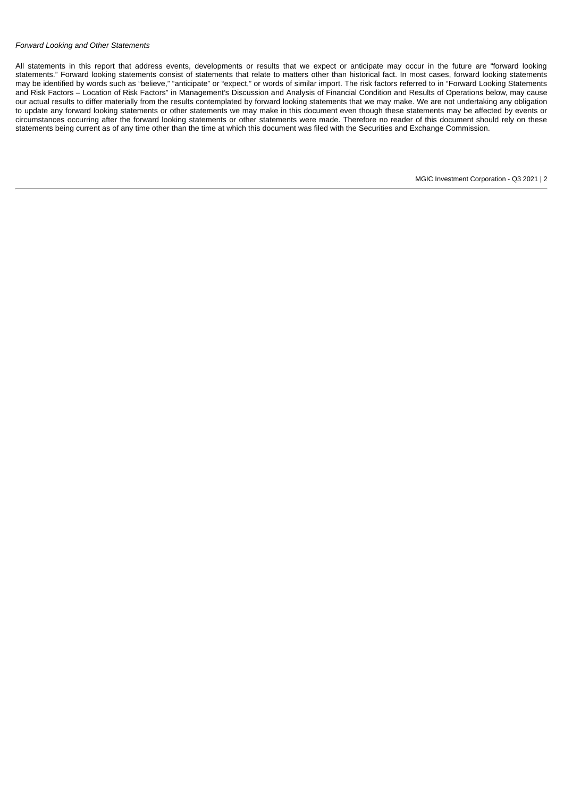### *Forward Looking and Other Statements*

All statements in this report that address events, developments or results that we expect or anticipate may occur in the future are "forward looking statements." Forward looking statements consist of statements that relate to matters other than historical fact. In most cases, forward looking statements may be identified by words such as "believe," "anticipate" or "expect," or words of similar import. The risk factors referred to in "Forward Looking Statements and Risk Factors – Location of Risk Factors" in Management's Discussion and Analysis of Financial Condition and Results of Operations below, may cause our actual results to differ materially from the results contemplated by forward looking statements that we may make. We are not undertaking any obligation to update any forward looking statements or other statements we may make in this document even though these statements may be affected by events or circumstances occurring after the forward looking statements or other statements were made. Therefore no reader of this document should rely on these statements being current as of any time other than the time at which this document was filed with the Securities and Exchange Commission.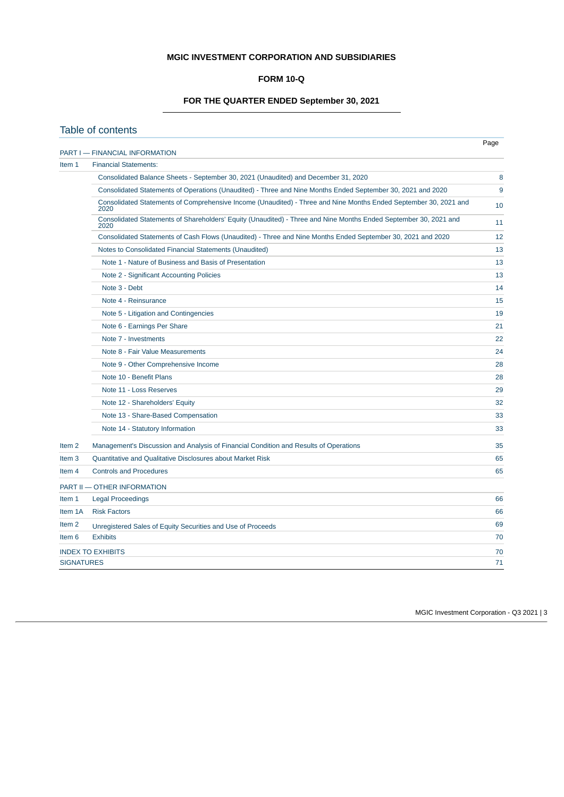# **MGIC INVESTMENT CORPORATION AND SUBSIDIARIES**

## **FORM 10-Q**

# **FOR THE QUARTER ENDED September 30, 2021**

<span id="page-2-0"></span>

|                   | Table of contents                                                                                                        |      |
|-------------------|--------------------------------------------------------------------------------------------------------------------------|------|
|                   | PART I - FINANCIAL INFORMATION                                                                                           | Page |
| Item 1            | <b>Financial Statements:</b>                                                                                             |      |
|                   | Consolidated Balance Sheets - September 30, 2021 (Unaudited) and December 31, 2020                                       | 8    |
|                   | Consolidated Statements of Operations (Unaudited) - Three and Nine Months Ended September 30, 2021 and 2020              | 9    |
|                   | Consolidated Statements of Comprehensive Income (Unaudited) - Three and Nine Months Ended September 30, 2021 and<br>2020 | 10   |
|                   | Consolidated Statements of Shareholders' Equity (Unaudited) - Three and Nine Months Ended September 30, 2021 and<br>2020 | 11   |
|                   | Consolidated Statements of Cash Flows (Unaudited) - Three and Nine Months Ended September 30, 2021 and 2020              | 12   |
|                   | Notes to Consolidated Financial Statements (Unaudited)                                                                   | 13   |
|                   | Note 1 - Nature of Business and Basis of Presentation                                                                    | 13   |
|                   | Note 2 - Significant Accounting Policies                                                                                 | 13   |
|                   | Note 3 - Debt                                                                                                            | 14   |
|                   | Note 4 - Reinsurance                                                                                                     | 15   |
|                   | Note 5 - Litigation and Contingencies                                                                                    | 19   |
|                   | Note 6 - Earnings Per Share                                                                                              | 21   |
|                   | Note 7 - Investments                                                                                                     | 22   |
|                   | Note 8 - Fair Value Measurements                                                                                         | 24   |
|                   | Note 9 - Other Comprehensive Income                                                                                      | 28   |
|                   | Note 10 - Benefit Plans                                                                                                  | 28   |
|                   | Note 11 - Loss Reserves                                                                                                  | 29   |
|                   | Note 12 - Shareholders' Equity                                                                                           | 32   |
|                   | Note 13 - Share-Based Compensation                                                                                       | 33   |
|                   | Note 14 - Statutory Information                                                                                          | 33   |
| Item <sub>2</sub> | Management's Discussion and Analysis of Financial Condition and Results of Operations                                    | 35   |
| Item <sub>3</sub> | Quantitative and Qualitative Disclosures about Market Risk                                                               | 65   |
| Item 4            | <b>Controls and Procedures</b>                                                                                           | 65   |
|                   | PART II - OTHER INFORMATION                                                                                              |      |
| Item 1            | <b>Legal Proceedings</b>                                                                                                 | 66   |
| Item 1A           | <b>Risk Factors</b>                                                                                                      | 66   |
| Item <sub>2</sub> | Unregistered Sales of Equity Securities and Use of Proceeds                                                              | 69   |
| Item 6            | <b>Exhibits</b>                                                                                                          | 70   |
|                   | <b>INDEX TO EXHIBITS</b>                                                                                                 | 70   |
| <b>SIGNATURES</b> |                                                                                                                          | 71   |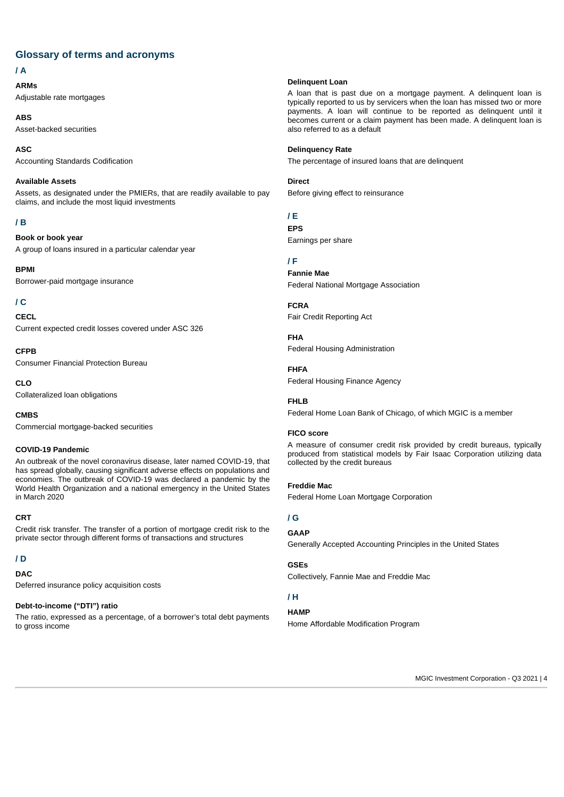# **Glossary of terms and acronyms**

# **/ A**

**ARMs** Adjustable rate mortgages

**ABS** Asset-backed securities

**ASC** Accounting Standards Codification

### **Available Assets**

Assets, as designated under the PMIERs, that are readily available to pay claims, and include the most liquid investments

# **/ B**

**Book or book year** A group of loans insured in a particular calendar year

**BPMI** Borrower-paid mortgage insurance

# **/ C**

**CECL** Current expected credit losses covered under ASC 326

**CFPB** Consumer Financial Protection Bureau

**CLO** Collateralized loan obligations

**CMBS**

# Commercial mortgage-backed securities

# **COVID-19 Pandemic**

An outbreak of the novel coronavirus disease, later named COVID-19, that has spread globally, causing significant adverse effects on populations and economies. The outbreak of COVID-19 was declared a pandemic by the World Health Organization and a national emergency in the United States in March 2020

### **CRT**

Credit risk transfer. The transfer of a portion of mortgage credit risk to the private sector through different forms of transactions and structures

# **/ D**

**DAC**

Deferred insurance policy acquisition costs

### **Debt-to-income ("DTI") ratio**

The ratio, expressed as a percentage, of a borrower's total debt payments to gross income

### **Delinquent Loan**

A loan that is past due on a mortgage payment. A delinquent loan is typically reported to us by servicers when the loan has missed two or more payments. A loan will continue to be reported as delinquent until it becomes current or a claim payment has been made. A delinquent loan is also referred to as a default

### **Delinquency Rate**

The percentage of insured loans that are delinquent

**Direct**

Before giving effect to reinsurance

### **/ E EPS**

Earnings per share

### **/ F**

**Fannie Mae** Federal National Mortgage Association

**FCRA** Fair Credit Reporting Act

**FHA** Federal Housing Administration

### **FHFA**

Federal Housing Finance Agency

### **FHLB**

Federal Home Loan Bank of Chicago, of which MGIC is a member

### **FICO score**

A measure of consumer credit risk provided by credit bureaus, typically produced from statistical models by Fair Isaac Corporation utilizing data collected by the credit bureaus

### **Freddie Mac**

Federal Home Loan Mortgage Corporation

# **/ G**

# **GAAP**

Generally Accepted Accounting Principles in the United States

### **GSEs**

Collectively, Fannie Mae and Freddie Mac

# **/ H**

**HAMP**

Home Affordable Modification Program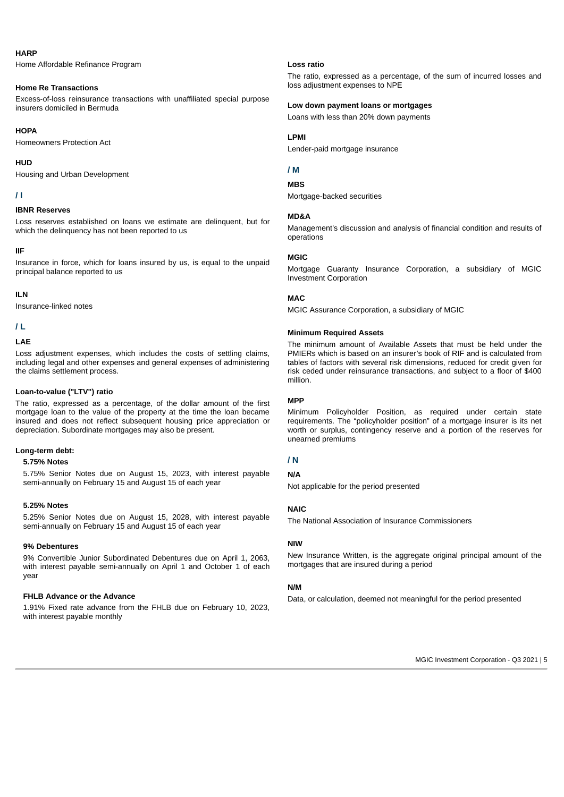### **HARP**

Home Affordable Refinance Program

### **Home Re Transactions**

Excess-of-loss reinsurance transactions with unaffiliated special purpose insurers domiciled in Bermuda

### **HOPA**

Homeowners Protection Act

### **HUD**

Housing and Urban Development

### **/ I**

#### **IBNR Reserves**

Loss reserves established on loans we estimate are delinquent, but for which the delinquency has not been reported to us

### **IIF**

Insurance in force, which for loans insured by us, is equal to the unpaid principal balance reported to us

### **ILN**

Insurance-linked notes

# **/ L**

#### **LAE**

Loss adjustment expenses, which includes the costs of settling claims, including legal and other expenses and general expenses of administering the claims settlement process.

#### **Loan-to-value ("LTV") ratio**

The ratio, expressed as a percentage, of the dollar amount of the first mortgage loan to the value of the property at the time the loan became insured and does not reflect subsequent housing price appreciation or depreciation. Subordinate mortgages may also be present.

### **Long-term debt:**

### **5.75% Notes**

5.75% Senior Notes due on August 15, 2023, with interest payable semi-annually on February 15 and August 15 of each year

#### **5.25% Notes**

5.25% Senior Notes due on August 15, 2028, with interest payable semi-annually on February 15 and August 15 of each year

#### **9% Debentures**

9% Convertible Junior Subordinated Debentures due on April 1, 2063, with interest payable semi-annually on April 1 and October 1 of each year

### **FHLB Advance or the Advance**

1.91% Fixed rate advance from the FHLB due on February 10, 2023, with interest payable monthly

### **Loss ratio**

The ratio, expressed as a percentage, of the sum of incurred losses and loss adjustment expenses to NPE

### **Low down payment loans or mortgages**

Loans with less than 20% down payments

### **LPMI**

Lender-paid mortgage insurance

### **/ M**

**MBS**

Mortgage-backed securities

### **MD&A**

Management's discussion and analysis of financial condition and results of operations

### **MGIC**

Mortgage Guaranty Insurance Corporation, a subsidiary of MGIC Investment Corporation

### **MAC**

MGIC Assurance Corporation, a subsidiary of MGIC

### **Minimum Required Assets**

The minimum amount of Available Assets that must be held under the PMIERs which is based on an insurer's book of RIF and is calculated from tables of factors with several risk dimensions, reduced for credit given for risk ceded under reinsurance transactions, and subject to a floor of \$400 million.

### **MPP**

Minimum Policyholder Position, as required under certain state requirements. The "policyholder position" of a mortgage insurer is its net worth or surplus, contingency reserve and a portion of the reserves for unearned premiums

### **/ N**

### **N/A**

Not applicable for the period presented

### **NAIC**

The National Association of Insurance Commissioners

### **NIW**

New Insurance Written, is the aggregate original principal amount of the mortgages that are insured during a period

### **N/M**

Data, or calculation, deemed not meaningful for the period presented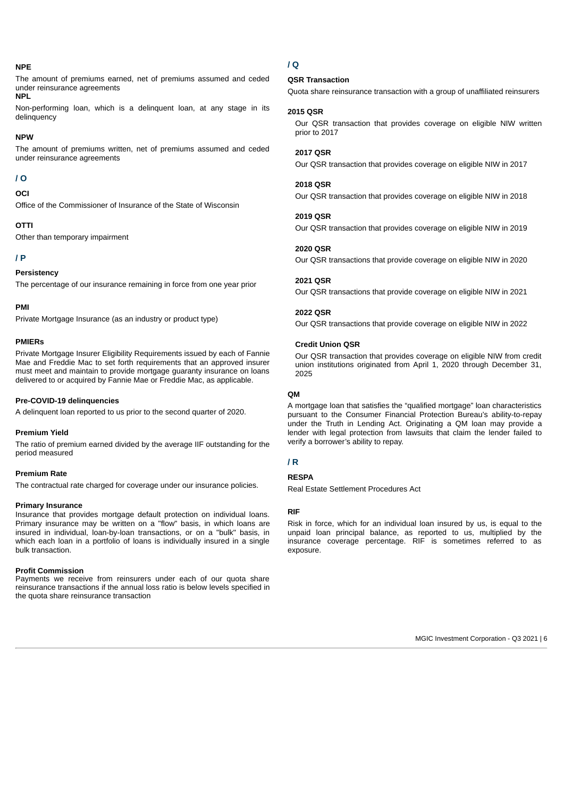### **NPE**

The amount of premiums earned, net of premiums assumed and ceded under reinsurance agreements

### **NPL**

Non-performing loan, which is a delinquent loan, at any stage in its delinquency

#### **NPW**

The amount of premiums written, net of premiums assumed and ceded under reinsurance agreements

# **/ O**

# **OCI**

Office of the Commissioner of Insurance of the State of Wisconsin

### **OTTI**

Other than temporary impairment

### **/ P**

### **Persistency**

The percentage of our insurance remaining in force from one year prior

### **PMI**

Private Mortgage Insurance (as an industry or product type)

#### **PMIERs**

Private Mortgage Insurer Eligibility Requirements issued by each of Fannie Mae and Freddie Mac to set forth requirements that an approved insurer must meet and maintain to provide mortgage guaranty insurance on loans delivered to or acquired by Fannie Mae or Freddie Mac, as applicable.

#### **Pre-COVID-19 delinquencies**

A delinquent loan reported to us prior to the second quarter of 2020.

#### **Premium Yield**

The ratio of premium earned divided by the average IIF outstanding for the period measured

### **Premium Rate**

The contractual rate charged for coverage under our insurance policies.

#### **Primary Insurance**

Insurance that provides mortgage default protection on individual loans. Primary insurance may be written on a "flow" basis, in which loans are insured in individual, loan-by-loan transactions, or on a "bulk" basis, in which each loan in a portfolio of loans is individually insured in a single bulk transaction.

#### **Profit Commission**

Payments we receive from reinsurers under each of our quota share reinsurance transactions if the annual loss ratio is below levels specified in the quota share reinsurance transaction

# **/ Q**

### **QSR Transaction**

Quota share reinsurance transaction with a group of unaffiliated reinsurers

### **2015 QSR**

Our QSR transaction that provides coverage on eligible NIW written prior to 2017

## **2017 QSR**

Our QSR transaction that provides coverage on eligible NIW in 2017

### **2018 QSR**

Our QSR transaction that provides coverage on eligible NIW in 2018

### **2019 QSR**

Our QSR transaction that provides coverage on eligible NIW in 2019

#### **2020 QSR**

Our QSR transactions that provide coverage on eligible NIW in 2020

#### **2021 QSR**

Our QSR transactions that provide coverage on eligible NIW in 2021

#### **2022 QSR**

Our QSR transactions that provide coverage on eligible NIW in 2022

#### **Credit Union QSR**

Our QSR transaction that provides coverage on eligible NIW from credit union institutions originated from April 1, 2020 through December 31, 2025

### **QM**

A mortgage loan that satisfies the "qualified mortgage" loan characteristics pursuant to the Consumer Financial Protection Bureau's ability-to-repay under the Truth in Lending Act. Originating a QM loan may provide a lender with legal protection from lawsuits that claim the lender failed to verify a borrower's ability to repay.

### **/ R**

### **RESPA**

Real Estate Settlement Procedures Act

#### **RIF**

Risk in force, which for an individual loan insured by us, is equal to the unpaid loan principal balance, as reported to us, multiplied by the insurance coverage percentage. RIF is sometimes referred to as exposure.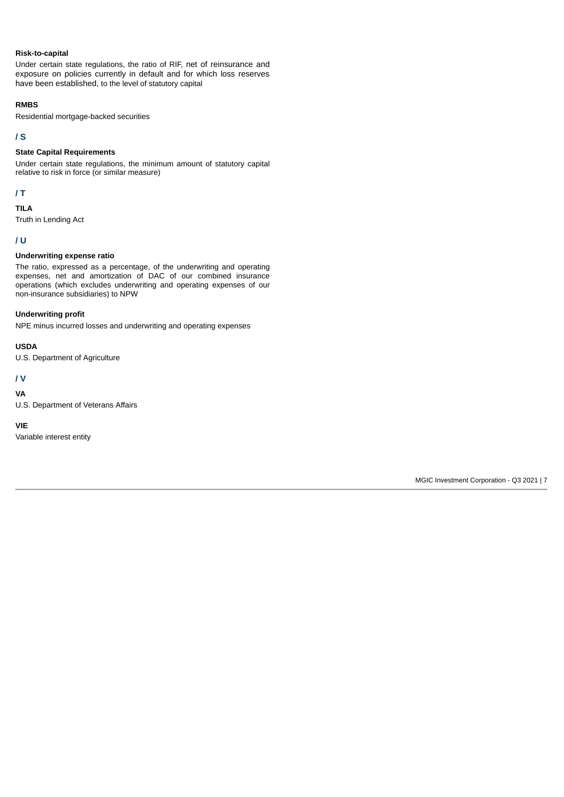### **Risk-to-capital**

Under certain state regulations, the ratio of RIF, net of reinsurance and exposure on policies currently in default and for which loss reserves have been established, to the level of statutory capital

### **RMBS**

Residential mortgage-backed securities

# **/ S**

# **State Capital Requirements**

Under certain state regulations, the minimum amount of statutory capital relative to risk in force (or similar measure)

## **/ T**

### **TILA**

Truth in Lending Act

### **/ U**

## **Underwriting expense ratio**

The ratio, expressed as a percentage, of the underwriting and operating expenses, net and amortization of DAC of our combined insurance operations (which excludes underwriting and operating expenses of our non-insurance subsidiaries) to NPW

### **Underwriting profit**

NPE minus incurred losses and underwriting and operating expenses

### **USDA**

U.S. Department of Agriculture

# **/ V**

**VA**

U.S. Department of Veterans Affairs

### **VIE**

<span id="page-6-0"></span>Variable interest entity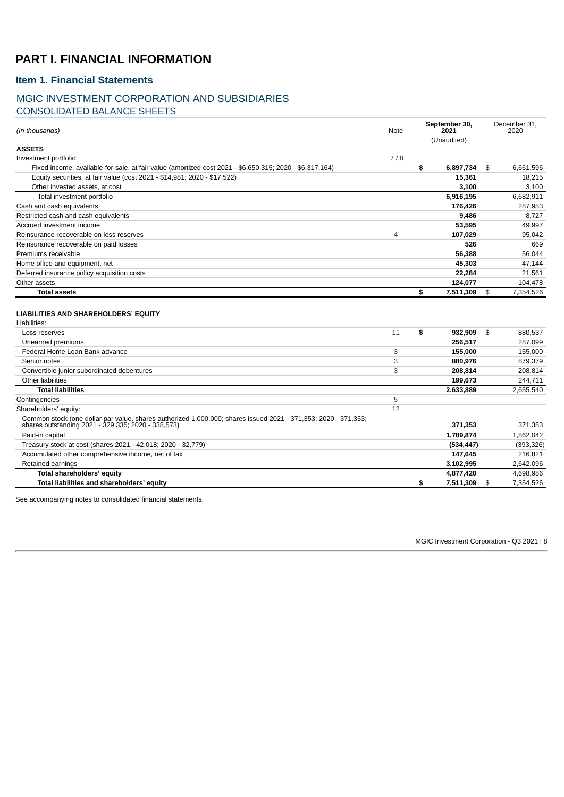# **PART I. FINANCIAL INFORMATION**

# <span id="page-7-0"></span>**Item 1. Financial Statements**

# <span id="page-7-1"></span>MGIC INVESTMENT CORPORATION AND SUBSIDIARIES CONSOLIDATED BALANCE SHEETS

| (In thousands)                                                                                          | Note | September 30,<br>2021 | December 31,<br>2020 |
|---------------------------------------------------------------------------------------------------------|------|-----------------------|----------------------|
|                                                                                                         |      | (Unaudited)           |                      |
| <b>ASSETS</b>                                                                                           |      |                       |                      |
| Investment portfolio:                                                                                   | 7/8  |                       |                      |
| Fixed income, available-for-sale, at fair value (amortized cost 2021 - \$6,650,315; 2020 - \$6,317,164) |      | \$<br>6,897,734       | \$<br>6,661,596      |
| Equity securities, at fair value (cost 2021 - \$14,981; 2020 - \$17,522)                                |      | 15,361                | 18,215               |
| Other invested assets, at cost                                                                          |      | 3.100                 | 3.100                |
| Total investment portfolio                                                                              |      | 6,916,195             | 6,682,911            |
| Cash and cash equivalents                                                                               |      | 176,426               | 287,953              |
| Restricted cash and cash equivalents                                                                    |      | 9,486                 | 8,727                |
| Accrued investment income                                                                               |      | 53,595                | 49,997               |
| Reinsurance recoverable on loss reserves                                                                | 4    | 107,029               | 95,042               |
| Reinsurance recoverable on paid losses                                                                  |      | 526                   | 669                  |
| Premiums receivable                                                                                     |      | 56,388                | 56,044               |
| Home office and equipment, net                                                                          |      | 45,303                | 47,144               |
| Deferred insurance policy acquisition costs                                                             |      | 22,284                | 21,561               |
| Other assets                                                                                            |      | 124,077               | 104,478              |
| <b>Total assets</b>                                                                                     |      | \$<br>7,511,309       | \$<br>7,354,526      |
| LIABILITIES AND SHAREHOLDERS' EQUITY                                                                    |      |                       |                      |
| Liabilities:                                                                                            |      |                       |                      |
| Loss reserves                                                                                           | 11   | \$<br>932,909         | \$<br>880,537        |
| Unearned premiums                                                                                       |      | 256,517               | 287,099              |
| Federal Home Loan Bank advance                                                                          | 3    | 155,000               | 155,000              |
| Senior notes                                                                                            | 3    | 880.976               | 879,379              |

Convertible junior subordinated debentures **208,814** 208,814 208,814 208,814 208,814 208,814 208,814 208,814 208,814 Other liabilities **199,673** 244,711 **Total liabilities 2,633,889** 2,655,540

Common stock (one dollar par value, shares authorized 1,000,000; shares issued 2021 - 371,353; 2020 - 371,353; shares outstanding 2021 - 329,335; 2020 - 338,573) **371,353** 371,353 Paid-in capital **1,789,874** 1,862,042 Treasury stock at cost (shares 2021 - 42,018; 2020 - 32,779) **(534,447)** (393,326) Accumulated other comprehensive income, net of tax **147,645** 216,821 Retained earnings **3,102,995** 2,642,096 **Total shareholders' equity 4,877,420** 4,698,986 **Total liabilities and shareholders' equity \$ 7,511,309** \$ 7,354,526

**Contingencies** [5](#page-18-0) Shareholders' equity: [12](#page-31-0)

<span id="page-7-2"></span>See accompanying notes to consolidated financial statements.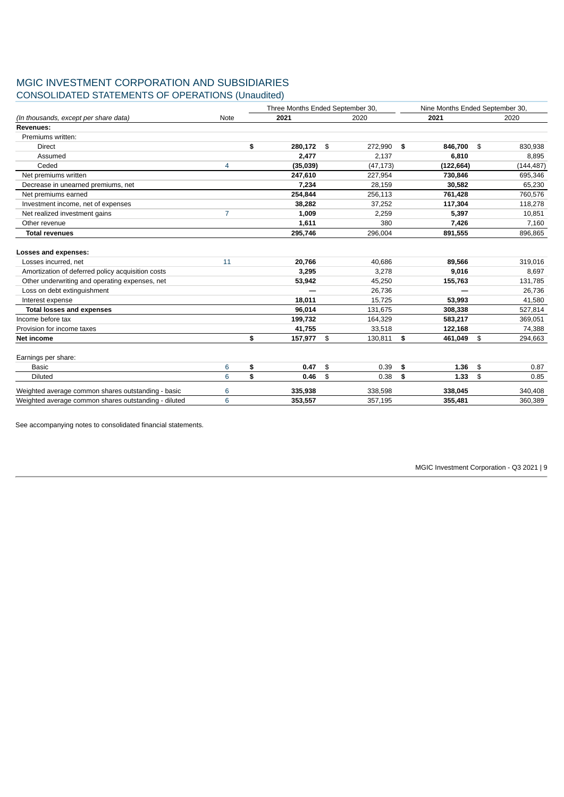# MGIC INVESTMENT CORPORATION AND SUBSIDIARIES CONSOLIDATED STATEMENTS OF OPERATIONS (Unaudited)

|                                                      |                | Three Months Ended September 30, | Nine Months Ended September 30, |               |    |            |
|------------------------------------------------------|----------------|----------------------------------|---------------------------------|---------------|----|------------|
| (In thousands, except per share data)                | Note           | 2021                             | 2020                            | 2021          |    | 2020       |
| <b>Revenues:</b>                                     |                |                                  |                                 |               |    |            |
| Premiums written:                                    |                |                                  |                                 |               |    |            |
| <b>Direct</b>                                        |                | \$<br>280,172                    | \$<br>272,990                   | \$<br>846,700 | \$ | 830,938    |
| Assumed                                              |                | 2,477                            | 2,137                           | 6,810         |    | 8,895      |
| Ceded                                                | $\overline{4}$ | (35,039)                         | (47, 173)                       | (122, 664)    |    | (144, 487) |
| Net premiums written                                 |                | 247,610                          | 227,954                         | 730,846       |    | 695,346    |
| Decrease in unearned premiums, net                   |                | 7,234                            | 28,159                          | 30,582        |    | 65,230     |
| Net premiums earned                                  |                | 254,844                          | 256,113                         | 761,428       |    | 760,576    |
| Investment income, net of expenses                   |                | 38,282                           | 37,252                          | 117,304       |    | 118,278    |
| Net realized investment gains                        | $\overline{7}$ | 1,009                            | 2,259                           | 5,397         |    | 10,851     |
| Other revenue                                        |                | 1,611                            | 380                             | 7.426         |    | 7,160      |
| <b>Total revenues</b>                                |                | 295,746                          | 296,004                         | 891,555       |    | 896,865    |
| Losses and expenses:                                 |                |                                  |                                 |               |    |            |
| Losses incurred, net                                 | 11             | 20,766                           | 40.686                          | 89,566        |    | 319,016    |
| Amortization of deferred policy acquisition costs    |                | 3,295                            | 3,278                           | 9,016         |    | 8,697      |
| Other underwriting and operating expenses, net       |                | 53,942                           | 45,250                          | 155,763       |    | 131,785    |
| Loss on debt extinguishment                          |                |                                  | 26,736                          |               |    | 26,736     |
| Interest expense                                     |                | 18,011                           | 15,725                          | 53,993        |    | 41,580     |
| <b>Total losses and expenses</b>                     |                | 96.014                           | 131,675                         | 308.338       |    | 527,814    |
| Income before tax                                    |                | 199,732                          | 164,329                         | 583,217       |    | 369,051    |
| Provision for income taxes                           |                | 41,755                           | 33,518                          | 122,168       |    | 74,388     |
| Net income                                           |                | \$<br>157,977                    | $\mathbf{\hat{S}}$<br>130,811   | \$<br>461,049 | \$ | 294,663    |
| Earnings per share:                                  |                |                                  |                                 |               |    |            |
| Basic                                                | 6              | \$<br>0.47                       | \$<br>0.39                      | \$<br>1.36    | \$ | 0.87       |
| Diluted                                              | 6              | \$<br>0.46                       | \$<br>0.38                      | \$<br>1.33    | \$ | 0.85       |
| Weighted average common shares outstanding - basic   | 6              | 335,938                          | 338,598                         | 338,045       |    | 340,408    |
| Weighted average common shares outstanding - diluted | 6              | 353,557                          | 357,195                         | 355,481       |    | 360,389    |

<span id="page-8-0"></span>See accompanying notes to consolidated financial statements.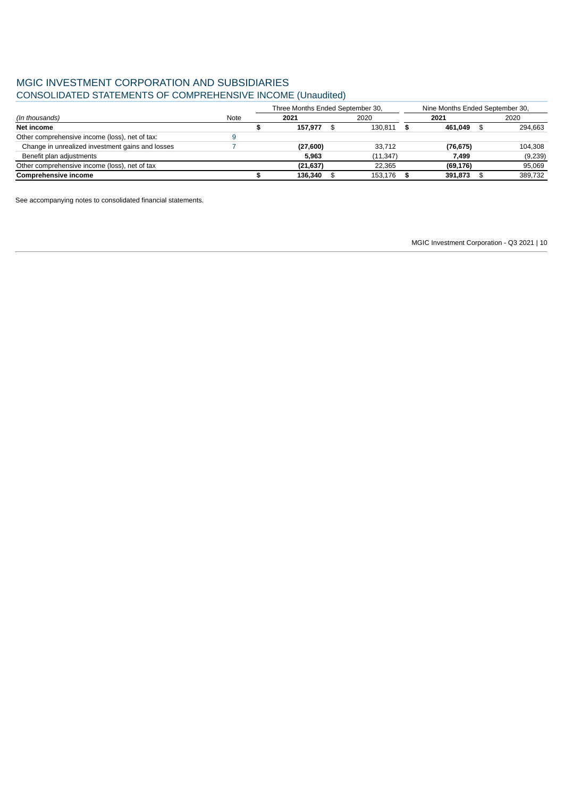# MGIC INVESTMENT CORPORATION AND SUBSIDIARIES CONSOLIDATED STATEMENTS OF COMPREHENSIVE INCOME (Unaudited)

|                                                  |      | Three Months Ended September 30, |           |  | Nine Months Ended September 30, |           |         |  |
|--------------------------------------------------|------|----------------------------------|-----------|--|---------------------------------|-----------|---------|--|
| (In thousands)                                   | Note |                                  | 2021      |  | 2020                            | 2021      | 2020    |  |
| Net income                                       |      |                                  | 157.977   |  | 130.811                         | 461.049   | 294.663 |  |
| Other comprehensive income (loss), net of tax:   |      |                                  |           |  |                                 |           |         |  |
| Change in unrealized investment gains and losses |      |                                  | (27,600)  |  | 33.712                          | (76, 675) | 104,308 |  |
| Benefit plan adjustments                         |      |                                  | 5.963     |  | (11, 347)                       | 7.499     | (9,239) |  |
| Other comprehensive income (loss), net of tax    |      |                                  | (21, 637) |  | 22.365                          | (69, 176) | 95.069  |  |
| <b>Comprehensive income</b>                      |      |                                  | 136.340   |  | 153.176                         | 391,873   | 389.732 |  |

<span id="page-9-0"></span>See accompanying notes to consolidated financial statements.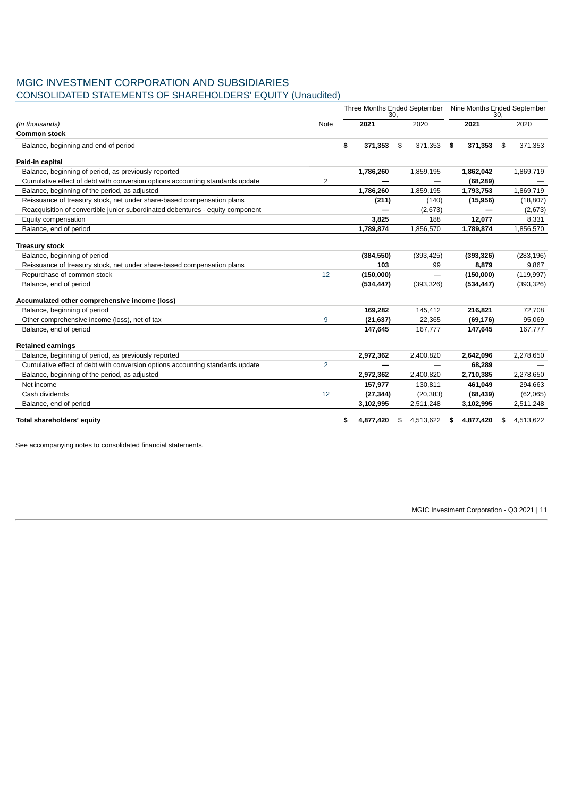# MGIC INVESTMENT CORPORATION AND SUBSIDIARIES

CONSOLIDATED STATEMENTS OF SHAREHOLDERS' EQUITY (Unaudited)

|                                                                                |                | Three Months Ended September Nine Months Ended September<br>30. |            |    | 30.        |                 |    |            |
|--------------------------------------------------------------------------------|----------------|-----------------------------------------------------------------|------------|----|------------|-----------------|----|------------|
| (In thousands)                                                                 | Note           |                                                                 | 2021       |    | 2020       | 2021            |    | 2020       |
| <b>Common stock</b>                                                            |                |                                                                 |            |    |            |                 |    |            |
| Balance, beginning and end of period                                           |                | \$                                                              | 371,353    | \$ | 371,353    | \$<br>371,353   | \$ | 371,353    |
| Paid-in capital                                                                |                |                                                                 |            |    |            |                 |    |            |
| Balance, beginning of period, as previously reported                           |                |                                                                 | 1,786,260  |    | 1,859,195  | 1,862,042       |    | 1,869,719  |
| Cumulative effect of debt with conversion options accounting standards update  | 2              |                                                                 |            |    |            | (68, 289)       |    |            |
| Balance, beginning of the period, as adjusted                                  |                |                                                                 | 1,786,260  |    | 1,859,195  | 1,793,753       |    | 1,869,719  |
| Reissuance of treasury stock, net under share-based compensation plans         |                |                                                                 | (211)      |    | (140)      | (15, 956)       |    | (18, 807)  |
| Reacquisition of convertible junior subordinated debentures - equity component |                |                                                                 |            |    | (2,673)    |                 |    | (2,673)    |
| Equity compensation                                                            |                |                                                                 | 3,825      |    | 188        | 12,077          |    | 8,331      |
| Balance, end of period                                                         |                |                                                                 | 1,789,874  |    | 1,856,570  | 1,789,874       |    | 1,856,570  |
| <b>Treasury stock</b>                                                          |                |                                                                 |            |    |            |                 |    |            |
| Balance, beginning of period                                                   |                |                                                                 | (384, 550) |    | (393, 425) | (393, 326)      |    | (283, 196) |
| Reissuance of treasury stock, net under share-based compensation plans         |                |                                                                 | 103        |    | 99         | 8,879           |    | 9,867      |
| Repurchase of common stock                                                     | 12             |                                                                 | (150,000)  |    |            | (150,000)       |    | (119, 997) |
| Balance, end of period                                                         |                |                                                                 | (534, 447) |    | (393, 326) | (534, 447)      |    | (393, 326) |
| Accumulated other comprehensive income (loss)                                  |                |                                                                 |            |    |            |                 |    |            |
| Balance, beginning of period                                                   |                |                                                                 | 169,282    |    | 145,412    | 216,821         |    | 72,708     |
| Other comprehensive income (loss), net of tax                                  | 9              |                                                                 | (21, 637)  |    | 22,365     | (69, 176)       |    | 95,069     |
| Balance, end of period                                                         |                |                                                                 | 147,645    |    | 167,777    | 147,645         |    | 167,777    |
| <b>Retained earnings</b>                                                       |                |                                                                 |            |    |            |                 |    |            |
| Balance, beginning of period, as previously reported                           |                |                                                                 | 2,972,362  |    | 2,400,820  | 2,642,096       |    | 2,278,650  |
| Cumulative effect of debt with conversion options accounting standards update  | $\overline{c}$ |                                                                 |            |    |            | 68,289          |    |            |
| Balance, beginning of the period, as adjusted                                  |                |                                                                 | 2,972,362  |    | 2,400,820  | 2,710,385       |    | 2,278,650  |
| Net income                                                                     |                |                                                                 | 157,977    |    | 130,811    | 461,049         |    | 294,663    |
| Cash dividends                                                                 | 12             |                                                                 | (27, 344)  |    | (20, 383)  | (68, 439)       |    | (62,065)   |
| Balance, end of period                                                         |                |                                                                 | 3,102,995  |    | 2,511,248  | 3,102,995       |    | 2,511,248  |
| Total shareholders' equity                                                     |                | \$                                                              | 4,877,420  | \$ | 4,513,622  | \$<br>4,877,420 | \$ | 4.513.622  |

<span id="page-10-0"></span>See accompanying notes to consolidated financial statements.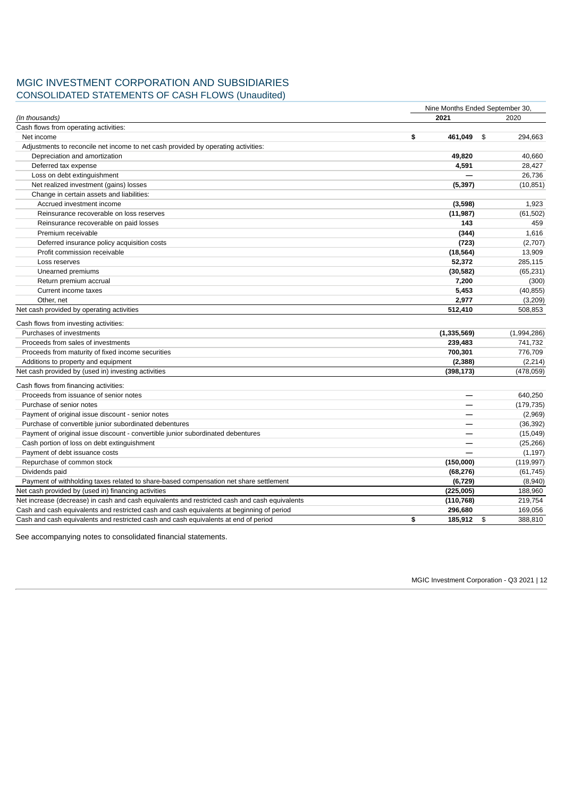# MGIC INVESTMENT CORPORATION AND SUBSIDIARIES CONSOLIDATED STATEMENTS OF CASH FLOWS (Unaudited)

|                                                                                               | Nine Months Ended September 30, |               |
|-----------------------------------------------------------------------------------------------|---------------------------------|---------------|
| (In thousands)                                                                                | 2021                            | 2020          |
| Cash flows from operating activities:                                                         |                                 |               |
| Net income                                                                                    | \$<br>461,049                   | \$<br>294,663 |
| Adjustments to reconcile net income to net cash provided by operating activities:             |                                 |               |
| Depreciation and amortization                                                                 | 49,820                          | 40,660        |
| Deferred tax expense                                                                          | 4,591                           | 28,427        |
| Loss on debt extinguishment                                                                   |                                 | 26,736        |
| Net realized investment (gains) losses                                                        | (5, 397)                        | (10, 851)     |
| Change in certain assets and liabilities:                                                     |                                 |               |
| Accrued investment income                                                                     | (3,598)                         | 1,923         |
| Reinsurance recoverable on loss reserves                                                      | (11, 987)                       | (61, 502)     |
| Reinsurance recoverable on paid losses                                                        | 143                             | 459           |
| Premium receivable                                                                            | (344)                           | 1,616         |
| Deferred insurance policy acquisition costs                                                   | (723)                           | (2,707)       |
| Profit commission receivable                                                                  | (18, 564)                       | 13,909        |
| Loss reserves                                                                                 | 52,372                          | 285,115       |
| Unearned premiums                                                                             | (30, 582)                       | (65, 231)     |
| Return premium accrual                                                                        | 7,200                           | (300)         |
| Current income taxes                                                                          | 5,453                           | (40, 855)     |
| Other, net                                                                                    | 2,977                           | (3,209)       |
| Net cash provided by operating activities                                                     | 512,410                         | 508.853       |
| Cash flows from investing activities:                                                         |                                 |               |
| Purchases of investments                                                                      | (1, 335, 569)                   | (1,994,286)   |
| Proceeds from sales of investments                                                            | 239,483                         | 741,732       |
| Proceeds from maturity of fixed income securities                                             | 700,301                         | 776,709       |
| Additions to property and equipment                                                           | (2, 388)                        | (2, 214)      |
| Net cash provided by (used in) investing activities                                           | (398, 173)                      | (478, 059)    |
| Cash flows from financing activities:                                                         |                                 |               |
| Proceeds from issuance of senior notes                                                        |                                 | 640,250       |
| Purchase of senior notes                                                                      |                                 | (179, 735)    |
| Payment of original issue discount - senior notes                                             |                                 | (2,969)       |
| Purchase of convertible junior subordinated debentures                                        | —                               | (36, 392)     |
| Payment of original issue discount - convertible junior subordinated debentures               |                                 | (15,049)      |
| Cash portion of loss on debt extinguishment                                                   |                                 | (25, 266)     |
| Payment of debt issuance costs                                                                |                                 | (1, 197)      |
| Repurchase of common stock                                                                    | (150,000)                       | (119, 997)    |
| Dividends paid                                                                                | (68, 276)                       | (61, 745)     |
| Payment of withholding taxes related to share-based compensation net share settlement         | (6, 729)                        | (8,940)       |
| Net cash provided by (used in) financing activities                                           | (225,005)                       | 188,960       |
| Net increase (decrease) in cash and cash equivalents and restricted cash and cash equivalents | (110, 768)                      | 219,754       |
| Cash and cash equivalents and restricted cash and cash equivalents at beginning of period     | 296,680                         | 169,056       |
| Cash and cash equivalents and restricted cash and cash equivalents at end of period           | \$<br>185,912                   | \$<br>388,810 |

<span id="page-11-0"></span>See accompanying notes to consolidated financial statements.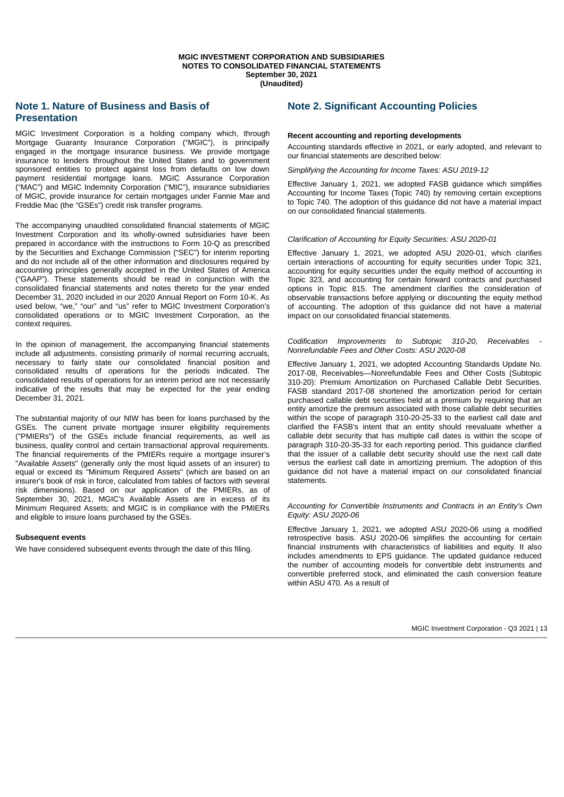# <span id="page-12-0"></span>**Note 1. Nature of Business and Basis of Presentation**

MGIC Investment Corporation is a holding company which, through Mortgage Guaranty Insurance Corporation ("MGIC"), is principally engaged in the mortgage insurance business. We provide mortgage insurance to lenders throughout the United States and to government sponsored entities to protect against loss from defaults on low down payment residential mortgage loans. MGIC Assurance Corporation ("MAC") and MGIC Indemnity Corporation ("MIC"), insurance subsidiaries of MGIC, provide insurance for certain mortgages under Fannie Mae and Freddie Mac (the "GSEs") credit risk transfer programs.

The accompanying unaudited consolidated financial statements of MGIC Investment Corporation and its wholly-owned subsidiaries have been prepared in accordance with the instructions to Form 10-Q as prescribed by the Securities and Exchange Commission ("SEC") for interim reporting and do not include all of the other information and disclosures required by accounting principles generally accepted in the United States of America ("GAAP"). These statements should be read in conjunction with the consolidated financial statements and notes thereto for the year ended December 31, 2020 included in our 2020 Annual Report on Form 10-K. As used below, "we," "our" and "us" refer to MGIC Investment Corporation's consolidated operations or to MGIC Investment Corporation, as the context requires.

In the opinion of management, the accompanying financial statements include all adjustments, consisting primarily of normal recurring accruals, necessary to fairly state our consolidated financial position and consolidated results of operations for the periods indicated. The consolidated results of operations for an interim period are not necessarily indicative of the results that may be expected for the year ending December 31, 2021.

The substantial majority of our NIW has been for loans purchased by the GSEs. The current private mortgage insurer eligibility requirements ("PMIERs") of the GSEs include financial requirements, as well as business, quality control and certain transactional approval requirements. The financial requirements of the PMIERs require a mortgage insurer's "Available Assets" (generally only the most liquid assets of an insurer) to equal or exceed its "Minimum Required Assets" (which are based on an insurer's book of risk in force, calculated from tables of factors with several risk dimensions). Based on our application of the PMIERs, as of September 30, 2021, MGIC's Available Assets are in excess of its Minimum Required Assets; and MGIC is in compliance with the PMIERs and eligible to insure loans purchased by the GSEs.

### **Subsequent events**

We have considered subsequent events through the date of this filing.

# <span id="page-12-1"></span>**Note 2. Significant Accounting Policies**

### **Recent accounting and reporting developments**

Accounting standards effective in 2021, or early adopted, and relevant to our financial statements are described below:

*Simplifying the Accounting for Income Taxes: ASU 2019-12*

Effective January 1, 2021, we adopted FASB guidance which simplifies Accounting for Income Taxes (Topic 740) by removing certain exceptions to Topic 740. The adoption of this guidance did not have a material impact on our consolidated financial statements.

### *Clarification of Accounting for Equity Securities: ASU 2020-01*

Effective January 1, 2021, we adopted ASU 2020-01, which clarifies certain interactions of accounting for equity securities under Topic 321, accounting for equity securities under the equity method of accounting in Topic 323, and accounting for certain forward contracts and purchased options in Topic 815. The amendment clarifies the consideration of observable transactions before applying or discounting the equity method of accounting. The adoption of this guidance did not have a material impact on our consolidated financial statements.

*Codification Improvements to Subtopic 310-20, Receivables - Nonrefundable Fees and Other Costs: ASU 2020-08*

Effective January 1, 2021, we adopted Accounting Standards Update No. 2017-08, Receivables—Nonrefundable Fees and Other Costs (Subtopic 310-20): Premium Amortization on Purchased Callable Debt Securities. FASB standard 2017-08 shortened the amortization period for certain purchased callable debt securities held at a premium by requiring that an entity amortize the premium associated with those callable debt securities within the scope of paragraph 310-20-25-33 to the earliest call date and clarified the FASB's intent that an entity should reevaluate whether a callable debt security that has multiple call dates is within the scope of paragraph 310-20-35-33 for each reporting period. This guidance clarified that the issuer of a callable debt security should use the next call date versus the earliest call date in amortizing premium. The adoption of this guidance did not have a material impact on our consolidated financial statements.

*Accounting for Convertible Instruments and Contracts in an Entity's Own Equity: ASU 2020-06*

Effective January 1, 2021, we adopted ASU 2020-06 using a modified retrospective basis. ASU 2020-06 simplifies the accounting for certain financial instruments with characteristics of liabilities and equity. It also includes amendments to EPS guidance. The updated guidance reduced the number of accounting models for convertible debt instruments and convertible preferred stock, and eliminated the cash conversion feature within ASU 470. As a result of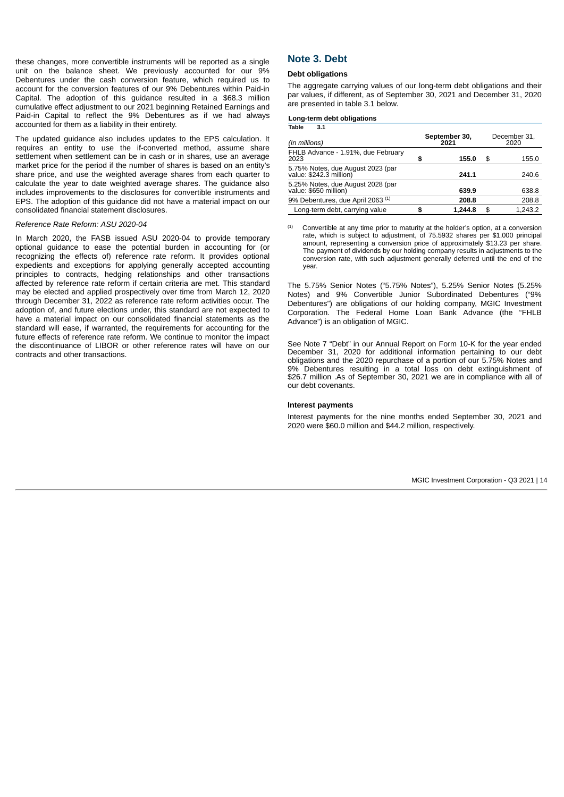these changes, more convertible instruments will be reported as a single unit on the balance sheet. We previously accounted for our 9% Debentures under the cash conversion feature, which required us to account for the conversion features of our 9% Debentures within Paid-in Capital. The adoption of this guidance resulted in a \$68.3 million cumulative effect adjustment to our 2021 beginning Retained Earnings and Paid-in Capital to reflect the 9% Debentures as if we had always accounted for them as a liability in their entirety.

The updated guidance also includes updates to the EPS calculation. It requires an entity to use the if-converted method, assume share settlement when settlement can be in cash or in shares, use an average market price for the period if the number of shares is based on an entity's share price, and use the weighted average shares from each quarter to calculate the year to date weighted average shares. The guidance also includes improvements to the disclosures for convertible instruments and EPS. The adoption of this guidance did not have a material impact on our consolidated financial statement disclosures.

#### *Reference Rate Reform: ASU 2020-04*

<span id="page-13-1"></span><span id="page-13-0"></span>In March 2020, the FASB issued ASU 2020-04 to provide temporary optional guidance to ease the potential burden in accounting for (or recognizing the effects of) reference rate reform. It provides optional expedients and exceptions for applying generally accepted accounting principles to contracts, hedging relationships and other transactions affected by reference rate reform if certain criteria are met. This standard may be elected and applied prospectively over time from March 12, 2020 through December 31, 2022 as reference rate reform activities occur. The adoption of, and future elections under, this standard are not expected to have a material impact on our consolidated financial statements as the standard will ease, if warranted, the requirements for accounting for the future effects of reference rate reform. We continue to monitor the impact the discontinuance of LIBOR or other reference rates will have on our contracts and other transactions.

# **Note 3. Debt**

#### **Debt obligations**

The aggregate carrying values of our long-term debt obligations and their par values, if different, as of September 30, 2021 and December 31, 2020 are presented in table 3.1 below.

|       |    | Long-term debt obligations |
|-------|----|----------------------------|
| Toble | 21 |                            |

| (In millions)                                                |    | September 30,<br>2021 | December 31,<br>2020 |         |  |  |
|--------------------------------------------------------------|----|-----------------------|----------------------|---------|--|--|
| FHLB Advance - 1.91%, due February<br>2023                   | S  | 155.0                 | \$                   | 155.0   |  |  |
| 5.75% Notes, due August 2023 (par<br>value: \$242.3 million) |    | 241.1                 |                      | 240.6   |  |  |
| 5.25% Notes, due August 2028 (par<br>value: \$650 million)   |    | 639.9                 |                      | 638.8   |  |  |
| 9% Debentures, due April 2063 <sup>(1)</sup>                 |    | 208.8                 |                      | 208.8   |  |  |
| Long-term debt, carrying value                               | \$ | 1.244.8               | \$                   | 1.243.2 |  |  |

Convertible at any time prior to maturity at the holder's option, at a conversion rate, which is subject to adjustment, of 75.5932 shares per \$1,000 principal amount, representing a conversion price of approximately \$13.23 per share. The payment of dividends by our holding company results in adjustments to the conversion rate, with such adjustment generally deferred until the end of the year.  $(1)$ 

The 5.75% Senior Notes ("5.75% Notes"), 5.25% Senior Notes (5.25% Notes) and 9% Convertible Junior Subordinated Debentures ("9% Debentures") are obligations of our holding company, MGIC Investment Corporation. The Federal Home Loan Bank Advance (the "FHLB Advance") is an obligation of MGIC.

See Note 7 "Debt" in our Annual Report on Form 10-K for the year ended December 31, 2020 for additional information pertaining to our debt obligations and the 2020 repurchase of a portion of our 5.75% Notes and 9% Debentures resulting in a total loss on debt extinguishment of \$26.7 million .As of September 30, 2021 we are in compliance with all of our debt covenants.

#### **Interest payments**

Interest payments for the nine months ended September 30, 2021 and 2020 were \$60.0 million and \$44.2 million, respectively.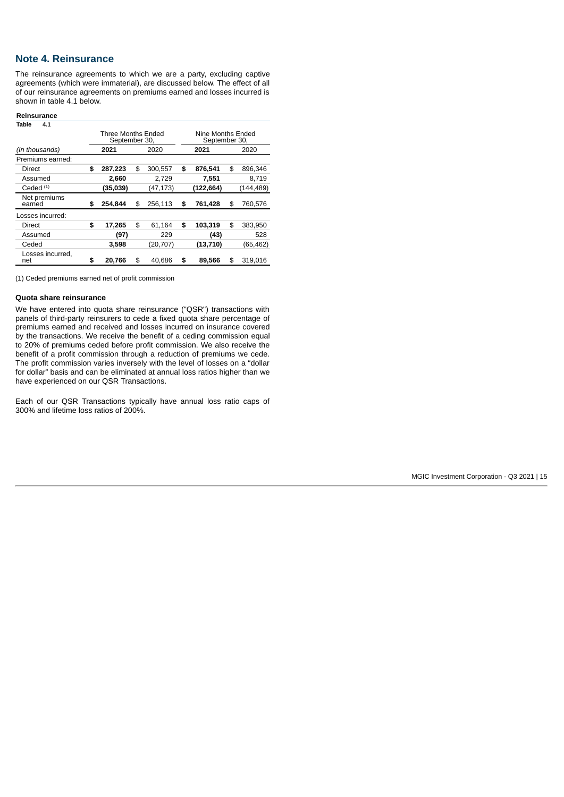# **Note 4. Reinsurance**

The reinsurance agreements to which we are a party, excluding captive agreements (which were immaterial), are discussed below. The effect of all of our reinsurance agreements on premiums earned and losses incurred is shown in table 4.1 below.

### **Reinsurance**

| Table<br>4.1            |                                     |               |                                    |           |    |            |  |  |
|-------------------------|-------------------------------------|---------------|------------------------------------|-----------|----|------------|--|--|
|                         | Three Months Ended<br>September 30, |               | Nine Months Ended<br>September 30, |           |    |            |  |  |
| (In thousands)          | 2021                                | 2020          |                                    | 2021      |    | 2020       |  |  |
| Premiums earned:        |                                     |               |                                    |           |    |            |  |  |
| Direct                  | \$<br>287,223                       | \$<br>300,557 | \$                                 | 876,541   | \$ | 896,346    |  |  |
| Assumed                 | 2,660                               | 2.729         |                                    | 7,551     |    | 8.719      |  |  |
| Ceded $(1)$             | (35,039)                            | (47,173)      |                                    | (122,664) |    | (144, 489) |  |  |
| Net premiums<br>earned  | \$<br>254.844                       | \$<br>256.113 | \$                                 | 761.428   | \$ | 760.576    |  |  |
| Losses incurred:        |                                     |               |                                    |           |    |            |  |  |
| Direct                  | \$<br>17,265                        | \$<br>61,164  | \$                                 | 103,319   | \$ | 383,950    |  |  |
| Assumed                 | (97)                                | 229           |                                    | (43)      |    | 528        |  |  |
| Ceded                   | 3,598                               | (20,707)      |                                    | (13, 710) |    | (65,462)   |  |  |
| Losses incurred.<br>net | \$<br>20.766                        | \$<br>40.686  | \$                                 | 89,566    | \$ | 319.016    |  |  |

(1) Ceded premiums earned net of profit commission

### **Quota share reinsurance**

We have entered into quota share reinsurance ("QSR") transactions with panels of third-party reinsurers to cede a fixed quota share percentage of premiums earned and received and losses incurred on insurance covered by the transactions. We receive the benefit of a ceding commission equal to 20% of premiums ceded before profit commission. We also receive the benefit of a profit commission through a reduction of premiums we cede. The profit commission varies inversely with the level of losses on a "dollar for dollar" basis and can be eliminated at annual loss ratios higher than we have experienced on our QSR Transactions.

Each of our QSR Transactions typically have annual loss ratio caps of 300% and lifetime loss ratios of 200%.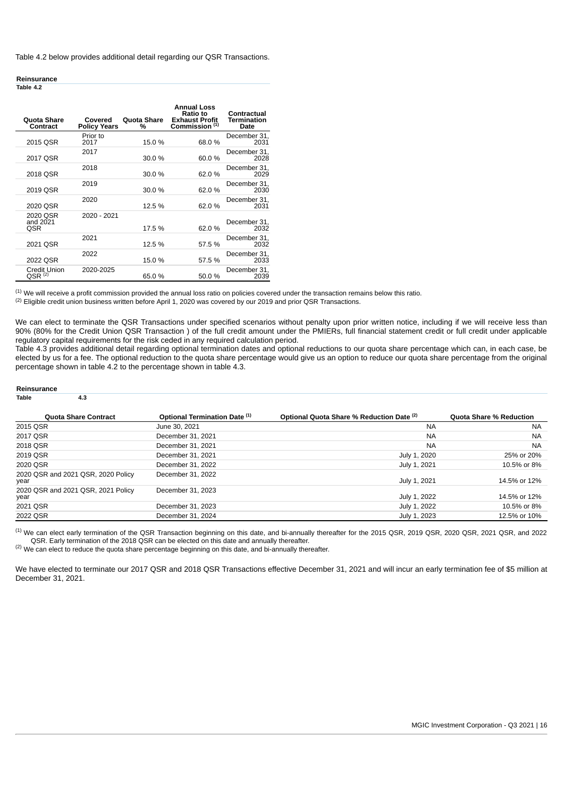Table 4.2 below provides additional detail regarding our QSR Transactions.

#### **Reinsurance Table 4.2**

| <b>Ouota Share</b><br>Contract     | Covered<br><b>Policy Years</b> | <b>Ouota Share</b><br>% | <b>Annual Loss</b><br><b>Ratio to</b><br><b>Exhaust Profit</b><br>Commission <sup>(1)</sup> | Contractual<br><b>Termination</b><br>Date |
|------------------------------------|--------------------------------|-------------------------|---------------------------------------------------------------------------------------------|-------------------------------------------|
| 2015 OSR                           | Prior to<br>2017               | 15.0 %                  | 68.0%                                                                                       | December 31,<br>2031                      |
| 2017 OSR                           | 2017                           | 30.0 %                  | 60.0%                                                                                       | December 31,<br>2028                      |
| 2018 QSR                           | 2018                           | 30.0%                   | 62.0%                                                                                       | December 31,<br>2029                      |
| 2019 OSR                           | 2019                           | 30.0 %                  | 62.0%                                                                                       | December 31,<br>2030                      |
| 2020 OSR                           | 2020                           | 12.5 %                  | 62.0 %                                                                                      | December 31,<br>2031                      |
| 2020 OSR<br>and 2021<br><b>OSR</b> | 2020 - 2021                    | 17.5 %                  | 62.0%                                                                                       | December 31,<br>2032                      |
| 2021 OSR                           | 2021                           | 12.5 %                  | 57.5 %                                                                                      | December 31,<br>2032                      |
| 2022 QSR                           | 2022                           | 15.0 %                  | 57.5 %                                                                                      | December 31.<br>2033                      |
| Credit Union<br>OSR (2)            | 2020-2025                      | 65.0%                   | 50.0%                                                                                       | December 31.<br>2039                      |

 $^{(1)}$  We will receive a profit commission provided the annual loss ratio on policies covered under the transaction remains below this ratio.

 $^{(2)}$  Eligible credit union business written before April 1, 2020 was covered by our 2019 and prior QSR Transactions.

We can elect to terminate the QSR Transactions under specified scenarios without penalty upon prior written notice, including if we will receive less than 90% (80% for the Credit Union QSR Transaction ) of the full credit amount under the PMIERs, full financial statement credit or full credit under applicable regulatory capital requirements for the risk ceded in any required calculation period.

Table 4.3 provides additional detail regarding optional termination dates and optional reductions to our quota share percentage which can, in each case, be elected by us for a fee. The optional reduction to the quota share percentage would give us an option to reduce our quota share percentage from the original percentage shown in table 4.2 to the percentage shown in table 4.3.

#### **Reinsurance**

#### **Table 4.3**

| <b>Quota Share Contract</b>                | Optional Termination Date (1) | Optional Quota Share % Reduction Date (2) | <b>Quota Share % Reduction</b> |
|--------------------------------------------|-------------------------------|-------------------------------------------|--------------------------------|
| 2015 QSR                                   | June 30, 2021                 | <b>NA</b>                                 | <b>NA</b>                      |
| 2017 QSR                                   | December 31, 2021             | <b>NA</b>                                 | <b>NA</b>                      |
| 2018 QSR                                   | December 31, 2021             | <b>NA</b>                                 | <b>NA</b>                      |
| 2019 QSR                                   | December 31, 2021             | July 1, 2020                              | 25% or 20%                     |
| 2020 OSR                                   | December 31, 2022             | July 1, 2021                              | 10.5% or 8%                    |
| 2020 OSR and 2021 OSR, 2020 Policy<br>year | December 31, 2022             | July 1, 2021                              | 14.5% or 12%                   |
| 2020 OSR and 2021 OSR, 2021 Policy<br>year | December 31, 2023             | July 1, 2022                              | 14.5% or 12%                   |
| 2021 QSR                                   | December 31, 2023             | July 1, 2022                              | 10.5% or 8%                    |
| 2022 QSR                                   | December 31, 2024             | July 1, 2023                              | 12.5% or 10%                   |

 $^{(1)}$  We can elect early termination of the QSR Transaction beginning on this date, and bi-annually thereafter for the 2015 QSR, 2019 QSR, 2020 QSR, 2021 QSR, and 2022 QSR. Early termination of the 2018 QSR can be elected on this date and annually thereafter.

 $^{(2)}$  We can elect to reduce the quota share percentage beginning on this date, and bi-annually thereafter.

We have elected to terminate our 2017 OSR and 2018 OSR Transactions effective December 31, 2021 and will incur an early termination fee of \$5 million at December 31, 2021.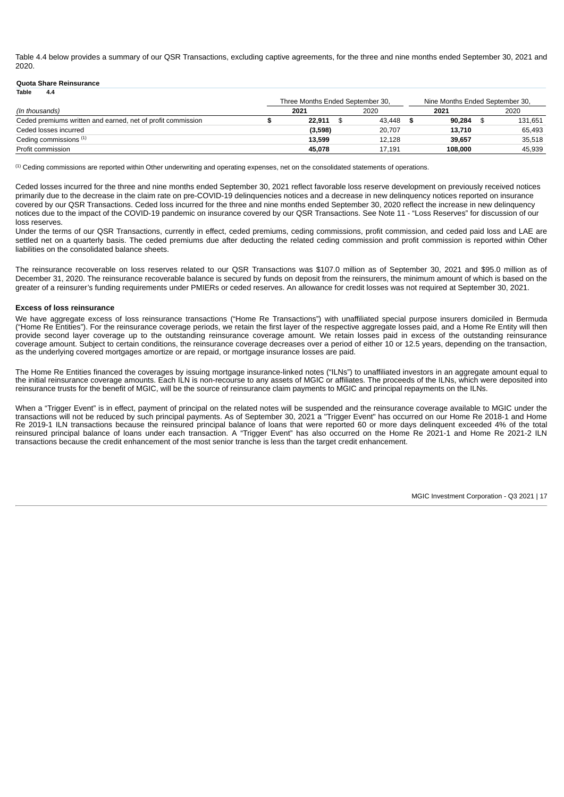Table 4.4 below provides a summary of our QSR Transactions, excluding captive agreements, for the three and nine months ended September 30, 2021 and 2020.

### **Quota Share Reinsurance**

| Table<br>4.4                                                |                                  |        |                                 |         |
|-------------------------------------------------------------|----------------------------------|--------|---------------------------------|---------|
|                                                             | Three Months Ended September 30, |        | Nine Months Ended September 30, |         |
| (In thousands)                                              | 2021                             | 2020   | 2021                            | 2020    |
| Ceded premiums written and earned, net of profit commission | 22.911                           | 43.448 | 90.284                          | 131.651 |
| Ceded losses incurred                                       | (3,598)                          | 20.707 | 13.710                          | 65.493  |
| Ceding commissions (1)                                      | 13.599                           | 12.128 | 39.657                          | 35.518  |
| Profit commission                                           | 45.078                           | 17.191 | 108,000                         | 45.939  |

 $<sup>(1)</sup>$  Ceding commissions are reported within Other underwriting and operating expenses, net on the consolidated statements of operations.</sup>

Ceded losses incurred for the three and nine months ended September 30, 2021 reflect favorable loss reserve development on previously received notices primarily due to the decrease in the claim rate on pre-COVID-19 delinquencies notices and a decrease in new delinquency notices reported on insurance covered by our QSR Transactions. Ceded loss incurred for the three and nine months ended September 30, 2020 reflect the increase in new delinquency notices due to the impact of the COVID-19 pandemic on insurance covered by our QSR Transactions. See Note 11 - "Loss Reserves" for discussion of our loss reserves.

Under the terms of our QSR Transactions, currently in effect, ceded premiums, ceding commissions, profit commission, and ceded paid loss and LAE are settled net on a quarterly basis. The ceded premiums due after deducting the related ceding commission and profit commission is reported within Other liabilities on the consolidated balance sheets.

The reinsurance recoverable on loss reserves related to our QSR Transactions was \$107.0 million as of September 30, 2021 and \$95.0 million as of December 31, 2020. The reinsurance recoverable balance is secured by funds on deposit from the reinsurers, the minimum amount of which is based on the greater of a reinsurer's funding requirements under PMIERs or ceded reserves. An allowance for credit losses was not required at September 30, 2021.

#### **Excess of loss reinsurance**

We have aggregate excess of loss reinsurance transactions ("Home Re Transactions") with unaffiliated special purpose insurers domiciled in Bermuda ("Home Re Entities"). For the reinsurance coverage periods, we retain the first layer of the respective aggregate losses paid, and a Home Re Entity will then provide second layer coverage up to the outstanding reinsurance coverage amount. We retain losses paid in excess of the outstanding reinsurance coverage amount. Subject to certain conditions, the reinsurance coverage decreases over a period of either 10 or 12.5 years, depending on the transaction, as the underlying covered mortgages amortize or are repaid, or mortgage insurance losses are paid.

The Home Re Entities financed the coverages by issuing mortgage insurance-linked notes ("ILNs") to unaffiliated investors in an aggregate amount equal to the initial reinsurance coverage amounts. Each ILN is non-recourse to any assets of MGIC or affiliates. The proceeds of the ILNs, which were deposited into reinsurance trusts for the benefit of MGIC, will be the source of reinsurance claim payments to MGIC and principal repayments on the ILNs.

When a "Trigger Event" is in effect, payment of principal on the related notes will be suspended and the reinsurance coverage available to MGIC under the transactions will not be reduced by such principal payments. As of September 30, 2021 a "Trigger Event" has occurred on our Home Re 2018-1 and Home Re 2019-1 ILN transactions because the reinsured principal balance of loans that were reported 60 or more days delinquent exceeded 4% of the total reinsured principal balance of loans under each transaction. A "Trigger Event" has also occurred on the Home Re 2021-1 and Home Re 2021-2 ILN transactions because the credit enhancement of the most senior tranche is less than the target credit enhancement.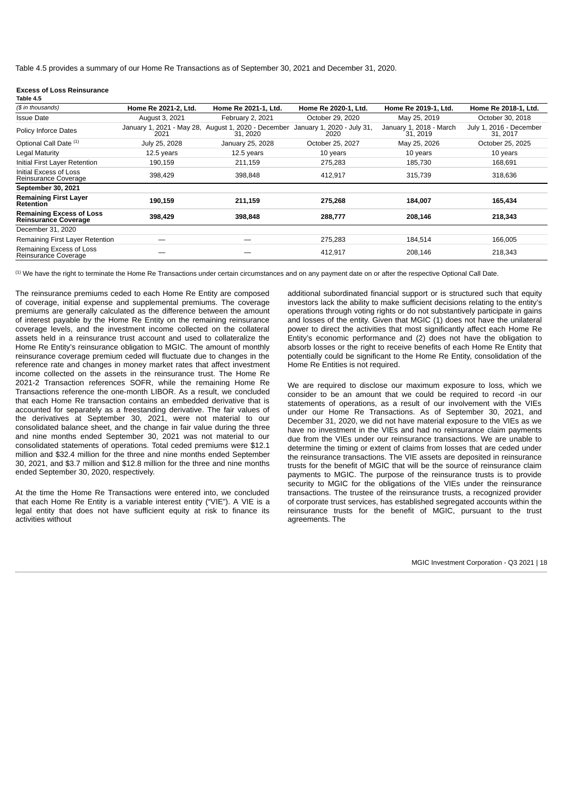Table 4.5 provides a summary of our Home Re Transactions as of September 30, 2021 and December 31, 2020.

#### **Excess of Loss Reinsurance**

| Table 4.5                                                      |                                   |                                       |                                    |                                     |                                     |
|----------------------------------------------------------------|-----------------------------------|---------------------------------------|------------------------------------|-------------------------------------|-------------------------------------|
| (\$ in thousands)                                              | Home Re 2021-2, Ltd.              | Home Re 2021-1, Ltd.                  | Home Re 2020-1, Ltd.               | Home Re 2019-1, Ltd.                | Home Re 2018-1, Ltd.                |
| <b>Issue Date</b>                                              | August 3, 2021                    | February 2, 2021                      | October 29, 2020                   | May 25, 2019                        | October 30, 2018                    |
| <b>Policy Inforce Dates</b>                                    | January 1, 2021 - May 28,<br>2021 | August 1, 2020 - December<br>31, 2020 | January 1, 2020 - July 31.<br>2020 | January 1, 2018 - March<br>31, 2019 | July 1, 2016 - December<br>31, 2017 |
| Optional Call Date (1)                                         | July 25, 2028                     | January 25, 2028                      | October 25, 2027                   | May 25, 2026                        | October 25, 2025                    |
| Legal Maturity                                                 | 12.5 years                        | 12.5 years                            | 10 years                           | 10 years                            | 10 years                            |
| Initial First Layer Retention                                  | 190,159                           | 211,159                               | 275,283                            | 185,730                             | 168,691                             |
| Initial Excess of Loss<br>Reinsurance Coverage                 | 398,429                           | 398,848                               | 412,917                            | 315,739                             | 318,636                             |
| September 30, 2021                                             |                                   |                                       |                                    |                                     |                                     |
| <b>Remaining First Layer</b><br><b>Retention</b>               | 190,159                           | 211,159                               | 275,268                            | 184,007                             | 165,434                             |
| <b>Remaining Excess of Loss</b><br><b>Reinsurance Coverage</b> | 398,429                           | 398,848                               | 288,777                            | 208,146                             | 218,343                             |
| December 31, 2020                                              |                                   |                                       |                                    |                                     |                                     |
| Remaining First Layer Retention                                |                                   |                                       | 275,283                            | 184,514                             | 166,005                             |
| Remaining Excess of Loss<br>Reinsurance Coverage               |                                   |                                       | 412,917                            | 208,146                             | 218,343                             |

 $^{\text{\tiny{(1)}}}$  We have the right to terminate the Home Re Transactions under certain circumstances and on any payment date on or after the respective Optional Call Date.

The reinsurance premiums ceded to each Home Re Entity are composed of coverage, initial expense and supplemental premiums. The coverage premiums are generally calculated as the difference between the amount of interest payable by the Home Re Entity on the remaining reinsurance coverage levels, and the investment income collected on the collateral assets held in a reinsurance trust account and used to collateralize the Home Re Entity's reinsurance obligation to MGIC. The amount of monthly reinsurance coverage premium ceded will fluctuate due to changes in the reference rate and changes in money market rates that affect investment income collected on the assets in the reinsurance trust. The Home Re 2021-2 Transaction references SOFR, while the remaining Home Re Transactions reference the one-month LIBOR. As a result, we concluded that each Home Re transaction contains an embedded derivative that is accounted for separately as a freestanding derivative. The fair values of the derivatives at September 30, 2021, were not material to our consolidated balance sheet, and the change in fair value during the three and nine months ended September 30, 2021 was not material to our consolidated statements of operations. Total ceded premiums were \$12.1 million and \$32.4 million for the three and nine months ended September 30, 2021, and \$3.7 million and \$12.8 million for the three and nine months ended September 30, 2020, respectively.

At the time the Home Re Transactions were entered into, we concluded that each Home Re Entity is a variable interest entity ("VIE"). A VIE is a legal entity that does not have sufficient equity at risk to finance its activities without

additional subordinated financial support or is structured such that equity investors lack the ability to make sufficient decisions relating to the entity's operations through voting rights or do not substantively participate in gains and losses of the entity. Given that MGIC (1) does not have the unilateral power to direct the activities that most significantly affect each Home Re Entity's economic performance and (2) does not have the obligation to absorb losses or the right to receive benefits of each Home Re Entity that potentially could be significant to the Home Re Entity, consolidation of the Home Re Entities is not required.

We are required to disclose our maximum exposure to loss, which we consider to be an amount that we could be required to record -in our statements of operations, as a result of our involvement with the VIEs under our Home Re Transactions. As of September 30, 2021, and December 31, 2020, we did not have material exposure to the VIEs as we have no investment in the VIEs and had no reinsurance claim payments due from the VIEs under our reinsurance transactions. We are unable to determine the timing or extent of claims from losses that are ceded under the reinsurance transactions. The VIE assets are deposited in reinsurance trusts for the benefit of MGIC that will be the source of reinsurance claim payments to MGIC. The purpose of the reinsurance trusts is to provide security to MGIC for the obligations of the VIEs under the reinsurance transactions. The trustee of the reinsurance trusts, a recognized provider of corporate trust services, has established segregated accounts within the reinsurance trusts for the benefit of MGIC, pursuant to the trust agreements. The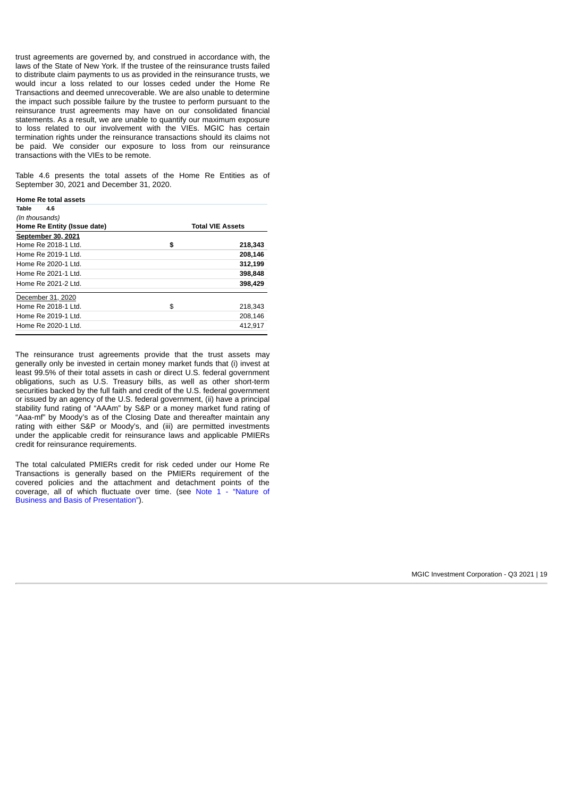trust agreements are governed by, and construed in accordance with, the laws of the State of New York. If the trustee of the reinsurance trusts failed to distribute claim payments to us as provided in the reinsurance trusts, we would incur a loss related to our losses ceded under the Home Re Transactions and deemed unrecoverable. We are also unable to determine the impact such possible failure by the trustee to perform pursuant to the reinsurance trust agreements may have on our consolidated financial statements. As a result, we are unable to quantify our maximum exposure to loss related to our involvement with the VIEs. MGIC has certain termination rights under the reinsurance transactions should its claims not be paid. We consider our exposure to loss from our reinsurance transactions with the VIEs to be remote.

Table 4.6 presents the total assets of the Home Re Entities as of September 30, 2021 and December 31, 2020.

| <b>Home Re total assets</b> |                         |
|-----------------------------|-------------------------|
| Table<br>4.6                |                         |
| (In thousands)              |                         |
| Home Re Entity (Issue date) | <b>Total VIE Assets</b> |
| September 30, 2021          |                         |
| Home Re 2018-1 Ltd.         | \$<br>218,343           |
| Home Re 2019-1 Ltd.         | 208,146                 |
| Home Re 2020-1 Ltd.         | 312,199                 |
| Home Re 2021-1 Ltd.         | 398,848                 |
| Home Re 2021-2 Ltd.         | 398,429                 |
| December 31, 2020           |                         |
| Home Re 2018-1 Ltd.         | \$<br>218,343           |
| Home Re 2019-1 Ltd.         | 208.146                 |
| Home Re 2020-1 Ltd.         | 412.917                 |

The reinsurance trust agreements provide that the trust assets may generally only be invested in certain money market funds that (i) invest at least 99.5% of their total assets in cash or direct U.S. federal government obligations, such as U.S. Treasury bills, as well as other short-term securities backed by the full faith and credit of the U.S. federal government or issued by an agency of the U.S. federal government, (ii) have a principal stability fund rating of "AAAm" by S&P or a money market fund rating of "Aaa-mf" by Moody's as of the Closing Date and thereafter maintain any rating with either S&P or Moody's, and (iii) are permitted investments under the applicable credit for reinsurance laws and applicable PMIERs credit for reinsurance requirements.

<span id="page-18-0"></span>The total calculated PMIERs credit for risk ceded under our Home Re Transactions is generally based on the PMIERs requirement of the covered policies and the attachment and detachment points of the [coverage, all of which fluctuate over time. \(see Note 1 - "Nature of](#page-12-0) Business and Basis of Presentation").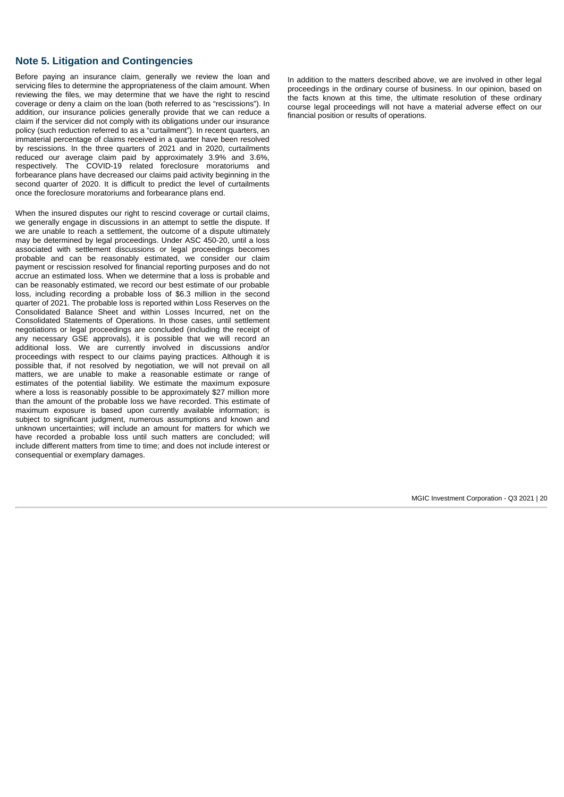# **Note 5. Litigation and Contingencies**

Before paying an insurance claim, generally we review the loan and servicing files to determine the appropriateness of the claim amount. When reviewing the files, we may determine that we have the right to rescind coverage or deny a claim on the loan (both referred to as "rescissions"). In addition, our insurance policies generally provide that we can reduce a claim if the servicer did not comply with its obligations under our insurance policy (such reduction referred to as a "curtailment"). In recent quarters, an immaterial percentage of claims received in a quarter have been resolved by rescissions. In the three quarters of 2021 and in 2020, curtailments reduced our average claim paid by approximately 3.9% and 3.6%, respectively. The COVID-19 related foreclosure moratoriums and forbearance plans have decreased our claims paid activity beginning in the second quarter of 2020. It is difficult to predict the level of curtailments once the foreclosure moratoriums and forbearance plans end.

When the insured disputes our right to rescind coverage or curtail claims, we generally engage in discussions in an attempt to settle the dispute. If we are unable to reach a settlement, the outcome of a dispute ultimately may be determined by legal proceedings. Under ASC 450-20, until a loss associated with settlement discussions or legal proceedings becomes probable and can be reasonably estimated, we consider our claim payment or rescission resolved for financial reporting purposes and do not accrue an estimated loss. When we determine that a loss is probable and can be reasonably estimated, we record our best estimate of our probable loss, including recording a probable loss of \$6.3 million in the second quarter of 2021. The probable loss is reported within Loss Reserves on the Consolidated Balance Sheet and within Losses Incurred, net on the Consolidated Statements of Operations. In those cases, until settlement negotiations or legal proceedings are concluded (including the receipt of any necessary GSE approvals), it is possible that we will record an additional loss. We are currently involved in discussions and/or proceedings with respect to our claims paying practices. Although it is possible that, if not resolved by negotiation, we will not prevail on all matters, we are unable to make a reasonable estimate or range of estimates of the potential liability. We estimate the maximum exposure where a loss is reasonably possible to be approximately \$27 million more than the amount of the probable loss we have recorded. This estimate of maximum exposure is based upon currently available information; is subject to significant judgment, numerous assumptions and known and unknown uncertainties; will include an amount for matters for which we have recorded a probable loss until such matters are concluded; will include different matters from time to time; and does not include interest or consequential or exemplary damages.

In addition to the matters described above, we are involved in other legal proceedings in the ordinary course of business. In our opinion, based on the facts known at this time, the ultimate resolution of these ordinary course legal proceedings will not have a material adverse effect on our financial position or results of operations.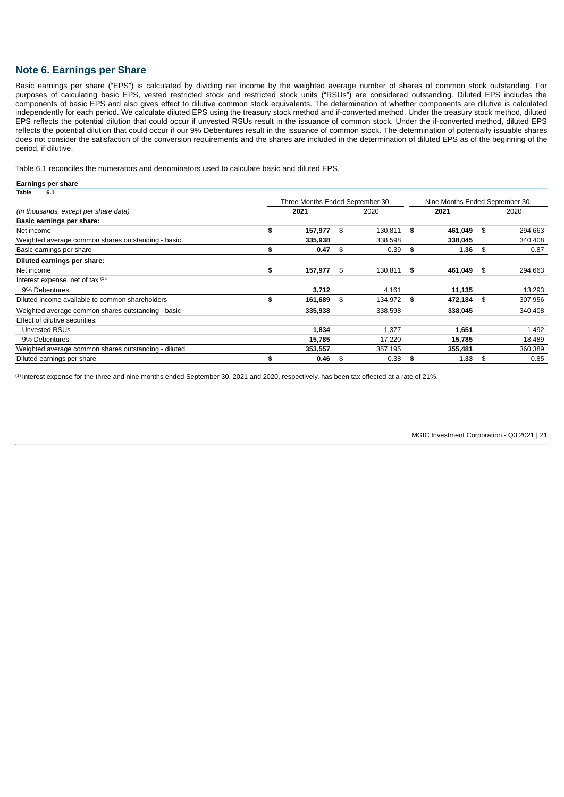# <span id="page-20-0"></span>**Note 6. Earnings per Share**

**Earnings per share**

Basic earnings per share ("EPS") is calculated by dividing net income by the weighted average number of shares of common stock outstanding. For purposes of calculating basic EPS, vested restricted stock and restricted stock units ("RSUs") are considered outstanding. Diluted EPS includes the components of basic EPS and also gives effect to dilutive common stock equivalents. The determination of whether components are dilutive is calculated independently for each period. We calculate diluted EPS using the treasury stock method and if-converted method. Under the treasury stock method, diluted EPS reflects the potential dilution that could occur if unvested RSUs result in the issuance of common stock. Under the if-converted method, diluted EPS reflects the potential dilution that could occur if our 9% Debentures result in the issuance of common stock. The determination of potentially issuable shares does not consider the satisfaction of the conversion requirements and the shares are included in the determination of diluted EPS as of the beginning of the period, if dilutive.

Table 6.1 reconciles the numerators and denominators used to calculate basic and diluted EPS.

| ∟анннуэ рогэнаго                                     |     |                                  |      |         |      |         |                                 |         |  |
|------------------------------------------------------|-----|----------------------------------|------|---------|------|---------|---------------------------------|---------|--|
| Table<br>6.1                                         |     |                                  |      |         |      |         |                                 |         |  |
|                                                      |     | Three Months Ended September 30, |      |         |      |         | Nine Months Ended September 30, |         |  |
| (In thousands, except per share data)                |     | 2021                             |      | 2020    |      | 2021    |                                 | 2020    |  |
| Basic earnings per share:                            |     |                                  |      |         |      |         |                                 |         |  |
| Net income                                           | \$  | 157,977                          | \$   | 130.811 | \$   | 461,049 | \$                              | 294,663 |  |
| Weighted average common shares outstanding - basic   |     | 335,938                          |      | 338,598 |      | 338,045 |                                 | 340,408 |  |
| Basic earnings per share                             | \$  | 0.47                             | \$   | 0.39    | Ŝ.   | 1.36    | \$                              | 0.87    |  |
| Diluted earnings per share:                          |     |                                  |      |         |      |         |                                 |         |  |
| Net income                                           | \$  | 157,977                          | - \$ | 130,811 | - \$ | 461,049 | -\$                             | 294,663 |  |
| Interest expense, net of tax (1):                    |     |                                  |      |         |      |         |                                 |         |  |
| 9% Debentures                                        |     | 3,712                            |      | 4,161   |      | 11,135  |                                 | 13,293  |  |
| Diluted income available to common shareholders      | \$. | 161,689                          | \$   | 134,972 | \$   | 472,184 | \$                              | 307,956 |  |
| Weighted average common shares outstanding - basic   |     | 335,938                          |      | 338,598 |      | 338,045 |                                 | 340,408 |  |
| Effect of dilutive securities:                       |     |                                  |      |         |      |         |                                 |         |  |
| Unvested RSUs                                        |     | 1,834                            |      | 1,377   |      | 1,651   |                                 | 1,492   |  |
| 9% Debentures                                        |     | 15,785                           |      | 17,220  |      | 15,785  |                                 | 18,489  |  |
| Weighted average common shares outstanding - diluted |     | 353,557                          |      | 357,195 |      | 355,481 |                                 | 360,389 |  |
| Diluted earnings per share                           | \$  | 0.46                             | \$   | 0.38    | \$   | 1.33    | \$                              | 0.85    |  |

<span id="page-20-1"></span> $^{\text{\tiny{(1)}}}$ Interest expense for the three and nine months ended September 30, 2021 and 2020, respectively, has been tax effected at a rate of 21%.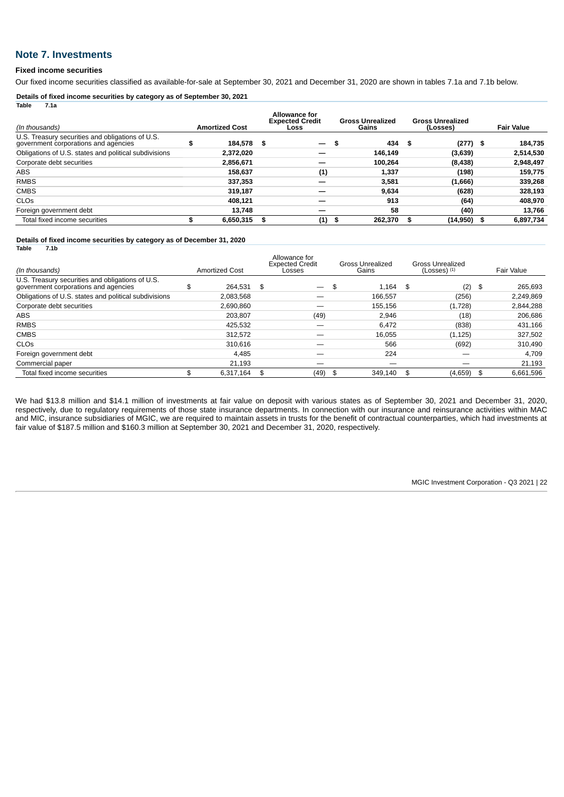# **Note 7. Investments**

### **Fixed income securities**

**Table 7.1a**

Our fixed income securities classified as available-for-sale at September 30, 2021 and December 31, 2020 are shown in tables 7.1a and 7.1b below.

**Details of fixed income securities by category as of September 30, 2021**

| .<br>.                                                                                   |   |                       |                                                        |   |                                  |    |                                     |                   |
|------------------------------------------------------------------------------------------|---|-----------------------|--------------------------------------------------------|---|----------------------------------|----|-------------------------------------|-------------------|
| (In thousands)                                                                           |   | <b>Amortized Cost</b> | <b>Allowance for</b><br><b>Expected Credit</b><br>Loss |   | <b>Gross Unrealized</b><br>Gains |    | <b>Gross Unrealized</b><br>(Losses) | <b>Fair Value</b> |
| U.S. Treasury securities and obligations of U.S.<br>government corporations and agencies | э | 184,578 \$            | $\overline{\phantom{0}}$                               | ж | 434                              | S  | $(277)$ \$                          | 184,735           |
| Obligations of U.S. states and political subdivisions                                    |   | 2,372,020             |                                                        |   | 146,149                          |    | (3,639)                             | 2,514,530         |
| Corporate debt securities                                                                |   | 2,856,671             |                                                        |   | 100.264                          |    | (8, 438)                            | 2,948,497         |
| <b>ABS</b>                                                                               |   | 158,637               | (1)                                                    |   | 1,337                            |    | (198)                               | 159,775           |
| <b>RMBS</b>                                                                              |   | 337,353               |                                                        |   | 3,581                            |    | (1,666)                             | 339,268           |
| <b>CMBS</b>                                                                              |   | 319.187               |                                                        |   | 9,634                            |    | (628)                               | 328,193           |
| <b>CLO<sub>S</sub></b>                                                                   |   | 408.121               |                                                        |   | 913                              |    | (64)                                | 408,970           |
| Foreign government debt                                                                  |   | 13.748                |                                                        |   | 58                               |    | (40)                                | 13,766            |
| Total fixed income securities                                                            | э | 6,650,315             | (1)                                                    | ж | 262,370                          | \$ | $(14,950)$ \$                       | 6,897,734         |

**Details of fixed income securities by category as of December 31, 2020 Table 7.1b**

| (In thousands)                                                                           | <b>Amortized Cost</b> | Allowance for<br><b>Expected Credit</b><br>Losses | Gross Unrealized<br>Gains | <b>Gross Unrealized</b><br>$(Losses)$ $(1)$ |      | Fair Value |
|------------------------------------------------------------------------------------------|-----------------------|---------------------------------------------------|---------------------------|---------------------------------------------|------|------------|
| U.S. Treasury securities and obligations of U.S.<br>government corporations and agencies | \$<br>264.531 \$      |                                                   | \$<br>1.164               | \$<br>(2)                                   | - \$ | 265,693    |
| Obligations of U.S. states and political subdivisions                                    | 2.083.568             |                                                   | 166.557                   | (256)                                       |      | 2,249,869  |
| Corporate debt securities                                                                | 2.690.860             |                                                   | 155,156                   | (1,728)                                     |      | 2,844,288  |
| <b>ABS</b>                                                                               | 203.807               | (49)                                              | 2.946                     | (18)                                        |      | 206,686    |
| <b>RMBS</b>                                                                              | 425.532               |                                                   | 6.472                     | (838)                                       |      | 431,166    |
| <b>CMBS</b>                                                                              | 312.572               |                                                   | 16,055                    | (1, 125)                                    |      | 327,502    |
| <b>CLO<sub>S</sub></b>                                                                   | 310.616               |                                                   | 566                       | (692)                                       |      | 310,490    |
| Foreign government debt                                                                  | 4.485                 |                                                   | 224                       |                                             |      | 4,709      |
| Commercial paper                                                                         | 21,193                |                                                   |                           |                                             |      | 21,193     |
| Total fixed income securities                                                            | \$<br>6.317.164       | \$<br>(49)                                        | \$<br>349.140             | \$<br>(4,659)                               | - \$ | 6.661.596  |

We had \$13.8 million and \$14.1 million of investments at fair value on deposit with various states as of September 30, 2021 and December 31, 2020, respectively, due to regulatory requirements of those state insurance departments. In connection with our insurance and reinsurance activities within MAC and MIC, insurance subsidiaries of MGIC, we are required to maintain assets in trusts for the benefit of contractual counterparties, which had investments at fair value of \$187.5 million and \$160.3 million at September 30, 2021 and December 31, 2020, respectively.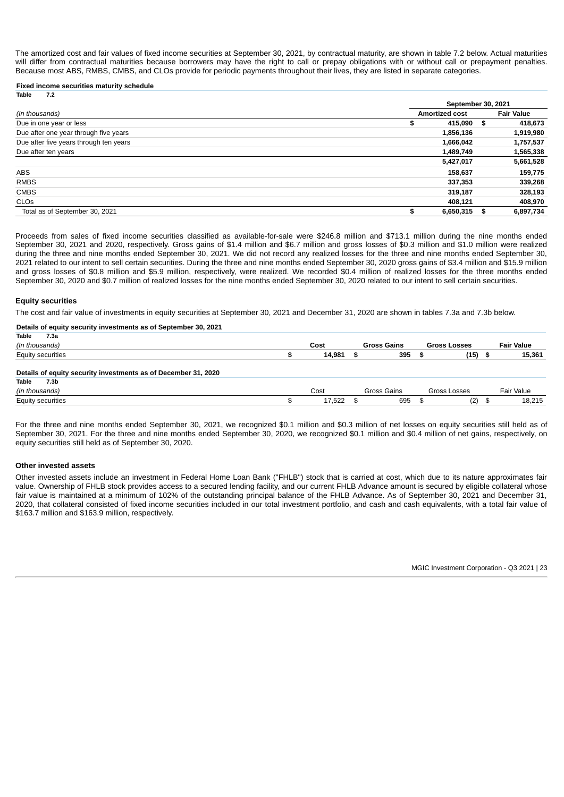The amortized cost and fair values of fixed income securities at September 30, 2021, by contractual maturity, are shown in table 7.2 below. Actual maturities will differ from contractual maturities because borrowers may have the right to call or prepay obligations with or without call or prepayment penalties. Because most ABS, RMBS, CMBS, and CLOs provide for periodic payments throughout their lives, they are listed in separate categories.

#### **Fixed income securities maturity schedule**

| 7.2<br>Table                           |                       |      |                   |  |  |  |  |  |  |  |
|----------------------------------------|-----------------------|------|-------------------|--|--|--|--|--|--|--|
|                                        | September 30, 2021    |      |                   |  |  |  |  |  |  |  |
| (In thousands)                         | <b>Amortized cost</b> |      | <b>Fair Value</b> |  |  |  |  |  |  |  |
| Due in one year or less                | 415,090<br>S          | - \$ | 418,673           |  |  |  |  |  |  |  |
| Due after one year through five years  | 1,856,136             |      | 1,919,980         |  |  |  |  |  |  |  |
| Due after five years through ten years | 1,666,042             |      | 1,757,537         |  |  |  |  |  |  |  |
| Due after ten years                    | 1,489,749             |      | 1,565,338         |  |  |  |  |  |  |  |
|                                        | 5,427,017             |      | 5,661,528         |  |  |  |  |  |  |  |
| <b>ABS</b>                             | 158,637               |      | 159,775           |  |  |  |  |  |  |  |
| <b>RMBS</b>                            | 337,353               |      | 339,268           |  |  |  |  |  |  |  |
| <b>CMBS</b>                            | 319,187               |      | 328,193           |  |  |  |  |  |  |  |
| <b>CLOS</b>                            | 408.121               |      | 408,970           |  |  |  |  |  |  |  |
| Total as of September 30, 2021         | 6,650,315             | S    | 6,897,734         |  |  |  |  |  |  |  |

Proceeds from sales of fixed income securities classified as available-for-sale were \$246.8 million and \$713.1 million during the nine months ended September 30, 2021 and 2020, respectively. Gross gains of \$1.4 million and \$6.7 million and gross losses of \$0.3 million and \$1.0 million were realized during the three and nine months ended September 30, 2021. We did not record any realized losses for the three and nine months ended September 30, 2021 related to our intent to sell certain securities. During the three and nine months ended September 30, 2020 gross gains of \$3.4 million and \$15.9 million and gross losses of \$0.8 million and \$5.9 million, respectively, were realized. We recorded \$0.4 million of realized losses for the three months ended September 30, 2020 and \$0.7 million of realized losses for the nine months ended September 30, 2020 related to our intent to sell certain securities.

### **Equity securities**

The cost and fair value of investments in equity securities at September 30, 2021 and December 31, 2020 are shown in tables 7.3a and 7.3b below.

#### **Details of equity security investments as of September 30, 2021**

| Table<br>7.3a                                                  |           |      |                    |                     |                   |
|----------------------------------------------------------------|-----------|------|--------------------|---------------------|-------------------|
| (In thousands)                                                 | Cost      |      | <b>Gross Gains</b> | <b>Gross Losses</b> | <b>Fair Value</b> |
| Equity securities                                              | 14,981    | - \$ | 395                | (15)                | \$<br>15,361      |
| Details of equity security investments as of December 31, 2020 |           |      |                    |                     |                   |
| <b>Table</b><br>7.3b                                           |           |      |                    |                     |                   |
| (In thousands)                                                 | Cost      |      | Gross Gains        | Gross Losses        | Fair Value        |
| Equity securities                                              | 17,522 \$ |      | 695                | (2)                 | \$<br>18,215      |

For the three and nine months ended September 30, 2021, we recognized \$0.1 million and \$0.3 million of net losses on equity securities still held as of September 30, 2021. For the three and nine months ended September 30, 2020, we recognized \$0.1 million and \$0.4 million of net gains, respectively, on equity securities still held as of September 30, 2020.

#### **Other invested assets**

Other invested assets include an investment in Federal Home Loan Bank ("FHLB") stock that is carried at cost, which due to its nature approximates fair value. Ownership of FHLB stock provides access to a secured lending facility, and our current FHLB Advance amount is secured by eligible collateral whose fair value is maintained at a minimum of 102% of the outstanding principal balance of the FHLB Advance. As of September 30, 2021 and December 31, 2020, that collateral consisted of fixed income securities included in our total investment portfolio, and cash and cash equivalents, with a total fair value of \$163.7 million and \$163.9 million, respectively.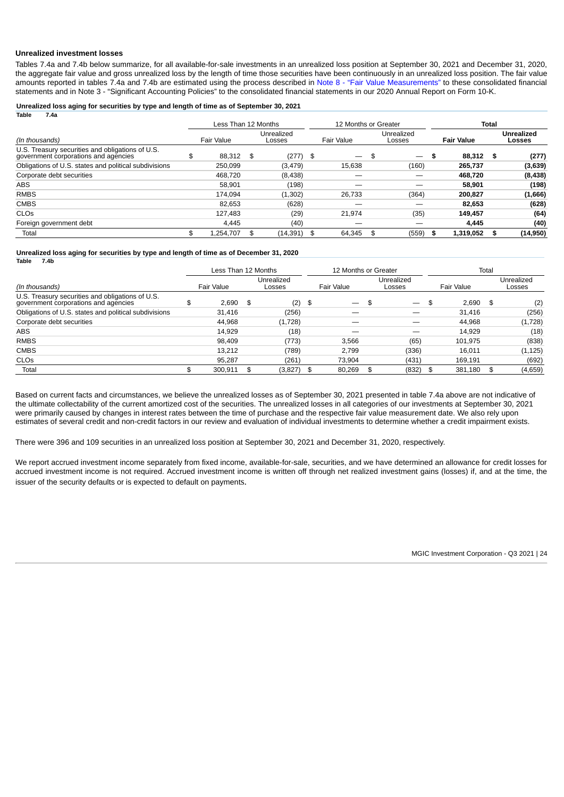### **Unrealized investment losses**

Tables 7.4a and 7.4b below summarize, for all available-for-sale investments in an unrealized loss position at September 30, 2021 and December 31, 2020, the aggregate fair value and gross unrealized loss by the length of time those securities have been continuously in an unrealized loss position. The fair value amounts reported in tables 7.4a and 7.4b are estimated using the process described in Note 8 [- "Fair Value Measurements"](#page-23-0) to these consolidated financial statements and in Note 3 - "Significant Accounting Policies" to the consolidated financial statements in our 2020 Annual Report on Form 10-K.

#### **Unrealized loss aging for securities by type and length of time as of September 30, 2021 Table 7.4a**

|                                                                                          | Less Than 12 Months |                      |      | 12 Months or Greater     |    |                                 | Total |                   |    |                             |  |
|------------------------------------------------------------------------------------------|---------------------|----------------------|------|--------------------------|----|---------------------------------|-------|-------------------|----|-----------------------------|--|
| (In thousands)                                                                           | Fair Value          | Unrealized<br>Losses |      | Fair Value               |    | Unrealized<br>Losses            |       | <b>Fair Value</b> |    | <b>Unrealized</b><br>Losses |  |
| U.S. Treasury securities and obligations of U.S.<br>government corporations and agencies | \$<br>88,312        | \$<br>$(277)$ \$     |      | $\overline{\phantom{0}}$ | \$ | $\hspace{0.1mm}-\hspace{0.1mm}$ | \$    | 88.312            | \$ | (277)                       |  |
| Obligations of U.S. states and political subdivisions                                    | 250.099             | (3, 479)             |      | 15,638                   |    | (160)                           |       | 265.737           |    | (3,639)                     |  |
| Corporate debt securities                                                                | 468.720             | (8,438)              |      |                          |    |                                 |       | 468.720           |    | (8,438)                     |  |
| <b>ABS</b>                                                                               | 58,901              | (198)                |      |                          |    |                                 |       | 58.901            |    | (198)                       |  |
| <b>RMBS</b>                                                                              | 174.094             | (1, 302)             |      | 26,733                   |    | (364)                           |       | 200.827           |    | (1,666)                     |  |
| <b>CMBS</b>                                                                              | 82.653              | (628)                |      |                          |    |                                 |       | 82.653            |    | (628)                       |  |
| <b>CLO<sub>S</sub></b>                                                                   | 127,483             | (29)                 |      | 21,974                   |    | (35)                            |       | 149.457           |    | (64)                        |  |
| Foreign government debt                                                                  | 4.445               | (40)                 |      |                          |    |                                 |       | 4.445             |    | (40)                        |  |
| Total                                                                                    | \$<br>1.254.707     | \$<br>(14, 391)      | - \$ | 64.345                   | \$ | (559)                           | -S    | 1,319,052         | S  | (14, 950)                   |  |

#### **Unrealized loss aging for securities by type and length of time as of December 31, 2020 Table 7.4b**

|                                                                                          | Less Than 12 Months |    | 12 Months or Greater |      |                          |    | Total                    |             |    |                      |
|------------------------------------------------------------------------------------------|---------------------|----|----------------------|------|--------------------------|----|--------------------------|-------------|----|----------------------|
| (In thousands)                                                                           | Fair Value          |    | Unrealized<br>Losses |      | Fair Value               |    | Unrealized<br>Losses     | Fair Value  |    | Unrealized<br>Losses |
| U.S. Treasury securities and obligations of U.S.<br>government corporations and agencies | \$<br>2,690         | \$ | (2)                  | - \$ | $\overline{\phantom{0}}$ |    | $\overline{\phantom{0}}$ | \$<br>2.690 | \$ | (2)                  |
| Obligations of U.S. states and political subdivisions                                    | 31.416              |    | (256)                |      |                          |    |                          | 31.416      |    | (256)                |
| Corporate debt securities                                                                | 44.968              |    | (1,728)              |      |                          |    |                          | 44.968      |    | (1,728)              |
| <b>ABS</b>                                                                               | 14.929              |    | (18)                 |      |                          |    |                          | 14.929      |    | (18)                 |
| <b>RMBS</b>                                                                              | 98.409              |    | (773)                |      | 3.566                    |    | (65)                     | 101,975     |    | (838)                |
| <b>CMBS</b>                                                                              | 13.212              |    | (789)                |      | 2.799                    |    | (336)                    | 16.011      |    | (1, 125)             |
| <b>CLO<sub>S</sub></b>                                                                   | 95.287              |    | (261)                |      | 73.904                   |    | (431)                    | 169,191     |    | (692)                |
| Total                                                                                    | 300,911             |    | (3, 827)             | - \$ | 80,269                   | £. | (832)                    | 381,180     | \$ | (4, 659)             |

Based on current facts and circumstances, we believe the unrealized losses as of September 30, 2021 presented in table 7.4a above are not indicative of the ultimate collectability of the current amortized cost of the securities. The unrealized losses in all categories of our investments at September 30, 2021 were primarily caused by changes in interest rates between the time of purchase and the respective fair value measurement date. We also rely upon estimates of several credit and non-credit factors in our review and evaluation of individual investments to determine whether a credit impairment exists.

There were 396 and 109 securities in an unrealized loss position at September 30, 2021 and December 31, 2020, respectively.

<span id="page-23-0"></span>We report accrued investment income separately from fixed income, available-for-sale, securities, and we have determined an allowance for credit losses for accrued investment income is not required. Accrued investment income is written off through net realized investment gains (losses) if, and at the time, the issuer of the security defaults or is expected to default on payments.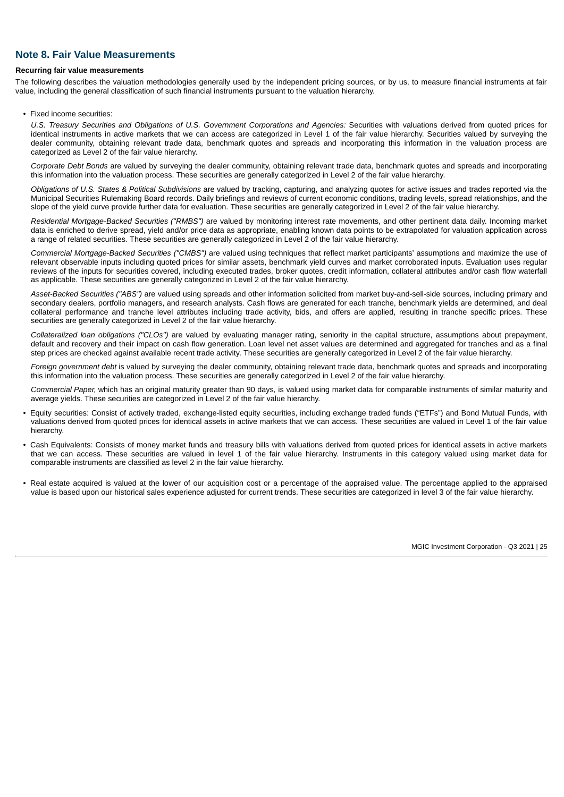# **Note 8. Fair Value Measurements**

#### **Recurring fair value measurements**

The following describes the valuation methodologies generally used by the independent pricing sources, or by us, to measure financial instruments at fair value, including the general classification of such financial instruments pursuant to the valuation hierarchy.

• Fixed income securities:

*U.S. Treasury Securities and Obligations of U.S. Government Corporations and Agencies:* Securities with valuations derived from quoted prices for identical instruments in active markets that we can access are categorized in Level 1 of the fair value hierarchy. Securities valued by surveying the dealer community, obtaining relevant trade data, benchmark quotes and spreads and incorporating this information in the valuation process are categorized as Level 2 of the fair value hierarchy.

*Corporate Debt Bonds* are valued by surveying the dealer community, obtaining relevant trade data, benchmark quotes and spreads and incorporating this information into the valuation process. These securities are generally categorized in Level 2 of the fair value hierarchy.

*Obligations of U.S. States & Political Subdivisions* are valued by tracking, capturing, and analyzing quotes for active issues and trades reported via the Municipal Securities Rulemaking Board records. Daily briefings and reviews of current economic conditions, trading levels, spread relationships, and the slope of the yield curve provide further data for evaluation. These securities are generally categorized in Level 2 of the fair value hierarchy.

*Residential Mortgage-Backed Securities ("RMBS")* are valued by monitoring interest rate movements, and other pertinent data daily. Incoming market data is enriched to derive spread, yield and/or price data as appropriate, enabling known data points to be extrapolated for valuation application across a range of related securities. These securities are generally categorized in Level 2 of the fair value hierarchy.

*Commercial Mortgage-Backed Securities ("CMBS")* are valued using techniques that reflect market participants' assumptions and maximize the use of relevant observable inputs including quoted prices for similar assets, benchmark yield curves and market corroborated inputs. Evaluation uses regular reviews of the inputs for securities covered, including executed trades, broker quotes, credit information, collateral attributes and/or cash flow waterfall as applicable. These securities are generally categorized in Level 2 of the fair value hierarchy.

*Asset-Backed Securities ("ABS")* are valued using spreads and other information solicited from market buy-and-sell-side sources, including primary and secondary dealers, portfolio managers, and research analysts. Cash flows are generated for each tranche, benchmark yields are determined, and deal collateral performance and tranche level attributes including trade activity, bids, and offers are applied, resulting in tranche specific prices. These securities are generally categorized in Level 2 of the fair value hierarchy.

*Collateralized loan obligations ("CLOs")* are valued by evaluating manager rating, seniority in the capital structure, assumptions about prepayment, default and recovery and their impact on cash flow generation. Loan level net asset values are determined and aggregated for tranches and as a final step prices are checked against available recent trade activity. These securities are generally categorized in Level 2 of the fair value hierarchy.

*Foreign government debt* is valued by surveying the dealer community, obtaining relevant trade data, benchmark quotes and spreads and incorporating this information into the valuation process. These securities are generally categorized in Level 2 of the fair value hierarchy.

*Commercial Paper,* which has an original maturity greater than 90 days*,* is valued using market data for comparable instruments of similar maturity and average yields. These securities are categorized in Level 2 of the fair value hierarchy.

- Equity securities: Consist of actively traded, exchange-listed equity securities, including exchange traded funds ("ETFs") and Bond Mutual Funds, with valuations derived from quoted prices for identical assets in active markets that we can access. These securities are valued in Level 1 of the fair value hierarchy.
- Cash Equivalents: Consists of money market funds and treasury bills with valuations derived from quoted prices for identical assets in active markets that we can access. These securities are valued in level 1 of the fair value hierarchy. Instruments in this category valued using market data for comparable instruments are classified as level 2 in the fair value hierarchy.
- Real estate acquired is valued at the lower of our acquisition cost or a percentage of the appraised value. The percentage applied to the appraised value is based upon our historical sales experience adjusted for current trends. These securities are categorized in level 3 of the fair value hierarchy.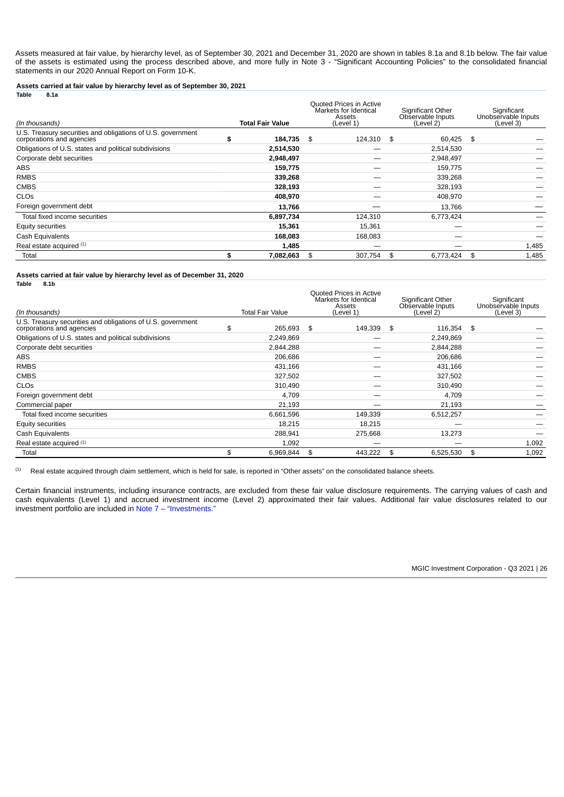Assets measured at fair value, by hierarchy level, as of September 30, 2021 and December 31, 2020 are shown in tables 8.1a and 8.1b below. The fair value of the assets is estimated using the process described above, and more fully in Note 3 - "Significant Accounting Policies" to the consolidated financial statements in our 2020 Annual Report on Form 10-K.

**Assets carried at fair value by hierarchy level as of September 30, 2021**

| (In thousands)                                                                           |    | <b>Total Fair Value</b> |     | Quoted Prices in Active<br>Markets for Identical<br>Assets<br>(Level 1) |     | Significant Other<br>Observable Inputs<br>(Level 2) | Significant<br>Unobservable Inputs<br>(Level 3) |
|------------------------------------------------------------------------------------------|----|-------------------------|-----|-------------------------------------------------------------------------|-----|-----------------------------------------------------|-------------------------------------------------|
| U.S. Treasury securities and obligations of U.S. government<br>corporations and agencies | S  | 184,735                 | -\$ | 124,310 \$                                                              |     | 60,425                                              | \$                                              |
| Obligations of U.S. states and political subdivisions                                    |    | 2,514,530               |     |                                                                         |     | 2,514,530                                           |                                                 |
| Corporate debt securities                                                                |    | 2,948,497               |     |                                                                         |     | 2,948,497                                           |                                                 |
| <b>ABS</b>                                                                               |    | 159,775                 |     |                                                                         |     | 159,775                                             |                                                 |
| <b>RMBS</b>                                                                              |    | 339,268                 |     |                                                                         |     | 339,268                                             |                                                 |
| <b>CMBS</b>                                                                              |    | 328,193                 |     |                                                                         |     | 328,193                                             |                                                 |
| <b>CLO<sub>S</sub></b>                                                                   |    | 408,970                 |     |                                                                         |     | 408,970                                             |                                                 |
| Foreign government debt                                                                  |    | 13,766                  |     |                                                                         |     | 13,766                                              |                                                 |
| Total fixed income securities                                                            |    | 6,897,734               |     | 124,310                                                                 |     | 6,773,424                                           |                                                 |
| Equity securities                                                                        |    | 15,361                  |     | 15,361                                                                  |     | –                                                   |                                                 |
| Cash Equivalents                                                                         |    | 168,083                 |     | 168,083                                                                 |     |                                                     |                                                 |
| Real estate acquired (1)                                                                 |    | 1,485                   |     |                                                                         |     |                                                     | 1,485                                           |
| Total                                                                                    | \$ | 7,082,663               | \$  | 307,754                                                                 | -\$ | 6,773,424                                           | \$<br>1,485                                     |

**Assets carried at fair value by hierarchy level as of December 31, 2020**

| Table | 8.1b |
|-------|------|
|       |      |

**Table 8.1a**

| (In thousands)                                                                           | <b>Total Fair Value</b> |      | <b>Ouoted Prices in Active</b><br>Markets for Identical<br>Assets<br>(Level 1) | Significant Other<br>Observable Inputs<br>(Level 2) | Significant<br>Unobservable Inputs<br>(Level 3) |             |
|------------------------------------------------------------------------------------------|-------------------------|------|--------------------------------------------------------------------------------|-----------------------------------------------------|-------------------------------------------------|-------------|
| U.S. Treasury securities and obligations of U.S. government<br>corporations and agencies | \$<br>265,693           | - \$ | 149,339                                                                        | \$                                                  | 116,354                                         | \$          |
| Obligations of U.S. states and political subdivisions                                    | 2,249,869               |      |                                                                                |                                                     | 2,249,869                                       |             |
| Corporate debt securities                                                                | 2,844,288               |      |                                                                                |                                                     | 2,844,288                                       |             |
| <b>ABS</b>                                                                               | 206,686                 |      |                                                                                |                                                     | 206,686                                         |             |
| <b>RMBS</b>                                                                              | 431,166                 |      |                                                                                |                                                     | 431,166                                         |             |
| <b>CMBS</b>                                                                              | 327,502                 |      |                                                                                |                                                     | 327,502                                         |             |
| CLOS                                                                                     | 310,490                 |      |                                                                                |                                                     | 310,490                                         |             |
| Foreign government debt                                                                  | 4.709                   |      | _                                                                              |                                                     | 4,709                                           |             |
| Commercial paper                                                                         | 21,193                  |      |                                                                                |                                                     | 21,193                                          |             |
| Total fixed income securities                                                            | 6,661,596               |      | 149,339                                                                        |                                                     | 6,512,257                                       |             |
| Equity securities                                                                        | 18,215                  |      | 18,215                                                                         |                                                     |                                                 |             |
| Cash Equivalents                                                                         | 288.941                 |      | 275.668                                                                        |                                                     | 13.273                                          |             |
| Real estate acquired (1)                                                                 | 1,092                   |      |                                                                                |                                                     |                                                 | 1,092       |
| Total                                                                                    | \$<br>6,969,844         | \$   | 443,222                                                                        | \$                                                  | 6,525,530                                       | \$<br>1,092 |

Real estate acquired through claim settlement, which is held for sale, is reported in "Other assets" on the consolidated balance sheets. (1)

Certain financial instruments, including insurance contracts, are excluded from these fair value disclosure requirements. The carrying values of cash and cash equivalents (Level 1) and accrued investment income (Level 2) approximated their fair values. Additional fair value disclosures related to our investment portfolio are included in [Note 7 – "Investments."](#page-20-1)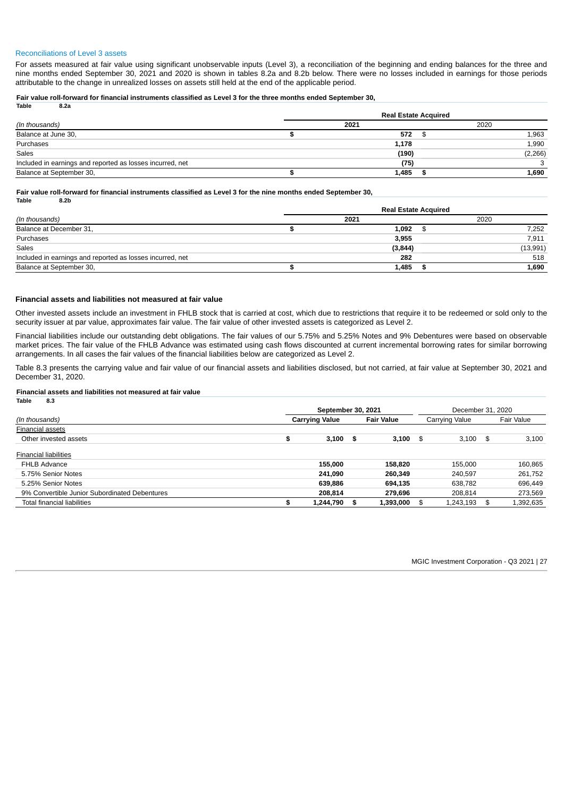#### Reconciliations of Level 3 assets

For assets measured at fair value using significant unobservable inputs (Level 3), a reconciliation of the beginning and ending balances for the three and nine months ended September 30, 2021 and 2020 is shown in tables 8.2a and 8.2b below. There were no losses included in earnings for those periods attributable to the change in unrealized losses on assets still held at the end of the applicable period.

#### Fair value roll-forward for financial instruments classified as Level 3 for the three months ended September 30, **Table 8.2a**

|                                                           | <b>Real Estate Acquired</b> |       |  |          |  |  |  |  |  |  |  |
|-----------------------------------------------------------|-----------------------------|-------|--|----------|--|--|--|--|--|--|--|
| (In thousands)                                            |                             | 2021  |  | 2020     |  |  |  |  |  |  |  |
| Balance at June 30,                                       |                             | 572   |  | 1,963    |  |  |  |  |  |  |  |
| Purchases                                                 |                             | 1,178 |  | 1,990    |  |  |  |  |  |  |  |
| Sales                                                     |                             | (190) |  | (2, 266) |  |  |  |  |  |  |  |
| Included in earnings and reported as losses incurred, net |                             | (75)  |  |          |  |  |  |  |  |  |  |
| Balance at September 30,                                  |                             | 1,485 |  | 1,690    |  |  |  |  |  |  |  |

### Fair value roll-forward for financial instruments classified as Level 3 for the nine months ended September 30,

| Table | 8.2 <sub>b</sub> |
|-------|------------------|

|                                                           |  | <b>Real Estate Acquired</b> |          |
|-----------------------------------------------------------|--|-----------------------------|----------|
| (In thousands)                                            |  | 2020                        |          |
| Balance at December 31,                                   |  | 1,092                       | 7,252    |
| Purchases                                                 |  | 3,955                       | 7,911    |
| Sales                                                     |  | (3, 844)                    | (13,991) |
| Included in earnings and reported as losses incurred, net |  | 282                         | 518      |
| Balance at September 30,                                  |  | 1,485                       | 1,690    |

### **Financial assets and liabilities not measured at fair value**

Other invested assets include an investment in FHLB stock that is carried at cost, which due to restrictions that require it to be redeemed or sold only to the security issuer at par value, approximates fair value. The fair value of other invested assets is categorized as Level 2.

Financial liabilities include our outstanding debt obligations. The fair values of our 5.75% and 5.25% Notes and 9% Debentures were based on observable market prices. The fair value of the FHLB Advance was estimated using cash flows discounted at current incremental borrowing rates for similar borrowing arrangements. In all cases the fair values of the financial liabilities below are categorized as Level 2.

Table 8.3 presents the carrying value and fair value of our financial assets and liabilities disclosed, but not carried, at fair value at September 30, 2021 and December 31, 2020.

#### **Financial assets and liabilities not measured at fair value Table 8.3**

<span id="page-26-0"></span>

| $\cdots$<br>                                  |                       |     |                   |    |                |     |                   |  |  |  |
|-----------------------------------------------|-----------------------|-----|-------------------|----|----------------|-----|-------------------|--|--|--|
|                                               | September 30, 2021    |     |                   |    |                |     | December 31, 2020 |  |  |  |
| (In thousands)                                | <b>Carrying Value</b> |     | <b>Fair Value</b> |    | Carrying Value |     | Fair Value        |  |  |  |
| <b>Financial assets</b>                       |                       |     |                   |    |                |     |                   |  |  |  |
| Other invested assets                         | \$<br>3,100           | - 5 | 3,100             | \$ | 3,100          | \$  | 3,100             |  |  |  |
| <b>Financial liabilities</b>                  |                       |     |                   |    |                |     |                   |  |  |  |
| <b>FHLB Advance</b>                           | 155,000               |     | 158,820           |    | 155,000        |     | 160,865           |  |  |  |
| 5.75% Senior Notes                            | 241.090               |     | 260,349           |    | 240.597        |     | 261,752           |  |  |  |
| 5.25% Senior Notes                            | 639.886               |     | 694.135           |    | 638.782        |     | 696,449           |  |  |  |
| 9% Convertible Junior Subordinated Debentures | 208.814               |     | 279.696           |    | 208.814        |     | 273,569           |  |  |  |
| Total financial liabilities                   | 1,244,790             | S   | 1,393,000         |    | 1,243,193      | \$. | 1,392,635         |  |  |  |
|                                               |                       |     |                   |    |                |     |                   |  |  |  |

MGIC Investment Corporation - Q3 2021 | 27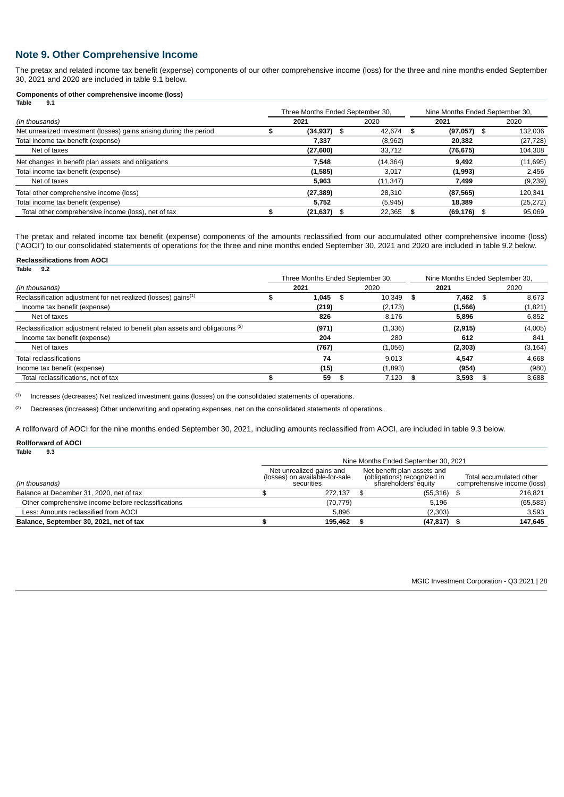# **Note 9. Other Comprehensive Income**

The pretax and related income tax benefit (expense) components of our other comprehensive income (loss) for the three and nine months ended September 30, 2021 and 2020 are included in table 9.1 below.

#### **Components of other comprehensive income (loss) Table 9.1**

|                                                                    | Three Months Ended September 30, |  | Nine Months Ended September 30, |      |               |      |           |
|--------------------------------------------------------------------|----------------------------------|--|---------------------------------|------|---------------|------|-----------|
| (In thousands)                                                     | 2021                             |  | 2020                            |      | 2021          |      | 2020      |
| Net unrealized investment (losses) gains arising during the period | $(34, 937)$ \$                   |  | 42.674                          | - \$ | $(97,057)$ \$ |      | 132,036   |
| Total income tax benefit (expense)                                 | 7,337                            |  | (8,962)                         |      | 20.382        |      | (27, 728) |
| Net of taxes                                                       | (27, 600)                        |  | 33,712                          |      | (76, 675)     |      | 104,308   |
| Net changes in benefit plan assets and obligations                 | 7.548                            |  | (14, 364)                       |      | 9.492         |      | (11,695)  |
| Total income tax benefit (expense)                                 | (1,585)                          |  | 3,017                           |      | (1,993)       |      | 2,456     |
| Net of taxes                                                       | 5,963                            |  | (11, 347)                       |      | 7,499         |      | (9,239)   |
| Total other comprehensive income (loss)                            | (27, 389)                        |  | 28.310                          |      | (87, 565)     |      | 120,341   |
| Total income tax benefit (expense)                                 | 5.752                            |  | (5,945)                         |      | 18.389        |      | (25, 272) |
| Total other comprehensive income (loss), net of tax                | $(21, 637)$ \$                   |  | 22.365                          |      | (69, 176)     | - \$ | 95,069    |

The pretax and related income tax benefit (expense) components of the amounts reclassified from our accumulated other comprehensive income (loss) ("AOCI") to our consolidated statements of operations for the three and nine months ended September 30, 2021 and 2020 are included in table 9.2 below.

#### **Reclassifications from AOCI Table 9.2**

|                                                                                           |  | Three Months Ended September 30, |    |          |  | Nine Months Ended September 30, |     |          |
|-------------------------------------------------------------------------------------------|--|----------------------------------|----|----------|--|---------------------------------|-----|----------|
| (In thousands)                                                                            |  | 2021                             |    | 2020     |  | 2021                            |     | 2020     |
| Reclassification adjustment for net realized (losses) gains <sup>(1)</sup>                |  | 1.045                            | \$ | 10.349   |  | 7.462                           | \$. | 8.673    |
| Income tax benefit (expense)                                                              |  | (219)                            |    | (2, 173) |  | (1, 566)                        |     | (1,821)  |
| Net of taxes                                                                              |  | 826                              |    | 8,176    |  | 5,896                           |     | 6,852    |
| Reclassification adjustment related to benefit plan assets and obligations <sup>(2)</sup> |  | (971)                            |    | (1, 336) |  | (2, 915)                        |     | (4,005)  |
| Income tax benefit (expense)                                                              |  | 204                              |    | 280      |  | 612                             |     | 841      |
| Net of taxes                                                                              |  | (767)                            |    | (1,056)  |  | (2, 303)                        |     | (3, 164) |
| Total reclassifications                                                                   |  | 74                               |    | 9.013    |  | 4.547                           |     | 4.668    |
| Income tax benefit (expense)                                                              |  | (15)                             |    | (1,893)  |  | (954)                           |     | (980)    |
| Total reclassifications, net of tax                                                       |  | 59                               |    | 7.120    |  | 3.593                           |     | 3,688    |

Increases (decreases) Net realized investment gains (losses) on the consolidated statements of operations. (1)

Decreases (increases) Other underwriting and operating expenses, net on the consolidated statements of operations. (2)

A rollforward of AOCI for the nine months ended September 30, 2021, including amounts reclassified from AOCI, are included in table 9.3 below.

#### **Rollforward of AOCI Table 9.3**

<span id="page-27-0"></span>

| .                                                   | Nine Months Ended September 30, 2021                                     |                                                        |           |  |  |  |  |  |  |
|-----------------------------------------------------|--------------------------------------------------------------------------|--------------------------------------------------------|-----------|--|--|--|--|--|--|
| (In thousands)                                      | Net unrealized gains and<br>(losses) on available-for-sale<br>securities | Total accumulated other<br>comprehensive income (loss) |           |  |  |  |  |  |  |
| Balance at December 31, 2020, net of tax            | 272.137                                                                  | (55, 316)                                              | 216.821   |  |  |  |  |  |  |
| Other comprehensive income before reclassifications | (70, 779)                                                                | 5.196                                                  | (65, 583) |  |  |  |  |  |  |
| Less: Amounts reclassified from AOCI                | 5.896                                                                    | (2.303)                                                | 3.593     |  |  |  |  |  |  |
| Balance, September 30, 2021, net of tax             | 195.462                                                                  | (47, 817)                                              | 147.645   |  |  |  |  |  |  |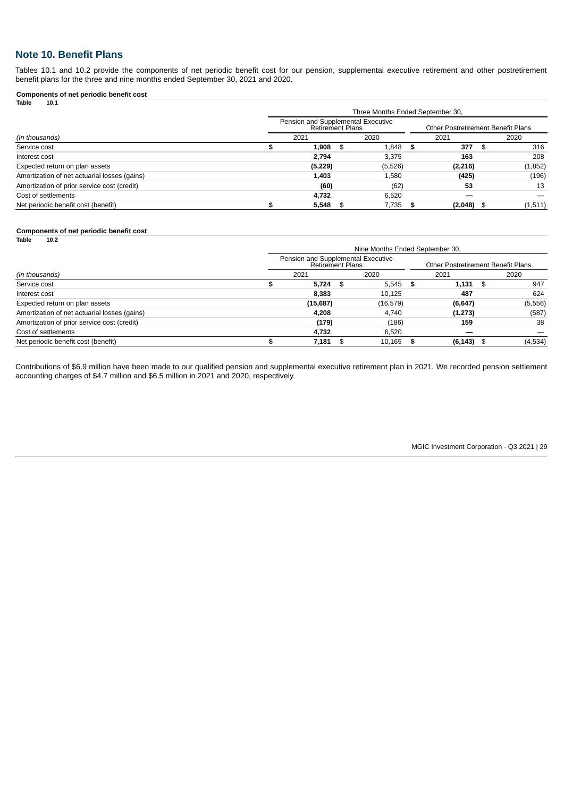# **Note 10. Benefit Plans**

Tables 10.1 and 10.2 provide the components of net periodic benefit cost for our pension, supplemental executive retirement and other postretirement benefit plans for the three and nine months ended September 30, 2021 and 2020.

#### **Components of net periodic benefit cost Table 10.1**

| Pension and Supplemental Executive<br><b>Retirement Plans</b> |          |  |         |  |          |                                  |                                               |  |  |
|---------------------------------------------------------------|----------|--|---------|--|----------|----------------------------------|-----------------------------------------------|--|--|
|                                                               | 2021     |  | 2020    |  | 2021     |                                  | 2020                                          |  |  |
|                                                               | 1,908    |  | 1,848   |  | 377      | - SS                             | 316                                           |  |  |
|                                                               | 2,794    |  | 3,375   |  | 163      |                                  | 208                                           |  |  |
|                                                               | (5, 229) |  | (5,526) |  | (2, 216) |                                  | (1,852)                                       |  |  |
|                                                               | 1,403    |  | 1,580   |  | (425)    |                                  | (196)                                         |  |  |
|                                                               | (60)     |  | (62)    |  | 53       |                                  | 13                                            |  |  |
|                                                               | 4,732    |  | 6,520   |  |          |                                  |                                               |  |  |
|                                                               | 5,548    |  | 7,735   |  |          |                                  | (1, 511)                                      |  |  |
|                                                               |          |  | - \$    |  | - \$     | Three Months Ended September 30, | Other Postretirement Benefit Plans<br>(2,048) |  |  |

#### **Components of net periodic benefit cost**

| <b>Table</b><br>10.2                         |                                                               |                                 |                                    |         |
|----------------------------------------------|---------------------------------------------------------------|---------------------------------|------------------------------------|---------|
|                                              |                                                               | Nine Months Ended September 30, |                                    |         |
|                                              | Pension and Supplemental Executive<br><b>Retirement Plans</b> |                                 | Other Postretirement Benefit Plans |         |
| (In thousands)                               | 2021                                                          | 2020                            | 2021                               | 2020    |
| Service cost                                 | $5,724$ \$                                                    | $5,545$ \$                      | $1,131$ \$                         | 947     |
| Interest cost                                | 8,383                                                         | 10,125                          | 487                                | 624     |
| Expected return on plan assets               | (15,687)                                                      | (16, 579)                       | (6, 647)                           | (5,556) |
| Amortization of net actuarial losses (gains) | 4,208                                                         | 4,740                           | (1, 273)                           | (587)   |
| Amortization of prior service cost (credit)  | (179)                                                         | (186)                           | 159                                | 38      |
| Cost of settlements                          | 4,732                                                         | 6.520                           |                                    |         |
| Net periodic benefit cost (benefit)          | 7.181                                                         | 10.165                          | $(6, 143)$ \$                      | (4,534) |
|                                              |                                                               |                                 |                                    |         |

<span id="page-28-0"></span>Contributions of \$6.9 million have been made to our qualified pension and supplemental executive retirement plan in 2021. We recorded pension settlement accounting charges of \$4.7 million and \$6.5 million in 2021 and 2020, respectively.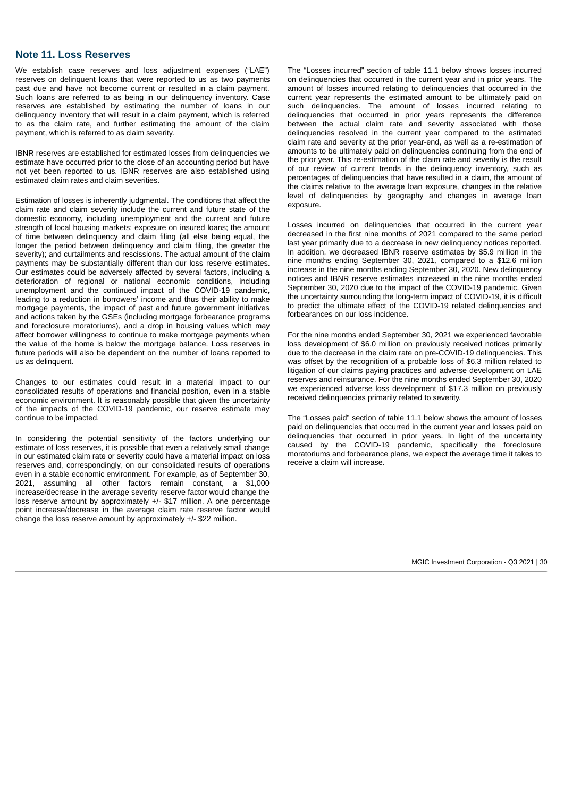### **Note 11. Loss Reserves**

We establish case reserves and loss adjustment expenses ("LAE") reserves on delinquent loans that were reported to us as two payments past due and have not become current or resulted in a claim payment. Such loans are referred to as being in our delinquency inventory. Case reserves are established by estimating the number of loans in our delinquency inventory that will result in a claim payment, which is referred to as the claim rate, and further estimating the amount of the claim payment, which is referred to as claim severity.

IBNR reserves are established for estimated losses from delinquencies we estimate have occurred prior to the close of an accounting period but have not yet been reported to us. IBNR reserves are also established using estimated claim rates and claim severities.

Estimation of losses is inherently judgmental. The conditions that affect the claim rate and claim severity include the current and future state of the domestic economy, including unemployment and the current and future strength of local housing markets; exposure on insured loans; the amount of time between delinquency and claim filing (all else being equal, the longer the period between delinquency and claim filing, the greater the severity); and curtailments and rescissions. The actual amount of the claim payments may be substantially different than our loss reserve estimates. Our estimates could be adversely affected by several factors, including a deterioration of regional or national economic conditions, including unemployment and the continued impact of the COVID-19 pandemic, leading to a reduction in borrowers' income and thus their ability to make mortgage payments, the impact of past and future government initiatives and actions taken by the GSEs (including mortgage forbearance programs and foreclosure moratoriums), and a drop in housing values which may affect borrower willingness to continue to make mortgage payments when the value of the home is below the mortgage balance. Loss reserves in future periods will also be dependent on the number of loans reported to us as delinquent.

Changes to our estimates could result in a material impact to our consolidated results of operations and financial position, even in a stable economic environment. It is reasonably possible that given the uncertainty of the impacts of the COVID-19 pandemic, our reserve estimate may continue to be impacted.

In considering the potential sensitivity of the factors underlying our estimate of loss reserves, it is possible that even a relatively small change in our estimated claim rate or severity could have a material impact on loss reserves and, correspondingly, on our consolidated results of operations even in a stable economic environment. For example, as of September 30, 2021, assuming all other factors remain constant, a \$1,000 increase/decrease in the average severity reserve factor would change the loss reserve amount by approximately +/- \$17 million. A one percentage point increase/decrease in the average claim rate reserve factor would change the loss reserve amount by approximately +/- \$22 million.

The "Losses incurred" section of table 11.1 below shows losses incurred on delinquencies that occurred in the current year and in prior years. The amount of losses incurred relating to delinquencies that occurred in the current year represents the estimated amount to be ultimately paid on such delinquencies. The amount of losses incurred relating to delinquencies that occurred in prior years represents the difference between the actual claim rate and severity associated with those delinquencies resolved in the current year compared to the estimated claim rate and severity at the prior year-end, as well as a re-estimation of amounts to be ultimately paid on delinquencies continuing from the end of the prior year. This re-estimation of the claim rate and severity is the result of our review of current trends in the delinquency inventory, such as percentages of delinquencies that have resulted in a claim, the amount of the claims relative to the average loan exposure, changes in the relative level of delinquencies by geography and changes in average loan exposure.

Losses incurred on delinquencies that occurred in the current year decreased in the first nine months of 2021 compared to the same period last year primarily due to a decrease in new delinquency notices reported. In addition, we decreased IBNR reserve estimates by \$5.9 million in the nine months ending September 30, 2021, compared to a \$12.6 million increase in the nine months ending September 30, 2020. New delinquency notices and IBNR reserve estimates increased in the nine months ended September 30, 2020 due to the impact of the COVID-19 pandemic. Given the uncertainty surrounding the long-term impact of COVID-19, it is difficult to predict the ultimate effect of the COVID-19 related delinquencies and forbearances on our loss incidence.

For the nine months ended September 30, 2021 we experienced favorable loss development of \$6.0 million on previously received notices primarily due to the decrease in the claim rate on pre-COVID-19 delinquencies. This was offset by the recognition of a probable loss of \$6.3 million related to litigation of our claims paying practices and adverse development on LAE reserves and reinsurance. For the nine months ended September 30, 2020 we experienced adverse loss development of \$17.3 million on previously received delinquencies primarily related to severity.

The "Losses paid" section of table 11.1 below shows the amount of losses paid on delinquencies that occurred in the current year and losses paid on delinquencies that occurred in prior years. In light of the uncertainty caused by the COVID-19 pandemic, specifically the foreclosure moratoriums and forbearance plans, we expect the average time it takes to receive a claim will increase.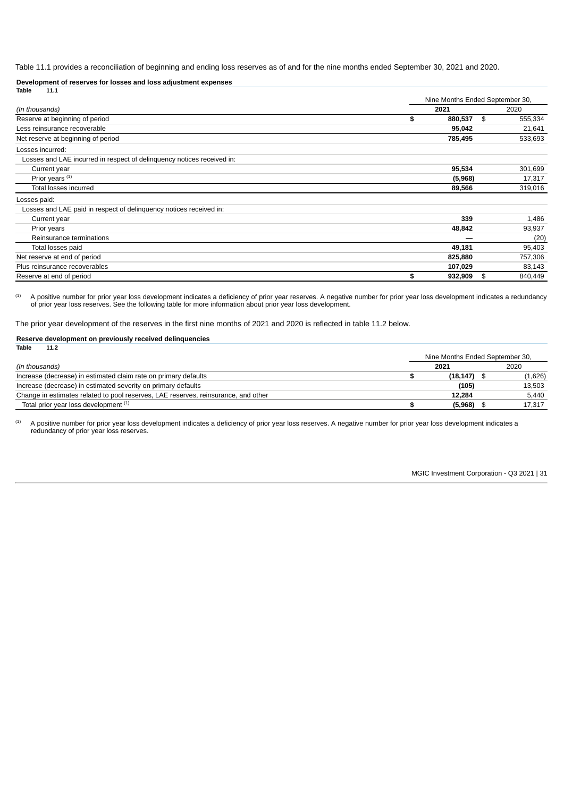Table 11.1 provides a reconciliation of beginning and ending loss reserves as of and for the nine months ended September 30, 2021 and 2020.

**Development of reserves for losses and loss adjustment expenses**

| 11.1<br>Table                                                          |               |                                 |         |  |
|------------------------------------------------------------------------|---------------|---------------------------------|---------|--|
|                                                                        |               | Nine Months Ended September 30, |         |  |
| (In thousands)                                                         | 2021          |                                 | 2020    |  |
| Reserve at beginning of period                                         | \$<br>880,537 | \$                              | 555,334 |  |
| Less reinsurance recoverable                                           | 95,042        |                                 | 21,641  |  |
| Net reserve at beginning of period                                     | 785,495       |                                 | 533,693 |  |
| Losses incurred:                                                       |               |                                 |         |  |
| Losses and LAE incurred in respect of delinguency notices received in: |               |                                 |         |  |
| Current year                                                           | 95,534        |                                 | 301,699 |  |
| Prior years (1)                                                        | (5,968)       |                                 | 17,317  |  |
| Total losses incurred                                                  | 89,566        |                                 | 319,016 |  |
| Losses paid:                                                           |               |                                 |         |  |
| Losses and LAE paid in respect of delinguency notices received in:     |               |                                 |         |  |
| Current year                                                           | 339           |                                 | 1,486   |  |
| Prior years                                                            | 48,842        |                                 | 93,937  |  |
| Reinsurance terminations                                               |               |                                 | (20)    |  |
| Total losses paid                                                      | 49,181        |                                 | 95,403  |  |
| Net reserve at end of period                                           | 825,880       |                                 | 757,306 |  |
| Plus reinsurance recoverables                                          | 107,029       |                                 | 83,143  |  |
| Reserve at end of period                                               | \$<br>932,909 | \$                              | 840,449 |  |

A positive number for prior year loss development indicates a deficiency of prior year reserves. A negative number for prior year loss development indicates a redundancy of prior year loss reserves. See the following table for more information about prior year loss development. (1)

The prior year development of the reserves in the first nine months of 2021 and 2020 is reflected in table 11.2 below.

#### **Reserve development on previously received delinquencies Table 11.2**

|                                                                                    | Nine Months Ended September 30, |                |  |         |  |
|------------------------------------------------------------------------------------|---------------------------------|----------------|--|---------|--|
| (In thousands)                                                                     |                                 | 2021           |  | 2020    |  |
| Increase (decrease) in estimated claim rate on primary defaults                    |                                 | $(18, 147)$ \$ |  | (1,626) |  |
| Increase (decrease) in estimated severity on primary defaults                      |                                 | (105)          |  | 13.503  |  |
| Change in estimates related to pool reserves, LAE reserves, reinsurance, and other |                                 | 12.284         |  | 5.440   |  |
| Total prior year loss development (1)                                              |                                 | (5,968)        |  | 17.317  |  |

A positive number for prior year loss development indicates a deficiency of prior year loss reserves. A negative number for prior year loss development indicates a redundancy of prior year loss reserves. (1)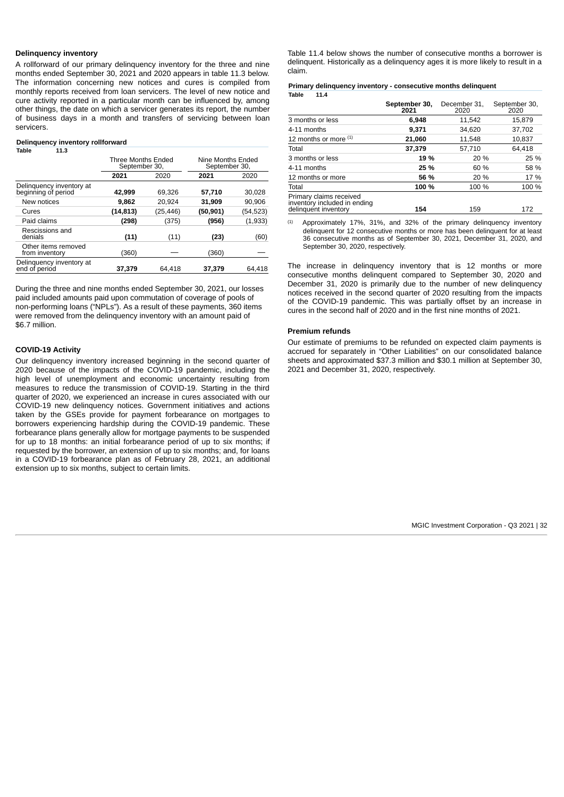### **Delinquency inventory**

A rollforward of our primary delinquency inventory for the three and nine months ended September 30, 2021 and 2020 appears in table 11.3 below. The information concerning new notices and cures is compiled from monthly reports received from loan servicers. The level of new notice and cure activity reported in a particular month can be influenced by, among other things, the date on which a servicer generates its report, the number of business days in a month and transfers of servicing between loan servicers.

#### **Delinquency inventory rollforward**

| Table<br>11.3                                   |                                     |          |                                    |           |  |
|-------------------------------------------------|-------------------------------------|----------|------------------------------------|-----------|--|
|                                                 | Three Months Ended<br>September 30, |          | Nine Months Ended<br>September 30, |           |  |
|                                                 | 2021<br>2020                        |          | 2021                               | 2020      |  |
| Delinguency inventory at<br>beginning of period | 42,999                              | 69.326   | 57,710                             | 30,028    |  |
| New notices                                     | 9.862                               | 20.924   | 31,909                             | 90.906    |  |
| Cures                                           | (14, 813)                           | (25,446) | (50, 901)                          | (54, 523) |  |
| Paid claims                                     | (298)                               | (375)    | (956)                              | (1,933)   |  |
| Rescissions and<br>denials                      | (11)                                | (11)     | (23)                               | (60)      |  |
| Other items removed<br>from inventory           | (360)                               |          | (360)                              |           |  |
| Delinquency inventory at<br>end of period       | 37,379                              | 64.418   | 37.379                             | 64.418    |  |

During the three and nine months ended September 30, 2021, our losses paid included amounts paid upon commutation of coverage of pools of non-performing loans ("NPLs"). As a result of these payments, 360 items were removed from the delinquency inventory with an amount paid of \$6.7 million.

#### **COVID-19 Activity**

Our delinquency inventory increased beginning in the second quarter of 2020 because of the impacts of the COVID-19 pandemic, including the high level of unemployment and economic uncertainty resulting from measures to reduce the transmission of COVID-19. Starting in the third quarter of 2020, we experienced an increase in cures associated with our COVID-19 new delinquency notices. Government initiatives and actions taken by the GSEs provide for payment forbearance on mortgages to borrowers experiencing hardship during the COVID-19 pandemic. These forbearance plans generally allow for mortgage payments to be suspended for up to 18 months: an initial forbearance period of up to six months; if requested by the borrower, an extension of up to six months; and, for loans in a COVID-19 forbearance plan as of February 28, 2021, an additional extension up to six months, subject to certain limits.

Table 11.4 below shows the number of consecutive months a borrower is delinquent. Historically as a delinquency ages it is more likely to result in a claim.

#### **Primary delinquency inventory - consecutive months delinquent Table 11.4**

|                                                                                 | September 30,<br>2021 | December 31,<br>2020 | September 30,<br>2020 |  |  |
|---------------------------------------------------------------------------------|-----------------------|----------------------|-----------------------|--|--|
| 3 months or less                                                                | 6,948                 | 11,542               | 15,879                |  |  |
| 4-11 months                                                                     | 9,371                 | 34,620               | 37,702                |  |  |
| 12 months or more $(1)$                                                         | 21,060                | 11,548               | 10,837                |  |  |
| Total                                                                           | 37,379                | 57,710               | 64,418                |  |  |
| 3 months or less                                                                | 19 %                  | 20 %                 | 25 %                  |  |  |
| 4-11 months                                                                     | 25 %                  | 60 %                 | 58 %                  |  |  |
| 12 months or more                                                               | 56 %                  | 20 %                 | 17 %                  |  |  |
| Total                                                                           | 100 %                 | 100 %                | 100 %                 |  |  |
| Primary claims received<br>inventory included in ending<br>delinguent inventory | 154                   | 159                  | 172                   |  |  |

Approximately 17%, 31%, and 32% of the primary delinquency inventory delinquent for 12 consecutive months or more has been delinquent for at least 36 consecutive months as of September 30, 2021, December 31, 2020, and September 30, 2020, respectively. (1)

The increase in delinquency inventory that is 12 months or more consecutive months delinquent compared to September 30, 2020 and December 31, 2020 is primarily due to the number of new delinquency notices received in the second quarter of 2020 resulting from the impacts of the COVID-19 pandemic. This was partially offset by an increase in cures in the second half of 2020 and in the first nine months of 2021.

#### **Premium refunds**

<span id="page-31-0"></span>Our estimate of premiums to be refunded on expected claim payments is accrued for separately in "Other Liabilities" on our consolidated balance sheets and approximated \$37.3 million and \$30.1 million at September 30, 2021 and December 31, 2020, respectively.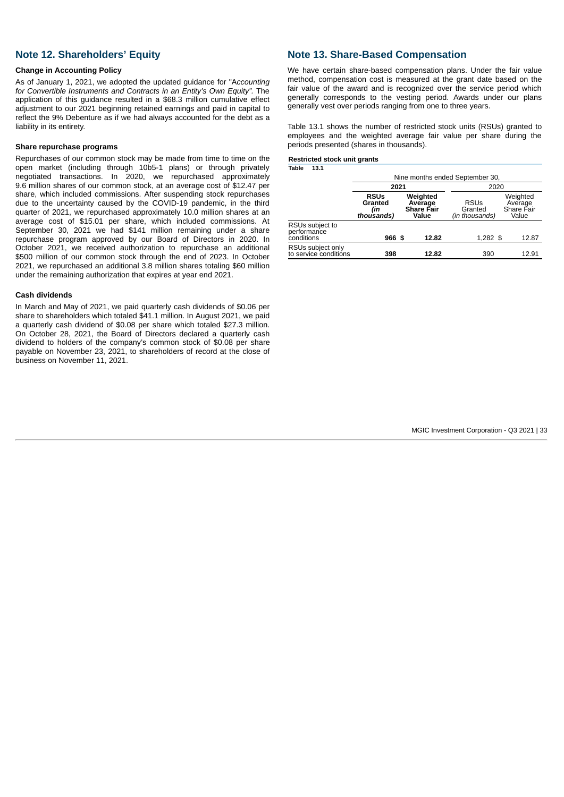# **Note 12. Shareholders' Equity**

#### **Change in Accounting Policy**

As of January 1, 2021, we adopted the updated guidance for "A*ccounting for Convertible Instruments and Contracts in an Entity's Own Equity".* The application of this guidance resulted in a \$68.3 million cumulative effect adjustment to our 2021 beginning retained earnings and paid in capital to reflect the 9% Debenture as if we had always accounted for the debt as a liability in its entirety.

### **Share repurchase programs**

Repurchases of our common stock may be made from time to time on the open market (including through 10b5-1 plans) or through privately negotiated transactions. In 2020, we repurchased approximately 9.6 million shares of our common stock, at an average cost of \$12.47 per share, which included commissions. After suspending stock repurchases due to the uncertainty caused by the COVID-19 pandemic, in the third quarter of 2021, we repurchased approximately 10.0 million shares at an average cost of \$15.01 per share, which included commissions. At September 30, 2021 we had \$141 million remaining under a share repurchase program approved by our Board of Directors in 2020. In October 2021, we received authorization to repurchase an additional \$500 million of our common stock through the end of 2023. In October 2021, we repurchased an additional 3.8 million shares totaling \$60 million under the remaining authorization that expires at year end 2021.

### **Cash dividends**

In March and May of 2021, we paid quarterly cash dividends of \$0.06 per share to shareholders which totaled \$41.1 million. In August 2021, we paid a quarterly cash dividend of \$0.08 per share which totaled \$27.3 million. On October 28, 2021, the Board of Directors declared a quarterly cash dividend to holders of the company's common stock of \$0.08 per share payable on November 23, 2021, to shareholders of record at the close of business on November 11, 2021.

### <span id="page-32-0"></span>**Note 13. Share-Based Compensation**

We have certain share-based compensation plans. Under the fair value method, compensation cost is measured at the grant date based on the fair value of the award and is recognized over the service period which generally corresponds to the vesting period. Awards under our plans generally vest over periods ranging from one to three years.

Table 13.1 shows the number of restricted stock units (RSUs) granted to employees and the weighted average fair value per share during the periods presented (shares in thousands).

### **Restricted stock unit grants**

**Table 13.1**

<span id="page-32-1"></span>

|                                              | Nine months ended September 30,                                                           |       |      |                                          |                                            |  |  |  |
|----------------------------------------------|-------------------------------------------------------------------------------------------|-------|------|------------------------------------------|--------------------------------------------|--|--|--|
|                                              |                                                                                           | 2021  | 2020 |                                          |                                            |  |  |  |
|                                              | Weighted<br><b>RSUs</b><br>Granted<br>Average<br>Share Fair<br>(in<br>thousands)<br>Value |       |      | <b>RSUs</b><br>Granted<br>(in thousands) | Weighted<br>Average<br>Share Fair<br>Value |  |  |  |
| RSUs subject to<br>performance<br>conditions | 966 \$                                                                                    | 12.82 |      | $1.282$ \$                               | 12.87                                      |  |  |  |
| RSUs subject only<br>to service conditions   | 398                                                                                       | 12.82 |      | 390                                      | 12.91                                      |  |  |  |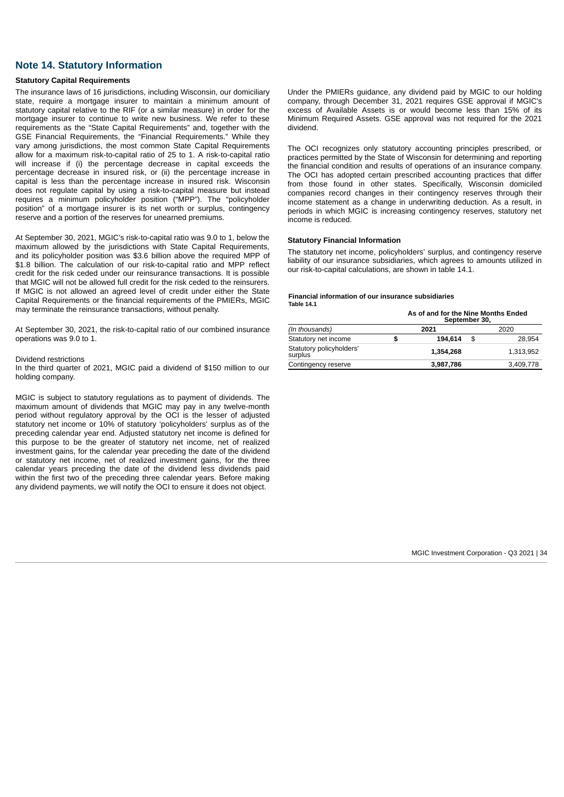### **Note 14. Statutory Information**

### **Statutory Capital Requirements**

The insurance laws of 16 jurisdictions, including Wisconsin, our domiciliary state, require a mortgage insurer to maintain a minimum amount of statutory capital relative to the RIF (or a similar measure) in order for the mortgage insurer to continue to write new business. We refer to these requirements as the "State Capital Requirements" and, together with the GSE Financial Requirements, the "Financial Requirements." While they vary among jurisdictions, the most common State Capital Requirements allow for a maximum risk-to-capital ratio of 25 to 1. A risk-to-capital ratio will increase if (i) the percentage decrease in capital exceeds the percentage decrease in insured risk, or (ii) the percentage increase in capital is less than the percentage increase in insured risk. Wisconsin does not regulate capital by using a risk-to-capital measure but instead requires a minimum policyholder position ("MPP"). The "policyholder position" of a mortgage insurer is its net worth or surplus, contingency reserve and a portion of the reserves for unearned premiums.

At September 30, 2021, MGIC's risk-to-capital ratio was 9.0 to 1, below the maximum allowed by the jurisdictions with State Capital Requirements, and its policyholder position was \$3.6 billion above the required MPP of \$1.8 billion. The calculation of our risk-to-capital ratio and MPP reflect credit for the risk ceded under our reinsurance transactions. It is possible that MGIC will not be allowed full credit for the risk ceded to the reinsurers. If MGIC is not allowed an agreed level of credit under either the State Capital Requirements or the financial requirements of the PMIERs, MGIC may terminate the reinsurance transactions, without penalty.

At September 30, 2021, the risk-to-capital ratio of our combined insurance operations was 9.0 to 1.

#### Dividend restrictions

In the third quarter of 2021, MGIC paid a dividend of \$150 million to our holding company.

<span id="page-33-0"></span>MGIC is subject to statutory regulations as to payment of dividends. The maximum amount of dividends that MGIC may pay in any twelve-month period without regulatory approval by the OCI is the lesser of adjusted statutory net income or 10% of statutory 'policyholders' surplus as of the preceding calendar year end. Adjusted statutory net income is defined for this purpose to be the greater of statutory net income, net of realized investment gains, for the calendar year preceding the date of the dividend or statutory net income, net of realized investment gains, for the three calendar years preceding the date of the dividend less dividends paid within the first two of the preceding three calendar years. Before making any dividend payments, we will notify the OCI to ensure it does not object.

Under the PMIERs guidance, any dividend paid by MGIC to our holding company, through December 31, 2021 requires GSE approval if MGIC's excess of Available Assets is or would become less than 15% of its Minimum Required Assets. GSE approval was not required for the 2021 dividend.

The OCI recognizes only statutory accounting principles prescribed, or practices permitted by the State of Wisconsin for determining and reporting the financial condition and results of operations of an insurance company. The OCI has adopted certain prescribed accounting practices that differ from those found in other states. Specifically, Wisconsin domiciled companies record changes in their contingency reserves through their income statement as a change in underwriting deduction. As a result, in periods in which MGIC is increasing contingency reserves, statutory net income is reduced.

#### **Statutory Financial Information**

The statutory net income, policyholders' surplus, and contingency reserve liability of our insurance subsidiaries, which agrees to amounts utilized in our risk-to-capital calculations, are shown in table 14.1.

#### **Financial information of our insurance subsidiaries Table 14.1**

**As of and for the Nine Months Ended September 30,**

|                                     | OCNICITION OU, |           |      |           |  |  |  |
|-------------------------------------|----------------|-----------|------|-----------|--|--|--|
| (In thousands)                      |                | 2021      | 2020 |           |  |  |  |
| Statutory net income                |                | 194.614   | \$   | 28.954    |  |  |  |
| Statutory policyholders'<br>surplus |                | 1.354.268 |      | 1.313.952 |  |  |  |
| Contingency reserve                 |                | 3,987,786 |      | 3,409,778 |  |  |  |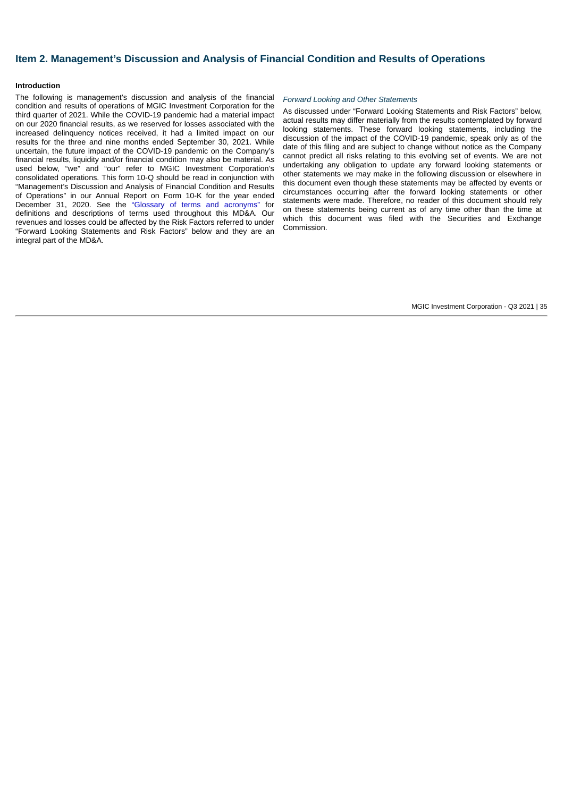# **Item 2. Management's Discussion and Analysis of Financial Condition and Results of Operations**

#### **Introduction**

The following is management's discussion and analysis of the financial condition and results of operations of MGIC Investment Corporation for the third quarter of 2021. While the COVID-19 pandemic had a material impact on our 2020 financial results, as we reserved for losses associated with the increased delinquency notices received, it had a limited impact on our results for the three and nine months ended September 30, 2021. While uncertain, the future impact of the COVID-19 pandemic on the Company's financial results, liquidity and/or financial condition may also be material. As used below, "we" and "our" refer to MGIC Investment Corporation's consolidated operations. This form 10-Q should be read in conjunction with "Management's Discussion and Analysis of Financial Condition and Results of Operations" in our Annual Report on Form 10-K for the year ended December 31, 2020. See the ["Glossary of terms and acronyms"](#page-2-0) for definitions and descriptions of terms used throughout this MD&A. Our revenues and losses could be affected by the Risk Factors referred to under "Forward Looking Statements and Risk Factors" below and they are an integral part of the MD&A.

#### *Forward Looking and Other Statements*

As discussed under "Forward Looking Statements and Risk Factors" below, actual results may differ materially from the results contemplated by forward looking statements. These forward looking statements, including the discussion of the impact of the COVID-19 pandemic, speak only as of the date of this filing and are subject to change without notice as the Company cannot predict all risks relating to this evolving set of events. We are not undertaking any obligation to update any forward looking statements or other statements we may make in the following discussion or elsewhere in this document even though these statements may be affected by events or circumstances occurring after the forward looking statements or other statements were made. Therefore, no reader of this document should rely on these statements being current as of any time other than the time at which this document was filed with the Securities and Exchange **Commission**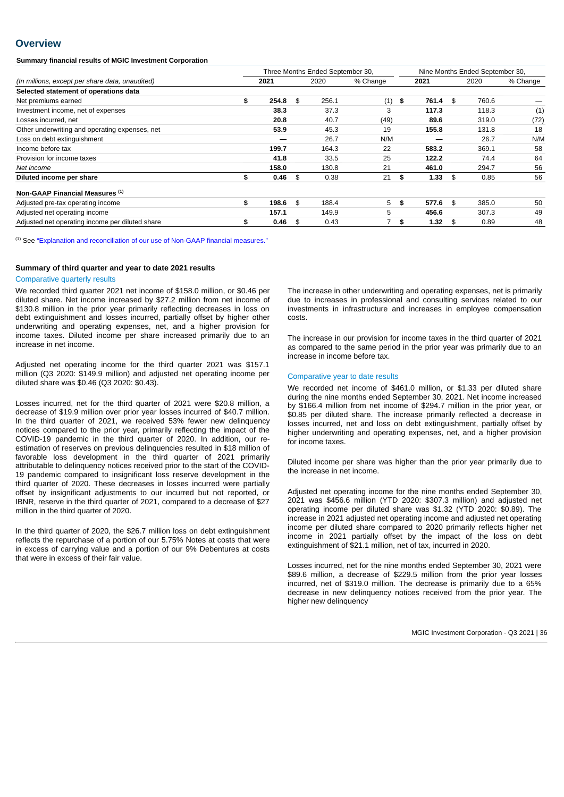## **Overview**

**Summary financial results of MGIC Investment Corporation**

|                                                 | Three Months Ended September 30, |       |    |       | Nine Months Ended September 30, |             |     |       |          |
|-------------------------------------------------|----------------------------------|-------|----|-------|---------------------------------|-------------|-----|-------|----------|
| (In millions, except per share data, unaudited) |                                  | 2021  |    | 2020  | % Change                        | 2021        |     | 2020  | % Change |
| Selected statement of operations data           |                                  |       |    |       |                                 |             |     |       |          |
| Net premiums earned                             | \$                               | 254.8 | \$ | 256.1 | (1)                             | \$<br>761.4 | \$  | 760.6 |          |
| Investment income, net of expenses              |                                  | 38.3  |    | 37.3  | 3                               | 117.3       |     | 118.3 | (1)      |
| Losses incurred, net                            |                                  | 20.8  |    | 40.7  | (49)                            | 89.6        |     | 319.0 | (72)     |
| Other underwriting and operating expenses, net  |                                  | 53.9  |    | 45.3  | 19                              | 155.8       |     | 131.8 | 18       |
| Loss on debt extinguishment                     |                                  |       |    | 26.7  | N/M                             |             |     | 26.7  | N/M      |
| Income before tax                               |                                  | 199.7 |    | 164.3 | 22                              | 583.2       |     | 369.1 | 58       |
| Provision for income taxes                      |                                  | 41.8  |    | 33.5  | 25                              | 122.2       |     | 74.4  | 64       |
| Net income                                      |                                  | 158.0 |    | 130.8 | 21                              | 461.0       |     | 294.7 | 56       |
| Diluted income per share                        | \$                               | 0.46  | \$ | 0.38  | 21                              | \$<br>1.33  | \$  | 0.85  | 56       |
| Non-GAAP Financial Measures (1)                 |                                  |       |    |       |                                 |             |     |       |          |
| Adjusted pre-tax operating income               | \$                               | 198.6 | \$ | 188.4 | 5                               | \$<br>577.6 | \$  | 385.0 | 50       |
| Adjusted net operating income                   |                                  | 157.1 |    | 149.9 | 5                               | 456.6       |     | 307.3 | 49       |
| Adjusted net operating income per diluted share | \$                               | 0.46  | \$ | 0.43  |                                 | \$<br>1.32  | -\$ | 0.89  | 48       |

 $<sup>(1)</sup>$  See "Explanation and [reconciliation](#page-40-0) of our use of Non-GAAP financial measures."</sup>

#### **Summary of third quarter and year to date 2021 results**

#### Comparative quarterly results

We recorded third quarter 2021 net income of \$158.0 million, or \$0.46 per diluted share. Net income increased by \$27.2 million from net income of \$130.8 million in the prior year primarily reflecting decreases in loss on debt extinguishment and losses incurred, partially offset by higher other underwriting and operating expenses, net, and a higher provision for income taxes. Diluted income per share increased primarily due to an increase in net income.

Adjusted net operating income for the third quarter 2021 was \$157.1 million (Q3 2020: \$149.9 million) and adjusted net operating income per diluted share was \$0.46 (Q3 2020: \$0.43).

Losses incurred, net for the third quarter of 2021 were \$20.8 million, a decrease of \$19.9 million over prior year losses incurred of \$40.7 million. In the third quarter of 2021, we received 53% fewer new delinquency notices compared to the prior year, primarily reflecting the impact of the COVID-19 pandemic in the third quarter of 2020. In addition, our reestimation of reserves on previous delinquencies resulted in \$18 million of favorable loss development in the third quarter of 2021 primarily attributable to delinquency notices received prior to the start of the COVID-19 pandemic compared to insignificant loss reserve development in the third quarter of 2020. These decreases in losses incurred were partially offset by insignificant adjustments to our incurred but not reported, or IBNR, reserve in the third quarter of 2021, compared to a decrease of \$27 million in the third quarter of 2020.

In the third quarter of 2020, the \$26.7 million loss on debt extinguishment reflects the repurchase of a portion of our 5.75% Notes at costs that were in excess of carrying value and a portion of our 9% Debentures at costs that were in excess of their fair value.

The increase in other underwriting and operating expenses, net is primarily due to increases in professional and consulting services related to our investments in infrastructure and increases in employee compensation costs.

The increase in our provision for income taxes in the third quarter of 2021 as compared to the same period in the prior year was primarily due to an increase in income before tax.

#### Comparative year to date results

We recorded net income of \$461.0 million, or \$1.33 per diluted share during the nine months ended September 30, 2021. Net income increased by \$166.4 million from net income of \$294.7 million in the prior year, or \$0.85 per diluted share. The increase primarily reflected a decrease in losses incurred, net and loss on debt extinguishment, partially offset by higher underwriting and operating expenses, net, and a higher provision for income taxes.

Diluted income per share was higher than the prior year primarily due to the increase in net income.

Adjusted net operating income for the nine months ended September 30, 2021 was \$456.6 million (YTD 2020: \$307.3 million) and adjusted net operating income per diluted share was \$1.32 (YTD 2020: \$0.89). The increase in 2021 adjusted net operating income and adjusted net operating income per diluted share compared to 2020 primarily reflects higher net income in 2021 partially offset by the impact of the loss on debt extinguishment of \$21.1 million, net of tax, incurred in 2020.

Losses incurred, net for the nine months ended September 30, 2021 were \$89.6 million, a decrease of \$229.5 million from the prior year losses incurred, net of \$319.0 million. The decrease is primarily due to a 65% decrease in new delinquency notices received from the prior year. The higher new delinquency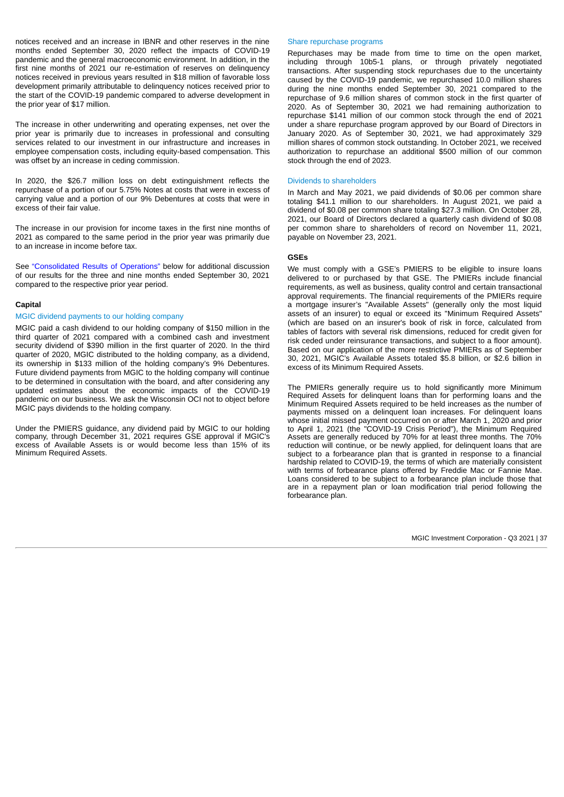notices received and an increase in IBNR and other reserves in the nine months ended September 30, 2020 reflect the impacts of COVID-19 pandemic and the general macroeconomic environment. In addition, in the first nine months of 2021 our re-estimation of reserves on delinquency notices received in previous years resulted in \$18 million of favorable loss development primarily attributable to delinquency notices received prior to the start of the COVID-19 pandemic compared to adverse development in the prior year of \$17 million.

The increase in other underwriting and operating expenses, net over the prior year is primarily due to increases in professional and consulting services related to our investment in our infrastructure and increases in employee compensation costs, including equity-based compensation. This was offset by an increase in ceding commission.

In 2020, the \$26.7 million loss on debt extinguishment reflects the repurchase of a portion of our 5.75% Notes at costs that were in excess of carrying value and a portion of our 9% Debentures at costs that were in excess of their fair value.

The increase in our provision for income taxes in the first nine months of 2021 as compared to the same period in the prior year was primarily due to an increase in income before tax.

See "Consolidated Results of Operations" below for additional discussion of our results for the three and nine months ended September 30, 2021 compared to the respective prior year period.

## **Capital**

## MGIC dividend payments to our holding company

MGIC paid a cash dividend to our holding company of \$150 million in the third quarter of 2021 compared with a combined cash and investment security dividend of \$390 million in the first quarter of 2020. In the third quarter of 2020, MGIC distributed to the holding company, as a dividend, its ownership in \$133 million of the holding company's 9% Debentures. Future dividend payments from MGIC to the holding company will continue to be determined in consultation with the board, and after considering any updated estimates about the economic impacts of the COVID-19 pandemic on our business. We ask the Wisconsin OCI not to object before MGIC pays dividends to the holding company.

Under the PMIERS guidance, any dividend paid by MGIC to our holding company, through December 31, 2021 requires GSE approval if MGIC's excess of Available Assets is or would become less than 15% of its Minimum Required Assets.

#### Share repurchase programs

Repurchases may be made from time to time on the open market, including through 10b5-1 plans, or through privately negotiated transactions. After suspending stock repurchases due to the uncertainty caused by the COVID-19 pandemic, we repurchased 10.0 million shares during the nine months ended September 30, 2021 compared to the repurchase of 9.6 million shares of common stock in the first quarter of 2020. As of September 30, 2021 we had remaining authorization to repurchase \$141 million of our common stock through the end of 2021 under a share repurchase program approved by our Board of Directors in January 2020. As of September 30, 2021, we had approximately 329 million shares of common stock outstanding. In October 2021, we received authorization to repurchase an additional \$500 million of our common stock through the end of 2023.

### Dividends to shareholders

In March and May 2021, we paid dividends of \$0.06 per common share totaling \$41.1 million to our shareholders. In August 2021, we paid a dividend of \$0.08 per common share totaling \$27.3 million. On October 28, 2021, our Board of Directors declared a quarterly cash dividend of \$0.08 per common share to shareholders of record on November 11, 2021, payable on November 23, 2021.

## **GSEs**

We must comply with a GSE's PMIERS to be eligible to insure loans delivered to or purchased by that GSE. The PMIERs include financial requirements, as well as business, quality control and certain transactional approval requirements. The financial requirements of the PMIERs require a mortgage insurer's "Available Assets" (generally only the most liquid assets of an insurer) to equal or exceed its "Minimum Required Assets" (which are based on an insurer's book of risk in force, calculated from tables of factors with several risk dimensions, reduced for credit given for risk ceded under reinsurance transactions, and subject to a floor amount). Based on our application of the more restrictive PMIERs as of September 30, 2021, MGIC's Available Assets totaled \$5.8 billion, or \$2.6 billion in excess of its Minimum Required Assets.

The PMIERs generally require us to hold significantly more Minimum Required Assets for delinquent loans than for performing loans and the Minimum Required Assets required to be held increases as the number of payments missed on a delinquent loan increases. For delinquent loans whose initial missed payment occurred on or after March 1, 2020 and prior to April 1, 2021 (the "COVID-19 Crisis Period"), the Minimum Required Assets are generally reduced by 70% for at least three months. The 70% reduction will continue, or be newly applied, for delinquent loans that are subject to a forbearance plan that is granted in response to a financial hardship related to COVID-19, the terms of which are materially consistent with terms of forbearance plans offered by Freddie Mac or Fannie Mae. Loans considered to be subject to a forbearance plan include those that are in a repayment plan or loan modification trial period following the forbearance plan.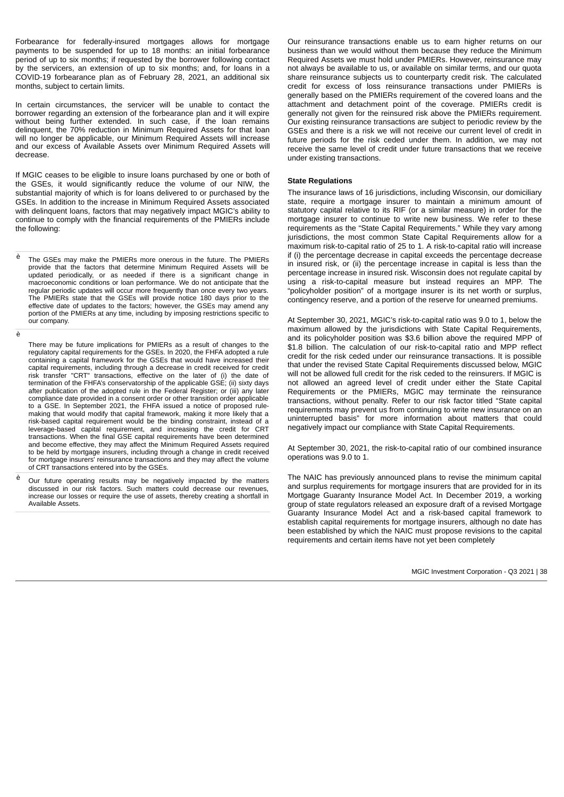Forbearance for federally-insured mortgages allows for mortgage payments to be suspended for up to 18 months: an initial forbearance period of up to six months; if requested by the borrower following contact by the servicers, an extension of up to six months; and, for loans in a COVID-19 forbearance plan as of February 28, 2021, an additional six months, subject to certain limits.

In certain circumstances, the servicer will be unable to contact the borrower regarding an extension of the forbearance plan and it will expire without being further extended. In such case, if the loan remains delinquent, the 70% reduction in Minimum Required Assets for that loan will no longer be applicable, our Minimum Required Assets will increase and our excess of Available Assets over Minimum Required Assets will decrease.

If MGIC ceases to be eligible to insure loans purchased by one or both of the GSEs, it would significantly reduce the volume of our NIW, the substantial majority of which is for loans delivered to or purchased by the GSEs. In addition to the increase in Minimum Required Assets associated with delinquent loans, factors that may negatively impact MGIC's ability to continue to comply with the financial requirements of the PMIERs include the following:

<sup>è</sup> The GSEs may make the PMIERs more onerous in the future. The PMIERs provide that the factors that determine Minimum Required Assets will be updated periodically, or as needed if there is a significant change in macroeconomic conditions or loan performance. We do not anticipate that the regular periodic updates will occur more frequently than once every two years. The PMIERs state that the GSEs will provide notice 180 days prior to the effective date of updates to the factors; however, the GSEs may amend any portion of the PMIERs at any time, including by imposing restrictions specific to our company.

è

- There may be future implications for PMIERs as a result of changes to the regulatory capital requirements for the GSEs. In 2020, the FHFA adopted a rule containing a capital framework for the GSEs that would have increased their capital requirements, including through a decrease in credit received for credit risk transfer "CRT" transactions, effective on the later of (i) the date of termination of the FHFA's conservatorship of the applicable GSE; (ii) sixty days after publication of the adopted rule in the Federal Register; or (iii) any later compliance date provided in a consent order or other transition order applicable to a GSE. In September 2021, the FHFA issued a notice of proposed rulemaking that would modify that capital framework, making it more likely that a risk-based capital requirement would be the binding constraint, instead of a leverage-based capital requirement, and increasing the credit for CRT transactions. When the final GSE capital requirements have been determined and become effective, they may affect the Minimum Required Assets required to be held by mortgage insurers, including through a change in credit received for mortgage insurers' reinsurance transactions and they may affect the volume of CRT transactions entered into by the GSEs.
- <sup>è</sup> Our future operating results may be negatively impacted by the matters discussed in our risk factors. Such matters could decrease our revenues, increase our losses or require the use of assets, thereby creating a shortfall in Available Assets.

Our reinsurance transactions enable us to earn higher returns on our business than we would without them because they reduce the Minimum Required Assets we must hold under PMIERs. However, reinsurance may not always be available to us, or available on similar terms, and our quota share reinsurance subjects us to counterparty credit risk. The calculated credit for excess of loss reinsurance transactions under PMIERs is generally based on the PMIERs requirement of the covered loans and the attachment and detachment point of the coverage. PMIERs credit is generally not given for the reinsured risk above the PMIERs requirement. Our existing reinsurance transactions are subject to periodic review by the GSEs and there is a risk we will not receive our current level of credit in future periods for the risk ceded under them. In addition, we may not receive the same level of credit under future transactions that we receive under existing transactions.

### **State Regulations**

The insurance laws of 16 jurisdictions, including Wisconsin, our domiciliary state, require a mortgage insurer to maintain a minimum amount of statutory capital relative to its RIF (or a similar measure) in order for the mortgage insurer to continue to write new business. We refer to these requirements as the "State Capital Requirements." While they vary among jurisdictions, the most common State Capital Requirements allow for a maximum risk-to-capital ratio of 25 to 1. A risk-to-capital ratio will increase if (i) the percentage decrease in capital exceeds the percentage decrease in insured risk, or (ii) the percentage increase in capital is less than the percentage increase in insured risk. Wisconsin does not regulate capital by using a risk-to-capital measure but instead requires an MPP. The "policyholder position" of a mortgage insurer is its net worth or surplus, contingency reserve, and a portion of the reserve for unearned premiums.

At September 30, 2021, MGIC's risk-to-capital ratio was 9.0 to 1, below the maximum allowed by the jurisdictions with State Capital Requirements, and its policyholder position was \$3.6 billion above the required MPP of \$1.8 billion. The calculation of our risk-to-capital ratio and MPP reflect credit for the risk ceded under our reinsurance transactions. It is possible that under the revised State Capital Requirements discussed below, MGIC will not be allowed full credit for the risk ceded to the reinsurers. If MGIC is not allowed an agreed level of credit under either the State Capital Requirements or the PMIERs, MGIC may terminate the reinsurance transactions, without penalty. Refer to our risk factor titled "State capital requirements may prevent us from continuing to write new insurance on an uninterrupted basis" for more information about matters that could negatively impact our compliance with State Capital Requirements.

At September 30, 2021, the risk-to-capital ratio of our combined insurance operations was 9.0 to 1.

The NAIC has previously announced plans to revise the minimum capital and surplus requirements for mortgage insurers that are provided for in its Mortgage Guaranty Insurance Model Act. In December 2019, a working group of state regulators released an exposure draft of a revised Mortgage Guaranty Insurance Model Act and a risk-based capital framework to establish capital requirements for mortgage insurers, although no date has been established by which the NAIC must propose revisions to the capital requirements and certain items have not yet been completely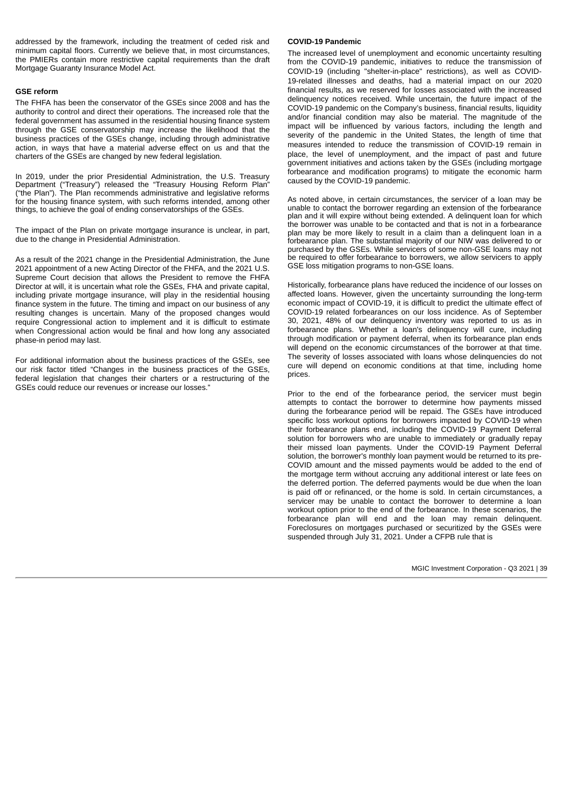addressed by the framework, including the treatment of ceded risk and minimum capital floors. Currently we believe that, in most circumstances, the PMIERs contain more restrictive capital requirements than the draft Mortgage Guaranty Insurance Model Act.

## **GSE reform**

The FHFA has been the conservator of the GSEs since 2008 and has the authority to control and direct their operations. The increased role that the federal government has assumed in the residential housing finance system through the GSE conservatorship may increase the likelihood that the business practices of the GSEs change, including through administrative action, in ways that have a material adverse effect on us and that the charters of the GSEs are changed by new federal legislation.

In 2019, under the prior Presidential Administration, the U.S. Treasury Department ("Treasury") released the "Treasury Housing Reform Plan" ("the Plan"). The Plan recommends administrative and legislative reforms for the housing finance system, with such reforms intended, among other things, to achieve the goal of ending conservatorships of the GSEs.

The impact of the Plan on private mortgage insurance is unclear, in part, due to the change in Presidential Administration.

As a result of the 2021 change in the Presidential Administration, the June 2021 appointment of a new Acting Director of the FHFA, and the 2021 U.S. Supreme Court decision that allows the President to remove the FHFA Director at will, it is uncertain what role the GSEs, FHA and private capital, including private mortgage insurance, will play in the residential housing finance system in the future. The timing and impact on our business of any resulting changes is uncertain. Many of the proposed changes would require Congressional action to implement and it is difficult to estimate when Congressional action would be final and how long any associated phase-in period may last.

For additional information about the business practices of the GSEs, see our risk factor titled "Changes in the business practices of the GSEs, federal legislation that changes their charters or a restructuring of the GSEs could reduce our revenues or increase our losses."

## **COVID-19 Pandemic**

The increased level of unemployment and economic uncertainty resulting from the COVID-19 pandemic, initiatives to reduce the transmission of COVID-19 (including "shelter-in-place" restrictions), as well as COVID-19‑related illnesses and deaths, had a material impact on our 2020 financial results, as we reserved for losses associated with the increased delinquency notices received. While uncertain, the future impact of the COVID-19 pandemic on the Company's business, financial results, liquidity and/or financial condition may also be material. The magnitude of the impact will be influenced by various factors, including the length and severity of the pandemic in the United States, the length of time that measures intended to reduce the transmission of COVID-19 remain in place, the level of unemployment, and the impact of past and future government initiatives and actions taken by the GSEs (including mortgage forbearance and modification programs) to mitigate the economic harm caused by the COVID-19 pandemic.

As noted above, in certain circumstances, the servicer of a loan may be unable to contact the borrower regarding an extension of the forbearance plan and it will expire without being extended. A delinquent loan for which the borrower was unable to be contacted and that is not in a forbearance plan may be more likely to result in a claim than a delinquent loan in a forbearance plan. The substantial majority of our NIW was delivered to or purchased by the GSEs. While servicers of some non-GSE loans may not be required to offer forbearance to borrowers, we allow servicers to apply GSE loss mitigation programs to non-GSE loans.

Historically, forbearance plans have reduced the incidence of our losses on affected loans. However, given the uncertainty surrounding the long-term economic impact of COVID-19, it is difficult to predict the ultimate effect of COVID-19 related forbearances on our loss incidence. As of September 30, 2021, 48% of our delinquency inventory was reported to us as in forbearance plans. Whether a loan's delinquency will cure, including through modification or payment deferral, when its forbearance plan ends will depend on the economic circumstances of the borrower at that time. The severity of losses associated with loans whose delinquencies do not cure will depend on economic conditions at that time, including home prices.

Prior to the end of the forbearance period, the servicer must begin attempts to contact the borrower to determine how payments missed during the forbearance period will be repaid. The GSEs have introduced specific loss workout options for borrowers impacted by COVID-19 when their forbearance plans end, including the COVID-19 Payment Deferral solution for borrowers who are unable to immediately or gradually repay their missed loan payments. Under the COVID-19 Payment Deferral solution, the borrower's monthly loan payment would be returned to its pre-COVID amount and the missed payments would be added to the end of the mortgage term without accruing any additional interest or late fees on the deferred portion. The deferred payments would be due when the loan is paid off or refinanced, or the home is sold. In certain circumstances, a servicer may be unable to contact the borrower to determine a loan workout option prior to the end of the forbearance. In these scenarios, the forbearance plan will end and the loan may remain delinquent. Foreclosures on mortgages purchased or securitized by the GSEs were suspended through July 31, 2021. Under a CFPB rule that is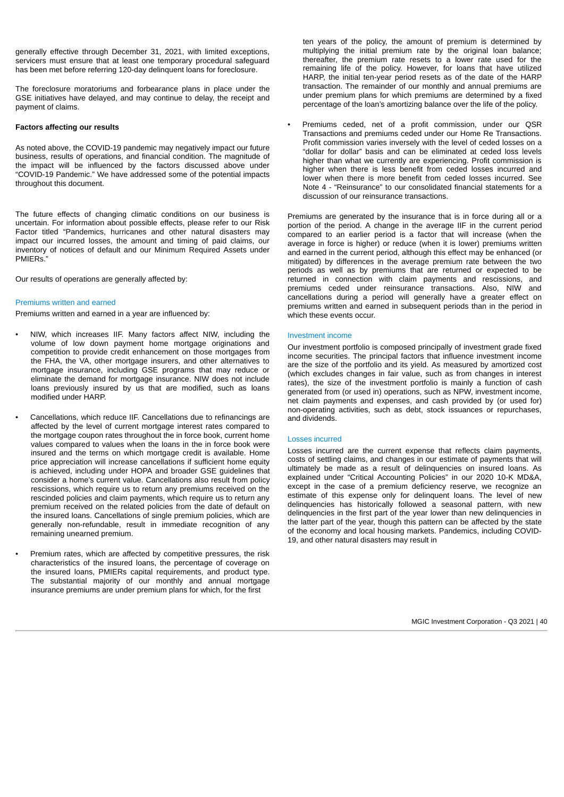generally effective through December 31, 2021, with limited exceptions, servicers must ensure that at least one temporary procedural safeguard has been met before referring 120-day delinquent loans for foreclosure.

The foreclosure moratoriums and forbearance plans in place under the GSE initiatives have delayed, and may continue to delay, the receipt and payment of claims.

#### **Factors affecting our results**

As noted above, the COVID-19 pandemic may negatively impact our future business, results of operations, and financial condition. The magnitude of the impact will be influenced by the factors discussed above under "COVID-19 Pandemic." We have addressed some of the potential impacts throughout this document.

The future effects of changing climatic conditions on our business is uncertain. For information about possible effects, please refer to our Risk Factor titled "Pandemics, hurricanes and other natural disasters may impact our incurred losses, the amount and timing of paid claims, our inventory of notices of default and our Minimum Required Assets under PMIERs."

Our results of operations are generally affected by:

#### Premiums written and earned

Premiums written and earned in a year are influenced by:

- NIW, which increases IIF. Many factors affect NIW, including the volume of low down payment home mortgage originations and competition to provide credit enhancement on those mortgages from the FHA, the VA, other mortgage insurers, and other alternatives to mortgage insurance, including GSE programs that may reduce or eliminate the demand for mortgage insurance. NIW does not include loans previously insured by us that are modified, such as loans modified under HARP.
- Cancellations, which reduce IIF. Cancellations due to refinancings are affected by the level of current mortgage interest rates compared to the mortgage coupon rates throughout the in force book, current home values compared to values when the loans in the in force book were insured and the terms on which mortgage credit is available. Home price appreciation will increase cancellations if sufficient home equity is achieved, including under HOPA and broader GSE guidelines that consider a home's current value. Cancellations also result from policy rescissions, which require us to return any premiums received on the rescinded policies and claim payments, which require us to return any premium received on the related policies from the date of default on the insured loans. Cancellations of single premium policies, which are generally non-refundable, result in immediate recognition of any remaining unearned premium.
- Premium rates, which are affected by competitive pressures, the risk characteristics of the insured loans, the percentage of coverage on the insured loans, PMIERs capital requirements, and product type. The substantial majority of our monthly and annual mortgage insurance premiums are under premium plans for which, for the first

ten years of the policy, the amount of premium is determined by multiplying the initial premium rate by the original loan balance; thereafter, the premium rate resets to a lower rate used for the remaining life of the policy. However, for loans that have utilized HARP, the initial ten-year period resets as of the date of the HARP transaction. The remainder of our monthly and annual premiums are under premium plans for which premiums are determined by a fixed percentage of the loan's amortizing balance over the life of the policy.

• Premiums ceded, net of a profit commission, under our QSR Transactions and premiums ceded under our Home Re Transactions. Profit commission varies inversely with the level of ceded losses on a "dollar for dollar" basis and can be eliminated at ceded loss levels higher than what we currently are experiencing. Profit commission is higher when there is less benefit from ceded losses incurred and lower when there is more benefit from ceded losses incurred. See [Note 4 - "Reinsurance"](#page-13-0) to our consolidated financial statements for a discussion of our reinsurance transactions.

Premiums are generated by the insurance that is in force during all or a portion of the period. A change in the average IIF in the current period compared to an earlier period is a factor that will increase (when the average in force is higher) or reduce (when it is lower) premiums written and earned in the current period, although this effect may be enhanced (or mitigated) by differences in the average premium rate between the two periods as well as by premiums that are returned or expected to be returned in connection with claim payments and rescissions, and premiums ceded under reinsurance transactions. Also, NIW and cancellations during a period will generally have a greater effect on premiums written and earned in subsequent periods than in the period in which these events occur.

#### Investment income

Our investment portfolio is composed principally of investment grade fixed income securities. The principal factors that influence investment income are the size of the portfolio and its yield. As measured by amortized cost (which excludes changes in fair value, such as from changes in interest rates), the size of the investment portfolio is mainly a function of cash generated from (or used in) operations, such as NPW, investment income, net claim payments and expenses, and cash provided by (or used for) non-operating activities, such as debt, stock issuances or repurchases, and dividends.

## Losses incurred

Losses incurred are the current expense that reflects claim payments, costs of settling claims, and changes in our estimate of payments that will ultimately be made as a result of delinquencies on insured loans. As explained under "Critical Accounting Policies" in our 2020 10-K MD&A, except in the case of a premium deficiency reserve, we recognize an estimate of this expense only for delinquent loans. The level of new delinquencies has historically followed a seasonal pattern, with new delinquencies in the first part of the year lower than new delinquencies in the latter part of the year, though this pattern can be affected by the state of the economy and local housing markets. Pandemics, including COVID-19, and other natural disasters may result in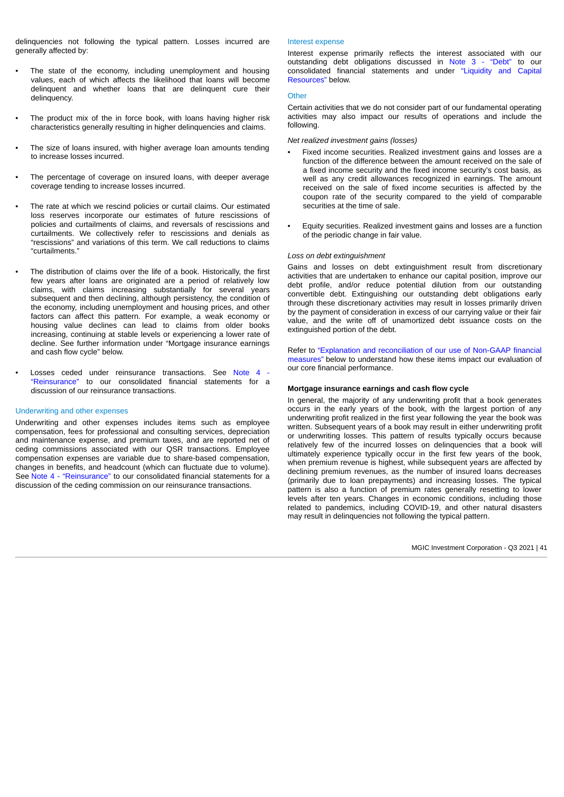delinquencies not following the typical pattern. Losses incurred are generally affected by:

- The state of the economy, including unemployment and housing values, each of which affects the likelihood that loans will become delinquent and whether loans that are delinquent cure their delinquency.
- The product mix of the in force book, with loans having higher risk characteristics generally resulting in higher delinquencies and claims.
- The size of loans insured, with higher average loan amounts tending to increase losses incurred.
- The percentage of coverage on insured loans, with deeper average coverage tending to increase losses incurred.
- The rate at which we rescind policies or curtail claims. Our estimated loss reserves incorporate our estimates of future rescissions of policies and curtailments of claims, and reversals of rescissions and curtailments. We collectively refer to rescissions and denials as "rescissions" and variations of this term. We call reductions to claims "curtailments."
- The distribution of claims over the life of a book. Historically, the first few years after loans are originated are a period of relatively low claims, with claims increasing substantially for several years subsequent and then declining, although persistency, the condition of the economy, including unemployment and housing prices, and other factors can affect this pattern. For example, a weak economy or housing value declines can lead to claims from older books increasing, continuing at stable levels or experiencing a lower rate of decline. See further information under "Mortgage insurance earnings and cash flow cycle" below.
- [Losses ceded under reinsurance transactions. See Note 4 -](#page-13-0) "Reinsurance" to our consolidated financial statements for a discussion of our reinsurance transactions.

#### Underwriting and other expenses

<span id="page-40-0"></span>Underwriting and other expenses includes items such as employee compensation, fees for professional and consulting services, depreciation and maintenance expense, and premium taxes, and are reported net of ceding commissions associated with our QSR transactions. Employee compensation expenses are variable due to share-based compensation, changes in benefits, and headcount (which can fluctuate due to volume). See [Note 4 - "Reinsurance"](#page-13-0) to our consolidated financial statements for a discussion of the ceding commission on our reinsurance transactions.

#### Interest expense

Interest expense primarily reflects the interest associated with our outstanding debt obligations discussed in [Note 3 - "Debt"](#page-13-1) to our [consolidated financial statements and under "Liquidity and Capital](#page-59-0) Resources" below.

#### **Other**

Certain activities that we do not consider part of our fundamental operating activities may also impact our results of operations and include the following.

*Net realized investment gains (losses)*

- Fixed income securities. Realized investment gains and losses are a function of the difference between the amount received on the sale of a fixed income security and the fixed income security's cost basis, as well as any credit allowances recognized in earnings. The amount received on the sale of fixed income securities is affected by the coupon rate of the security compared to the yield of comparable securities at the time of sale.
- Equity securities. Realized investment gains and losses are a function of the periodic change in fair value.

## *Loss on debt extinguishment*

Gains and losses on debt extinguishment result from discretionary activities that are undertaken to enhance our capital position, improve our debt profile, and/or reduce potential dilution from our outstanding convertible debt. Extinguishing our outstanding debt obligations early through these discretionary activities may result in losses primarily driven by the payment of consideration in excess of our carrying value or their fair value, and the write off of unamortized debt issuance costs on the extinguished portion of the debt.

[Refer to "Explanation and reconciliation of our use of Non-GAAP financial](#page-40-0) measures" below to understand how these items impact our evaluation of our core financial performance.

## **Mortgage insurance earnings and cash flow cycle**

In general, the majority of any underwriting profit that a book generates occurs in the early years of the book, with the largest portion of any underwriting profit realized in the first year following the year the book was written. Subsequent years of a book may result in either underwriting profit or underwriting losses. This pattern of results typically occurs because relatively few of the incurred losses on delinquencies that a book will ultimately experience typically occur in the first few years of the book, when premium revenue is highest, while subsequent years are affected by declining premium revenues, as the number of insured loans decreases (primarily due to loan prepayments) and increasing losses. The typical pattern is also a function of premium rates generally resetting to lower levels after ten years. Changes in economic conditions, including those related to pandemics, including COVID-19, and other natural disasters may result in delinquencies not following the typical pattern.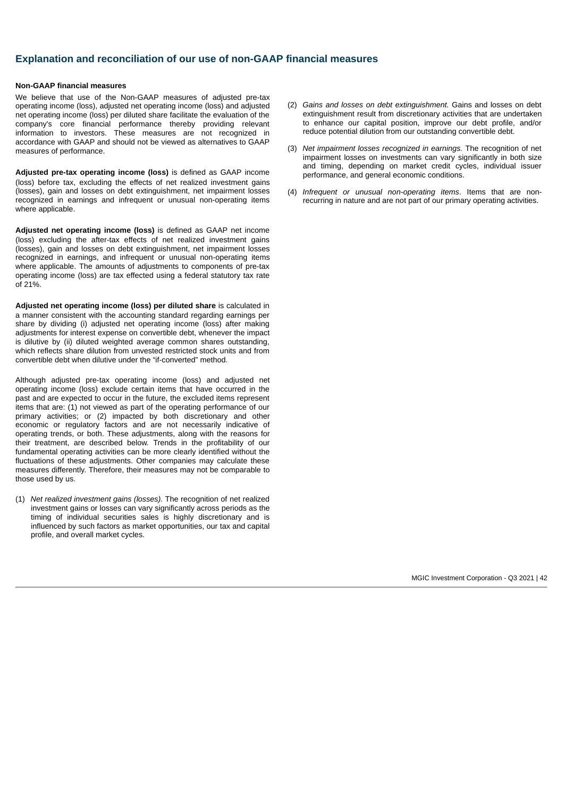# **Explanation and reconciliation of our use of non-GAAP financial measures**

## **Non-GAAP financial measures**

We believe that use of the Non-GAAP measures of adjusted pre-tax operating income (loss), adjusted net operating income (loss) and adjusted net operating income (loss) per diluted share facilitate the evaluation of the company's core financial performance thereby providing relevant information to investors. These measures are not recognized in accordance with GAAP and should not be viewed as alternatives to GAAP measures of performance.

**Adjusted pre-tax operating income (loss)** is defined as GAAP income (loss) before tax, excluding the effects of net realized investment gains (losses), gain and losses on debt extinguishment, net impairment losses recognized in earnings and infrequent or unusual non-operating items where applicable.

**Adjusted net operating income (loss)** is defined as GAAP net income (loss) excluding the after-tax effects of net realized investment gains (losses), gain and losses on debt extinguishment, net impairment losses recognized in earnings, and infrequent or unusual non-operating items where applicable. The amounts of adjustments to components of pre-tax operating income (loss) are tax effected using a federal statutory tax rate of 21%.

**Adjusted net operating income (loss) per diluted share** is calculated in a manner consistent with the accounting standard regarding earnings per share by dividing (i) adjusted net operating income (loss) after making adjustments for interest expense on convertible debt, whenever the impact is dilutive by (ii) diluted weighted average common shares outstanding, which reflects share dilution from unvested restricted stock units and from convertible debt when dilutive under the "if-converted" method.

Although adjusted pre-tax operating income (loss) and adjusted net operating income (loss) exclude certain items that have occurred in the past and are expected to occur in the future, the excluded items represent items that are: (1) not viewed as part of the operating performance of our primary activities; or (2) impacted by both discretionary and other economic or regulatory factors and are not necessarily indicative of operating trends, or both. These adjustments, along with the reasons for their treatment, are described below. Trends in the profitability of our fundamental operating activities can be more clearly identified without the fluctuations of these adjustments. Other companies may calculate these measures differently. Therefore, their measures may not be comparable to those used by us.

(1) *Net realized investment gains (losses).* The recognition of net realized investment gains or losses can vary significantly across periods as the timing of individual securities sales is highly discretionary and is influenced by such factors as market opportunities, our tax and capital profile, and overall market cycles.

- (2) *Gains and losses on debt extinguishment.* Gains and losses on debt extinguishment result from discretionary activities that are undertaken to enhance our capital position, improve our debt profile, and/or reduce potential dilution from our outstanding convertible debt.
- (3) *Net impairment losses recognized in earnings.* The recognition of net impairment losses on investments can vary significantly in both size and timing, depending on market credit cycles, individual issuer performance, and general economic conditions.
- (4) *Infrequent or unusual non-operating items*. Items that are nonrecurring in nature and are not part of our primary operating activities.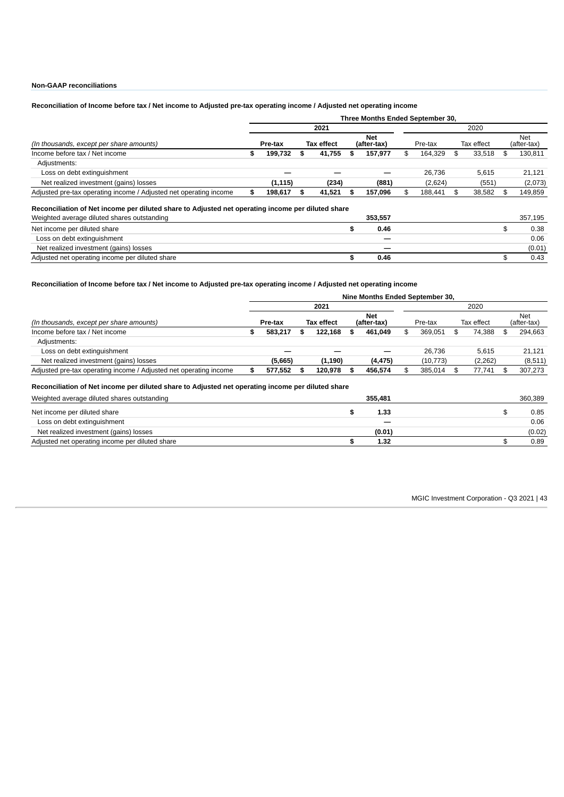## **Non-GAAP reconciliations**

## Reconciliation of Income before tax / Net income to Adjusted pre-tax operating income / Adjusted net operating income

|          | 2021 |        |                                       |         | 2020        |         |            |        |                    |         |
|----------|------|--------|---------------------------------------|---------|-------------|---------|------------|--------|--------------------|---------|
| Pre-tax  |      |        |                                       | Net     | Pre-tax     |         | Tax effect |        | Net<br>(after-tax) |         |
| 199.732  |      |        |                                       | 157,977 | S           | 164.329 | \$         | 33.518 | \$.                | 130,811 |
|          |      |        |                                       |         |             |         |            |        |                    |         |
|          |      |        |                                       |         |             | 26.736  |            | 5.615  |                    | 21.121  |
| (1, 115) |      | (234)  |                                       | (881)   |             | (2,624) |            | (551)  |                    | (2,073) |
| 198,617  |      |        |                                       | 157,096 | \$          | 188,441 | \$         | 38,582 |                    | 149,859 |
|          |      | S<br>ъ | <b>Tax effect</b><br>41,755<br>41,521 |         | (after-tax) |         |            |        |                    |         |

#### **Reconciliation of Net income per diluted share to Adjusted net operating income per diluted share**

| Weighted average diluted shares outstanding     |  | 357.195 |        |
|-------------------------------------------------|--|---------|--------|
| Net income per diluted share                    |  | 0.46    | 0.38   |
| Loss on debt extinguishment                     |  |         | 0.06   |
| Net realized investment (gains) losses          |  | —       | (0.01) |
| Adjusted net operating income per diluted share |  | 0.46    | 0.43   |

## Reconciliation of Income before tax / Net income to Adjusted pre-tax operating income / Adjusted net operating income

|                                                                   | Nine Months Ended September 30, |         |                   |          |  |                    |      |           |            |          |     |                    |  |  |
|-------------------------------------------------------------------|---------------------------------|---------|-------------------|----------|--|--------------------|------|-----------|------------|----------|-----|--------------------|--|--|
|                                                                   |                                 |         |                   | 2021     |  |                    | 2020 |           |            |          |     |                    |  |  |
| (In thousands, except per share amounts)                          |                                 | Pre-tax | <b>Tax effect</b> |          |  | Net<br>(after-tax) |      | Pre-tax   | Tax effect |          |     | Net<br>(after-tax) |  |  |
| Income before tax / Net income                                    |                                 | 583.217 |                   | 122.168  |  | 461.049            | \$.  | 369.051   |            | 74.388   | S   | 294.663            |  |  |
| Adjustments:                                                      |                                 |         |                   |          |  |                    |      |           |            |          |     |                    |  |  |
| Loss on debt extinguishment                                       |                                 |         |                   |          |  |                    |      | 26.736    |            | 5.615    |     | 21.121             |  |  |
| Net realized investment (gains) losses                            |                                 | (5,665) |                   | (1, 190) |  | (4, 475)           |      | (10, 773) |            | (2, 262) |     | (8,511)            |  |  |
| Adjusted pre-tax operating income / Adjusted net operating income |                                 | 577.552 |                   | 120.978  |  | 456.574            |      | 385.014   |            | 77.741   | \$. | 307.273            |  |  |

## **Reconciliation of Net income per diluted share to Adjusted net operating income per diluted share**

| Weighted average diluted shares outstanding     | 355,481 | 360.389 |
|-------------------------------------------------|---------|---------|
| Net income per diluted share                    | 1.33    | 0.85    |
| Loss on debt extinguishment                     |         | 0.06    |
| Net realized investment (gains) losses          | (0.01)  | (0.02)  |
| Adjusted net operating income per diluted share | 1.32    | 0.89    |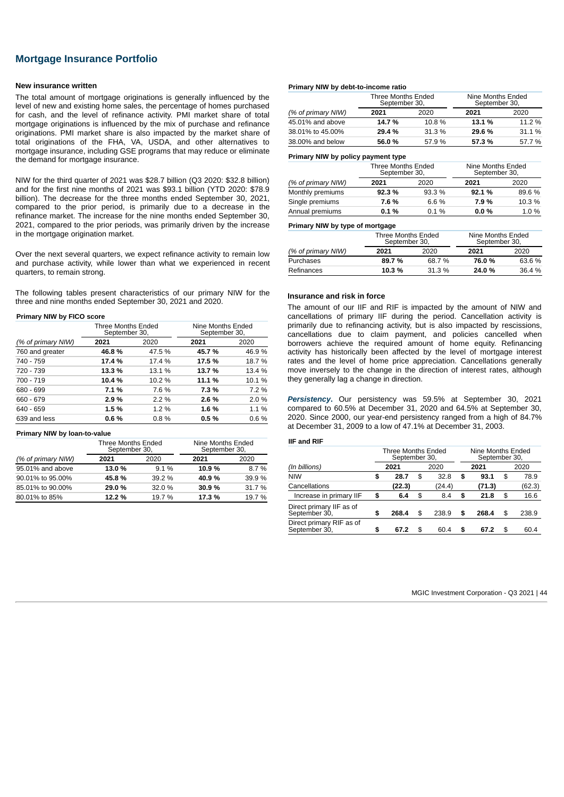# **Mortgage Insurance Portfolio**

#### **New insurance written**

The total amount of mortgage originations is generally influenced by the level of new and existing home sales, the percentage of homes purchased for cash, and the level of refinance activity. PMI market share of total mortgage originations is influenced by the mix of purchase and refinance originations. PMI market share is also impacted by the market share of total originations of the FHA, VA, USDA, and other alternatives to mortgage insurance, including GSE programs that may reduce or eliminate the demand for mortgage insurance.

NIW for the third quarter of 2021 was \$28.7 billion (Q3 2020: \$32.8 billion) and for the first nine months of 2021 was \$93.1 billion (YTD 2020: \$78.9 billion). The decrease for the three months ended September 30, 2021, compared to the prior period, is primarily due to a decrease in the refinance market. The increase for the nine months ended September 30, 2021, compared to the prior periods, was primarily driven by the increase in the mortgage origination market.

Over the next several quarters, we expect refinance activity to remain low and purchase activity, while lower than what we experienced in recent quarters, to remain strong.

The following tables present characteristics of our primary NIW for the three and nine months ended September 30, 2021 and 2020.

## **Primary NIW by FICO score**

|                    | Three Months Ended<br>September 30, |         | Nine Months Ended<br>September 30, |        |  |  |  |
|--------------------|-------------------------------------|---------|------------------------------------|--------|--|--|--|
| (% of primary NIW) | 2021                                | 2020    | 2021                               | 2020   |  |  |  |
| 760 and greater    | 46.8%                               | 47.5 %  | 45.7%                              | 46.9%  |  |  |  |
| 740 - 759          | 17.4 %                              | 17.4 %  | 17.5 %                             | 18.7 % |  |  |  |
| 720 - 739          | 13.3 %                              | 13.1 %  | 13.7 %                             | 13.4 % |  |  |  |
| 700 - 719          | 10.4%                               | 10.2 %  | 11.1 %                             | 10.1%  |  |  |  |
| 680 - 699          | 7.1%                                | 7.6 %   | 7.3%                               | 7.2 %  |  |  |  |
| 660 - 679          | 2.9%                                | 2.2%    | 2.6 %                              | 2.0%   |  |  |  |
| 640 - 659          | 1.5%                                | $1.2\%$ | 1.6%                               | 1.1 %  |  |  |  |
| 639 and less       | 0.6%                                | 0.8%    | 0.5%                               | 0.6%   |  |  |  |

#### **Primary NIW by loan-to-value**

|                    | Three Months Ended<br>September 30, |         | Nine Months Ended<br>September 30, |        |  |  |  |
|--------------------|-------------------------------------|---------|------------------------------------|--------|--|--|--|
| (% of primary NIW) | 2021                                | 2020    | 2021                               | 2020   |  |  |  |
| 95.01% and above   | 13.0 %                              | $9.1\%$ | 10.9%                              | 8.7%   |  |  |  |
| 90.01% to 95.00%   | 45.8%                               | 39.2 %  | 40.9%                              | 39.9%  |  |  |  |
| 85.01% to 90.00%   | 29.0%                               | 32.0 %  | 30.9%                              | 31.7 % |  |  |  |
| 80.01% to 85%      | 12.2 %                              | 19.7 %  | 17.3 %                             | 19.7 % |  |  |  |

#### **Primary NIW by debt-to-income ratio**

|                    | Three Months Ended<br>September 30, |        | Nine Months Ended<br>September 30, |        |  |  |  |
|--------------------|-------------------------------------|--------|------------------------------------|--------|--|--|--|
| (% of primary NIW) | 2021                                | 2020   | 2021                               | 2020   |  |  |  |
| 45.01% and above   | 14.7 %                              | 10.8%  | 13.1 %                             | 11.2 % |  |  |  |
| 38.01% to 45.00%   | 29.4%                               | 31.3 % | 29.6 %                             | 31.1 % |  |  |  |
| 38,00% and below   | 56.0%                               | 57.9 % | 57.3%                              | 57.7%  |  |  |  |

#### **Primary NIW by policy payment type**

|                    | Three Months Ended<br>September 30, |         | Nine Months Ended<br>September 30, |        |  |  |  |
|--------------------|-------------------------------------|---------|------------------------------------|--------|--|--|--|
| (% of primary NIW) | 2021                                | 2020    | 2021                               | 2020   |  |  |  |
| Monthly premiums   | 92.3%                               | 93.3 %  | 92.1%                              | 89.6%  |  |  |  |
| Single premiums    | 7.6%                                | $6.6\%$ | 7.9%                               | 10.3 % |  |  |  |
| Annual premiums    | 0.1%                                | $0.1\%$ | 0.0%                               | 1.0%   |  |  |  |

#### **Primary NIW by type of mortgage**

|                    | Three Months Ended<br>September 30, |        | Nine Months Ended<br>September 30, |        |  |  |  |
|--------------------|-------------------------------------|--------|------------------------------------|--------|--|--|--|
| (% of primary NIW) | 2021                                | 2020   | 2021                               | 2020   |  |  |  |
| Purchases          | 89.7%                               | 68.7%  | 76.0%                              | 63.6 % |  |  |  |
| Refinances         | 10.3 %                              | 31.3 % | 24.0%                              | 36.4 % |  |  |  |
|                    |                                     |        |                                    |        |  |  |  |

#### **Insurance and risk in force**

The amount of our IIF and RIF is impacted by the amount of NIW and cancellations of primary IIF during the period. Cancellation activity is primarily due to refinancing activity, but is also impacted by rescissions, cancellations due to claim payment, and policies cancelled when borrowers achieve the required amount of home equity. Refinancing activity has historically been affected by the level of mortgage interest rates and the level of home price appreciation. Cancellations generally move inversely to the change in the direction of interest rates, although they generally lag a change in direction.

*Persistency***.** Our persistency was 59.5% at September 30, 2021 compared to 60.5% at December 31, 2020 and 64.5% at September 30, 2020. Since 2000, our year-end persistency ranged from a high of 84.7% at December 31, 2009 to a low of 47.1% at December 31, 2003.

## **IIF and RIF**

|                                           |    | Three Months Ended<br>September 30, |      |        |    |        |    | Nine Months Ended<br>September 30, |  |  |  |
|-------------------------------------------|----|-------------------------------------|------|--------|----|--------|----|------------------------------------|--|--|--|
| (In billions)                             |    |                                     | 2021 | 2020   |    |        |    |                                    |  |  |  |
| <b>NIW</b>                                | \$ | 28.7                                | \$   | 32.8   | S  | 93.1   | \$ | 78.9                               |  |  |  |
| Cancellations                             |    | (22.3)                              |      | (24.4) |    | (71.3) |    | (62.3)                             |  |  |  |
| Increase in primary IIF                   | \$ | 6.4                                 | \$   | 8.4    | \$ | 21.8   | \$ | 16.6                               |  |  |  |
| Direct primary IIF as of<br>September 30, | \$ | 268.4                               | \$   | 238.9  | \$ | 268.4  | \$ | 238.9                              |  |  |  |
| Direct primary RIF as of<br>September 30, | \$ | 67.2                                | \$   | 60.4   | S  | 67.2   | \$ | 60.4                               |  |  |  |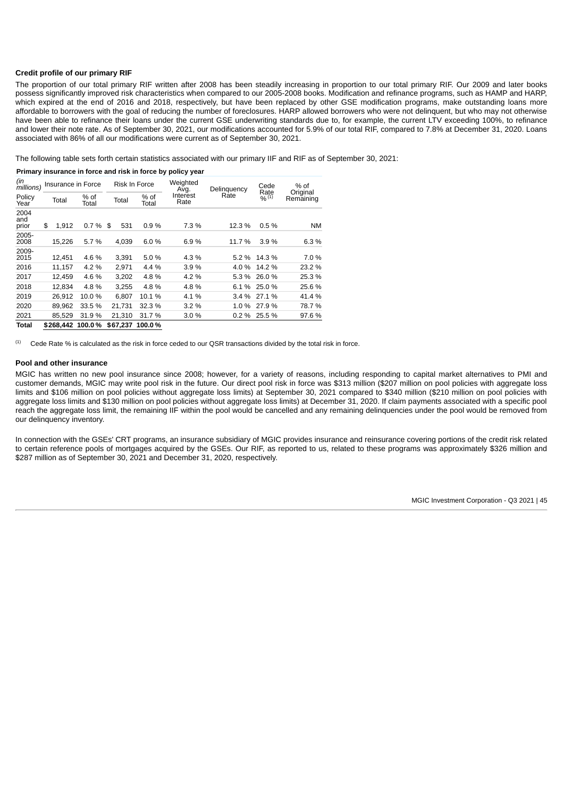## **Credit profile of our primary RIF**

The proportion of our total primary RIF written after 2008 has been steadily increasing in proportion to our total primary RIF. Our 2009 and later books possess significantly improved risk characteristics when compared to our 2005-2008 books. Modification and refinance programs, such as HAMP and HARP, which expired at the end of 2016 and 2018, respectively, but have been replaced by other GSE modification programs, make outstanding loans more affordable to borrowers with the goal of reducing the number of foreclosures. HARP allowed borrowers who were not delinquent, but who may not otherwise have been able to refinance their loans under the current GSE underwriting standards due to, for example, the current LTV exceeding 100%, to refinance and lower their note rate. As of September 30, 2021, our modifications accounted for 5.9% of our total RIF, compared to 7.8% at December 31, 2020. Loans associated with 86% of all our modifications were current as of September 30, 2021.

The following table sets forth certain statistics associated with our primary IIF and RIF as of September 30, 2021:

**Primary insurance in force and risk in force by policy year**

| (in<br>millions)     | Insurance in Force |        | Risk In Force    |                 | Weighted<br>Avg. | Delinguency      |      | Cede<br>Rate | % of<br>Original |           |        |
|----------------------|--------------------|--------|------------------|-----------------|------------------|------------------|------|--------------|------------------|-----------|--------|
| Policy<br>Year       |                    | Total  | % of<br>Total    | Total           | % of<br>Total    | Interest<br>Rate | Rate |              | $96^{(1)}$       | Remaining |        |
| 2004<br>and<br>prior | \$                 | 1.912  | 0.7%             | \$<br>531       | 0.9%             | 7.3 %            |      | 12.3 %       | 0.5%             |           | NΜ     |
| 2005-<br>2008        |                    | 15.226 | 5.7 %            | 4.039           | 6.0%             | 6.9%             |      | 11.7 %       | 3.9%             |           | 6.3 %  |
| 2009-<br>2015        |                    | 12.451 | 4.6%             | 3,391           | 5.0%             | 4.3 %            |      | 5.2 %        | 14.3 %           |           | 7.0%   |
| 2016                 |                    | 11.157 | 4.2 %            | 2.971           | 4.4 %            | 3.9%             |      | 4.0%         | 14.2 %           |           | 23.2 % |
| 2017                 |                    | 12,459 | 4.6%             | 3,202           | 4.8%             | 4.2 %            |      | 5.3 %        | 26.0%            |           | 25.3 % |
| 2018                 |                    | 12.834 | 4.8%             | 3.255           | 4.8%             | 4.8%             |      | 6.1%         | 25.0 %           |           | 25.6 % |
| 2019                 |                    | 26.912 | 10.0%            | 6.807           | 10.1%            | 4.1%             |      | 3.4%         | 27.1 %           |           | 41.4 % |
| 2020                 |                    | 89.962 | 33.5 %           | 21,731          | 32.3 %           | 3.2%             |      | 1.0%         | 27.9 %           |           | 78.7%  |
| 2021                 |                    | 85.529 | 31.9%            | 21,310          | 31.7%            | 3.0%             |      | $0.2\%$      | 25.5 %           |           | 97.6%  |
| <b>Total</b>         |                    |        | \$268.442 100.0% | \$67.237 100.0% |                  |                  |      |              |                  |           |        |

Cede Rate % is calculated as the risk in force ceded to our QSR transactions divided by the total risk in force. (1)

#### **Pool and other insurance**

MGIC has written no new pool insurance since 2008; however, for a variety of reasons, including responding to capital market alternatives to PMI and customer demands, MGIC may write pool risk in the future. Our direct pool risk in force was \$313 million (\$207 million on pool policies with aggregate loss limits and \$106 million on pool policies without aggregate loss limits) at September 30, 2021 compared to \$340 million (\$210 million on pool policies with aggregate loss limits and \$130 million on pool policies without aggregate loss limits) at December 31, 2020. If claim payments associated with a specific pool reach the aggregate loss limit, the remaining IIF within the pool would be cancelled and any remaining delinquencies under the pool would be removed from our delinquency inventory.

In connection with the GSEs' CRT programs, an insurance subsidiary of MGIC provides insurance and reinsurance covering portions of the credit risk related to certain reference pools of mortgages acquired by the GSEs. Our RIF, as reported to us, related to these programs was approximately \$326 million and \$287 million as of September 30, 2021 and December 31, 2020, respectively.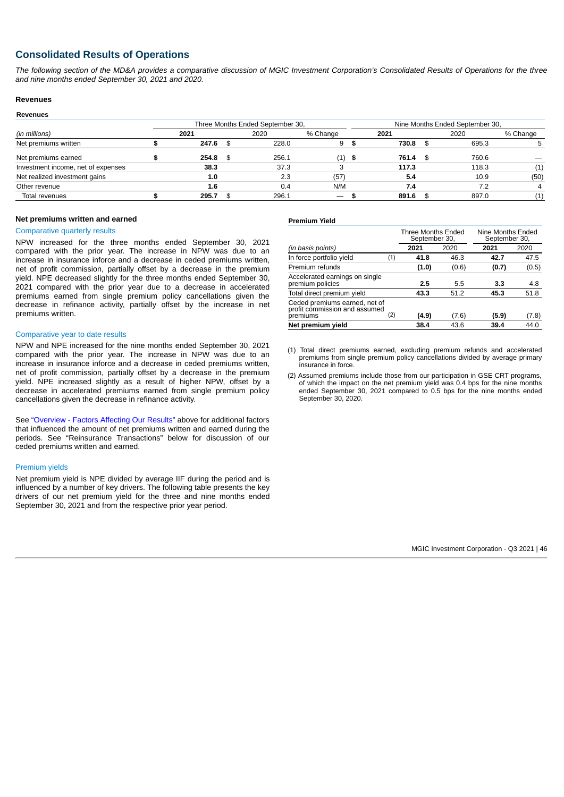# **Consolidated Results of Operations**

*The following section of the MD&A provides a comparative discussion of MGIC Investment Corporation's Consolidated Results of Operations for the three and nine months ended September 30, 2021 and 2020.*

## **Revenues Revenues**

|                                    |      |       |  | Three Months Ended September 30, | Nine Months Ended September 30, |          |  |       |          |  |
|------------------------------------|------|-------|--|----------------------------------|---------------------------------|----------|--|-------|----------|--|
| (in millions)                      | 2021 |       |  | 2020                             | % Change                        | 2021     |  | 2020  | % Change |  |
| Net premiums written               |      | 247.6 |  | 228.0                            | 9                               | 730.8    |  | 695.3 |          |  |
| Net premiums earned                |      | 254.8 |  | 256.1                            | $(1)$ \$                        | 761.4 \$ |  | 760.6 |          |  |
| Investment income, net of expenses |      | 38.3  |  | 37.3                             |                                 | 117.3    |  | 118.3 | (1)      |  |
| Net realized investment gains      |      | 1.0   |  | 2.3                              | (57)                            | 5.4      |  | 10.9  | (50)     |  |
| Other revenue                      |      | 1.6   |  | 0.4                              | N/M                             | 7.4      |  | 7.2   |          |  |
| Total revenues                     |      | 295.7 |  | 296.1                            | $\hspace{0.1mm}-\hspace{0.1mm}$ | 891.6    |  | 897.0 | (1)      |  |

#### **Net premiums written and earned**

#### Comparative quarterly results

NPW increased for the three months ended September 30, 2021 compared with the prior year. The increase in NPW was due to an increase in insurance inforce and a decrease in ceded premiums written, net of profit commission, partially offset by a decrease in the premium yield. NPE decreased slightly for the three months ended September 30, 2021 compared with the prior year due to a decrease in accelerated premiums earned from single premium policy cancellations given the decrease in refinance activity, partially offset by the increase in net premiums written.

#### Comparative year to date results

NPW and NPE increased for the nine months ended September 30, 2021 compared with the prior year. The increase in NPW was due to an increase in insurance inforce and a decrease in ceded premiums written, net of profit commission, partially offset by a decrease in the premium yield. NPE increased slightly as a result of higher NPW, offset by a decrease in accelerated premiums earned from single premium policy cancellations given the decrease in refinance activity.

See ["Overview - Factors Affecting Our Results"](#page-34-0) above for additional factors that influenced the amount of net premiums written and earned during the periods. See "Reinsurance Transactions" below for discussion of our ceded premiums written and earned.

#### Premium yields

Net premium yield is NPE divided by average IIF during the period and is influenced by a number of key drivers. The following table presents the key drivers of our net premium yield for the three and nine months ended September 30, 2021 and from the respective prior year period.

#### **Premium Yield**

|                                                                            |     | Three Months Ended<br>September 30, |       | Nine Months Ended<br>September 30, |       |
|----------------------------------------------------------------------------|-----|-------------------------------------|-------|------------------------------------|-------|
| (in basis points)                                                          |     | 2021                                | 2020  | 2021                               | 2020  |
| In force portfolio yield                                                   | (1) | 41.8                                | 46.3  | 42.7                               | 47.5  |
| Premium refunds                                                            |     | (1.0)                               | (0.6) | (0.7)                              | (0.5) |
| Accelerated earnings on single<br>premium policies                         |     | 2.5                                 | 5.5   | 3.3                                | 4.8   |
| Total direct premium yield                                                 |     | 43.3                                | 51.2  | 45.3                               | 51.8  |
| Ceded premiums earned, net of<br>profit commission and assumed<br>premiums | (2) | (4.9)                               | (7.6) | (5.9)                              | (7.8) |
| Net premium vield                                                          |     | 38.4                                | 43.6  | 39.4                               | 44.0  |

(1) Total direct premiums earned, excluding premium refunds and accelerated premiums from single premium policy cancellations divided by average primary insurance in force.

(2) Assumed premiums include those from our participation in GSE CRT programs, of which the impact on the net premium yield was 0.4 bps for the nine months ended September 30, 2021 compared to 0.5 bps for the nine months ended September 30, 2020.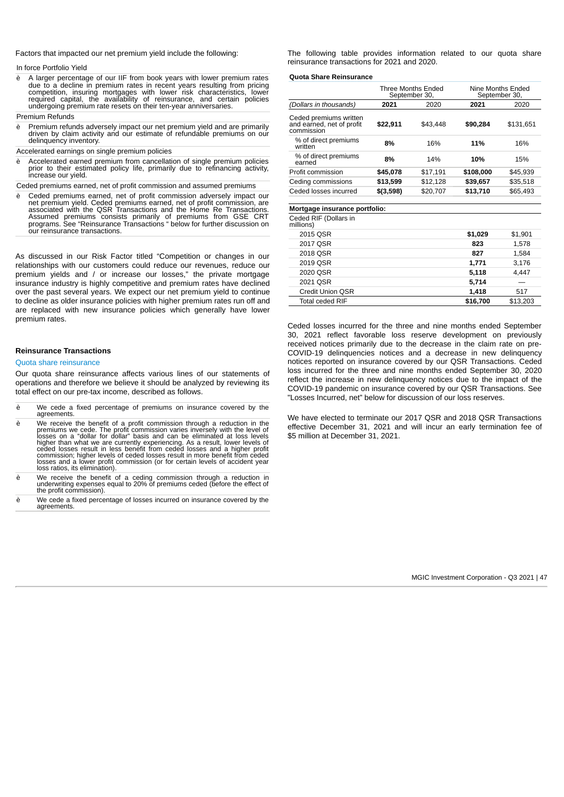Factors that impacted our net premium yield include the following:

In force Portfolio Yield

è A larger percentage of our IIF from book years with lower premium rates<br>due to a decline in premium rates in recent years resulting from pricing<br>competition, insuring mortgages with lower risk characteristics, lower<br>requ undergoing premium rate resets on their ten-year anniversaries.

Premium Refunds

- Premium refunds adversely impact our net premium yield and are primarily driven by claim activity and our estimate of refundable premiums on our delinquency inventory.
- Accelerated earnings on single premium policies
- è Accelerated earned premium from cancellation of single premium policies prior to their estimated policy life, primarily due to refinancing activity, increase our yield.

Ceded premiums earned, net of profit commission and assumed premiums

è Ceded premiums earned, net of profit commission adversely impact our<br>net premium yield. Ceded premiums earned, net of profit commission, are<br>associated with the QSR Transactions and the Home Re Transactions.<br>Assumed prem our reinsurance transactions.

As discussed in our Risk Factor titled "Competition or changes in our relationships with our customers could reduce our revenues, reduce our premium yields and / or increase our losses," the private mortgage insurance industry is highly competitive and premium rates have declined over the past several years. We expect our net premium yield to continue to decline as older insurance policies with higher premium rates run off and are replaced with new insurance policies which generally have lower premium rates.

#### **Reinsurance Transactions**

#### Quota share reinsurance

Our quota share reinsurance affects various lines of our statements of operations and therefore we believe it should be analyzed by reviewing its total effect on our pre-tax income, described as follows.

- è We cede a fixed percentage of premiums on insurance covered by the agreements.
- è We receive the benefit of a profit commission through a reduction in the premiums we cede. The profit commission varies inversely with the level of losses on a "dollar for dollar" basis and can be eliminated at loss leve loss ratios, its elimination).
- è We receive the benefit of a ceding commission through a reduction in underwriting expenses equal to 20% of premiums ceded (before the effect of the profit commission).
- è We cede a fixed percentage of losses incurred on insurance covered by the agreements.

The following table provides information related to our quota share reinsurance transactions for 2021 and 2020.

#### **Quota Share Reinsurance**

|                                                                   | Three Months Ended<br>September 30, |          | Nine Months Ended<br>September 30, |           |
|-------------------------------------------------------------------|-------------------------------------|----------|------------------------------------|-----------|
| (Dollars in thousands)                                            | 2021                                | 2020     | 2021                               | 2020      |
| Ceded premiums written<br>and earned, net of profit<br>commission | \$22.911                            | \$43.448 | \$90,284                           | \$131.651 |
| % of direct premiums<br>written                                   | 8%                                  | 16%      | 11%                                | 16%       |
| % of direct premiums<br>earned                                    | 8%                                  | 14%      | 10%                                | 15%       |
| Profit commission                                                 | \$45,078                            | \$17.191 | \$108,000                          | \$45.939  |
| Ceding commissions                                                | \$13.599                            | \$12.128 | \$39,657                           | \$35.518  |
| Ceded losses incurred                                             | \$(3,598)                           | \$20.707 | \$13,710                           | \$65.493  |
|                                                                   |                                     |          |                                    |           |

#### **Mortgage insurance portfolio:**

Ceded RIF (Dollars in

| millions)              |          |          |
|------------------------|----------|----------|
| 2015 OSR               | \$1,029  | \$1,901  |
| 2017 OSR               | 823      | 1,578    |
| 2018 OSR               | 827      | 1,584    |
| 2019 OSR               | 1,771    | 3,176    |
| 2020 OSR               | 5,118    | 4,447    |
| 2021 OSR               | 5,714    |          |
| Credit Union OSR       | 1,418    | 517      |
| <b>Total ceded RIF</b> | \$16,700 | \$13.203 |

Ceded losses incurred for the three and nine months ended September 30, 2021 reflect favorable loss reserve development on previously received notices primarily due to the decrease in the claim rate on pre-COVID-19 delinquencies notices and a decrease in new delinquency notices reported on insurance covered by our QSR Transactions. Ceded loss incurred for the three and nine months ended September 30, 2020 reflect the increase in new delinquency notices due to the impact of the COVID-19 pandemic on insurance covered by our QSR Transactions. See "Losses Incurred, net" below for discussion of our loss reserves.

We have elected to terminate our 2017 QSR and 2018 QSR Transactions effective December 31, 2021 and will incur an early termination fee of \$5 million at December 31, 2021.

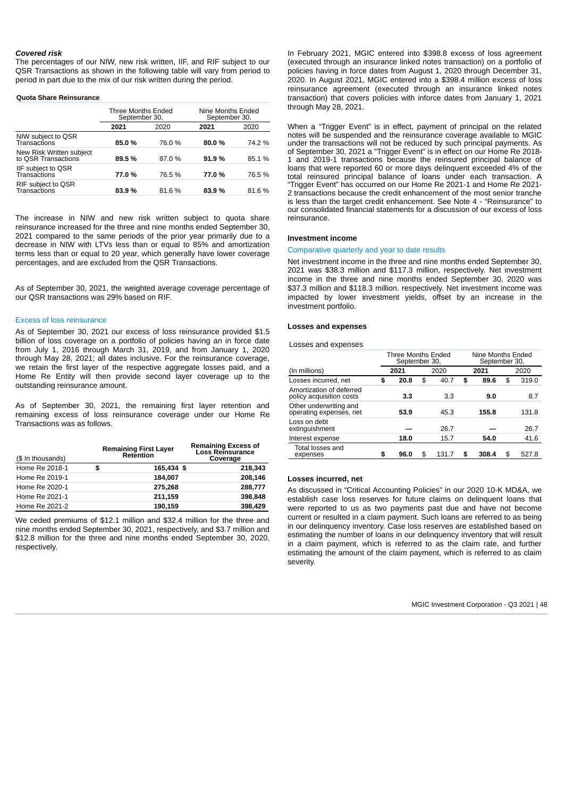#### *Covered risk*

The percentages of our NIW, new risk written, IIF, and RIF subject to our QSR Transactions as shown in the following table will vary from period to period in part due to the mix of our risk written during the period.

#### **Quota Share Reinsurance**

|                                                 | Three Months Ended<br>September 30, |        | Nine Months Ended<br>September 30, |        |
|-------------------------------------------------|-------------------------------------|--------|------------------------------------|--------|
|                                                 | 2021                                | 2020   | 2021                               | 2020   |
| NIW subject to QSR<br>Transactions              | 85.0%                               | 76.0 % | 80.0%                              | 74.2 % |
| New Risk Written subject<br>to QSR Transactions | 89.5%                               | 87.0%  | 91.9%                              | 85.1 % |
| IIF subject to QSR<br>Transactions              | 77.0%                               | 76.5 % | 77.0%                              | 76.5 % |
| RIF subject to QSR<br>Transactions              | 83.9%                               | 81.6%  | 83.9%                              | 81.6%  |

The increase in NIW and new risk written subject to quota share reinsurance increased for the three and nine months ended September 30, 2021 compared to the same periods of the prior year primarily due to a decrease in NIW with LTVs less than or equal to 85% and amortization terms less than or equal to 20 year, which generally have lower coverage percentages, and are excluded from the QSR Transactions.

As of September 30, 2021, the weighted average coverage percentage of our QSR transactions was 29% based on RIF.

#### Excess of loss reinsurance

As of September 30, 2021 our excess of loss reinsurance provided \$1.5 billion of loss coverage on a portfolio of policies having an in force date from July 1, 2016 through March 31, 2019, and from January 1, 2020 through May 28, 2021; all dates inclusive. For the reinsurance coverage, we retain the first layer of the respective aggregate losses paid, and a Home Re Entity will then provide second layer coverage up to the outstanding reinsurance amount.

As of September 30, 2021, the remaining first layer retention and remaining excess of loss reinsurance coverage under our Home Re Transactions was as follows.

| (\$ In thousands) | <b>Remaining First Layer</b><br>Retention | <b>Remaining Excess of<br/>Loss Reinsurance</b><br>Coverage |
|-------------------|-------------------------------------------|-------------------------------------------------------------|
| Home Re 2018-1    | \$<br>165,434 \$                          | 218.343                                                     |
| Home Re 2019-1    | 184.007                                   | 208.146                                                     |
| Home Re 2020-1    | 275,268                                   | 288,777                                                     |
| Home Re 2021-1    | 211.159                                   | 398.848                                                     |
| Home Re 2021-2    | 190.159                                   | 398,429                                                     |

We ceded premiums of \$12.1 million and \$32.4 million for the three and nine months ended September 30, 2021, respectively, and \$3.7 million and \$12.8 million for the three and nine months ended September 30, 2020, respectively.

In February 2021, MGIC entered into \$398.8 excess of loss agreement (executed through an insurance linked notes transaction) on a portfolio of policies having in force dates from August 1, 2020 through December 31, 2020. In August 2021, MGIC entered into a \$398.4 million excess of loss reinsurance agreement (executed through an insurance linked notes transaction) that covers policies with inforce dates from January 1, 2021 through May 28, 2021.

When a "Trigger Event" is in effect, payment of principal on the related notes will be suspended and the reinsurance coverage available to MGIC under the transactions will not be reduced by such principal payments. As of September 30, 2021 a "Trigger Event" is in effect on our Home Re 2018- 1 and 2019-1 transactions because the reinsured principal balance of loans that were reported 60 or more days delinquent exceeded 4% of the total reinsured principal balance of loans under each transaction. A "Trigger Event" has occurred on our Home Re 2021-1 and Home Re 2021- 2 transactions because the credit enhancement of the most senior tranche is less than the target credit enhancement. See Note 4 - "Reinsurance" to our consolidated financial statements for a discussion of our excess of loss reinsurance.

## **Investment income**

#### Comparative quarterly and year to date results

Net investment income in the three and nine months ended September 30, 2021 was \$38.3 million and \$117.3 million, respectively. Net investment income in the three and nine months ended September 30, 2020 was \$37.3 million and \$118.3 million. respectively. Net investment income was impacted by lower investment yields, offset by an increase in the investment portfolio.

## **Losses and expenses**

Losses and expenses

|                                                      | Three Months Ended<br>September 30, |      |    | Nine Months Ended<br>September 30, |    |       |      |       |
|------------------------------------------------------|-------------------------------------|------|----|------------------------------------|----|-------|------|-------|
| (In millions)                                        |                                     | 2021 |    | 2020                               |    | 2021  | 2020 |       |
| Losses incurred, net                                 | \$                                  | 20.8 | \$ | 40.7                               | \$ | 89.6  | \$   | 319.0 |
| Amortization of deferred<br>policy acquisition costs |                                     | 3.3  |    | 3.3                                |    | 9.0   |      | 8.7   |
| Other underwriting and<br>operating expenses, net    |                                     | 53.9 |    | 45.3                               |    | 155.8 |      | 131.8 |
| Loss on debt<br>extinguishment                       |                                     |      |    | 26.7                               |    |       |      | 26.7  |
| Interest expense                                     |                                     | 18.0 |    | 15.7                               |    | 54.0  |      | 41.6  |
| Total losses and<br>expenses                         | \$                                  | 96.0 | \$ | 131.7                              | \$ | 308.4 | \$   | 527.8 |

## **Losses incurred, net**

As discussed in "Critical Accounting Policies" in our 2020 10-K MD&A, we establish case loss reserves for future claims on delinquent loans that were reported to us as two payments past due and have not become current or resulted in a claim payment. Such loans are referred to as being in our delinquency inventory. Case loss reserves are established based on estimating the number of loans in our delinquency inventory that will result in a claim payment, which is referred to as the claim rate, and further estimating the amount of the claim payment, which is referred to as claim severity.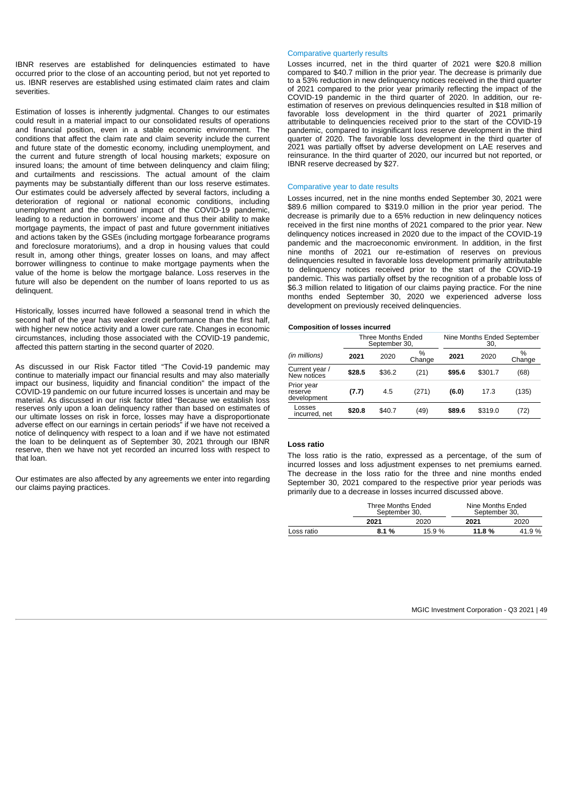IBNR reserves are established for delinquencies estimated to have occurred prior to the close of an accounting period, but not yet reported to us. IBNR reserves are established using estimated claim rates and claim severities.

Estimation of losses is inherently judgmental. Changes to our estimates could result in a material impact to our consolidated results of operations and financial position, even in a stable economic environment. The conditions that affect the claim rate and claim severity include the current and future state of the domestic economy, including unemployment, and the current and future strength of local housing markets; exposure on insured loans; the amount of time between delinquency and claim filing; and curtailments and rescissions. The actual amount of the claim payments may be substantially different than our loss reserve estimates. Our estimates could be adversely affected by several factors, including a deterioration of regional or national economic conditions, including unemployment and the continued impact of the COVID-19 pandemic, leading to a reduction in borrowers' income and thus their ability to make mortgage payments, the impact of past and future government initiatives and actions taken by the GSEs (including mortgage forbearance programs and foreclosure moratoriums), and a drop in housing values that could result in, among other things, greater losses on loans, and may affect borrower willingness to continue to make mortgage payments when the value of the home is below the mortgage balance. Loss reserves in the future will also be dependent on the number of loans reported to us as delinquent.

Historically, losses incurred have followed a seasonal trend in which the second half of the year has weaker credit performance than the first half, with higher new notice activity and a lower cure rate. Changes in economic circumstances, including those associated with the COVID-19 pandemic, affected this pattern starting in the second quarter of 2020.

As discussed in our Risk Factor titled "The Covid-19 pandemic may continue to materially impact our financial results and may also materially impact our business, liquidity and financial condition" the impact of the COVID-19 pandemic on our future incurred losses is uncertain and may be material. As discussed in our risk factor titled "Because we establish loss reserves only upon a loan delinquency rather than based on estimates of our ultimate losses on risk in force, losses may have a disproportionate adverse effect on our earnings in certain periods" if we have not received a notice of delinquency with respect to a loan and if we have not estimated the loan to be delinquent as of September 30, 2021 through our IBNR reserve, then we have not yet recorded an incurred loss with respect to that loan.

Our estimates are also affected by any agreements we enter into regarding our claims paying practices.

#### Comparative quarterly results

Losses incurred, net in the third quarter of 2021 were \$20.8 million compared to \$40.7 million in the prior year. The decrease is primarily due to a 53% reduction in new delinquency notices received in the third quarter of 2021 compared to the prior year primarily reflecting the impact of the COVID-19 pandemic in the third quarter of 2020. In addition, our reestimation of reserves on previous delinquencies resulted in \$18 million of favorable loss development in the third quarter of 2021 primarily attributable to delinquencies received prior to the start of the COVID-19 pandemic, compared to insignificant loss reserve development in the third quarter of 2020. The favorable loss development in the third quarter of 2021 was partially offset by adverse development on LAE reserves and reinsurance. In the third quarter of 2020, our incurred but not reported, or IBNR reserve decreased by \$27.

#### Comparative year to date results

Losses incurred, net in the nine months ended September 30, 2021 were \$89.6 million compared to \$319.0 million in the prior year period. The decrease is primarily due to a 65% reduction in new delinquency notices received in the first nine months of 2021 compared to the prior year. New delinquency notices increased in 2020 due to the impact of the COVID-19 pandemic and the macroeconomic environment. In addition, in the first nine months of 2021 our re-estimation of reserves on previous delinquencies resulted in favorable loss development primarily attributable to delinquency notices received prior to the start of the COVID-19 pandemic. This was partially offset by the recognition of a probable loss of \$6.3 million related to litigation of our claims paying practice. For the nine months ended September 30, 2020 we experienced adverse loss development on previously received delinquencies.

## **Composition of losses incurred**

|                                      |        | Three Months Ended<br>September 30, |                         | Nine Months Ended September<br>30, |         |                         |
|--------------------------------------|--------|-------------------------------------|-------------------------|------------------------------------|---------|-------------------------|
| (in millions)                        | 2021   | 2020                                | $\frac{0}{0}$<br>Change | 2021                               | 2020    | $\frac{0}{0}$<br>Change |
| Current year /<br>New notices        | \$28.5 | \$36.2                              | (21)                    | \$95.6                             | \$301.7 | (68)                    |
| Prior year<br>reserve<br>development | (7.7)  | 4.5                                 | (271)                   | (6.0)                              | 17.3    | (135)                   |
| Losses<br>incurred, net              | \$20.8 | \$40.7                              | (49)                    | \$89.6                             | \$319.0 | (72)                    |

## **Loss ratio**

The loss ratio is the ratio, expressed as a percentage, of the sum of incurred losses and loss adjustment expenses to net premiums earned. The decrease in the loss ratio for the three and nine months ended September 30, 2021 compared to the respective prior year periods was primarily due to a decrease in losses incurred discussed above.

|            | Three Months Ended<br>September 30. |       | Nine Months Ended<br>September 30. |       |
|------------|-------------------------------------|-------|------------------------------------|-------|
|            | 2021                                | 2020  | 2021                               | 2020  |
| Loss ratio | 8.1%                                | 15.9% | 11.8 %                             | 41.9% |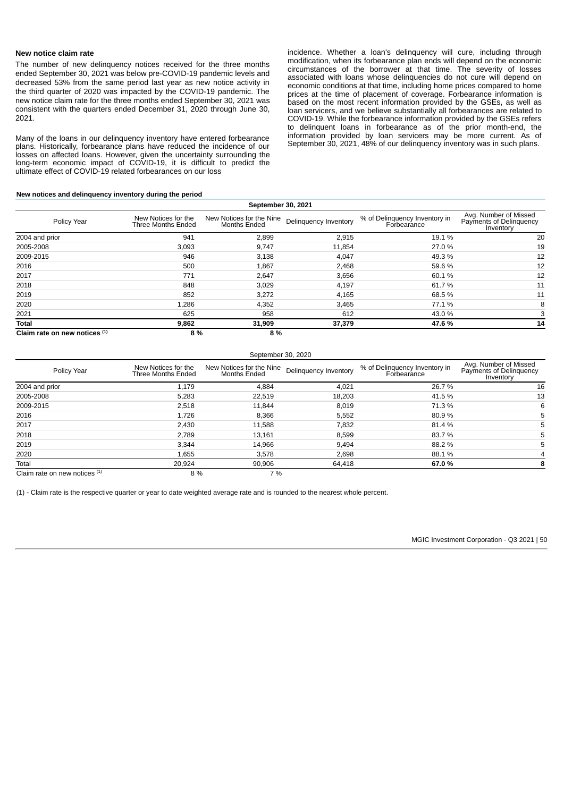#### **New notice claim rate**

The number of new delinquency notices received for the three months ended September 30, 2021 was below pre-COVID-19 pandemic levels and decreased 53% from the same period last year as new notice activity in the third quarter of 2020 was impacted by the COVID-19 pandemic. The new notice claim rate for the three months ended September 30, 2021 was consistent with the quarters ended December 31, 2020 through June 30, 2021.

Many of the loans in our delinquency inventory have entered forbearance plans. Historically, forbearance plans have reduced the incidence of our losses on affected loans. However, given the uncertainty surrounding the long-term economic impact of COVID-19, it is difficult to predict the ultimate effect of COVID-19 related forbearances on our loss

#### **New notices and delinquency inventory during the period**

incidence. Whether a loan's delinquency will cure, including through modification, when its forbearance plan ends will depend on the economic circumstances of the borrower at that time. The severity of losses associated with loans whose delinquencies do not cure will depend on economic conditions at that time, including home prices compared to home prices at the time of placement of coverage. Forbearance information is based on the most recent information provided by the GSEs, as well as loan servicers, and we believe substantially all forbearances are related to COVID-19. While the forbearance information provided by the GSEs refers to delinquent loans in forbearance as of the prior month-end, the information provided by loan servicers may be more current. As of September 30, 2021, 48% of our delinquency inventory was in such plans.

| September 30, 2021            |                                           |                                                 |                       |                                              |                                                               |  |  |  |
|-------------------------------|-------------------------------------------|-------------------------------------------------|-----------------------|----------------------------------------------|---------------------------------------------------------------|--|--|--|
| Policy Year                   | New Notices for the<br>Three Months Ended | New Notices for the Nine<br><b>Months Ended</b> | Delinquency Inventory | % of Delinquency Inventory in<br>Forbearance | Avg. Number of Missed<br>Payments of Delinguency<br>Inventory |  |  |  |
| 2004 and prior                | 941                                       | 2,899                                           | 2,915                 | 19.1 %                                       | 20                                                            |  |  |  |
| 2005-2008                     | 3,093                                     | 9,747                                           | 11,854                | 27.0 %                                       | 19                                                            |  |  |  |
| 2009-2015                     | 946                                       | 3,138                                           | 4,047                 | 49.3 %                                       | 12                                                            |  |  |  |
| 2016                          | 500                                       | 1,867                                           | 2,468                 | 59.6 %                                       | 12                                                            |  |  |  |
| 2017                          | 771                                       | 2,647                                           | 3,656                 | 60.1%                                        | 12                                                            |  |  |  |
| 2018                          | 848                                       | 3,029                                           | 4,197                 | 61.7%                                        | 11                                                            |  |  |  |
| 2019                          | 852                                       | 3,272                                           | 4,165                 | 68.5 %                                       | 11                                                            |  |  |  |
| 2020                          | 1,286                                     | 4,352                                           | 3,465                 | 77.1 %                                       | 8                                                             |  |  |  |
| 2021                          | 625                                       | 958                                             | 612                   | 43.0 %                                       |                                                               |  |  |  |
| Total                         | 9,862                                     | 31,909                                          | 37,379                | 47.6%                                        | 14                                                            |  |  |  |
| Claim rate on new notices (1) | 8 %                                       | 8 %                                             |                       |                                              |                                                               |  |  |  |

| September 30, 2020              |                                           |                                                 |                       |                                              |                                                               |  |  |
|---------------------------------|-------------------------------------------|-------------------------------------------------|-----------------------|----------------------------------------------|---------------------------------------------------------------|--|--|
| Policy Year                     | New Notices for the<br>Three Months Ended | New Notices for the Nine<br><b>Months Ended</b> | Delinquency Inventory | % of Delinquency Inventory in<br>Forbearance | Avg. Number of Missed<br>Payments of Delinquency<br>Inventory |  |  |
| 2004 and prior                  | 1.179                                     | 4.884                                           | 4,021                 | 26.7 %                                       | 16                                                            |  |  |
| 2005-2008                       | 5,283                                     | 22,519                                          | 18,203                | 41.5 %                                       | 13                                                            |  |  |
| 2009-2015                       | 2,518                                     | 11.844                                          | 8,019                 | 71.3 %                                       | 6                                                             |  |  |
| 2016                            | 1,726                                     | 8,366                                           | 5,552                 | 80.9%                                        |                                                               |  |  |
| 2017                            | 2,430                                     | 11,588                                          | 7,832                 | 81.4 %                                       |                                                               |  |  |
| 2018                            | 2.789                                     | 13,161                                          | 8,599                 | 83.7%                                        |                                                               |  |  |
| 2019                            | 3.344                                     | 14.966                                          | 9,494                 | 88.2 %                                       |                                                               |  |  |
| 2020                            | 1.655                                     | 3,578                                           | 2,698                 | 88.1 %                                       | 4                                                             |  |  |
| Total                           | 20.924                                    | 90,906                                          | 64,418                | 67.0%                                        | 8                                                             |  |  |
| Claim rate on new notices $(1)$ | 8 %                                       | 7 %                                             |                       |                                              |                                                               |  |  |

(1) - Claim rate is the respective quarter or year to date weighted average rate and is rounded to the nearest whole percent.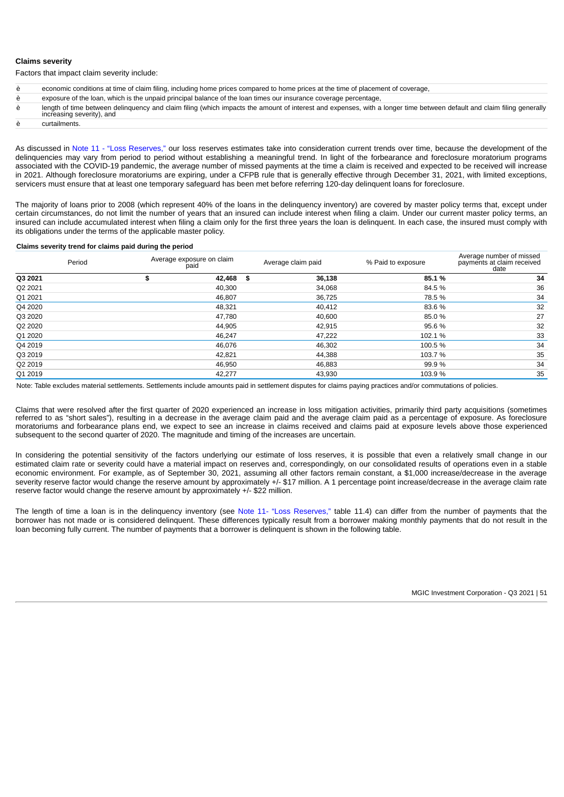## **Claims severity**

Factors that impact claim severity include:

- è economic conditions at time of claim filing, including home prices compared to home prices at the time of placement of coverage,
- è exposure of the loan, which is the unpaid principal balance of the loan times our insurance coverage percentage,
- è length of time between delinquency and claim filing (which impacts the amount of interest and expenses, with a longer time between default and claim filing generally increasing severity), and

è curtailments.

As discussed in [Note 11 - "Loss Reserves,"](#page-28-0) our loss reserves estimates take into consideration current trends over time, because the development of the delinquencies may vary from period to period without establishing a meaningful trend. In light of the forbearance and foreclosure moratorium programs associated with the COVID-19 pandemic, the average number of missed payments at the time a claim is received and expected to be received will increase in 2021. Although foreclosure moratoriums are expiring, under a CFPB rule that is generally effective through December 31, 2021, with limited exceptions, servicers must ensure that at least one temporary safeguard has been met before referring 120-day delinquent loans for foreclosure.

The majority of loans prior to 2008 (which represent 40% of the loans in the delinquency inventory) are covered by master policy terms that, except under certain circumstances, do not limit the number of years that an insured can include interest when filing a claim. Under our current master policy terms, an insured can include accumulated interest when filing a claim only for the first three years the loan is delinquent. In each case, the insured must comply with its obligations under the terms of the applicable master policy.

#### **Claims severity trend for claims paid during the period**

|         | Period | Average exposure on claim<br>paid | Average claim paid | % Paid to exposure | Average number of missed<br>payments at claim received<br>date |
|---------|--------|-----------------------------------|--------------------|--------------------|----------------------------------------------------------------|
| Q3 2021 |        | \$<br>42,468 \$                   | 36,138             | 85.1%              | 34                                                             |
| Q2 2021 |        | 40,300                            | 34,068             | 84.5 %             | 36                                                             |
| Q1 2021 |        | 46,807                            | 36.725             | 78.5 %             | 34                                                             |
| Q4 2020 |        | 48,321                            | 40,412             | 83.6%              | 32                                                             |
| Q3 2020 |        | 47,780                            | 40.600             | 85.0%              | 27                                                             |
| Q2 2020 |        | 44,905                            | 42,915             | 95.6%              | 32                                                             |
| Q1 2020 |        | 46,247                            | 47,222             | 102.1 %            | 33                                                             |
| Q4 2019 |        | 46,076                            | 46,302             | 100.5 %            | 34                                                             |
| Q3 2019 |        | 42,821                            | 44,388             | 103.7 %            | 35                                                             |
| Q2 2019 |        | 46,950                            | 46,883             | 99.9 %             | 34                                                             |
| Q1 2019 |        | 42,277                            | 43,930             | 103.9 %            | 35                                                             |

Note: Table excludes material settlements. Settlements include amounts paid in settlement disputes for claims paying practices and/or commutations of policies.

Claims that were resolved after the first quarter of 2020 experienced an increase in loss mitigation activities, primarily third party acquisitions (sometimes referred to as "short sales"), resulting in a decrease in the average claim paid and the average claim paid as a percentage of exposure. As foreclosure moratoriums and forbearance plans end, we expect to see an increase in claims received and claims paid at exposure levels above those experienced subsequent to the second quarter of 2020. The magnitude and timing of the increases are uncertain.

In considering the potential sensitivity of the factors underlying our estimate of loss reserves, it is possible that even a relatively small change in our estimated claim rate or severity could have a material impact on reserves and, correspondingly, on our consolidated results of operations even in a stable economic environment. For example, as of September 30, 2021, assuming all other factors remain constant, a \$1,000 increase/decrease in the average severity reserve factor would change the reserve amount by approximately +/- \$17 million. A 1 percentage point increase/decrease in the average claim rate reserve factor would change the reserve amount by approximately +/- \$22 million.

The length of time a loan is in the delinquency inventory (see [Note 11- "Loss Reserves,"](#page-28-0) table 11.4) can differ from the number of payments that the borrower has not made or is considered delinquent. These differences typically result from a borrower making monthly payments that do not result in the loan becoming fully current. The number of payments that a borrower is delinquent is shown in the following table.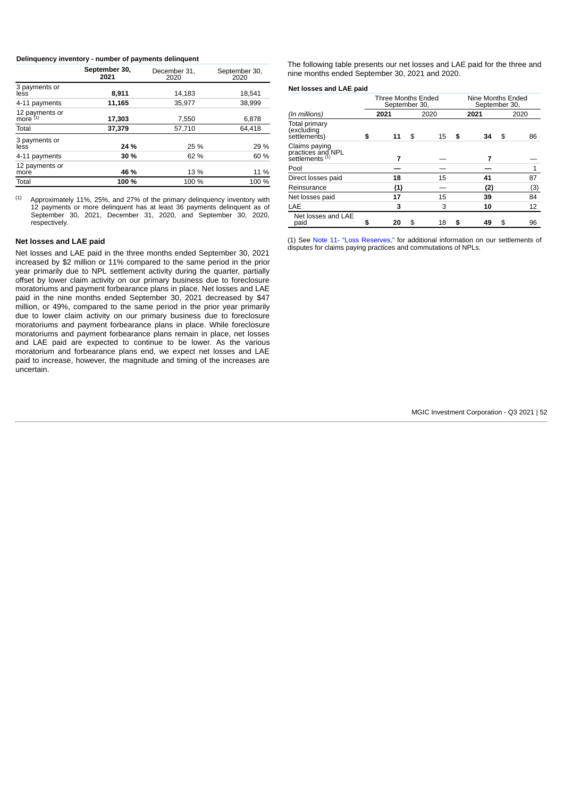#### **Delinquency inventory - number of payments delinquent**

|                              | September 30,<br>2021 | December 31.<br>2020 | September 30,<br>2020 |
|------------------------------|-----------------------|----------------------|-----------------------|
| 3 payments or<br>less        | 8.911                 | 14,183               | 18,541                |
| 4-11 payments                | 11,165                | 35.977               | 38,999                |
| 12 payments or<br>more $(1)$ | 17,303                | 7,550                | 6,878                 |
| Total                        | 37.379                | 57,710               | 64.418                |
| 3 payments or<br>less        | 24 %                  | 25 %                 | 29 %                  |
| 4-11 payments                | 30 %                  | 62 %                 | 60 %                  |
| 12 payments or<br>more       | 46 %                  | 13 %                 | 11 %                  |
| Total                        | 100 %                 | 100 %                | 100 %                 |

Approximately 11%, 25%, and 27% of the primary delinquency inventory with 12 payments or more delinquent has at least 36 payments delinquent as of September 30, 2021, December 31, 2020, and September 30, 2020, respectively. (1)

#### **Net losses and LAE paid**

Net losses and LAE paid in the three months ended September 30, 2021 increased by \$2 million or 11% compared to the same period in the prior year primarily due to NPL settlement activity during the quarter, partially offset by lower claim activity on our primary business due to foreclosure moratoriums and payment forbearance plans in place. Net losses and LAE paid in the nine months ended September 30, 2021 decreased by \$47 million, or 49%, compared to the same period in the prior year primarily due to lower claim activity on our primary business due to foreclosure moratoriums and payment forbearance plans in place. While foreclosure moratoriums and payment forbearance plans remain in place, net losses and LAE paid are expected to continue to be lower. As the various moratorium and forbearance plans end, we expect net losses and LAE paid to increase, however, the magnitude and timing of the increases are uncertain.

The following table presents our net losses and LAE paid for the three and nine months ended September 30, 2021 and 2020.

## **Net losses and LAE paid**

|                                                                  |    |      | Three Months Ended<br>September 30, |          | Nine Months Ended<br>September 30, |                |  |
|------------------------------------------------------------------|----|------|-------------------------------------|----------|------------------------------------|----------------|--|
| (In millions)                                                    |    | 2021 | 2020                                | 2021     |                                    | 2020           |  |
| Total primary<br>(excluding<br>settlements)                      | \$ | 11   | \$<br>15                            | \$<br>34 | \$                                 | 86             |  |
| Claims paying<br>practices and NPL<br>settlements <sup>(1)</sup> |    | 7    |                                     | 7        |                                    |                |  |
| Pool                                                             |    |      |                                     |          |                                    | $\overline{1}$ |  |
| Direct losses paid                                               |    | 18   | 15                                  | 41       |                                    | 87             |  |
| Reinsurance                                                      |    | (1)  |                                     | (2)      |                                    | (3)            |  |
| Net losses paid                                                  |    | 17   | 15                                  | 39       |                                    | 84             |  |
| LAE                                                              |    | 3    | 3                                   | 10       |                                    | 12             |  |
| Net losses and LAE<br>paid                                       | \$ | 20   | \$<br>18                            | \$<br>49 | \$                                 | 96             |  |

(1) See Note 11- "Loss [Reserves,"](#page-28-0) for additional information on our settlements of disputes for claims paying practices and commutations of NPLs.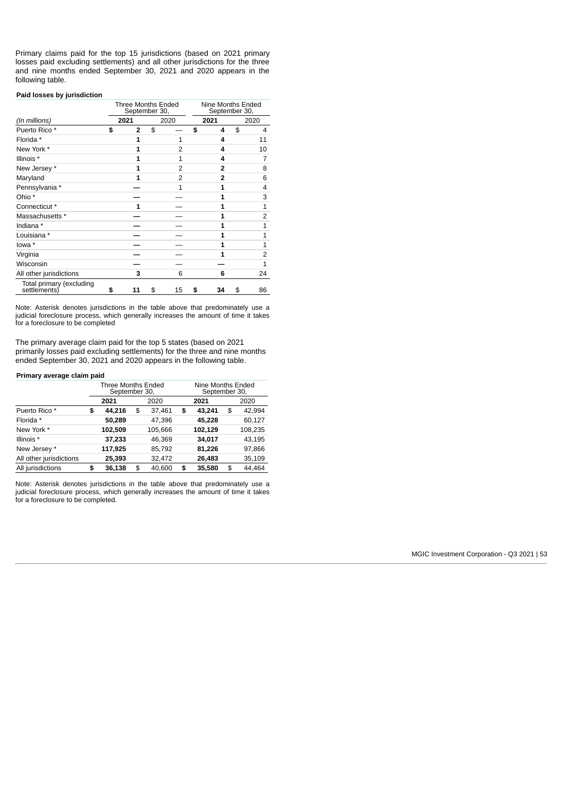Primary claims paid for the top 15 jurisdictions (based on 2021 primary losses paid excluding settlements) and all other jurisdictions for the three and nine months ended September 30, 2021 and 2020 appears in the following table.

## **Paid losses by jurisdiction**

|                                          | Three Months Ended<br>September 30, |                | Nine Months Ended<br>September 30, |                |
|------------------------------------------|-------------------------------------|----------------|------------------------------------|----------------|
| (In millions)                            | 2021                                | 2020           | 2021                               | 2020           |
| Puerto Rico *                            | \$<br>$\overline{2}$                | \$             | \$<br>4                            | \$<br>4        |
| Florida *                                | 1                                   | $\mathbf{1}$   | 4                                  | 11             |
| New York *                               | 1                                   | 2              | 4                                  | 10             |
| Illinois *                               | 1                                   | $\mathbf{1}$   | 4                                  | 7              |
| New Jersey *                             | 1                                   | $\overline{2}$ | 2                                  | 8              |
| Maryland                                 | 1                                   | 2              | 2                                  | 6              |
| Pennsylvania *                           |                                     | $\mathbf{1}$   | 1                                  | 4              |
| Ohio *                                   |                                     |                | 1                                  | 3              |
| Connecticut *                            | 1                                   |                | $\mathbf{1}$                       | 1              |
| Massachusetts *                          |                                     |                | 1                                  | $\overline{2}$ |
| Indiana *                                |                                     |                | $\mathbf{1}$                       | $\mathbf{1}$   |
| Louisiana *                              |                                     |                | 1                                  | 1              |
| lowa *                                   |                                     |                | 1                                  | 1              |
| Virginia                                 |                                     |                | 1                                  | $\overline{2}$ |
| Wisconsin                                |                                     |                |                                    | 1              |
| All other jurisdictions                  | 3                                   | 6              | 6                                  | 24             |
| Total primary (excluding<br>settlements) | \$<br>11                            | \$<br>15       | \$<br>34                           | \$<br>86       |

Note: Asterisk denotes jurisdictions in the table above that predominately use a judicial foreclosure process, which generally increases the amount of time it takes for a foreclosure to be completed

The primary average claim paid for the top 5 states (based on 2021 primarily losses paid excluding settlements) for the three and nine months ended September 30, 2021 and 2020 appears in the following table.

## **Primary average claim paid**

|                         | Three Months Ended<br>September 30, |              | Nine Months Ended<br>September 30, |              |
|-------------------------|-------------------------------------|--------------|------------------------------------|--------------|
|                         | 2021                                | 2020         | 2021                               | 2020         |
| Puerto Rico *           | \$<br>44.216                        | \$<br>37,461 | \$<br>43.241                       | \$<br>42.994 |
| Florida *               | 50,289                              | 47.396       | 45,228                             | 60,127       |
| New York *              | 102,509                             | 105,666      | 102,129                            | 108,235      |
| Illinois *              | 37,233                              | 46.369       | 34,017                             | 43,195       |
| New Jersey *            | 117,925                             | 85,792       | 81,226                             | 97,866       |
| All other jurisdictions | 25.393                              | 32.472       | 26,483                             | 35,109       |
| All jurisdictions       | \$<br>36.138                        | \$<br>40.600 | \$<br>35,580                       | \$<br>44.464 |

Note: Asterisk denotes jurisdictions in the table above that predominately use a judicial foreclosure process, which generally increases the amount of time it takes for a foreclosure to be completed*.*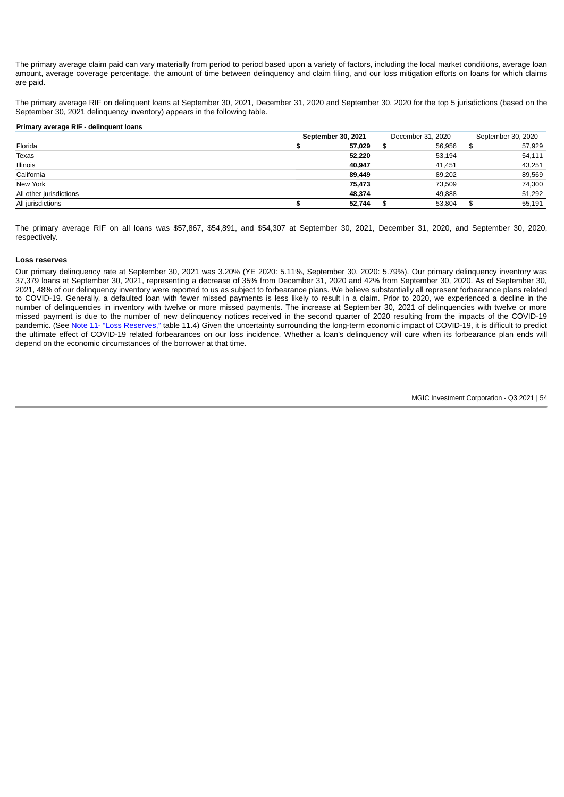The primary average claim paid can vary materially from period to period based upon a variety of factors, including the local market conditions, average loan amount, average coverage percentage, the amount of time between delinquency and claim filing, and our loss mitigation efforts on loans for which claims are paid.

The primary average RIF on delinquent loans at September 30, 2021, December 31, 2020 and September 30, 2020 for the top 5 jurisdictions (based on the September 30, 2021 delinquency inventory) appears in the following table.

#### **Primary average RIF - delinquent loans**

|                         | September 30, 2021 | December 31, 2020 | September 30, 2020 |
|-------------------------|--------------------|-------------------|--------------------|
| Florida                 | 57,029             | 56.956            | \$<br>57,929       |
| Texas                   | 52,220             | 53.194            | 54,111             |
| <b>Illinois</b>         | 40.947             | 41.451            | 43,251             |
| California              | 89,449             | 89.202            | 89,569             |
| New York                | 75.473             | 73.509            | 74,300             |
| All other jurisdictions | 48.374             | 49.888            | 51,292             |
| All jurisdictions       | 52.744             | 53.804            | \$<br>55,191       |

The primary average RIF on all loans was \$57,867, \$54,891, and \$54,307 at September 30, 2021, December 31, 2020, and September 30, 2020, respectively.

### **Loss reserves**

Our primary delinquency rate at September 30, 2021 was 3.20% (YE 2020: 5.11%, September 30, 2020: 5.79%). Our primary delinquency inventory was 37,379 loans at September 30, 2021, representing a decrease of 35% from December 31, 2020 and 42% from September 30, 2020. As of September 30, 2021, 48% of our delinquency inventory were reported to us as subject to forbearance plans. We believe substantially all represent forbearance plans related to COVID-19. Generally, a defaulted loan with fewer missed payments is less likely to result in a claim. Prior to 2020, we experienced a decline in the number of delinquencies in inventory with twelve or more missed payments. The increase at September 30, 2021 of delinquencies with twelve or more missed payment is due to the number of new delinquency notices received in the second quarter of 2020 resulting from the impacts of the COVID-19 pandemic. (See [Note 11- "Loss Reserves,"](#page-28-0) table 11.4) Given the uncertainty surrounding the long-term economic impact of COVID-19, it is difficult to predict the ultimate effect of COVID-19 related forbearances on our loss incidence. Whether a loan's delinquency will cure when its forbearance plan ends will depend on the economic circumstances of the borrower at that time.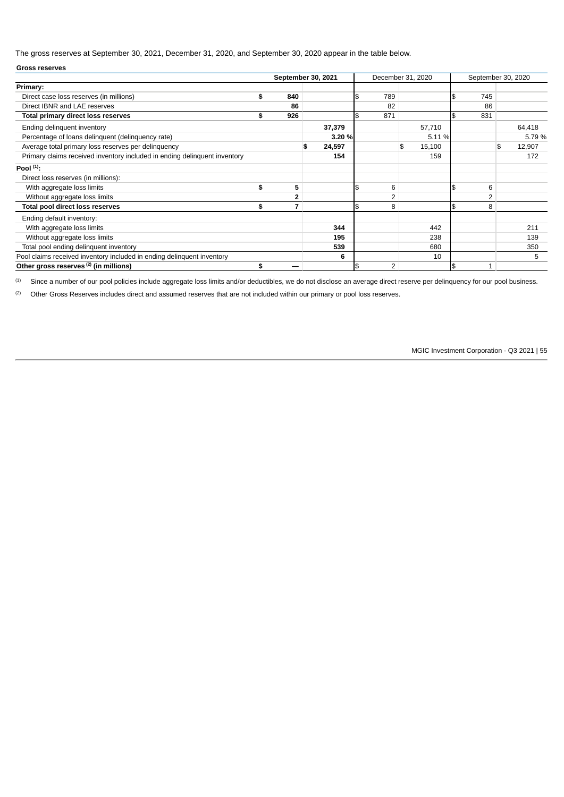The gross reserves at September 30, 2021, December 31, 2020, and September 30, 2020 appear in the table below.

| <b>Gross reserves</b>                                                     |                      |              |                      |              |                |                    |
|---------------------------------------------------------------------------|----------------------|--------------|----------------------|--------------|----------------|--------------------|
|                                                                           | September 30, 2021   |              | December 31, 2020    |              |                | September 30, 2020 |
| Primary:                                                                  |                      |              |                      |              |                |                    |
| Direct case loss reserves (in millions)                                   | \$<br>840            |              | \$<br>789            |              | \$<br>745      |                    |
| Direct IBNR and LAE reserves                                              | 86                   |              | 82                   |              | 86             |                    |
| <b>Total primary direct loss reserves</b>                                 | \$<br>926            |              | \$<br>871            |              | \$<br>831      |                    |
| Ending delinquent inventory                                               |                      | 37,379       |                      | 57,710       |                | 64,418             |
| Percentage of loans delinquent (delinquency rate)                         |                      | 3.20 %       |                      | 5.11 %       |                | 5.79 %             |
| Average total primary loss reserves per delinquency                       |                      | \$<br>24,597 |                      | \$<br>15,100 |                | \$<br>12,907       |
| Primary claims received inventory included in ending delinquent inventory |                      | 154          |                      | 159          |                | 172                |
| Pool $(1)$ :                                                              |                      |              |                      |              |                |                    |
| Direct loss reserves (in millions):                                       |                      |              |                      |              |                |                    |
| With aggregate loss limits                                                | \$<br>5              |              | 6                    |              | 6              |                    |
| Without aggregate loss limits                                             | 2                    |              | 2                    |              | $\overline{c}$ |                    |
| Total pool direct loss reserves                                           | \$<br>$\overline{7}$ |              | \$<br>8              |              | \$<br>8        |                    |
| Ending default inventory:                                                 |                      |              |                      |              |                |                    |
| With aggregate loss limits                                                |                      | 344          |                      | 442          |                | 211                |
| Without aggregate loss limits                                             |                      | 195          |                      | 238          |                | 139                |
| Total pool ending delinquent inventory                                    |                      | 539          |                      | 680          |                | 350                |
| Pool claims received inventory included in ending delinquent inventory    |                      | 6            |                      | 10           |                | 5                  |
| Other gross reserves <sup>(2)</sup> (in millions)                         | \$                   |              | \$<br>$\overline{c}$ |              | \$             |                    |

Since a number of our pool policies include aggregate loss limits and/or deductibles, we do not disclose an average direct reserve per delinquency for our pool business. (1)

Other Gross Reserves includes direct and assumed reserves that are not included within our primary or pool loss reserves. (2)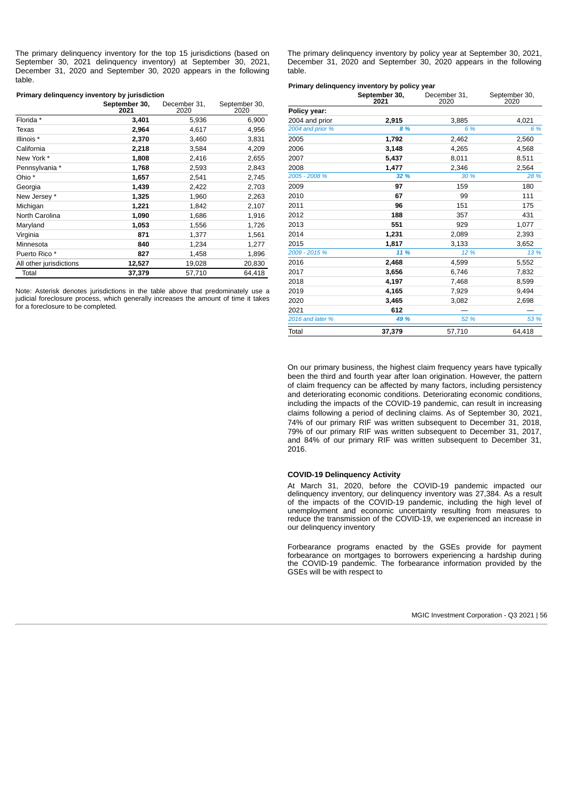The primary delinquency inventory for the top 15 jurisdictions (based on September 30, 2021 delinquency inventory) at September 30, 2021, December 31, 2020 and September 30, 2020 appears in the following table.

#### **Primary delinquency inventory by jurisdiction**

|                         | September 30,<br>2021 | December 31.<br>2020 | September 30,<br>2020 |
|-------------------------|-----------------------|----------------------|-----------------------|
| Florida *               | 3,401                 | 5,936                | 6,900                 |
| Texas                   | 2,964                 | 4,617                | 4,956                 |
| Illinois *              | 2,370                 | 3,460                | 3,831                 |
| California              | 2,218                 | 3,584                | 4,209                 |
| New York *              | 1,808                 | 2,416                | 2,655                 |
| Pennsylvania *          | 1,768                 | 2,593                | 2,843                 |
| Ohio *                  | 1,657                 | 2,541                | 2,745                 |
| Georgia                 | 1,439                 | 2,422                | 2,703                 |
| New Jersey *            | 1,325                 | 1,960                | 2,263                 |
| Michigan                | 1,221                 | 1,842                | 2,107                 |
| North Carolina          | 1,090                 | 1,686                | 1,916                 |
| Maryland                | 1,053                 | 1,556                | 1,726                 |
| Virginia                | 871                   | 1,377                | 1,561                 |
| Minnesota               | 840                   | 1,234                | 1,277                 |
| Puerto Rico *           | 827                   | 1,458                | 1,896                 |
| All other jurisdictions | 12,527                | 19,028               | 20,830                |
| Total                   | 37,379                | 57,710               | 64.418                |

Note: Asterisk denotes jurisdictions in the table above that predominately use a judicial foreclosure process, which generally increases the amount of time it takes for a foreclosure to be completed*.*

The primary delinquency inventory by policy year at September 30, 2021, December 31, 2020 and September 30, 2020 appears in the following table.

|                  | Primary delinguency inventory by policy year<br>September 30,<br>2021 | December 31,<br>2020 | September 30,<br>2020 |
|------------------|-----------------------------------------------------------------------|----------------------|-----------------------|
| Policy year:     |                                                                       |                      |                       |
| 2004 and prior   | 2,915                                                                 | 3,885                | 4,021                 |
| 2004 and prior % | 8 %                                                                   | 6 %                  | 6 %                   |
| 2005             | 1,792                                                                 | 2,462                | 2,560                 |
| 2006             | 3,148                                                                 | 4,265                | 4,568                 |
| 2007             | 5,437                                                                 | 8,011                | 8,511                 |
| 2008             | 1,477                                                                 | 2,346                | 2,564                 |
| 2005 - 2008 %    | 32 %                                                                  | 30 %                 | 28 %                  |
| 2009             | 97                                                                    | 159                  | 180                   |
| 2010             | 67                                                                    | 99                   | 111                   |
| 2011             | 96                                                                    | 151                  | 175                   |
| 2012             | 188                                                                   | 357                  | 431                   |
| 2013             | 551                                                                   | 929                  | 1,077                 |
| 2014             | 1,231                                                                 | 2,089                | 2,393                 |
| 2015             | 1.817                                                                 | 3,133                | 3,652                 |
| 2009 - 2015 %    | 11 %                                                                  | 12 %                 | 13 %                  |
| 2016             | 2.468                                                                 | 4,599                | 5,552                 |
| 2017             | 3,656                                                                 | 6,746                | 7,832                 |
| 2018             | 4,197                                                                 | 7,468                | 8,599                 |
| 2019             | 4,165                                                                 | 7,929                | 9,494                 |
| 2020             | 3,465                                                                 | 3,082                | 2,698                 |
| 2021             | 612                                                                   |                      |                       |
| 2016 and later % | 49 %                                                                  | 52 %                 | 53 %                  |
| Total            | 37,379                                                                | 57,710               | 64,418                |

On our primary business, the highest claim frequency years have typically been the third and fourth year after loan origination. However, the pattern of claim frequency can be affected by many factors, including persistency and deteriorating economic conditions. Deteriorating economic conditions, including the impacts of the COVID-19 pandemic, can result in increasing claims following a period of declining claims. As of September 30, 2021, 74% of our primary RIF was written subsequent to December 31, 2018, 79% of our primary RIF was written subsequent to December 31, 2017, and 84% of our primary RIF was written subsequent to December 31, 2016.

#### **COVID-19 Delinquency Activity**

At March 31, 2020, before the COVID-19 pandemic impacted our delinquency inventory, our delinquency inventory was 27,384. As a result of the impacts of the COVID-19 pandemic, including the high level of unemployment and economic uncertainty resulting from measures to reduce the transmission of the COVID-19, we experienced an increase in our delinquency inventory

Forbearance programs enacted by the GSEs provide for payment forbearance on mortgages to borrowers experiencing a hardship during the COVID-19 pandemic. The forbearance information provided by the GSEs will be with respect to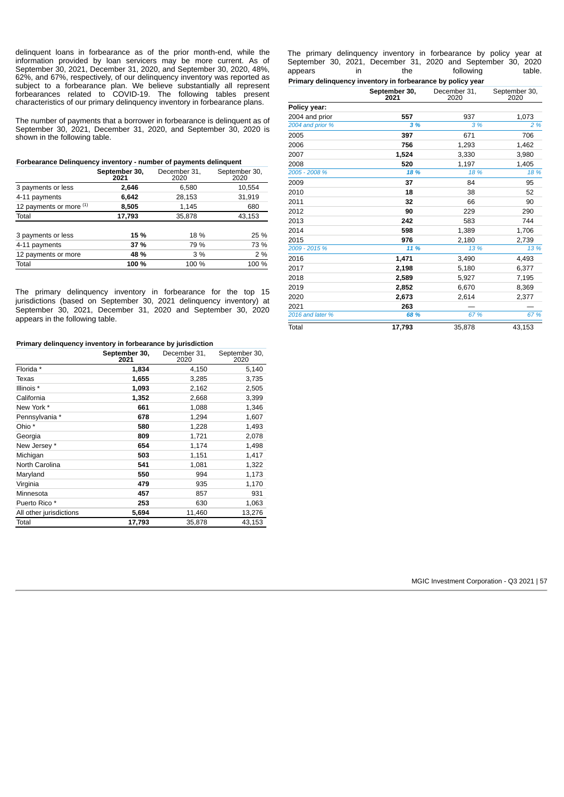delinquent loans in forbearance as of the prior month-end, while the information provided by loan servicers may be more current. As of September 30, 2021, December 31, 2020, and September 30, 2020, 48%, 62%, and 67%, respectively, of our delinquency inventory was reported as subject to a forbearance plan. We believe substantially all represent forbearances related to COVID-19. The following tables present characteristics of our primary delinquency inventory in forbearance plans.

The number of payments that a borrower in forbearance is delinquent as of September 30, 2021, December 31, 2020, and September 30, 2020 is shown in the following table.

| Forbearance Delinquency inventory - number of payments delinquent |  |  |  |
|-------------------------------------------------------------------|--|--|--|
|-------------------------------------------------------------------|--|--|--|

|                         | September 30,<br>2021 | December 31,<br>2020 | September 30,<br>2020 |
|-------------------------|-----------------------|----------------------|-----------------------|
| 3 payments or less      | 2,646                 | 6,580                | 10,554                |
| 4-11 payments           | 6,642                 | 28,153               | 31,919                |
| 12 payments or more (1) | 8,505                 | 1,145                | 680                   |
| Total                   | 17,793                | 35,878               | 43,153                |
| 3 payments or less      | 15 %                  | 18 %                 | 25 %                  |
| 4-11 payments           | 37 %                  | 79 %                 | 73 %                  |
| 12 payments or more     | 48 %                  | 3 %                  | 2 %                   |
| Total                   | 100 %                 | 100 %                | 100 %                 |

The primary delinquency inventory in forbearance for the top 15 jurisdictions (based on September 30, 2021 delinquency inventory) at September 30, 2021, December 31, 2020 and September 30, 2020 appears in the following table.

## **Primary delinquency inventory in forbearance by jurisdiction**

|                         | September 30,<br>2021 | December 31.<br>2020 | September 30,<br>2020 |
|-------------------------|-----------------------|----------------------|-----------------------|
| Florida *               | 1,834                 | 4,150                | 5,140                 |
| Texas                   | 1,655                 | 3,285                | 3,735                 |
| Illinois *              | 1,093                 | 2,162                | 2,505                 |
| California              | 1,352                 | 2,668                | 3,399                 |
| New York *              | 661                   | 1,088                | 1,346                 |
| Pennsylvania *          | 678                   | 1,294                | 1,607                 |
| Ohio *                  | 580                   | 1,228                | 1,493                 |
| Georgia                 | 809                   | 1,721                | 2,078                 |
| New Jersey *            | 654                   | 1,174                | 1,498                 |
| Michigan                | 503                   | 1,151                | 1,417                 |
| North Carolina          | 541                   | 1,081                | 1,322                 |
| Maryland                | 550                   | 994                  | 1,173                 |
| Virginia                | 479                   | 935                  | 1,170                 |
| Minnesota               | 457                   | 857                  | 931                   |
| Puerto Rico *           | 253                   | 630                  | 1,063                 |
| All other jurisdictions | 5,694                 | 11,460               | 13,276                |
| Total                   | 17,793                | 35,878               | 43,153                |

The primary delinquency inventory in forbearance by policy year at September 30, 2021, December 31, 2020 and September 30, 2020 appears in the following table. **Primary delinquency inventory in forbearance by policy year**

|                  | September 30,<br>2021 | December 31,<br>2020 | September 30,<br>2020 |
|------------------|-----------------------|----------------------|-----------------------|
| Policy year:     |                       |                      |                       |
| 2004 and prior   | 557                   | 937                  | 1,073                 |
| 2004 and prior % | 3 %                   | 3 %                  | 2 %                   |
| 2005             | 397                   | 671                  | 706                   |
| 2006             | 756                   | 1,293                | 1,462                 |
| 2007             | 1,524                 | 3,330                | 3,980                 |
| 2008             | 520                   | 1,197                | 1,405                 |
| 2005 - 2008 %    | 18 %                  | 18 %                 | 18 %                  |
| 2009             | 37                    | 84                   | 95                    |
| 2010             | 18                    | 38                   | 52                    |
| 2011             | 32                    | 66                   | 90                    |
| 2012             | 90                    | 229                  | 290                   |
| 2013             | 242                   | 583                  | 744                   |
| 2014             | 598                   | 1,389                | 1,706                 |
| 2015             | 976                   | 2,180                | 2,739                 |
| 2009 - 2015 %    | 11 %                  | 13 %                 | 13 %                  |
| 2016             | 1,471                 | 3,490                | 4,493                 |
| 2017             | 2,198                 | 5,180                | 6,377                 |
| 2018             | 2,589                 | 5,927                | 7,195                 |
| 2019             | 2,852                 | 6,670                | 8,369                 |
| 2020             | 2,673                 | 2,614                | 2,377                 |
| 2021             | 263                   |                      |                       |
| 2016 and later % | 68 %                  | 67 %                 | 67 %                  |
| Total            | 17,793                | 35,878               | 43,153                |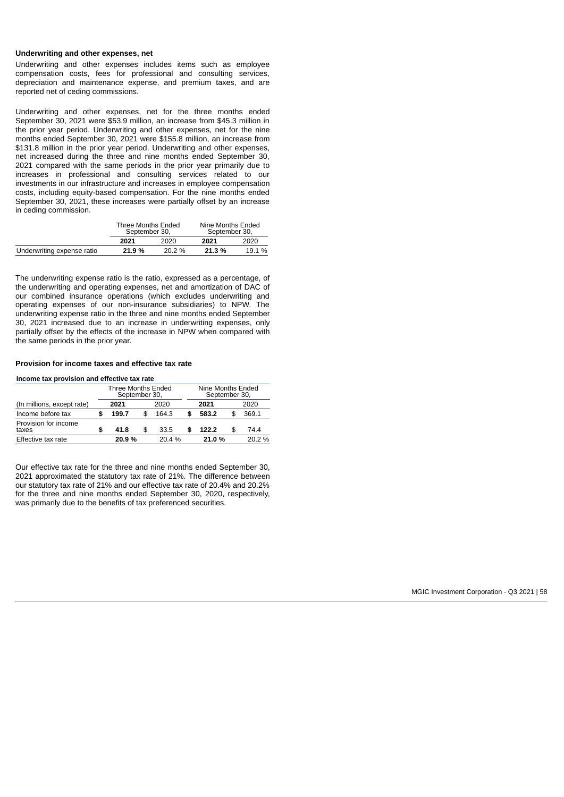## **Underwriting and other expenses, net**

Underwriting and other expenses includes items such as employee compensation costs, fees for professional and consulting services, depreciation and maintenance expense, and premium taxes, and are reported net of ceding commissions.

Underwriting and other expenses, net for the three months ended September 30, 2021 were \$53.9 million, an increase from \$45.3 million in the prior year period. Underwriting and other expenses, net for the nine months ended September 30, 2021 were \$155.8 million, an increase from \$131.8 million in the prior year period. Underwriting and other expenses, net increased during the three and nine months ended September 30, 2021 compared with the same periods in the prior year primarily due to increases in professional and consulting services related to our investments in our infrastructure and increases in employee compensation costs, including equity-based compensation. For the nine months ended September 30, 2021, these increases were partially offset by an increase in ceding commission.

|                            | Three Months Ended<br>September 30, |       | Nine Months Ended<br>September 30, |        |  |
|----------------------------|-------------------------------------|-------|------------------------------------|--------|--|
|                            | 2021                                | 2020  | 2021                               | 2020   |  |
| Underwriting expense ratio | 21.9%                               | 20.2% | 21.3%                              | 19.1 % |  |

The underwriting expense ratio is the ratio, expressed as a percentage, of the underwriting and operating expenses, net and amortization of DAC of our combined insurance operations (which excludes underwriting and operating expenses of our non-insurance subsidiaries) to NPW. The underwriting expense ratio in the three and nine months ended September 30, 2021 increased due to an increase in underwriting expenses, only partially offset by the effects of the increase in NPW when compared with the same periods in the prior year.

## **Provision for income taxes and effective tax rate**

**Income tax provision and effective tax rate**

|                               | Three Months Ended<br>September 30, |    |       |  | Nine Months Ended<br>September 30, |  |       |  |
|-------------------------------|-------------------------------------|----|-------|--|------------------------------------|--|-------|--|
| (In millions, except rate)    | 2021                                |    | 2020  |  | 2021                               |  | 2020  |  |
| Income before tax             | 199.7                               |    | 164.3 |  | 583.2                              |  | 369.1 |  |
| Provision for income<br>taxes | 41.8                                | \$ | 33.5  |  | 122.2                              |  | 74.4  |  |
| Effective tax rate            | 20.9%                               |    | 20.4% |  | 21.0%                              |  | 20.2% |  |

Our effective tax rate for the three and nine months ended September 30, 2021 approximated the statutory tax rate of 21%. The difference between our statutory tax rate of 21% and our effective tax rate of 20.4% and 20.2% for the three and nine months ended September 30, 2020, respectively, was primarily due to the benefits of tax preferenced securities.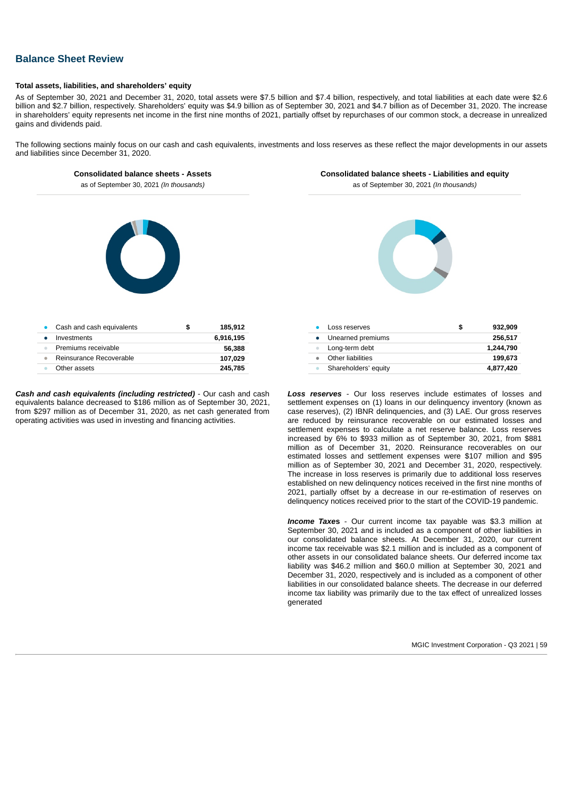# **Balance Sheet Review**

## **Total assets, liabilities, and shareholders' equity**

As of September 30, 2021 and December 31, 2020, total assets were \$7.5 billion and \$7.4 billion, respectively, and total liabilities at each date were \$2.6 billion and \$2.7 billion, respectively. Shareholders' equity was \$4.9 billion as of September 30, 2021 and \$4.7 billion as of December 31, 2020. The increase in shareholders' equity represents net income in the first nine months of 2021, partially offset by repurchases of our common stock, a decrease in unrealized gains and dividends paid.

The following sections mainly focus on our cash and cash equivalents, investments and loss reserves as these reflect the major developments in our assets and liabilities since December 31, 2020.

## **Consolidated balance sheets - Assets**

**Consolidated balance sheets - Liabilities and equity**

as of September 30, 2021 *(In thousands)*



| Cash and cash equivalents          | 185.912<br>S |
|------------------------------------|--------------|
| Investments                        | 6.916.195    |
| Premiums receivable<br>$\triangle$ | 56.388       |
| Reinsurance Recoverable<br>٠       | 107.029      |
| Other assets                       | 245.785      |
|                                    |              |

*Cash and cash equivalents (including restricted)* - Our cash and cash equivalents balance decreased to \$186 million as of September 30, 2021, from \$297 million as of December 31, 2020, as net cash generated from operating activities was used in investing and financing activities.

as of September 30, 2021 *(In thousands)*



| Loss reserves        | S | 932.909   |
|----------------------|---|-----------|
| Unearned premiums    |   | 256.517   |
| Long-term debt       |   | 1.244.790 |
| Other liabilities    |   | 199.673   |
| Shareholders' equity |   | 4,877,420 |

*Loss reserves* - Our loss reserves include estimates of losses and settlement expenses on (1) loans in our delinquency inventory (known as case reserves), (2) IBNR delinquencies, and (3) LAE. Our gross reserves are reduced by reinsurance recoverable on our estimated losses and settlement expenses to calculate a net reserve balance. Loss reserves increased by 6% to \$933 million as of September 30, 2021, from \$881 million as of December 31, 2020. Reinsurance recoverables on our estimated losses and settlement expenses were \$107 million and \$95 million as of September 30, 2021 and December 31, 2020, respectively. The increase in loss reserves is primarily due to additional loss reserves established on new delinquency notices received in the first nine months of 2021, partially offset by a decrease in our re-estimation of reserves on delinquency notices received prior to the start of the COVID-19 pandemic.

*Income Taxe***s** - Our current income tax payable was \$3.3 million at September 30, 2021 and is included as a component of other liabilities in our consolidated balance sheets. At December 31, 2020, our current income tax receivable was \$2.1 million and is included as a component of other assets in our consolidated balance sheets. Our deferred income tax liability was \$46.2 million and \$60.0 million at September 30, 2021 and December 31, 2020, respectively and is included as a component of other liabilities in our consolidated balance sheets. The decrease in our deferred income tax liability was primarily due to the tax effect of unrealized losses generated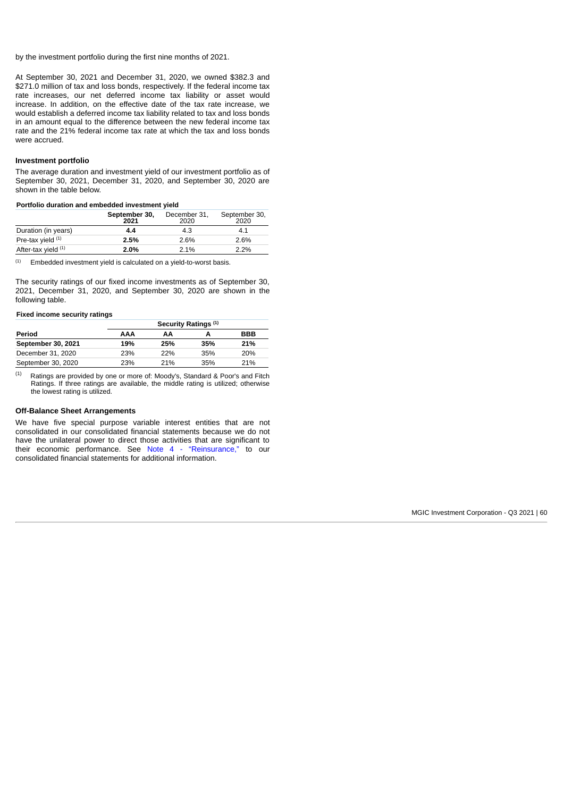by the investment portfolio during the first nine months of 2021.

At September 30, 2021 and December 31, 2020, we owned \$382.3 and \$271.0 million of tax and loss bonds, respectively. If the federal income tax rate increases, our net deferred income tax liability or asset would increase. In addition, on the effective date of the tax rate increase, we would establish a deferred income tax liability related to tax and loss bonds in an amount equal to the difference between the new federal income tax rate and the 21% federal income tax rate at which the tax and loss bonds were accrued.

#### **Investment portfolio**

The average duration and investment yield of our investment portfolio as of September 30, 2021, December 31, 2020, and September 30, 2020 are shown in the table below.

#### **Portfolio duration and embedded investment yield**

|                                | September 30,<br>2021 | December 31,<br>2020 | September 30,<br>2020 |
|--------------------------------|-----------------------|----------------------|-----------------------|
| Duration (in years)            | 4.4                   | 4.3                  | 4.1                   |
| Pre-tax yield (1)              | 2.5%                  | 2.6%                 | 2.6%                  |
| After-tax yield <sup>(1)</sup> | 2.0%                  | 2.1%                 | $2.2\%$               |

Embedded investment yield is calculated on a yield-to-worst basis. (1)

The security ratings of our fixed income investments as of September 30, 2021, December 31, 2020, and September 30, 2020 are shown in the following table.

## **Fixed income security ratings**

|                    | Security Ratings <sup>(1)</sup> |            |     |     |  |  |  |  |
|--------------------|---------------------------------|------------|-----|-----|--|--|--|--|
| Period             | AAA                             | ΑА         |     | BBB |  |  |  |  |
| September 30, 2021 | 19%                             | 25%        | 35% | 21% |  |  |  |  |
| December 31, 2020  | 23%                             | <b>22%</b> | 35% | 20% |  |  |  |  |
| September 30, 2020 | 23%                             | 21%        | 35% | 21% |  |  |  |  |

Ratings are provided by one or more of: Moody's, Standard & Poor's and Fitch Ratings. If three ratings are available, the middle rating is utilized; otherwise the lowest rating is utilized. (1)

#### **Off-Balance Sheet Arrangements**

<span id="page-59-0"></span>We have five special purpose variable interest entities that are not consolidated in our consolidated financial statements because we do not have the unilateral power to direct those activities that are significant to their economic performance. See [Note 4 - "Reinsurance,"](#page-13-0) to our consolidated financial statements for additional information.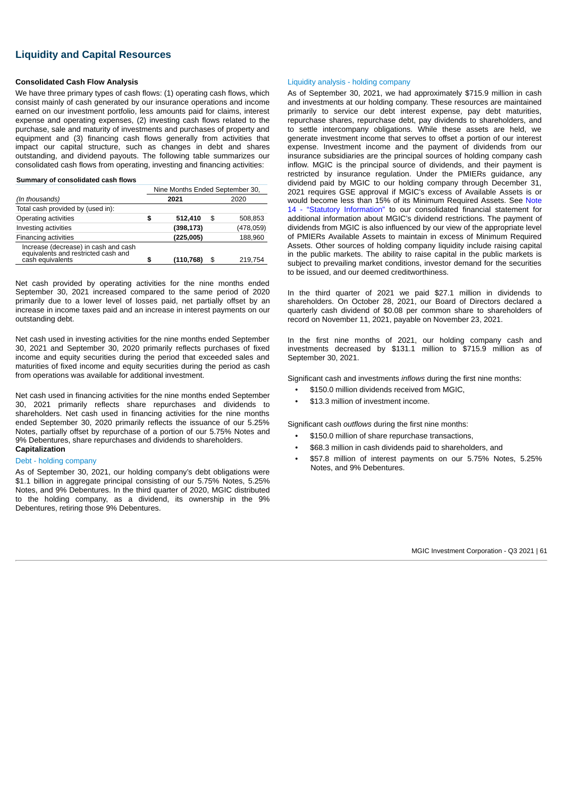# **Liquidity and Capital Resources**

## **Consolidated Cash Flow Analysis**

We have three primary types of cash flows: (1) operating cash flows, which consist mainly of cash generated by our insurance operations and income earned on our investment portfolio, less amounts paid for claims, interest expense and operating expenses, (2) investing cash flows related to the purchase, sale and maturity of investments and purchases of property and equipment and (3) financing cash flows generally from activities that impact our capital structure, such as changes in debt and shares outstanding, and dividend payouts. The following table summarizes our consolidated cash flows from operating, investing and financing activities:

## **Summary of consolidated cash flows**

|                                                                                                 | Nine Months Ended September 30, |            |    |           |  |  |
|-------------------------------------------------------------------------------------------------|---------------------------------|------------|----|-----------|--|--|
| (In thousands)                                                                                  | 2021<br>2020                    |            |    |           |  |  |
| Total cash provided by (used in):                                                               |                                 |            |    |           |  |  |
| Operating activities                                                                            | \$                              | 512,410    | \$ | 508,853   |  |  |
| Investing activities                                                                            |                                 | (398, 173) |    | (478,059) |  |  |
| Financing activities                                                                            |                                 | (225,005)  |    | 188,960   |  |  |
| Increase (decrease) in cash and cash<br>equivalents and restricted cash and<br>cash equivalents | \$                              | (110, 768) | \$ | 219.754   |  |  |

Net cash provided by operating activities for the nine months ended September 30, 2021 increased compared to the same period of 2020 primarily due to a lower level of losses paid, net partially offset by an increase in income taxes paid and an increase in interest payments on our outstanding debt.

Net cash used in investing activities for the nine months ended September 30, 2021 and September 30, 2020 primarily reflects purchases of fixed income and equity securities during the period that exceeded sales and maturities of fixed income and equity securities during the period as cash from operations was available for additional investment.

Net cash used in financing activities for the nine months ended September 30, 2021 primarily reflects share repurchases and dividends to shareholders. Net cash used in financing activities for the nine months ended September 30, 2020 primarily reflects the issuance of our 5.25% Notes, partially offset by repurchase of a portion of our 5.75% Notes and 9% Debentures, share repurchases and dividends to shareholders. **Capitalization**

## Debt - holding company

As of September 30, 2021, our holding company's debt obligations were \$1.1 billion in aggregate principal consisting of our 5.75% Notes, 5.25% Notes, and 9% Debentures. In the third quarter of 2020, MGIC distributed to the holding company, as a dividend, its ownership in the 9% Debentures, retiring those 9% Debentures.

#### Liquidity analysis - holding company

As of September 30, 2021, we had approximately \$715.9 million in cash and investments at our holding company. These resources are maintained primarily to service our debt interest expense, pay debt maturities, repurchase shares, repurchase debt, pay dividends to shareholders, and to settle intercompany obligations. While these assets are held, we generate investment income that serves to offset a portion of our interest expense. Investment income and the payment of dividends from our insurance subsidiaries are the principal sources of holding company cash inflow. MGIC is the principal source of dividends, and their payment is restricted by insurance regulation. Under the PMIERs guidance, any dividend paid by MGIC to our holding company through December 31, 2021 requires GSE approval if MGIC's excess of Available Assets is or would become less than [15% of its Minimum Required Assets. See Note](#page-32-0) 14 - "Statutory Information" to our consolidated financial statement for additional information about MGIC's dividend restrictions. The payment of dividends from MGIC is also influenced by our view of the appropriate level of PMIERs Available Assets to maintain in excess of Minimum Required Assets. Other sources of holding company liquidity include raising capital in the public markets. The ability to raise capital in the public markets is subject to prevailing market conditions, investor demand for the securities to be issued, and our deemed creditworthiness.

In the third quarter of 2021 we paid \$27.1 million in dividends to shareholders. On October 28, 2021, our Board of Directors declared a quarterly cash dividend of \$0.08 per common share to shareholders of record on November 11, 2021, payable on November 23, 2021.

In the first nine months of 2021, our holding company cash and investments decreased by \$131.1 million to \$715.9 million as of September 30, 2021.

Significant cash and investments *inflows* during the first nine months:

- \$150.0 million dividends received from MGIC,
- \$13.3 million of investment income.

Significant cash *outflows* during the first nine months:

- \$150.0 million of share repurchase transactions,
- \$68.3 million in cash dividends paid to shareholders, and
- \$57.8 million of interest payments on our 5.75% Notes, 5.25% Notes, and 9% Debentures.

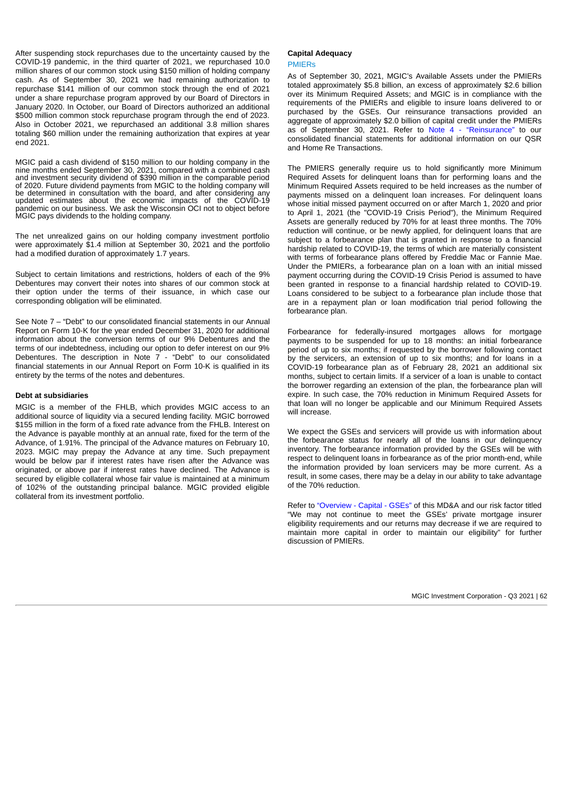After suspending stock repurchases due to the uncertainty caused by the COVID-19 pandemic, in the third quarter of 2021, we repurchased 10.0 million shares of our common stock using \$150 million of holding company cash. As of September 30, 2021 we had remaining authorization to repurchase \$141 million of our common stock through the end of 2021 under a share repurchase program approved by our Board of Directors in January 2020. In October, our Board of Directors authorized an additional \$500 million common stock repurchase program through the end of 2023. Also in October 2021, we repurchased an additional 3.8 million shares totaling \$60 million under the remaining authorization that expires at year end 2021.

MGIC paid a cash dividend of \$150 million to our holding company in the nine months ended September 30, 2021, compared with a combined cash and investment security dividend of \$390 million in the comparable period of 2020. Future dividend payments from MGIC to the holding company will be determined in consultation with the board, and after considering any updated estimates about the economic impacts of the COVID-19 pandemic on our business. We ask the Wisconsin OCI not to object before MGIC pays dividends to the holding company.

The net unrealized gains on our holding company investment portfolio were approximately \$1.4 million at September 30, 2021 and the portfolio had a modified duration of approximately 1.7 years.

Subject to certain limitations and restrictions, holders of each of the 9% Debentures may convert their notes into shares of our common stock at their option under the terms of their issuance, in which case our corresponding obligation will be eliminated.

See Note 7 – "Debt" to our consolidated financial statements in our Annual Report on Form 10-K for the year ended December 31, 2020 for additional information about the conversion terms of our 9% Debentures and the terms of our indebtedness, including our option to defer interest on our 9% Debentures. The description in Note 7 - "Debt" to our consolidated financial statements in our Annual Report on Form 10-K is qualified in its entirety by the terms of the notes and debentures.

#### **Debt at subsidiaries**

MGIC is a member of the FHLB, which provides MGIC access to an additional source of liquidity via a secured lending facility. MGIC borrowed \$155 million in the form of a fixed rate advance from the FHLB. Interest on the Advance is payable monthly at an annual rate, fixed for the term of the Advance, of 1.91%. The principal of the Advance matures on February 10, 2023. MGIC may prepay the Advance at any time. Such prepayment would be below par if interest rates have risen after the Advance was originated, or above par if interest rates have declined. The Advance is secured by eligible collateral whose fair value is maintained at a minimum of 102% of the outstanding principal balance. MGIC provided eligible collateral from its investment portfolio.

# **Capital Adequacy**

PMIERs

As of September 30, 2021, MGIC's Available Assets under the PMIERs totaled approximately \$5.8 billion, an excess of approximately \$2.6 billion over its Minimum Required Assets; and MGIC is in compliance with the requirements of the PMIERs and eligible to insure loans delivered to or purchased by the GSEs. Our reinsurance transactions provided an aggregate of approximately \$2.0 billion of capital credit under the PMIERs as of September 30, 2021. Refer to [Note 4 - "Reinsurance"](#page-13-0) to our consolidated financial statements for additional information on our QSR and Home Re Transactions.

The PMIERS generally require us to hold significantly more Minimum Required Assets for delinquent loans than for performing loans and the Minimum Required Assets required to be held increases as the number of payments missed on a delinquent loan increases. For delinquent loans whose initial missed payment occurred on or after March 1, 2020 and prior to April 1, 2021 (the "COVID-19 Crisis Period"), the Minimum Required Assets are generally reduced by 70% for at least three months. The 70% reduction will continue, or be newly applied, for delinquent loans that are subject to a forbearance plan that is granted in response to a financial hardship related to COVID-19, the terms of which are materially consistent with terms of forbearance plans offered by Freddie Mac or Fannie Mae. Under the PMIERs, a forbearance plan on a loan with an initial missed payment occurring during the COVID-19 Crisis Period is assumed to have been granted in response to a financial hardship related to COVID-19. Loans considered to be subject to a forbearance plan include those that are in a repayment plan or loan modification trial period following the forbearance plan.

Forbearance for federally-insured mortgages allows for mortgage payments to be suspended for up to 18 months: an initial forbearance period of up to six months; if requested by the borrower following contact by the servicers, an extension of up to six months; and for loans in a COVID-19 forbearance plan as of February 28, 2021 an additional six months, subject to certain limits. If a servicer of a loan is unable to contact the borrower regarding an extension of the plan, the forbearance plan will expire. In such case, the 70% reduction in Minimum Required Assets for that loan will no longer be applicable and our Minimum Required Assets will increase.

We expect the GSEs and servicers will provide us with information about the forbearance status for nearly all of the loans in our delinquency inventory. The forbearance information provided by the GSEs will be with respect to delinquent loans in forbearance as of the prior month-end, while the information provided by loan servicers may be more current. As a result, in some cases, there may be a delay in our ability to take advantage of the 70% reduction.

Refer to ["Overview - Capital - GSEs"](#page-34-0) of this MD&A and our risk factor titled "We may not continue to meet the GSEs' private mortgage insurer eligibility requirements and our returns may decrease if we are required to maintain more capital in order to maintain our eligibility" for further discussion of PMIERs.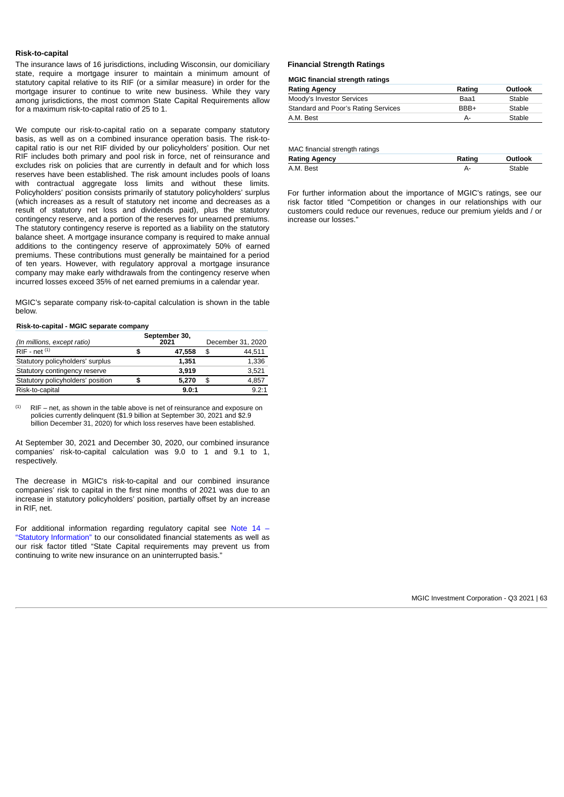#### **Risk-to-capital**

The insurance laws of 16 jurisdictions, including Wisconsin, our domiciliary state, require a mortgage insurer to maintain a minimum amount of statutory capital relative to its RIF (or a similar measure) in order for the mortgage insurer to continue to write new business. While they vary among jurisdictions, the most common State Capital Requirements allow for a maximum risk-to-capital ratio of 25 to 1.

We compute our risk-to-capital ratio on a separate company statutory basis, as well as on a combined insurance operation basis. The risk-tocapital ratio is our net RIF divided by our policyholders' position. Our net RIF includes both primary and pool risk in force, net of reinsurance and excludes risk on policies that are currently in default and for which loss reserves have been established. The risk amount includes pools of loans with contractual aggregate loss limits and without these limits. Policyholders' position consists primarily of statutory policyholders' surplus (which increases as a result of statutory net income and decreases as a result of statutory net loss and dividends paid), plus the statutory contingency reserve, and a portion of the reserves for unearned premiums. The statutory contingency reserve is reported as a liability on the statutory balance sheet. A mortgage insurance company is required to make annual additions to the contingency reserve of approximately 50% of earned premiums. These contributions must generally be maintained for a period of ten years. However, with regulatory approval a mortgage insurance company may make early withdrawals from the contingency reserve when incurred losses exceed 35% of net earned premiums in a calendar year.

MGIC's separate company risk-to-capital calculation is shown in the table below.

#### **Risk-to-capital - MGIC separate company**

| (In millions, except ratio)       |   | September 30,<br>2021 | December 31, 2020 |               |  |  |
|-----------------------------------|---|-----------------------|-------------------|---------------|--|--|
| $RIF - net^{(1)}$                 | S | 47,558                | \$                | 44.511        |  |  |
| Statutory policyholders' surplus  |   | 1.351                 |                   | 1.336         |  |  |
| Statutory contingency reserve     |   | 3.919                 |                   | 3.521         |  |  |
| Statutory policyholders' position | S | 5.270                 | \$                | 4.857         |  |  |
| Risk-to-capital                   |   | 9.0:1                 |                   | $9.2 \cdot 1$ |  |  |

RIF – net, as shown in the table above is net of reinsurance and exposure on policies currently delinquent (\$1.9 billion at September 30, 2021 and \$2.9 billion December 31, 2020) for which loss reserves have been established. (1)

At September 30, 2021 and December 30, 2020, our combined insurance companies' risk-to-capital calculation was 9.0 to 1 and 9.1 to 1, respectively.

The decrease in MGIC's risk-to-capital and our combined insurance companies' risk to capital in the first nine months of 2021 was due to an increase in statutory policyholders' position, partially offset by an increase in RIF, net.

[For additional information regarding regulatory capital see Note 14 –](#page-32-0) "Statutory Information" to our consolidated financial statements as well as our risk factor titled "State Capital requirements may prevent us from continuing to write new insurance on an uninterrupted basis."

#### **Financial Strength Ratings**

#### **MGIC financial strength ratings**

| <b>Rating Agency</b>                | Rating | Outlook |
|-------------------------------------|--------|---------|
| Moody's Investor Services           | Baa1   | Stable  |
| Standard and Poor's Rating Services | BBB+   | Stable  |
| A.M. Best                           | А-     | Stable  |

MAC financial strength ratings

| <b>Rating Agency</b> | Rating | Outlook |
|----------------------|--------|---------|
| A.M. Best            |        | Stable  |

For further information about the importance of MGIC's ratings, see our risk factor titled "Competition or changes in our relationships with our customers could reduce our revenues, reduce our premium yields and / or increase our losses."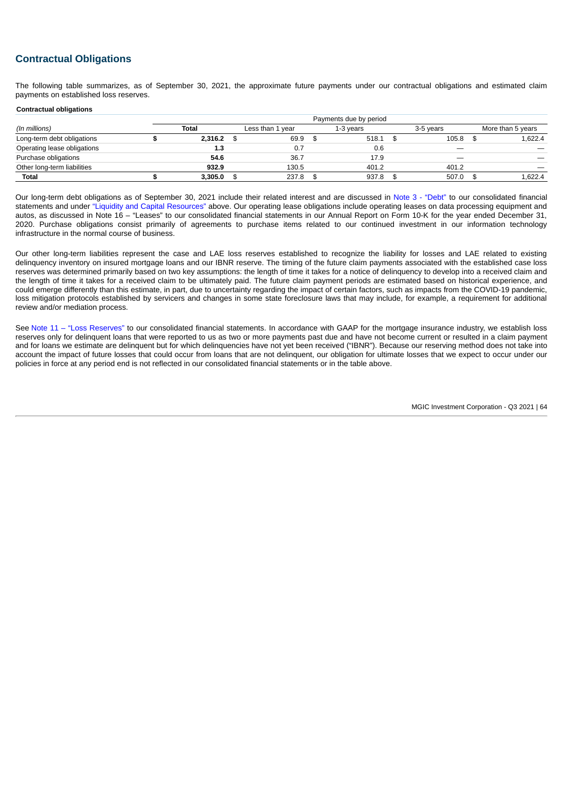# **Contractual Obligations**

The following table summarizes, as of September 30, 2021, the approximate future payments under our contractual obligations and estimated claim payments on established loss reserves.

#### **Contractual obligations**

|                             | Payments due by period |              |  |                  |  |           |  |           |                   |
|-----------------------------|------------------------|--------------|--|------------------|--|-----------|--|-----------|-------------------|
| (In millions)               |                        | Total        |  | Less than 1 year |  | 1-3 years |  | 3-5 years | More than 5 years |
| Long-term debt obligations  |                        | $2,316.2$ \$ |  | 69.9             |  | 518.1     |  | 105.8     | 1.622.4           |
| Operating lease obligations |                        | 1.3          |  |                  |  | 0.6       |  | –         |                   |
| Purchase obligations        |                        | 54.6         |  | 36.7             |  | 17.9      |  |           |                   |
| Other long-term liabilities |                        | 932.9        |  | 130.5            |  | 401.2     |  | 401.2     |                   |
| Total                       |                        | 3,305.0      |  | 237.8            |  | 937.8     |  | 507.0     | 1.622.4           |

Our long-term debt obligations as of September 30, 2021 include their related interest and are discussed in [Note 3 - "Debt"](#page-13-1) to our consolidated financial statements and under ["Liquidity and Capital Resources"](#page-59-0) above. Our operating lease obligations include operating leases on data processing equipment and autos, as discussed in Note 16 – "Leases" to our consolidated financial statements in our Annual Report on Form 10-K for the year ended December 31, 2020. Purchase obligations consist primarily of agreements to purchase items related to our continued investment in our information technology infrastructure in the normal course of business.

Our other long-term liabilities represent the case and LAE loss reserves established to recognize the liability for losses and LAE related to existing delinquency inventory on insured mortgage loans and our IBNR reserve. The timing of the future claim payments associated with the established case loss reserves was determined primarily based on two key assumptions: the length of time it takes for a notice of delinquency to develop into a received claim and the length of time it takes for a received claim to be ultimately paid. The future claim payment periods are estimated based on historical experience, and could emerge differently than this estimate, in part, due to uncertainty regarding the impact of certain factors, such as impacts from the COVID-19 pandemic, loss mitigation protocols established by servicers and changes in some state foreclosure laws that may include, for example, a requirement for additional review and/or mediation process.

See [Note 11 – "Loss Reserves"](#page-28-0) to our consolidated financial statements. In accordance with GAAP for the mortgage insurance industry, we establish loss reserves only for delinquent loans that were reported to us as two or more payments past due and have not become current or resulted in a claim payment and for loans we estimate are delinquent but for which delinquencies have not yet been received ("IBNR"). Because our reserving method does not take into account the impact of future losses that could occur from loans that are not delinquent, our obligation for ultimate losses that we expect to occur under our policies in force at any period end is not reflected in our consolidated financial statements or in the table above.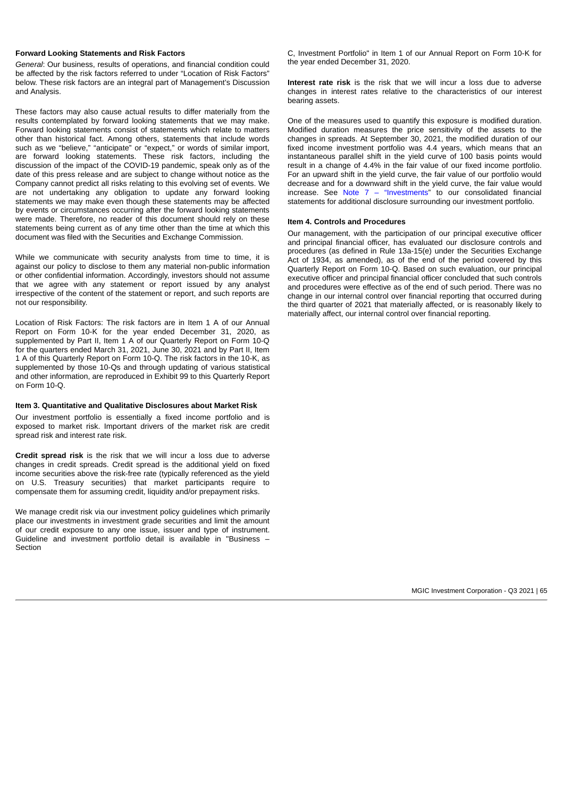#### **Forward Looking Statements and Risk Factors**

*General*: Our business, results of operations, and financial condition could be affected by the risk factors referred to under "Location of Risk Factors" below. These risk factors are an integral part of Management's Discussion and Analysis.

These factors may also cause actual results to differ materially from the results contemplated by forward looking statements that we may make. Forward looking statements consist of statements which relate to matters other than historical fact. Among others, statements that include words such as we "believe," "anticipate" or "expect," or words of similar import, are forward looking statements. These risk factors, including the discussion of the impact of the COVID-19 pandemic, speak only as of the date of this press release and are subject to change without notice as the Company cannot predict all risks relating to this evolving set of events. We are not undertaking any obligation to update any forward looking statements we may make even though these statements may be affected by events or circumstances occurring after the forward looking statements were made. Therefore, no reader of this document should rely on these statements being current as of any time other than the time at which this document was filed with the Securities and Exchange Commission.

While we communicate with security analysts from time to time, it is against our policy to disclose to them any material non-public information or other confidential information. Accordingly, investors should not assume that we agree with any statement or report issued by any analyst irrespective of the content of the statement or report, and such reports are not our responsibility.

Location of Risk Factors: The risk factors are in Item 1 A of our Annual Report on Form 10-K for the year ended December 31, 2020, as supplemented by Part II, Item 1 A of our Quarterly Report on Form 10-Q for the quarters ended March 31, 2021, June 30, 2021 and by Part II, Item 1 A of this Quarterly Report on Form 10-Q. The risk factors in the 10-K, as supplemented by those 10-Qs and through updating of various statistical and other information, are reproduced in Exhibit 99 to this Quarterly Report on Form 10-Q.

#### **Item 3. Quantitative and Qualitative Disclosures about Market Risk**

Our investment portfolio is essentially a fixed income portfolio and is exposed to market risk. Important drivers of the market risk are credit spread risk and interest rate risk.

**Credit spread risk** is the risk that we will incur a loss due to adverse changes in credit spreads. Credit spread is the additional yield on fixed income securities above the risk-free rate (typically referenced as the yield on U.S. Treasury securities) that market participants require to compensate them for assuming credit, liquidity and/or prepayment risks.

We manage credit risk via our investment policy guidelines which primarily place our investments in investment grade securities and limit the amount of our credit exposure to any one issue, issuer and type of instrument. Guideline and investment portfolio detail is available in "Business – Section

C, Investment Portfolio" in Item 1 of our Annual Report on Form 10-K for the year ended December 31, 2020.

**Interest rate risk** is the risk that we will incur a loss due to adverse changes in interest rates relative to the characteristics of our interest bearing assets.

One of the measures used to quantify this exposure is modified duration. Modified duration measures the price sensitivity of the assets to the changes in spreads. At September 30, 2021, the modified duration of our fixed income investment portfolio was 4.4 years, which means that an instantaneous parallel shift in the yield curve of 100 basis points would result in a change of 4.4% in the fair value of our fixed income portfolio. For an upward shift in the yield curve, the fair value of our portfolio would decrease and for a downward shift in the yield curve, the fair value would increase. See Note  $7 -$  "Investments" to our consolidated financial statements for additional disclosure surrounding our investment portfolio.

## **Item 4. Controls and Procedures**

Our management, with the participation of our principal executive officer and principal financial officer, has evaluated our disclosure controls and procedures (as defined in Rule 13a-15(e) under the Securities Exchange Act of 1934, as amended), as of the end of the period covered by this Quarterly Report on Form 10-Q. Based on such evaluation, our principal executive officer and principal financial officer concluded that such controls and procedures were effective as of the end of such period. There was no change in our internal control over financial reporting that occurred during the third quarter of 2021 that materially affected, or is reasonably likely to materially affect, our internal control over financial reporting.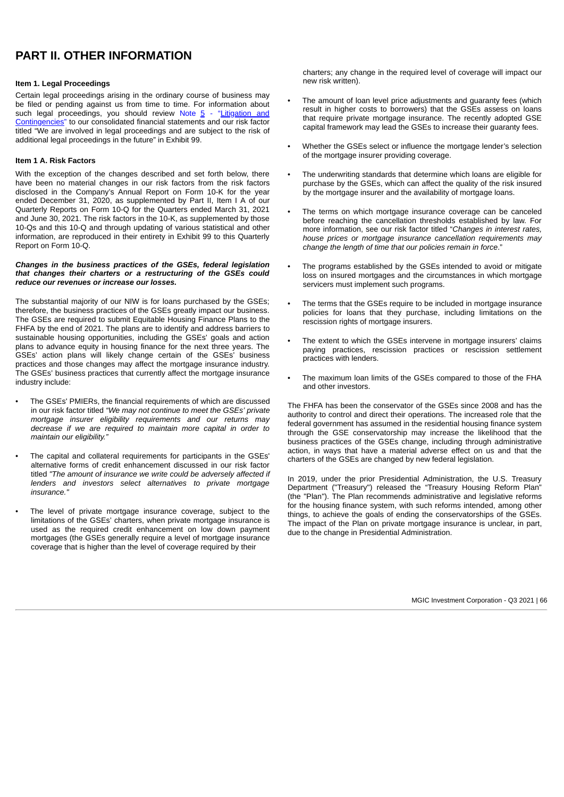# **PART II. OTHER INFORMATION**

## **Item 1. Legal Proceedings**

Certain legal proceedings arising in the ordinary course of business may be filed or pending against us from time to time. For information about such legal proceedings, you should review Note  $5 -$  "Litigation and Contingencies["](#page-13-1) [to our consolidated financial statements and our risk factor](#page-13-1) titled "We are involved in legal proceedings and are subject to the risk of additional legal proceedings in the future" in Exhibit 99.

## **Item 1 A. Risk Factors**

With the exception of the changes described and set forth below, there have been no material changes in our risk factors from the risk factors disclosed in the Company's Annual Report on Form 10-K for the year ended December 31, 2020, as supplemented by Part II, Item I A of our Quarterly Reports on Form 10-Q for the Quarters ended March 31, 2021 and June 30, 2021. The risk factors in the 10-K, as supplemented by those 10-Qs and this 10-Q and through updating of various statistical and other information, are reproduced in their entirety in Exhibit 99 to this Quarterly Report on Form 10‑Q.

#### *Changes in the business practices of the GSEs, federal legislation that changes their charters or a restructuring of the GSEs could reduce our revenues or increase our losses.*

The substantial majority of our NIW is for loans purchased by the GSEs; therefore, the business practices of the GSEs greatly impact our business. The GSEs are required to submit Equitable Housing Finance Plans to the FHFA by the end of 2021. The plans are to identify and address barriers to sustainable housing opportunities, including the GSEs' goals and action plans to advance equity in housing finance for the next three years. The GSEs' action plans will likely change certain of the GSEs' business practices and those changes may affect the mortgage insurance industry. The GSEs' business practices that currently affect the mortgage insurance industry include:

- The GSEs' PMIERs, the financial requirements of which are discussed in our risk factor titled *"We may not continue to meet the GSEs' private mortgage insurer eligibility requirements and our returns may decrease if we are required to maintain more capital in order to maintain our eligibility."*
- The capital and collateral requirements for participants in the GSEs' alternative forms of credit enhancement discussed in our risk factor titled *"The amount of insurance we write could be adversely affected if lenders and investors select alternatives to private mortgage insurance."*
- The level of private mortgage insurance coverage, subject to the limitations of the GSEs' charters, when private mortgage insurance is used as the required credit enhancement on low down payment mortgages (the GSEs generally require a level of mortgage insurance coverage that is higher than the level of coverage required by their

charters; any change in the required level of coverage will impact our new risk written).

- The amount of loan level price adjustments and quaranty fees (which result in higher costs to borrowers) that the GSEs assess on loans that require private mortgage insurance. The recently adopted GSE capital framework may lead the GSEs to increase their guaranty fees.
- Whether the GSEs select or influence the mortgage lender's selection of the mortgage insurer providing coverage.
- The underwriting standards that determine which loans are eligible for purchase by the GSEs, which can affect the quality of the risk insured by the mortgage insurer and the availability of mortgage loans.
- The terms on which mortgage insurance coverage can be canceled before reaching the cancellation thresholds established by law. For more information, see our risk factor titled "*Changes in interest rates, house prices or mortgage insurance cancellation requirements may change the length of time that our policies remain in force*."
- The programs established by the GSEs intended to avoid or mitigate loss on insured mortgages and the circumstances in which mortgage servicers must implement such programs.
- The terms that the GSEs require to be included in mortgage insurance policies for loans that they purchase, including limitations on the rescission rights of mortgage insurers.
- The extent to which the GSEs intervene in mortgage insurers' claims paying practices, rescission practices or rescission settlement practices with lenders.
- The maximum loan limits of the GSEs compared to those of the FHA and other investors.

The FHFA has been the conservator of the GSEs since 2008 and has the authority to control and direct their operations. The increased role that the federal government has assumed in the residential housing finance system through the GSE conservatorship may increase the likelihood that the business practices of the GSEs change, including through administrative action, in ways that have a material adverse effect on us and that the charters of the GSEs are changed by new federal legislation.

In 2019, under the prior Presidential Administration, the U.S. Treasury Department ("Treasury") released the "Treasury Housing Reform Plan" (the "Plan"). The Plan recommends administrative and legislative reforms for the housing finance system, with such reforms intended, among other things, to achieve the goals of ending the conservatorships of the GSEs. The impact of the Plan on private mortgage insurance is unclear, in part, due to the change in Presidential Administration.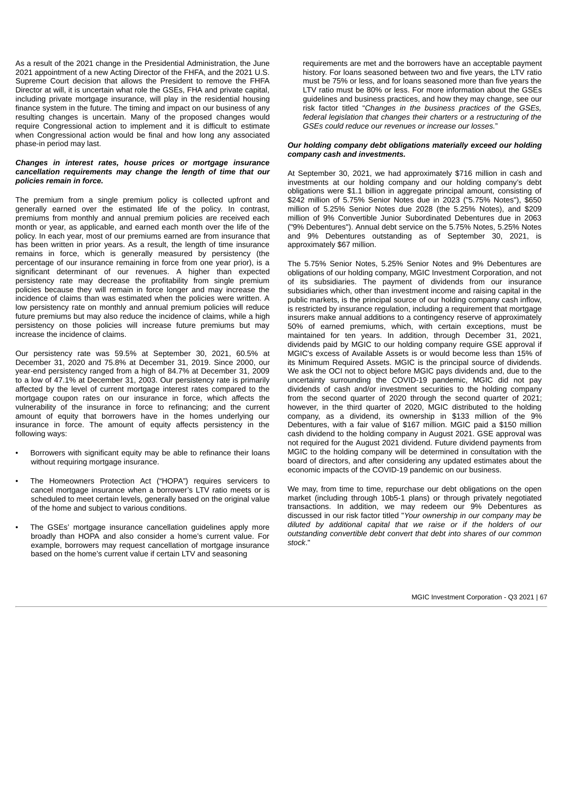As a result of the 2021 change in the Presidential Administration, the June 2021 appointment of a new Acting Director of the FHFA, and the 2021 U.S. Supreme Court decision that allows the President to remove the FHFA Director at will, it is uncertain what role the GSEs, FHA and private capital, including private mortgage insurance, will play in the residential housing finance system in the future. The timing and impact on our business of any resulting changes is uncertain. Many of the proposed changes would require Congressional action to implement and it is difficult to estimate when Congressional action would be final and how long any associated phase-in period may last.

## *Changes in interest rates, house prices or mortgage insurance cancellation requirements may change the length of time that our policies remain in force.*

The premium from a single premium policy is collected upfront and generally earned over the estimated life of the policy. In contrast, premiums from monthly and annual premium policies are received each month or year, as applicable, and earned each month over the life of the policy. In each year, most of our premiums earned are from insurance that has been written in prior years. As a result, the length of time insurance remains in force, which is generally measured by persistency (the percentage of our insurance remaining in force from one year prior), is a significant determinant of our revenues. A higher than expected persistency rate may decrease the profitability from single premium policies because they will remain in force longer and may increase the incidence of claims than was estimated when the policies were written. A low persistency rate on monthly and annual premium policies will reduce future premiums but may also reduce the incidence of claims, while a high persistency on those policies will increase future premiums but may increase the incidence of claims.

Our persistency rate was 59.5% at September 30, 2021, 60.5% at December 31, 2020 and 75.8% at December 31, 2019. Since 2000, our year-end persistency ranged from a high of 84.7% at December 31, 2009 to a low of 47.1% at December 31, 2003. Our persistency rate is primarily affected by the level of current mortgage interest rates compared to the mortgage coupon rates on our insurance in force, which affects the vulnerability of the insurance in force to refinancing; and the current amount of equity that borrowers have in the homes underlying our insurance in force. The amount of equity affects persistency in the following ways:

- Borrowers with significant equity may be able to refinance their loans without requiring mortgage insurance.
- The Homeowners Protection Act ("HOPA") requires servicers to cancel mortgage insurance when a borrower's LTV ratio meets or is scheduled to meet certain levels, generally based on the original value of the home and subject to various conditions.
- The GSEs' mortgage insurance cancellation guidelines apply more broadly than HOPA and also consider a home's current value. For example, borrowers may request cancellation of mortgage insurance based on the home's current value if certain LTV and seasoning

requirements are met and the borrowers have an acceptable payment history. For loans seasoned between two and five years, the LTV ratio must be 75% or less, and for loans seasoned more than five years the LTV ratio must be 80% or less. For more information about the GSEs guidelines and business practices, and how they may change, see our risk factor titled "*Changes in the business practices of the GSEs, federal legislation that changes their charters or a restructuring of the GSEs could reduce our revenues or increase our losses.*"

#### *Our holding company debt obligations materially exceed our holding company cash and investments.*

At September 30, 2021, we had approximately \$716 million in cash and investments at our holding company and our holding company's debt obligations were \$1.1 billion in aggregate principal amount, consisting of \$242 million of 5.75% Senior Notes due in 2023 ("5.75% Notes"), \$650 million of 5.25% Senior Notes due 2028 (the 5.25% Notes), and \$209 million of 9% Convertible Junior Subordinated Debentures due in 2063 ("9% Debentures"). Annual debt service on the 5.75% Notes, 5.25% Notes and 9% Debentures outstanding as of September 30, 2021, is approximately \$67 million.

The 5.75% Senior Notes, 5.25% Senior Notes and 9% Debentures are obligations of our holding company, MGIC Investment Corporation, and not of its subsidiaries. The payment of dividends from our insurance subsidiaries which, other than investment income and raising capital in the public markets, is the principal source of our holding company cash inflow, is restricted by insurance regulation, including a requirement that mortgage insurers make annual additions to a contingency reserve of approximately 50% of earned premiums, which, with certain exceptions, must be maintained for ten years. In addition, through December 31, 2021, dividends paid by MGIC to our holding company require GSE approval if MGIC's excess of Available Assets is or would become less than 15% of its Minimum Required Assets. MGIC is the principal source of dividends. We ask the OCI not to object before MGIC pays dividends and, due to the uncertainty surrounding the COVID-19 pandemic, MGIC did not pay dividends of cash and/or investment securities to the holding company from the second quarter of 2020 through the second quarter of 2021; however, in the third quarter of 2020, MGIC distributed to the holding company, as a dividend, its ownership in \$133 million of the 9% Debentures, with a fair value of \$167 million. MGIC paid a \$150 million cash dividend to the holding company in August 2021. GSE approval was not required for the August 2021 dividend. Future dividend payments from MGIC to the holding company will be determined in consultation with the board of directors, and after considering any updated estimates about the economic impacts of the COVID-19 pandemic on our business.

We may, from time to time, repurchase our debt obligations on the open market (including through 10b5-1 plans) or through privately negotiated transactions. In addition, we may redeem our 9% Debentures as discussed in our risk factor titled "*Your ownership in our company may be diluted by additional capital that we raise or if the holders of our outstanding convertible debt convert that debt into shares of our common stock*."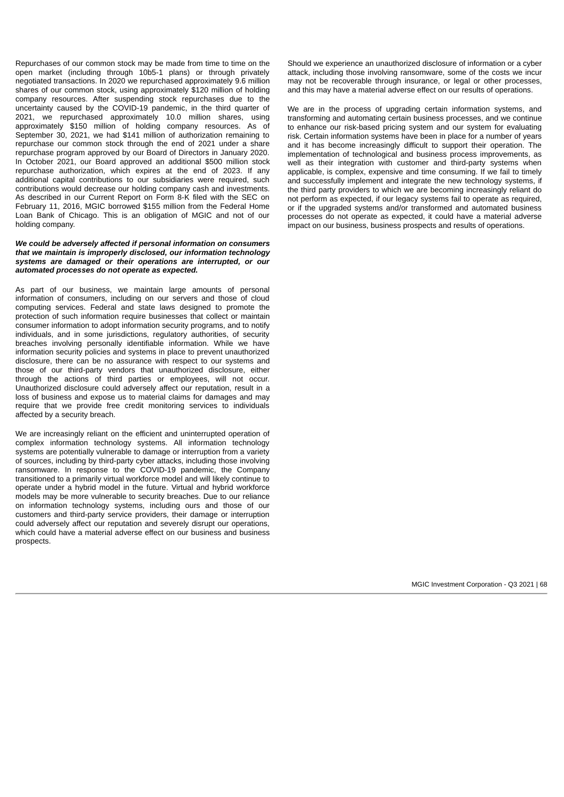Repurchases of our common stock may be made from time to time on the open market (including through 10b5-1 plans) or through privately negotiated transactions. In 2020 we repurchased approximately 9.6 million shares of our common stock, using approximately \$120 million of holding company resources. After suspending stock repurchases due to the uncertainty caused by the COVID-19 pandemic, in the third quarter of 2021, we repurchased approximately 10.0 million shares, using approximately \$150 million of holding company resources. As of September 30, 2021, we had \$141 million of authorization remaining to repurchase our common stock through the end of 2021 under a share repurchase program approved by our Board of Directors in January 2020. In October 2021, our Board approved an additional \$500 million stock repurchase authorization, which expires at the end of 2023. If any additional capital contributions to our subsidiaries were required, such contributions would decrease our holding company cash and investments. As described in our Current Report on Form 8-K filed with the SEC on February 11, 2016, MGIC borrowed \$155 million from the Federal Home Loan Bank of Chicago. This is an obligation of MGIC and not of our holding company.

## *We could be adversely affected if personal information on consumers that we maintain is improperly disclosed, our information technology systems are damaged or their operations are interrupted, or our automated processes do not operate as expected.*

As part of our business, we maintain large amounts of personal information of consumers, including on our servers and those of cloud computing services. Federal and state laws designed to promote the protection of such information require businesses that collect or maintain consumer information to adopt information security programs, and to notify individuals, and in some jurisdictions, regulatory authorities, of security breaches involving personally identifiable information. While we have information security policies and systems in place to prevent unauthorized disclosure, there can be no assurance with respect to our systems and those of our third-party vendors that unauthorized disclosure, either through the actions of third parties or employees, will not occur. Unauthorized disclosure could adversely affect our reputation, result in a loss of business and expose us to material claims for damages and may require that we provide free credit monitoring services to individuals affected by a security breach.

We are increasingly reliant on the efficient and uninterrupted operation of complex information technology systems. All information technology systems are potentially vulnerable to damage or interruption from a variety of sources, including by third-party cyber attacks, including those involving ransomware. In response to the COVID-19 pandemic, the Company transitioned to a primarily virtual workforce model and will likely continue to operate under a hybrid model in the future. Virtual and hybrid workforce models may be more vulnerable to security breaches. Due to our reliance on information technology systems, including ours and those of our customers and third-party service providers, their damage or interruption could adversely affect our reputation and severely disrupt our operations, which could have a material adverse effect on our business and business prospects.

Should we experience an unauthorized disclosure of information or a cyber attack, including those involving ransomware, some of the costs we incur may not be recoverable through insurance, or legal or other processes. and this may have a material adverse effect on our results of operations.

We are in the process of upgrading certain information systems, and transforming and automating certain business processes, and we continue to enhance our risk-based pricing system and our system for evaluating risk. Certain information systems have been in place for a number of years and it has become increasingly difficult to support their operation. The implementation of technological and business process improvements, as well as their integration with customer and third-party systems when applicable, is complex, expensive and time consuming. If we fail to timely and successfully implement and integrate the new technology systems, if the third party providers to which we are becoming increasingly reliant do not perform as expected, if our legacy systems fail to operate as required, or if the upgraded systems and/or transformed and automated business processes do not operate as expected, it could have a material adverse impact on our business, business prospects and results of operations.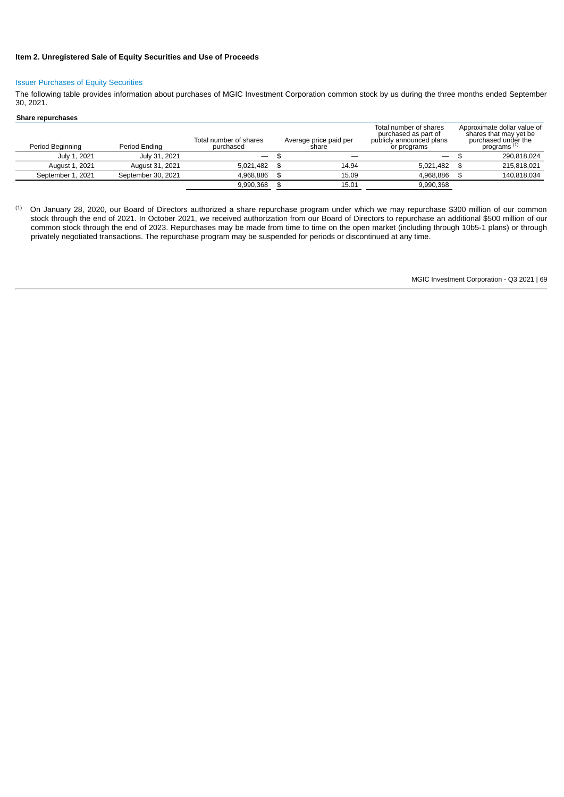# **Item 2. Unregistered Sale of Equity Securities and Use of Proceeds**

## Issuer Purchases of Equity Securities

The following table provides information about purchases of MGIC Investment Corporation common stock by us during the three months ended September 30, 2021.

## **Share repurchases**

| Period Beginning  | Period Ending      | Total number of shares<br>purchased | Average price paid per<br>share | Total number of shares<br>purchased as part of<br>publicly announced plans<br>or programs | Approximate dollar value of<br>shares that may yet be<br>purchased under the<br>programs <sup>(1)</sup> |
|-------------------|--------------------|-------------------------------------|---------------------------------|-------------------------------------------------------------------------------------------|---------------------------------------------------------------------------------------------------------|
| July 1, 2021      | July 31, 2021      | $\overline{\phantom{0}}$            |                                 | $\overline{\phantom{a}}$                                                                  | 290.818.024                                                                                             |
| August 1, 2021    | August 31, 2021    | 5.021.482                           | 14.94                           | 5.021.482                                                                                 | 215.818.021                                                                                             |
| September 1, 2021 | September 30, 2021 | 4.968.886                           | 15.09                           | 4.968.886                                                                                 | 140.818.034                                                                                             |
|                   |                    | 9.990.368                           | 15.01                           | 9.990.368                                                                                 |                                                                                                         |

On January 28, 2020, our Board of Directors authorized a share repurchase program under which we may repurchase \$300 million of our common stock through the end of 2021. In October 2021, we received authorization from our Board of Directors to repurchase an additional \$500 million of our common stock through the end of 2023. Repurchases may be made from time to time on the open market (including through 10b5-1 plans) or through privately negotiated transactions. The repurchase program may be suspended for periods or discontinued at any time. (1)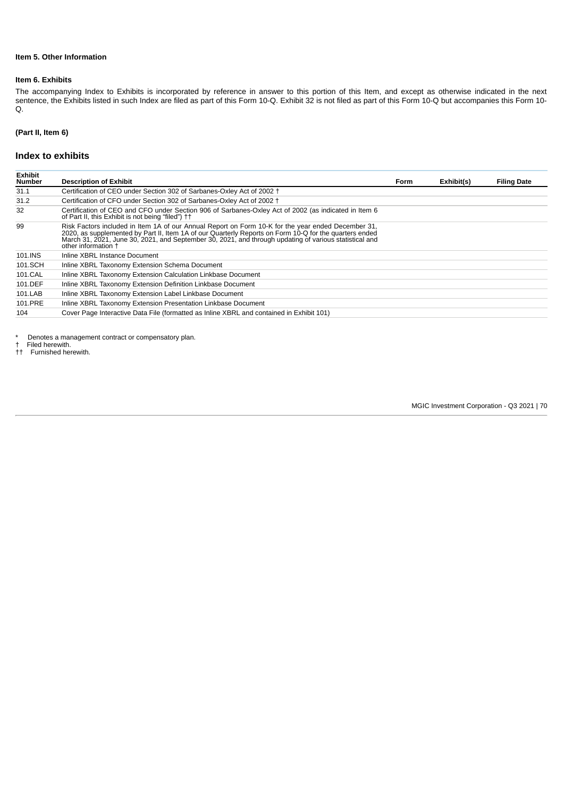# **Item 5. Other Information**

## **Item 6. Exhibits**

The accompanying Index to Exhibits is incorporated by reference in answer to this portion of this Item, and except as otherwise indicated in the next sentence, the Exhibits listed in such Index are filed as part of this Form 10-Q. Exhibit 32 is not filed as part of this Form 10-Q but accompanies this Form 10- Q.

## **(Part II, Item 6)**

## **Index to exhibits**

| <b>Exhibit</b><br>Number | <b>Description of Exhibit</b>                                                                                                                                                                                                                                                                                                                 | Form | Exhibit(s) | <b>Filing Date</b> |
|--------------------------|-----------------------------------------------------------------------------------------------------------------------------------------------------------------------------------------------------------------------------------------------------------------------------------------------------------------------------------------------|------|------------|--------------------|
| 31.1                     | Certification of CEO under Section 302 of Sarbanes-Oxley Act of 2002 <sup>+</sup>                                                                                                                                                                                                                                                             |      |            |                    |
| 31.2                     | Certification of CFO under Section 302 of Sarbanes-Oxley Act of 2002 <sup>+</sup>                                                                                                                                                                                                                                                             |      |            |                    |
| 32                       | Certification of CEO and CFO under Section 906 of Sarbanes-Oxley Act of 2002 (as indicated in Item 6<br>of Part II, this Exhibit is not being "filed") ††                                                                                                                                                                                     |      |            |                    |
| 99                       | Risk Factors included in Item 1A of our Annual Report on Form 10-K for the year ended December 31,<br>2020, as supplemented by Part II, Item 1A of our Quarterly Reports on Form 10-Q for the quarters ended<br>March 31, 2021, June 30, 2021, and September 30, 2021, and through updating of various statistical and<br>other information + |      |            |                    |
| 101.INS                  | Inline XBRL Instance Document                                                                                                                                                                                                                                                                                                                 |      |            |                    |
| 101.SCH                  | Inline XBRL Taxonomy Extension Schema Document                                                                                                                                                                                                                                                                                                |      |            |                    |
| 101.CAL                  | Inline XBRL Taxonomy Extension Calculation Linkbase Document                                                                                                                                                                                                                                                                                  |      |            |                    |
| 101.DEF                  | Inline XBRL Taxonomy Extension Definition Linkbase Document                                                                                                                                                                                                                                                                                   |      |            |                    |
| 101.LAB                  | Inline XBRL Taxonomy Extension Label Linkbase Document                                                                                                                                                                                                                                                                                        |      |            |                    |
| 101.PRE                  | Inline XBRL Taxonomy Extension Presentation Linkbase Document                                                                                                                                                                                                                                                                                 |      |            |                    |
| 104                      | Cover Page Interactive Data File (formatted as Inline XBRL and contained in Exhibit 101)                                                                                                                                                                                                                                                      |      |            |                    |

\* Denotes a management contract or compensatory plan.

Filed herewith.

†† Furnished herewith.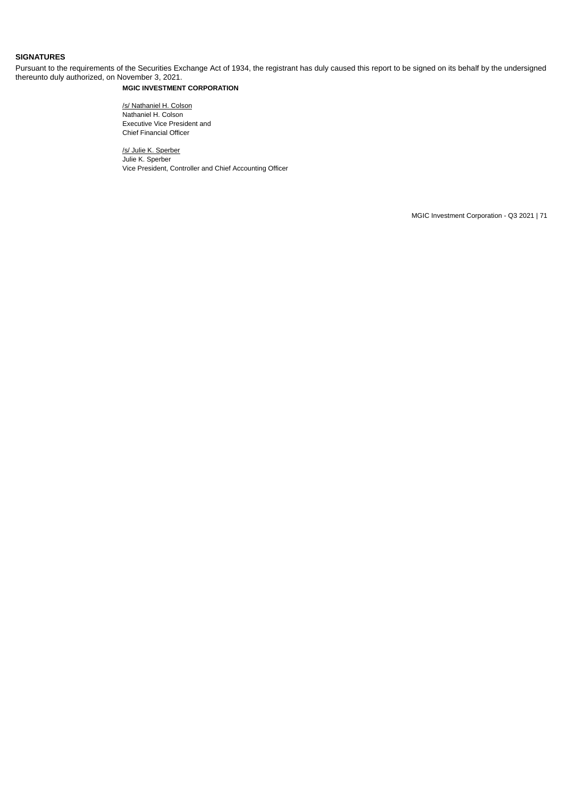# **SIGNATURES**

Pursuant to the requirements of the Securities Exchange Act of 1934, the registrant has duly caused this report to be signed on its behalf by the undersigned thereunto duly authorized, on November 3, 2021.

# **MGIC INVESTMENT CORPORATION**

/s/ Nathaniel H. Colson Nathaniel H. Colson Executive Vice President and Chief Financial Officer

/s/ Julie K. Sperber Julie K. Sperber Vice President, Controller and Chief Accounting Officer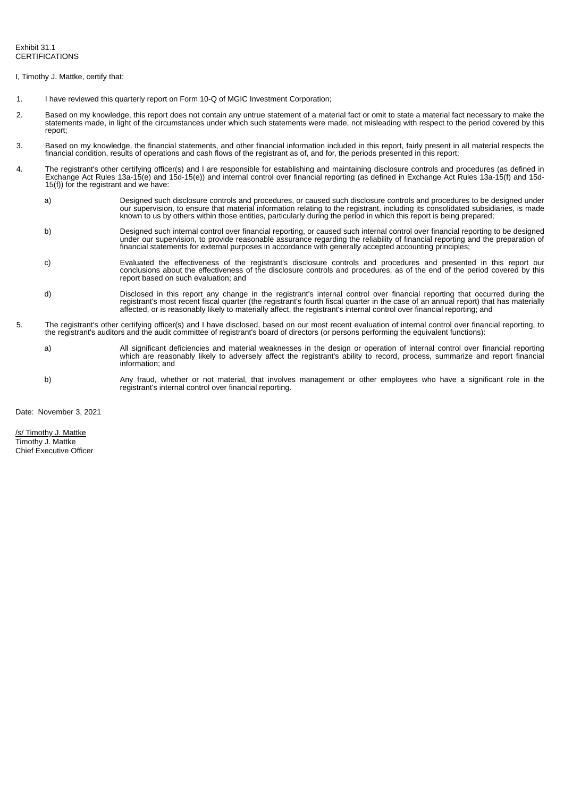<span id="page-71-0"></span>I, Timothy J. Mattke, certify that:

- 1. I have reviewed this quarterly report on Form 10-Q of MGIC Investment Corporation;
- 2. Based on my knowledge, this report does not contain any untrue statement of a material fact or omit to state a material fact necessary to make the statements made, in light of the circumstances under which such statements were made, not misleading with respect to the period covered by this report;
- 3. Based on my knowledge, the financial statements, and other financial information included in this report, fairly present in all material respects the financial condition, results of operations and cash flows of the registrant as of, and for, the periods presented in this report;
- 4. The registrant's other certifying officer(s) and I are responsible for establishing and maintaining disclosure controls and procedures (as defined in Exchange Act Rules 13a-15(e) and 15d-15(e)) and internal control over financial reporting (as defined in Exchange Act Rules 13a-15(f) and 15d-15(f)) for the registrant and we have:
	- a) Designed such disclosure controls and procedures, or caused such disclosure controls and procedures to be designed under our supervision, to ensure that material information relating to the registrant, including its consolidated subsidiaries, is made known to us by others within those entities, particularly during the period in which this report is being prepared;
	- b) Designed such internal control over financial reporting, or caused such internal control over financial reporting to be designed under our supervision, to provide reasonable assurance regarding the reliability of financial reporting and the preparation of financial statements for external purposes in accordance with generally accepted accounting principles;
	- c) Evaluated the effectiveness of the registrant's disclosure controls and procedures and presented in this report our conclusions about the effectiveness of the disclosure controls and procedures, as of the end of the period covered by this report based on such evaluation; and
	- d) Disclosed in this report any change in the registrant's internal control over financial reporting that occurred during the registrant's most recent fiscal quarter (the registrant's fourth fiscal quarter in the case of an annual report) that has materially affected, or is reasonably likely to materially affect, the registrant's internal control over financial reporting; and
- 5. The registrant's other certifying officer(s) and I have disclosed, based on our most recent evaluation of internal control over financial reporting, to the registrant's auditors and the audit committee of registrant's board of directors (or persons performing the equivalent functions):
	- a) All significant deficiencies and material weaknesses in the design or operation of internal control over financial reporting which are reasonably likely to adversely affect the registrant's ability to record, process, summarize and report financial information; and
	- b) Any fraud, whether or not material, that involves management or other employees who have a significant role in the registrant's internal control over financial reporting.

Date: November 3, 2021

/s/ Timothy J. Mattke Timothy J. Mattke Chief Executive Officer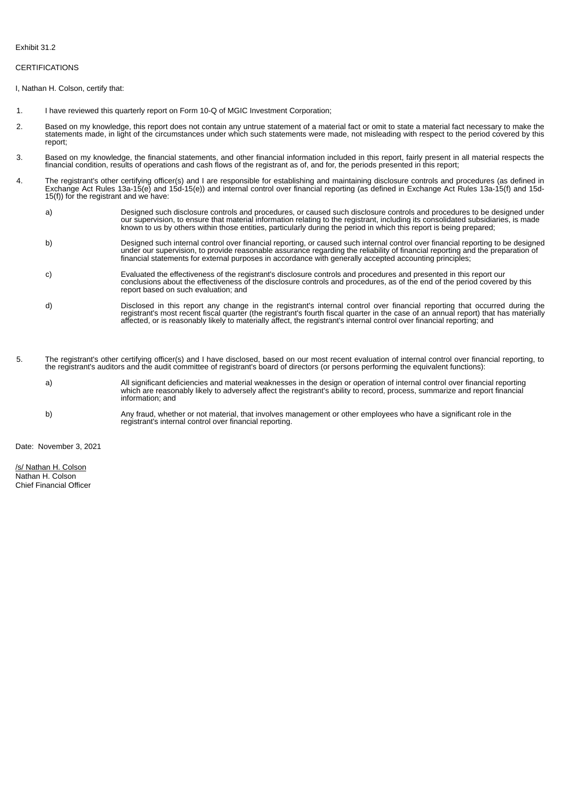### Exhibit 31.2

# CERTIFICATIONS

I, Nathan H. Colson, certify that:

- 1. I have reviewed this quarterly report on Form 10-Q of MGIC Investment Corporation;
- 2. Based on my knowledge, this report does not contain any untrue statement of a material fact or omit to state a material fact necessary to make the statements made, in light of the circumstances under which such statements were made, not misleading with respect to the period covered by this report;
- 3. Based on my knowledge, the financial statements, and other financial information included in this report, fairly present in all material respects the financial condition, results of operations and cash flows of the registrant as of, and for, the periods presented in this report;
- 4. The registrant's other certifying officer(s) and I are responsible for establishing and maintaining disclosure controls and procedures (as defined in Exchange Act Rules 13a-15(e) and 15d-15(e)) and internal control over financial reporting (as defined in Exchange Act Rules 13a-15(f) and 15d-15(f)) for the registrant and we have:
	- a) Designed such disclosure controls and procedures, or caused such disclosure controls and procedures to be designed under our supervision, to ensure that material information relating to the registrant, including its consolidated subsidiaries, is made known to us by others within those entities, particularly during the period in which this report is being prepared;
	- b) Designed such internal control over financial reporting, or caused such internal control over financial reporting to be designed under our supervision, to provide reasonable assurance regarding the reliability of financial reporting and the preparation of financial statements for external purposes in accordance with generally accepted accounting principles;
	- c) Evaluated the effectiveness of the registrant's disclosure controls and procedures and presented in this report our conclusions about the effectiveness of the disclosure controls and procedures, as of the end of the period covered by this report based on such evaluation; and
	- d) Disclosed in this report any change in the registrant's internal control over financial reporting that occurred during the registrant's most recent fiscal quarter (the registrant's fourth fiscal quarter in the case of an annual report) that has materially affected, or is reasonably likely to materially affect, the registrant's internal control over financial reporting; and
- 5. The registrant's other certifying officer(s) and I have disclosed, based on our most recent evaluation of internal control over financial reporting, to the registrant's auditors and the audit committee of registrant's board of directors (or persons performing the equivalent functions):
	- a) All significant deficiencies and material weaknesses in the design or operation of internal control over financial reporting which are reasonably likely to adversely affect the registrant's ability to record, process, summarize and report financial information; and
	- b) Any fraud, whether or not material, that involves management or other employees who have a significant role in the registrant's internal control over financial reporting.

Date: November 3, 2021

/s/ Nathan H. Colson Nathan H. Colson Chief Financial Officer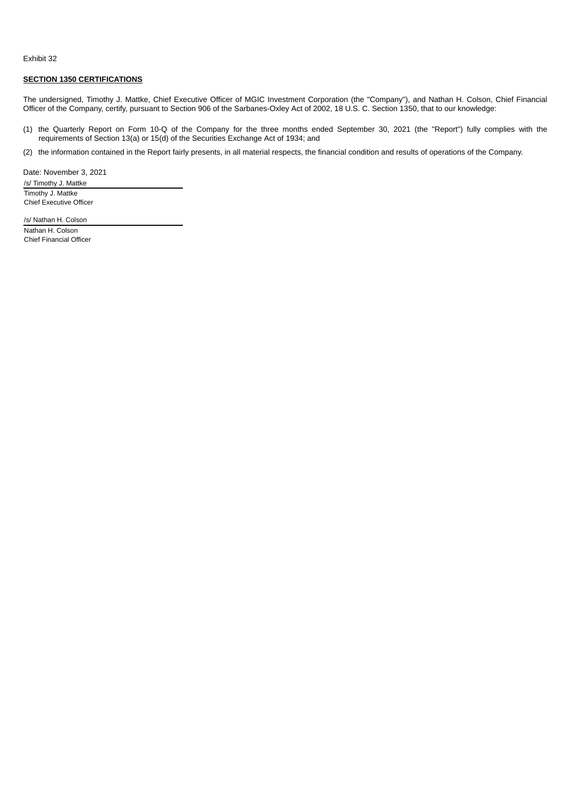# Exhibit 32

# **SECTION 1350 CERTIFICATIONS**

The undersigned, Timothy J. Mattke, Chief Executive Officer of MGIC Investment Corporation (the "Company"), and Nathan H. Colson, Chief Financial Officer of the Company, certify, pursuant to Section 906 of the Sarbanes-Oxley Act of 2002, 18 U.S. C. Section 1350, that to our knowledge:

(1) the Quarterly Report on Form 10-Q of the Company for the three months ended September 30, 2021 (the "Report") fully complies with the requirements of Section 13(a) or 15(d) of the Securities Exchange Act of 1934; and

(2) the information contained in the Report fairly presents, in all material respects, the financial condition and results of operations of the Company.

Date: November 3, 2021 /s/ Timothy J. Mattke

Timothy J. Mattke Chief Executive Officer

/s/ Nathan H. Colson Nathan H. Colson Chief Financial Officer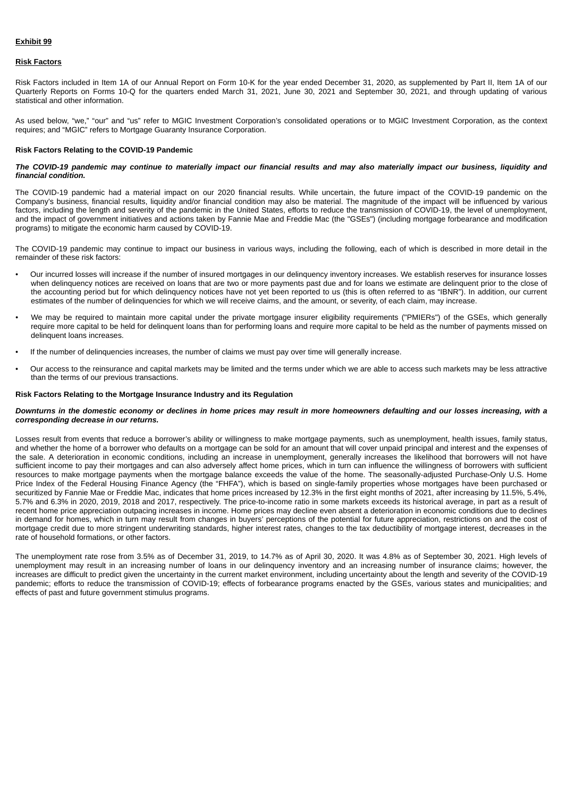# **Exhibit 99**

#### **Risk Factors**

Risk Factors included in Item 1A of our Annual Report on Form 10-K for the year ended December 31, 2020, as supplemented by Part II, Item 1A of our Quarterly Reports on Forms 10-Q for the quarters ended March 31, 2021, June 30, 2021 and September 30, 2021, and through updating of various statistical and other information.

As used below, "we," "our" and "us" refer to MGIC Investment Corporation's consolidated operations or to MGIC Investment Corporation, as the context requires; and "MGIC" refers to Mortgage Guaranty Insurance Corporation.

### **Risk Factors Relating to the COVID-19 Pandemic**

### *The COVID-19 pandemic may continue to materially impact our financial results and may also materially impact our business, liquidity and financial condition.*

The COVID-19 pandemic had a material impact on our 2020 financial results. While uncertain, the future impact of the COVID-19 pandemic on the Company's business, financial results, liquidity and/or financial condition may also be material. The magnitude of the impact will be influenced by various factors, including the length and severity of the pandemic in the United States, efforts to reduce the transmission of COVID-19, the level of unemployment, and the impact of government initiatives and actions taken by Fannie Mae and Freddie Mac (the "GSEs") (including mortgage forbearance and modification programs) to mitigate the economic harm caused by COVID-19.

The COVID-19 pandemic may continue to impact our business in various ways, including the following, each of which is described in more detail in the remainder of these risk factors:

- Our incurred losses will increase if the number of insured mortgages in our delinquency inventory increases. We establish reserves for insurance losses when delinquency notices are received on loans that are two or more payments past due and for loans we estimate are delinquent prior to the close of the accounting period but for which delinquency notices have not yet been reported to us (this is often referred to as "IBNR"). In addition, our current estimates of the number of delinquencies for which we will receive claims, and the amount, or severity, of each claim, may increase.
- We may be required to maintain more capital under the private mortgage insurer eligibility requirements ("PMIERs") of the GSEs, which generally require more capital to be held for delinquent loans than for performing loans and require more capital to be held as the number of payments missed on delinquent loans increases.
- If the number of delinquencies increases, the number of claims we must pay over time will generally increase.
- Our access to the reinsurance and capital markets may be limited and the terms under which we are able to access such markets may be less attractive than the terms of our previous transactions.

#### **Risk Factors Relating to the Mortgage Insurance Industry and its Regulation**

#### *Downturns in the domestic economy or declines in home prices may result in more homeowners defaulting and our losses increasing, with a corresponding decrease in our returns.*

Losses result from events that reduce a borrower's ability or willingness to make mortgage payments, such as unemployment, health issues, family status, and whether the home of a borrower who defaults on a mortgage can be sold for an amount that will cover unpaid principal and interest and the expenses of the sale. A deterioration in economic conditions, including an increase in unemployment, generally increases the likelihood that borrowers will not have sufficient income to pay their mortgages and can also adversely affect home prices, which in turn can influence the willingness of borrowers with sufficient resources to make mortgage payments when the mortgage balance exceeds the value of the home. The seasonally-adjusted Purchase-Only U.S. Home Price Index of the Federal Housing Finance Agency (the "FHFA"), which is based on single-family properties whose mortgages have been purchased or securitized by Fannie Mae or Freddie Mac, indicates that home prices increased by 12.3% in the first eight months of 2021, after increasing by 11.5%, 5.4%, 5.7% and 6.3% in 2020, 2019, 2018 and 2017, respectively. The price-to-income ratio in some markets exceeds its historical average, in part as a result of recent home price appreciation outpacing increases in income. Home prices may decline even absent a deterioration in economic conditions due to declines in demand for homes, which in turn may result from changes in buyers' perceptions of the potential for future appreciation, restrictions on and the cost of mortgage credit due to more stringent underwriting standards, higher interest rates, changes to the tax deductibility of mortgage interest, decreases in the rate of household formations, or other factors.

The unemployment rate rose from 3.5% as of December 31, 2019, to 14.7% as of April 30, 2020. It was 4.8% as of September 30, 2021. High levels of unemployment may result in an increasing number of loans in our delinquency inventory and an increasing number of insurance claims; however, the increases are difficult to predict given the uncertainty in the current market environment, including uncertainty about the length and severity of the COVID-19 pandemic; efforts to reduce the transmission of COVID-19; effects of forbearance programs enacted by the GSEs, various states and municipalities; and effects of past and future government stimulus programs.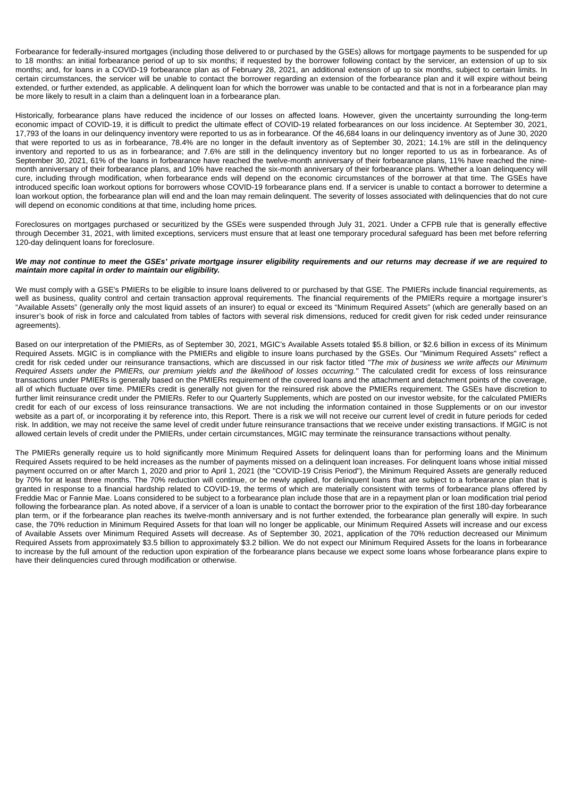Forbearance for federally-insured mortgages (including those delivered to or purchased by the GSEs) allows for mortgage payments to be suspended for up to 18 months: an initial forbearance period of up to six months; if requested by the borrower following contact by the servicer, an extension of up to six months; and, for loans in a COVID-19 forbearance plan as of February 28, 2021, an additional extension of up to six months, subject to certain limits. In certain circumstances, the servicer will be unable to contact the borrower regarding an extension of the forbearance plan and it will expire without being extended, or further extended, as applicable. A delinquent loan for which the borrower was unable to be contacted and that is not in a forbearance plan may be more likely to result in a claim than a delinquent loan in a forbearance plan.

Historically, forbearance plans have reduced the incidence of our losses on affected loans. However, given the uncertainty surrounding the long-term economic impact of COVID-19, it is difficult to predict the ultimate effect of COVID-19 related forbearances on our loss incidence. At September 30, 2021, 17,793 of the loans in our delinquency inventory were reported to us as in forbearance. Of the 46,684 loans in our delinquency inventory as of June 30, 2020 that were reported to us as in forbearance, 78.4% are no longer in the default inventory as of September 30, 2021; 14.1% are still in the delinquency inventory and reported to us as in forbearance; and 7.6% are still in the delinquency inventory but no longer reported to us as in forbearance. As of September 30, 2021, 61% of the loans in forbearance have reached the twelve-month anniversary of their forbearance plans, 11% have reached the ninemonth anniversary of their forbearance plans, and 10% have reached the six-month anniversary of their forbearance plans. Whether a loan delinquency will cure, including through modification, when forbearance ends will depend on the economic circumstances of the borrower at that time. The GSEs have introduced specific loan workout options for borrowers whose COVID-19 forbearance plans end. If a servicer is unable to contact a borrower to determine a loan workout option, the forbearance plan will end and the loan may remain delinquent. The severity of losses associated with delinquencies that do not cure will depend on economic conditions at that time, including home prices.

Foreclosures on mortgages purchased or securitized by the GSEs were suspended through July 31, 2021. Under a CFPB rule that is generally effective through December 31, 2021, with limited exceptions, servicers must ensure that at least one temporary procedural safeguard has been met before referring 120-day delinquent loans for foreclosure.

### *We may not continue to meet the GSEs' private mortgage insurer eligibility requirements and our returns may decrease if we are required to maintain more capital in order to maintain our eligibility.*

We must comply with a GSE's PMIERs to be eligible to insure loans delivered to or purchased by that GSE. The PMIERs include financial requirements, as well as business, quality control and certain transaction approval requirements. The financial requirements of the PMIERs require a mortgage insurer's "Available Assets" (generally only the most liquid assets of an insurer) to equal or exceed its "Minimum Required Assets" (which are generally based on an insurer's book of risk in force and calculated from tables of factors with several risk dimensions, reduced for credit given for risk ceded under reinsurance agreements).

Based on our interpretation of the PMIERs, as of September 30, 2021, MGIC's Available Assets totaled \$5.8 billion, or \$2.6 billion in excess of its Minimum Required Assets. MGIC is in compliance with the PMIERs and eligible to insure loans purchased by the GSEs. Our "Minimum Required Assets" reflect a credit for risk ceded under our reinsurance transactions, which are discussed in our risk factor titled *"The mix of business we write affects our Minimum Required Assets under the PMIERs, our premium yields and the likelihood of losses occurring."* The calculated credit for excess of loss reinsurance transactions under PMIERs is generally based on the PMIERs requirement of the covered loans and the attachment and detachment points of the coverage, all of which fluctuate over time. PMIERs credit is generally not given for the reinsured risk above the PMIERs requirement. The GSEs have discretion to further limit reinsurance credit under the PMIERs. Refer to our Quarterly Supplements, which are posted on our investor website, for the calculated PMIERs credit for each of our excess of loss reinsurance transactions. We are not including the information contained in those Supplements or on our investor website as a part of, or incorporating it by reference into, this Report. There is a risk we will not receive our current level of credit in future periods for ceded risk. In addition, we may not receive the same level of credit under future reinsurance transactions that we receive under existing transactions. If MGIC is not allowed certain levels of credit under the PMIERs, under certain circumstances, MGIC may terminate the reinsurance transactions without penalty.

The PMIERs generally require us to hold significantly more Minimum Required Assets for delinquent loans than for performing loans and the Minimum Required Assets required to be held increases as the number of payments missed on a delinquent loan increases. For delinquent loans whose initial missed payment occurred on or after March 1, 2020 and prior to April 1, 2021 (the "COVID-19 Crisis Period"), the Minimum Required Assets are generally reduced by 70% for at least three months. The 70% reduction will continue, or be newly applied, for delinquent loans that are subject to a forbearance plan that is granted in response to a financial hardship related to COVID-19, the terms of which are materially consistent with terms of forbearance plans offered by Freddie Mac or Fannie Mae. Loans considered to be subject to a forbearance plan include those that are in a repayment plan or loan modification trial period following the forbearance plan. As noted above, if a servicer of a loan is unable to contact the borrower prior to the expiration of the first 180-day forbearance plan term, or if the forbearance plan reaches its twelve-month anniversary and is not further extended, the forbearance plan generally will expire. In such case, the 70% reduction in Minimum Required Assets for that loan will no longer be applicable, our Minimum Required Assets will increase and our excess of Available Assets over Minimum Required Assets will decrease. As of September 30, 2021, application of the 70% reduction decreased our Minimum Required Assets from approximately \$3.5 billion to approximately \$3.2 billion. We do not expect our Minimum Required Assets for the loans in forbearance to increase by the full amount of the reduction upon expiration of the forbearance plans because we expect some loans whose forbearance plans expire to have their delinquencies cured through modification or otherwise.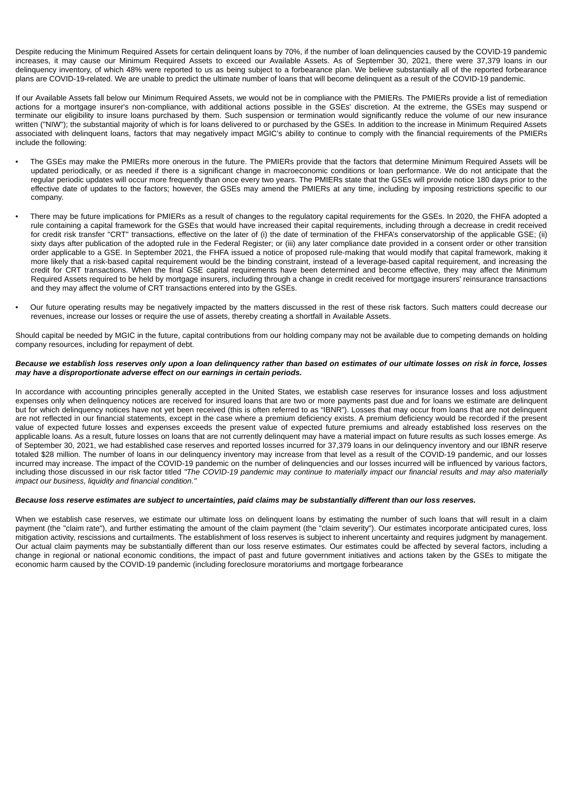Despite reducing the Minimum Required Assets for certain delinquent loans by 70%, if the number of loan delinquencies caused by the COVID-19 pandemic increases, it may cause our Minimum Required Assets to exceed our Available Assets. As of September 30, 2021, there were 37,379 loans in our delinquency inventory, of which 48% were reported to us as being subject to a forbearance plan. We believe substantially all of the reported forbearance plans are COVID-19-related. We are unable to predict the ultimate number of loans that will become delinquent as a result of the COVID-19 pandemic.

If our Available Assets fall below our Minimum Required Assets, we would not be in compliance with the PMIERs. The PMIERs provide a list of remediation actions for a mortgage insurer's non-compliance, with additional actions possible in the GSEs' discretion. At the extreme, the GSEs may suspend or terminate our eligibility to insure loans purchased by them. Such suspension or termination would significantly reduce the volume of our new insurance written ("NIW"); the substantial majority of which is for loans delivered to or purchased by the GSEs. In addition to the increase in Minimum Required Assets associated with delinquent loans, factors that may negatively impact MGIC's ability to continue to comply with the financial requirements of the PMIERs include the following:

- The GSEs may make the PMIERs more onerous in the future. The PMIERs provide that the factors that determine Minimum Required Assets will be updated periodically, or as needed if there is a significant change in macroeconomic conditions or loan performance. We do not anticipate that the regular periodic updates will occur more frequently than once every two years. The PMIERs state that the GSEs will provide notice 180 days prior to the effective date of updates to the factors; however, the GSEs may amend the PMIERs at any time, including by imposing restrictions specific to our company.
- There may be future implications for PMIERs as a result of changes to the regulatory capital requirements for the GSEs. In 2020, the FHFA adopted a rule containing a capital framework for the GSEs that would have increased their capital requirements, including through a decrease in credit received for credit risk transfer "CRT" transactions, effective on the later of (i) the date of termination of the FHFA's conservatorship of the applicable GSE; (ii) sixty days after publication of the adopted rule in the Federal Register; or (iii) any later compliance date provided in a consent order or other transition order applicable to a GSE. In September 2021, the FHFA issued a notice of proposed rule-making that would modify that capital framework, making it more likely that a risk-based capital requirement would be the binding constraint, instead of a leverage-based capital requirement, and increasing the credit for CRT transactions. When the final GSE capital requirements have been determined and become effective, they may affect the Minimum Required Assets required to be held by mortgage insurers, including through a change in credit received for mortgage insurers' reinsurance transactions and they may affect the volume of CRT transactions entered into by the GSEs.
- Our future operating results may be negatively impacted by the matters discussed in the rest of these risk factors. Such matters could decrease our revenues, increase our losses or require the use of assets, thereby creating a shortfall in Available Assets.

Should capital be needed by MGIC in the future, capital contributions from our holding company may not be available due to competing demands on holding company resources, including for repayment of debt.

# *Because we establish loss reserves only upon a loan delinquency rather than based on estimates of our ultimate losses on risk in force, losses may have a disproportionate adverse effect on our earnings in certain periods.*

In accordance with accounting principles generally accepted in the United States, we establish case reserves for insurance losses and loss adjustment expenses only when delinquency notices are received for insured loans that are two or more payments past due and for loans we estimate are delinquent but for which delinquency notices have not yet been received (this is often referred to as "IBNR"). Losses that may occur from loans that are not delinquent are not reflected in our financial statements, except in the case where a premium deficiency exists. A premium deficiency would be recorded if the present value of expected future losses and expenses exceeds the present value of expected future premiums and already established loss reserves on the applicable loans. As a result, future losses on loans that are not currently delinquent may have a material impact on future results as such losses emerge. As of September 30, 2021, we had established case reserves and reported losses incurred for 37,379 loans in our delinquency inventory and our IBNR reserve totaled \$28 million. The number of loans in our delinquency inventory may increase from that level as a result of the COVID-19 pandemic, and our losses incurred may increase. The impact of the COVID-19 pandemic on the number of delinquencies and our losses incurred will be influenced by various factors, including those discussed in our risk factor titled *"The COVID-19 pandemic may continue to materially impact our financial results and may also materially impact our business, liquidity and financial condition."*

# *Because loss reserve estimates are subject to uncertainties, paid claims may be substantially different than our loss reserves.*

When we establish case reserves, we estimate our ultimate loss on delinquent loans by estimating the number of such loans that will result in a claim payment (the "claim rate"), and further estimating the amount of the claim payment (the "claim severity"). Our estimates incorporate anticipated cures, loss mitigation activity, rescissions and curtailments. The establishment of loss reserves is subject to inherent uncertainty and requires judgment by management. Our actual claim payments may be substantially different than our loss reserve estimates. Our estimates could be affected by several factors, including a change in regional or national economic conditions, the impact of past and future government initiatives and actions taken by the GSEs to mitigate the economic harm caused by the COVID-19 pandemic (including foreclosure moratoriums and mortgage forbearance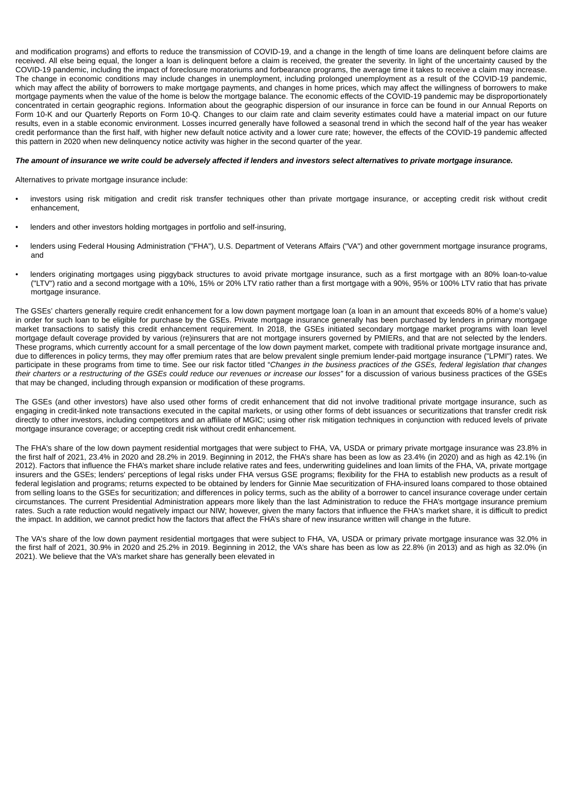and modification programs) and efforts to reduce the transmission of COVID-19, and a change in the length of time loans are delinquent before claims are received. All else being equal, the longer a loan is delinquent before a claim is received, the greater the severity. In light of the uncertainty caused by the COVID-19 pandemic, including the impact of foreclosure moratoriums and forbearance programs, the average time it takes to receive a claim may increase. The change in economic conditions may include changes in unemployment, including prolonged unemployment as a result of the COVID-19 pandemic, which may affect the ability of borrowers to make mortgage payments, and changes in home prices, which may affect the willingness of borrowers to make mortgage payments when the value of the home is below the mortgage balance. The economic effects of the COVID-19 pandemic may be disproportionately concentrated in certain geographic regions. Information about the geographic dispersion of our insurance in force can be found in our Annual Reports on Form 10-K and our Quarterly Reports on Form 10-Q. Changes to our claim rate and claim severity estimates could have a material impact on our future results, even in a stable economic environment. Losses incurred generally have followed a seasonal trend in which the second half of the year has weaker credit performance than the first half, with higher new default notice activity and a lower cure rate; however, the effects of the COVID-19 pandemic affected this pattern in 2020 when new delinquency notice activity was higher in the second quarter of the year.

# *The amount of insurance we write could be adversely affected if lenders and investors select alternatives to private mortgage insurance.*

Alternatives to private mortgage insurance include:

- investors using risk mitigation and credit risk transfer techniques other than private mortgage insurance, or accepting credit risk without credit enhancement,
- lenders and other investors holding mortgages in portfolio and self-insuring,
- lenders using Federal Housing Administration ("FHA"), U.S. Department of Veterans Affairs ("VA") and other government mortgage insurance programs, and
- lenders originating mortgages using piggyback structures to avoid private mortgage insurance, such as a first mortgage with an 80% loan-to-value ("LTV") ratio and a second mortgage with a 10%, 15% or 20% LTV ratio rather than a first mortgage with a 90%, 95% or 100% LTV ratio that has private mortgage insurance.

The GSEs' charters generally require credit enhancement for a low down payment mortgage loan (a loan in an amount that exceeds 80% of a home's value) in order for such loan to be eligible for purchase by the GSEs. Private mortgage insurance generally has been purchased by lenders in primary mortgage market transactions to satisfy this credit enhancement requirement. In 2018, the GSEs initiated secondary mortgage market programs with loan level mortgage default coverage provided by various (re)insurers that are not mortgage insurers governed by PMIERs, and that are not selected by the lenders. These programs, which currently account for a small percentage of the low down payment market, compete with traditional private mortgage insurance and, due to differences in policy terms, they may offer premium rates that are below prevalent single premium lender-paid mortgage insurance ("LPMI") rates. We participate in these programs from time to time. See our risk factor titled "*Changes in the business practices of the GSEs, federal legislation that changes their charters or a restructuring of the GSEs could reduce our revenues or increase our losses"* for a discussion of various business practices of the GSEs that may be changed, including through expansion or modification of these programs.

The GSEs (and other investors) have also used other forms of credit enhancement that did not involve traditional private mortgage insurance, such as engaging in credit-linked note transactions executed in the capital markets, or using other forms of debt issuances or securitizations that transfer credit risk directly to other investors, including competitors and an affiliate of MGIC; using other risk mitigation techniques in conjunction with reduced levels of private mortgage insurance coverage; or accepting credit risk without credit enhancement.

The FHA's share of the low down payment residential mortgages that were subject to FHA, VA, USDA or primary private mortgage insurance was 23.8% in the first half of 2021, 23.4% in 2020 and 28.2% in 2019. Beginning in 2012, the FHA's share has been as low as 23.4% (in 2020) and as high as 42.1% (in 2012). Factors that influence the FHA's market share include relative rates and fees, underwriting guidelines and loan limits of the FHA, VA, private mortgage insurers and the GSEs; lenders' perceptions of legal risks under FHA versus GSE programs; flexibility for the FHA to establish new products as a result of federal legislation and programs; returns expected to be obtained by lenders for Ginnie Mae securitization of FHA-insured loans compared to those obtained from selling loans to the GSEs for securitization; and differences in policy terms, such as the ability of a borrower to cancel insurance coverage under certain circumstances. The current Presidential Administration appears more likely than the last Administration to reduce the FHA's mortgage insurance premium rates. Such a rate reduction would negatively impact our NIW; however, given the many factors that influence the FHA's market share, it is difficult to predict the impact. In addition, we cannot predict how the factors that affect the FHA's share of new insurance written will change in the future.

The VA's share of the low down payment residential mortgages that were subject to FHA, VA, USDA or primary private mortgage insurance was 32.0% in the first half of 2021, 30.9% in 2020 and 25.2% in 2019. Beginning in 2012, the VA's share has been as low as 22.8% (in 2013) and as high as 32.0% (in 2021). We believe that the VA's market share has generally been elevated in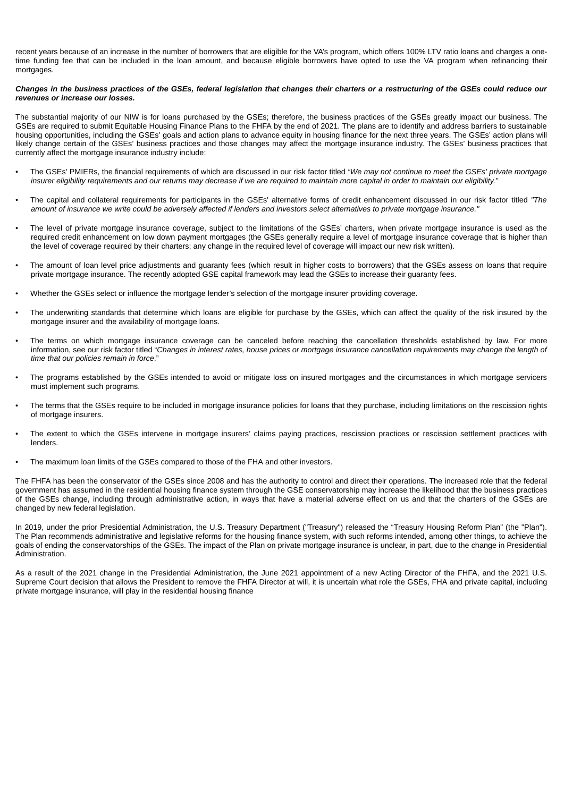recent years because of an increase in the number of borrowers that are eligible for the VA's program, which offers 100% LTV ratio loans and charges a onetime funding fee that can be included in the loan amount, and because eligible borrowers have opted to use the VA program when refinancing their mortgages.

# *Changes in the business practices of the GSEs, federal legislation that changes their charters or a restructuring of the GSEs could reduce our revenues or increase our losses.*

The substantial majority of our NIW is for loans purchased by the GSEs; therefore, the business practices of the GSEs greatly impact our business. The GSEs are required to submit Equitable Housing Finance Plans to the FHFA by the end of 2021. The plans are to identify and address barriers to sustainable housing opportunities, including the GSEs' goals and action plans to advance equity in housing finance for the next three years. The GSEs' action plans will likely change certain of the GSEs' business practices and those changes may affect the mortgage insurance industry. The GSEs' business practices that currently affect the mortgage insurance industry include:

- The GSEs' PMIERs, the financial requirements of which are discussed in our risk factor titled *"We may not continue to meet the GSEs' private mortgage insurer eligibility requirements and our returns may decrease if we are required to maintain more capital in order to maintain our eligibility."*
- The capital and collateral requirements for participants in the GSEs' alternative forms of credit enhancement discussed in our risk factor titled *"The amount of insurance we write could be adversely affected if lenders and investors select alternatives to private mortgage insurance."*
- The level of private mortgage insurance coverage, subject to the limitations of the GSEs' charters, when private mortgage insurance is used as the required credit enhancement on low down payment mortgages (the GSEs generally require a level of mortgage insurance coverage that is higher than the level of coverage required by their charters; any change in the required level of coverage will impact our new risk written).
- The amount of loan level price adjustments and guaranty fees (which result in higher costs to borrowers) that the GSEs assess on loans that require private mortgage insurance. The recently adopted GSE capital framework may lead the GSEs to increase their guaranty fees.
- Whether the GSEs select or influence the mortgage lender's selection of the mortgage insurer providing coverage.
- The underwriting standards that determine which loans are eligible for purchase by the GSEs, which can affect the quality of the risk insured by the mortgage insurer and the availability of mortgage loans.
- The terms on which mortgage insurance coverage can be canceled before reaching the cancellation thresholds established by law. For more information, see our risk factor titled "*Changes in interest rates, house prices or mortgage insurance cancellation requirements may change the length of time that our policies remain in force*."
- The programs established by the GSEs intended to avoid or mitigate loss on insured mortgages and the circumstances in which mortgage servicers must implement such programs.
- The terms that the GSEs require to be included in mortgage insurance policies for loans that they purchase, including limitations on the rescission rights of mortgage insurers.
- The extent to which the GSEs intervene in mortgage insurers' claims paying practices, rescission practices or rescission settlement practices with lenders.
- The maximum loan limits of the GSEs compared to those of the FHA and other investors.

The FHFA has been the conservator of the GSEs since 2008 and has the authority to control and direct their operations. The increased role that the federal government has assumed in the residential housing finance system through the GSE conservatorship may increase the likelihood that the business practices of the GSEs change, including through administrative action, in ways that have a material adverse effect on us and that the charters of the GSEs are changed by new federal legislation.

In 2019, under the prior Presidential Administration, the U.S. Treasury Department ("Treasury") released the "Treasury Housing Reform Plan" (the "Plan"). The Plan recommends administrative and legislative reforms for the housing finance system, with such reforms intended, among other things, to achieve the goals of ending the conservatorships of the GSEs. The impact of the Plan on private mortgage insurance is unclear, in part, due to the change in Presidential Administration.

As a result of the 2021 change in the Presidential Administration, the June 2021 appointment of a new Acting Director of the FHFA, and the 2021 U.S. Supreme Court decision that allows the President to remove the FHFA Director at will, it is uncertain what role the GSEs, FHA and private capital, including private mortgage insurance, will play in the residential housing finance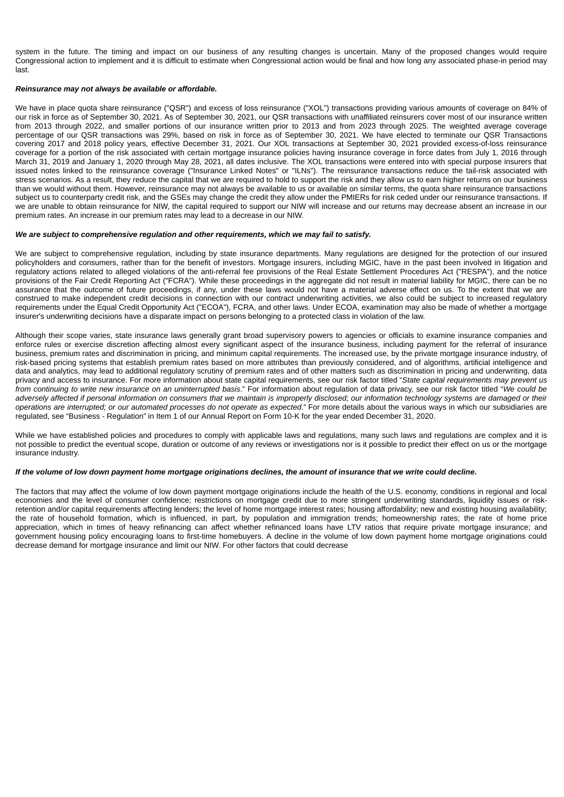system in the future. The timing and impact on our business of any resulting changes is uncertain. Many of the proposed changes would require Congressional action to implement and it is difficult to estimate when Congressional action would be final and how long any associated phase-in period may last.

### *Reinsurance may not always be available or affordable.*

We have in place quota share reinsurance ("QSR") and excess of loss reinsurance ("XOL") transactions providing various amounts of coverage on 84% of our risk in force as of September 30, 2021. As of September 30, 2021, our QSR transactions with unaffiliated reinsurers cover most of our insurance written from 2013 through 2022, and smaller portions of our insurance written prior to 2013 and from 2023 through 2025. The weighted average coverage percentage of our QSR transactions was 29%, based on risk in force as of September 30, 2021. We have elected to terminate our QSR Transactions covering 2017 and 2018 policy years, effective December 31, 2021. Our XOL transactions at September 30, 2021 provided excess-of-loss reinsurance coverage for a portion of the risk associated with certain mortgage insurance policies having insurance coverage in force dates from July 1, 2016 through March 31, 2019 and January 1, 2020 through May 28, 2021, all dates inclusive. The XOL transactions were entered into with special purpose insurers that issued notes linked to the reinsurance coverage ("Insurance Linked Notes" or "ILNs"). The reinsurance transactions reduce the tail-risk associated with stress scenarios. As a result, they reduce the capital that we are required to hold to support the risk and they allow us to earn higher returns on our business than we would without them. However, reinsurance may not always be available to us or available on similar terms, the quota share reinsurance transactions subject us to counterparty credit risk, and the GSEs may change the credit they allow under the PMIERs for risk ceded under our reinsurance transactions. If we are unable to obtain reinsurance for NIW, the capital required to support our NIW will increase and our returns may decrease absent an increase in our premium rates. An increase in our premium rates may lead to a decrease in our NIW.

# *We are subject to comprehensive regulation and other requirements, which we may fail to satisfy.*

We are subject to comprehensive regulation, including by state insurance departments. Many regulations are designed for the protection of our insured policyholders and consumers, rather than for the benefit of investors. Mortgage insurers, including MGIC, have in the past been involved in litigation and regulatory actions related to alleged violations of the anti-referral fee provisions of the Real Estate Settlement Procedures Act ("RESPA"), and the notice provisions of the Fair Credit Reporting Act ("FCRA"). While these proceedings in the aggregate did not result in material liability for MGIC, there can be no assurance that the outcome of future proceedings, if any, under these laws would not have a material adverse effect on us. To the extent that we are construed to make independent credit decisions in connection with our contract underwriting activities, we also could be subject to increased regulatory requirements under the Equal Credit Opportunity Act ("ECOA"), FCRA, and other laws. Under ECOA, examination may also be made of whether a mortgage insurer's underwriting decisions have a disparate impact on persons belonging to a protected class in violation of the law.

Although their scope varies, state insurance laws generally grant broad supervisory powers to agencies or officials to examine insurance companies and enforce rules or exercise discretion affecting almost every significant aspect of the insurance business, including payment for the referral of insurance business, premium rates and discrimination in pricing, and minimum capital requirements. The increased use, by the private mortgage insurance industry, of risk-based pricing systems that establish premium rates based on more attributes than previously considered, and of algorithms, artificial intelligence and data and analytics, may lead to additional regulatory scrutiny of premium rates and of other matters such as discrimination in pricing and underwriting, data privacy and access to insurance. For more information about state capital requirements, see our risk factor titled "*State capital requirements may prevent us from continuing to write new insurance on an uninterrupted basis*." For information about regulation of data privacy, see our risk factor titled "*We could be adversely affected if personal information on consumers that we maintain is improperly disclosed; our information technology systems are damaged or their operations are interrupted; or our automated processes do not operate as expected*." For more details about the various ways in which our subsidiaries are regulated, see "Business - Regulation" in Item 1 of our Annual Report on Form 10-K for the year ended December 31, 2020.

While we have established policies and procedures to comply with applicable laws and regulations, many such laws and regulations are complex and it is not possible to predict the eventual scope, duration or outcome of any reviews or investigations nor is it possible to predict their effect on us or the mortgage insurance industry.

#### *If the volume of low down payment home mortgage originations declines, the amount of insurance that we write could decline.*

The factors that may affect the volume of low down payment mortgage originations include the health of the U.S. economy, conditions in regional and local economies and the level of consumer confidence; restrictions on mortgage credit due to more stringent underwriting standards, liquidity issues or riskretention and/or capital requirements affecting lenders; the level of home mortgage interest rates; housing affordability; new and existing housing availability; the rate of household formation, which is influenced, in part, by population and immigration trends; homeownership rates; the rate of home price appreciation, which in times of heavy refinancing can affect whether refinanced loans have LTV ratios that require private mortgage insurance; and government housing policy encouraging loans to first-time homebuyers. A decline in the volume of low down payment home mortgage originations could decrease demand for mortgage insurance and limit our NIW. For other factors that could decrease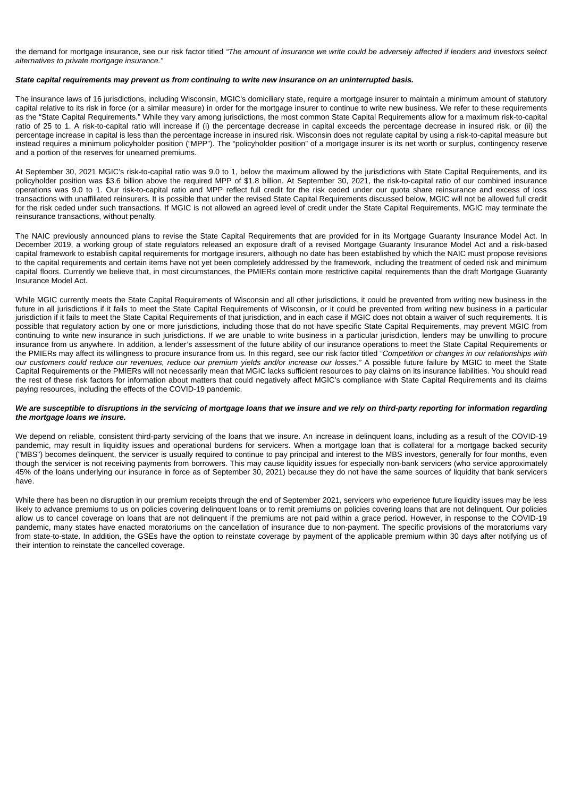the demand for mortgage insurance, see our risk factor titled *"The amount of insurance we write could be adversely affected if lenders and investors select alternatives to private mortgage insurance."*

# *State capital requirements may prevent us from continuing to write new insurance on an uninterrupted basis.*

The insurance laws of 16 jurisdictions, including Wisconsin, MGIC's domiciliary state, require a mortgage insurer to maintain a minimum amount of statutory capital relative to its risk in force (or a similar measure) in order for the mortgage insurer to continue to write new business. We refer to these requirements as the "State Capital Requirements." While they vary among jurisdictions, the most common State Capital Requirements allow for a maximum risk-to-capital ratio of 25 to 1. A risk-to-capital ratio will increase if (i) the percentage decrease in capital exceeds the percentage decrease in insured risk, or (ii) the percentage increase in capital is less than the percentage increase in insured risk. Wisconsin does not regulate capital by using a risk-to-capital measure but instead requires a minimum policyholder position ("MPP"). The "policyholder position" of a mortgage insurer is its net worth or surplus, contingency reserve and a portion of the reserves for unearned premiums.

At September 30, 2021 MGIC's risk-to-capital ratio was 9.0 to 1, below the maximum allowed by the jurisdictions with State Capital Requirements, and its policyholder position was \$3.6 billion above the required MPP of \$1.8 billion. At September 30, 2021, the risk-to-capital ratio of our combined insurance operations was 9.0 to 1. Our risk-to-capital ratio and MPP reflect full credit for the risk ceded under our quota share reinsurance and excess of loss transactions with unaffiliated reinsurers*.* It is possible that under the revised State Capital Requirements discussed below, MGIC will not be allowed full credit for the risk ceded under such transactions. If MGIC is not allowed an agreed level of credit under the State Capital Requirements, MGIC may terminate the reinsurance transactions, without penalty.

The NAIC previously announced plans to revise the State Capital Requirements that are provided for in its Mortgage Guaranty Insurance Model Act. In December 2019, a working group of state regulators released an exposure draft of a revised Mortgage Guaranty Insurance Model Act and a risk-based capital framework to establish capital requirements for mortgage insurers, although no date has been established by which the NAIC must propose revisions to the capital requirements and certain items have not yet been completely addressed by the framework, including the treatment of ceded risk and minimum capital floors. Currently we believe that, in most circumstances, the PMIERs contain more restrictive capital requirements than the draft Mortgage Guaranty Insurance Model Act.

While MGIC currently meets the State Capital Requirements of Wisconsin and all other jurisdictions, it could be prevented from writing new business in the future in all jurisdictions if it fails to meet the State Capital Requirements of Wisconsin, or it could be prevented from writing new business in a particular jurisdiction if it fails to meet the State Capital Requirements of that jurisdiction, and in each case if MGIC does not obtain a waiver of such requirements. It is possible that regulatory action by one or more jurisdictions, including those that do not have specific State Capital Requirements, may prevent MGIC from continuing to write new insurance in such jurisdictions. If we are unable to write business in a particular jurisdiction, lenders may be unwilling to procure insurance from us anywhere. In addition, a lender's assessment of the future ability of our insurance operations to meet the State Capital Requirements or the PMIERs may affect its willingness to procure insurance from us. In this regard, see our risk factor titled *"Competition or changes in our relationships with our customers could reduce our revenues, reduce our premium yields and/or increase our losses."* A possible future failure by MGIC to meet the State Capital Requirements or the PMIERs will not necessarily mean that MGIC lacks sufficient resources to pay claims on its insurance liabilities. You should read the rest of these risk factors for information about matters that could negatively affect MGIC's compliance with State Capital Requirements and its claims paying resources, including the effects of the COVID-19 pandemic.

### *We are susceptible to disruptions in the servicing of mortgage loans that we insure and we rely on third-party reporting for information regarding the mortgage loans we insure.*

We depend on reliable, consistent third-party servicing of the loans that we insure. An increase in delinquent loans, including as a result of the COVID-19 pandemic, may result in liquidity issues and operational burdens for servicers. When a mortgage loan that is collateral for a mortgage backed security ("MBS") becomes delinquent, the servicer is usually required to continue to pay principal and interest to the MBS investors, generally for four months, even though the servicer is not receiving payments from borrowers. This may cause liquidity issues for especially non-bank servicers (who service approximately 45% of the loans underlying our insurance in force as of September 30, 2021) because they do not have the same sources of liquidity that bank servicers have.

While there has been no disruption in our premium receipts through the end of September 2021, servicers who experience future liquidity issues may be less likely to advance premiums to us on policies covering delinquent loans or to remit premiums on policies covering loans that are not delinquent. Our policies allow us to cancel coverage on loans that are not delinquent if the premiums are not paid within a grace period. However, in response to the COVID-19 pandemic, many states have enacted moratoriums on the cancellation of insurance due to non-payment. The specific provisions of the moratoriums vary from state-to-state. In addition, the GSEs have the option to reinstate coverage by payment of the applicable premium within 30 days after notifying us of their intention to reinstate the cancelled coverage.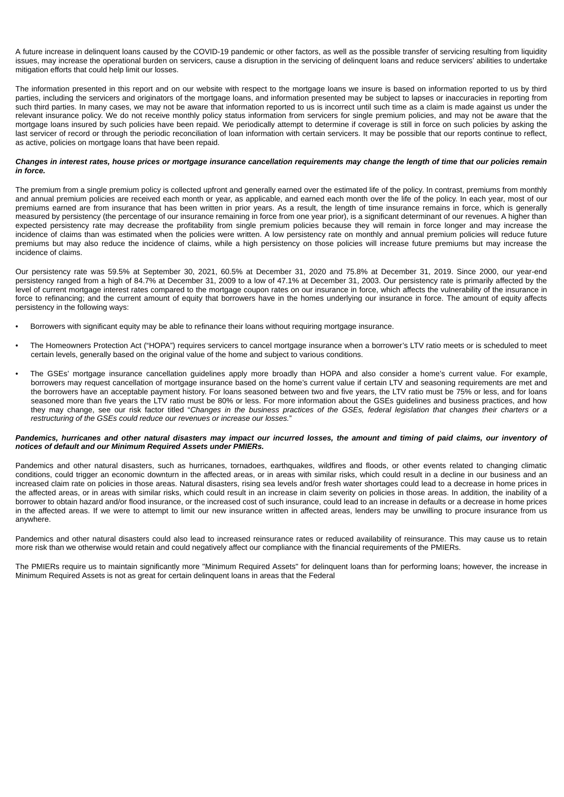A future increase in delinquent loans caused by the COVID-19 pandemic or other factors, as well as the possible transfer of servicing resulting from liquidity issues, may increase the operational burden on servicers, cause a disruption in the servicing of delinquent loans and reduce servicers' abilities to undertake mitigation efforts that could help limit our losses.

The information presented in this report and on our website with respect to the mortgage loans we insure is based on information reported to us by third parties, including the servicers and originators of the mortgage loans, and information presented may be subject to lapses or inaccuracies in reporting from such third parties. In many cases, we may not be aware that information reported to us is incorrect until such time as a claim is made against us under the relevant insurance policy. We do not receive monthly policy status information from servicers for single premium policies, and may not be aware that the mortgage loans insured by such policies have been repaid. We periodically attempt to determine if coverage is still in force on such policies by asking the last servicer of record or through the periodic reconciliation of loan information with certain servicers. It may be possible that our reports continue to reflect, as active, policies on mortgage loans that have been repaid.

# *Changes in interest rates, house prices or mortgage insurance cancellation requirements may change the length of time that our policies remain in force.*

The premium from a single premium policy is collected upfront and generally earned over the estimated life of the policy. In contrast, premiums from monthly and annual premium policies are received each month or year, as applicable, and earned each month over the life of the policy. In each year, most of our premiums earned are from insurance that has been written in prior years. As a result, the length of time insurance remains in force, which is generally measured by persistency (the percentage of our insurance remaining in force from one year prior), is a significant determinant of our revenues. A higher than expected persistency rate may decrease the profitability from single premium policies because they will remain in force longer and may increase the incidence of claims than was estimated when the policies were written. A low persistency rate on monthly and annual premium policies will reduce future premiums but may also reduce the incidence of claims, while a high persistency on those policies will increase future premiums but may increase the incidence of claims.

Our persistency rate was 59.5% at September 30, 2021, 60.5% at December 31, 2020 and 75.8% at December 31, 2019. Since 2000, our year-end persistency ranged from a high of 84.7% at December 31, 2009 to a low of 47.1% at December 31, 2003. Our persistency rate is primarily affected by the level of current mortgage interest rates compared to the mortgage coupon rates on our insurance in force, which affects the vulnerability of the insurance in force to refinancing; and the current amount of equity that borrowers have in the homes underlying our insurance in force. The amount of equity affects persistency in the following ways:

- Borrowers with significant equity may be able to refinance their loans without requiring mortgage insurance.
- The Homeowners Protection Act ("HOPA") requires servicers to cancel mortgage insurance when a borrower's LTV ratio meets or is scheduled to meet certain levels, generally based on the original value of the home and subject to various conditions.
- The GSEs' mortgage insurance cancellation guidelines apply more broadly than HOPA and also consider a home's current value. For example, borrowers may request cancellation of mortgage insurance based on the home's current value if certain LTV and seasoning requirements are met and the borrowers have an acceptable payment history. For loans seasoned between two and five years, the LTV ratio must be 75% or less, and for loans seasoned more than five years the LTV ratio must be 80% or less. For more information about the GSEs guidelines and business practices, and how they may change, see our risk factor titled "*Changes in the business practices of the GSEs, federal legislation that changes their charters or a restructuring of the GSEs could reduce our revenues or increase our losses.*"

# *Pandemics, hurricanes and other natural disasters may impact our incurred losses, the amount and timing of paid claims, our inventory of notices of default and our Minimum Required Assets under PMIERs.*

Pandemics and other natural disasters, such as hurricanes, tornadoes, earthquakes, wildfires and floods, or other events related to changing climatic conditions, could trigger an economic downturn in the affected areas, or in areas with similar risks, which could result in a decline in our business and an increased claim rate on policies in those areas. Natural disasters, rising sea levels and/or fresh water shortages could lead to a decrease in home prices in the affected areas, or in areas with similar risks, which could result in an increase in claim severity on policies in those areas. In addition, the inability of a borrower to obtain hazard and/or flood insurance, or the increased cost of such insurance, could lead to an increase in defaults or a decrease in home prices in the affected areas. If we were to attempt to limit our new insurance written in affected areas, lenders may be unwilling to procure insurance from us anywhere.

Pandemics and other natural disasters could also lead to increased reinsurance rates or reduced availability of reinsurance. This may cause us to retain more risk than we otherwise would retain and could negatively affect our compliance with the financial requirements of the PMIERs.

The PMIERs require us to maintain significantly more "Minimum Required Assets" for delinquent loans than for performing loans; however, the increase in Minimum Required Assets is not as great for certain delinquent loans in areas that the Federal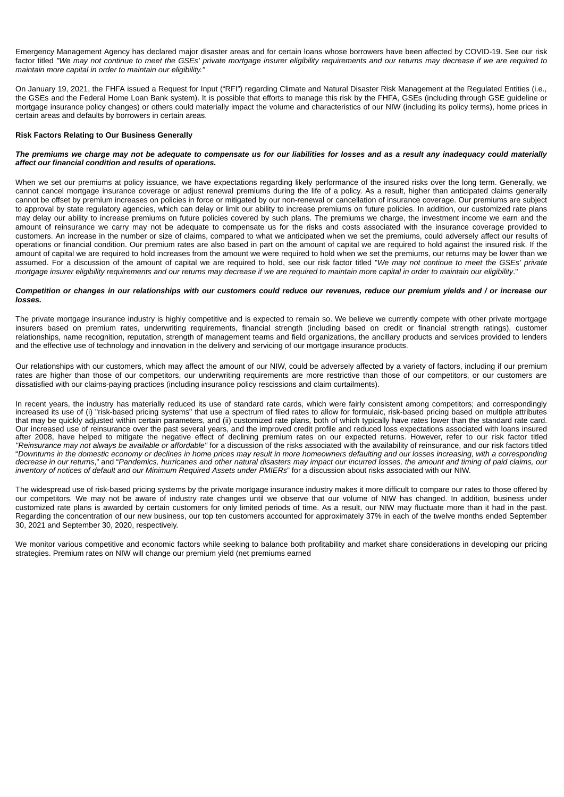Emergency Management Agency has declared major disaster areas and for certain loans whose borrowers have been affected by COVID-19. See our risk factor titled *"We may not continue to meet the GSEs' private mortgage insurer eligibility requirements and our returns may decrease if we are required to maintain more capital in order to maintain our eligibility."*

On January 19, 2021, the FHFA issued a Request for Input ("RFI") regarding Climate and Natural Disaster Risk Management at the Regulated Entities (i.e., the GSEs and the Federal Home Loan Bank system). It is possible that efforts to manage this risk by the FHFA, GSEs (including through GSE guideline or mortgage insurance policy changes) or others could materially impact the volume and characteristics of our NIW (including its policy terms), home prices in certain areas and defaults by borrowers in certain areas.

# **Risk Factors Relating to Our Business Generally**

### *The premiums we charge may not be adequate to compensate us for our liabilities for losses and as a result any inadequacy could materially affect our financial condition and results of operations.*

When we set our premiums at policy issuance, we have expectations regarding likely performance of the insured risks over the long term. Generally, we cannot cancel mortgage insurance coverage or adjust renewal premiums during the life of a policy. As a result, higher than anticipated claims generally cannot be offset by premium increases on policies in force or mitigated by our non-renewal or cancellation of insurance coverage. Our premiums are subject to approval by state regulatory agencies, which can delay or limit our ability to increase premiums on future policies. In addition, our customized rate plans may delay our ability to increase premiums on future policies covered by such plans. The premiums we charge, the investment income we earn and the amount of reinsurance we carry may not be adequate to compensate us for the risks and costs associated with the insurance coverage provided to customers. An increase in the number or size of claims, compared to what we anticipated when we set the premiums, could adversely affect our results of operations or financial condition. Our premium rates are also based in part on the amount of capital we are required to hold against the insured risk. If the amount of capital we are required to hold increases from the amount we were required to hold when we set the premiums, our returns may be lower than we assumed. For a discussion of the amount of capital we are required to hold, see our risk factor titled "*We may not continue to meet the GSEs' private mortgage insurer eligibility requirements and our returns may decrease if we are required to maintain more capital in order to maintain our eligibility*."

#### *Competition or changes in our relationships with our customers could reduce our revenues, reduce our premium yields and / or increase our losses.*

The private mortgage insurance industry is highly competitive and is expected to remain so. We believe we currently compete with other private mortgage insurers based on premium rates, underwriting requirements, financial strength (including based on credit or financial strength ratings), customer relationships, name recognition, reputation, strength of management teams and field organizations, the ancillary products and services provided to lenders and the effective use of technology and innovation in the delivery and servicing of our mortgage insurance products.

Our relationships with our customers, which may affect the amount of our NIW, could be adversely affected by a variety of factors, including if our premium rates are higher than those of our competitors, our underwriting requirements are more restrictive than those of our competitors, or our customers are dissatisfied with our claims-paying practices (including insurance policy rescissions and claim curtailments).

In recent years, the industry has materially reduced its use of standard rate cards, which were fairly consistent among competitors; and correspondingly increased its use of (i) "risk-based pricing systems" that use a spectrum of filed rates to allow for formulaic, risk-based pricing based on multiple attributes that may be quickly adjusted within certain parameters, and (ii) customized rate plans, both of which typically have rates lower than the standard rate card. Our increased use of reinsurance over the past several years, and the improved credit profile and reduced loss expectations associated with loans insured after 2008, have helped to mitigate the negative effect of declining premium rates on our expected returns. However, refer to our risk factor titled *"Reinsurance may not always be available or affordable"* for a discussion of the risks associated with the availability of reinsurance, and our risk factors titled "*Downturns in the domestic economy or declines in home prices may result in more homeowners defaulting and our losses increasing, with a corresponding decrease in our returns*," and "*Pandemics, hurricanes and other natural disasters may impact our incurred losses, the amount and timing of paid claims, our inventory of notices of default and our Minimum Required Assets under PMIERs*" for a discussion about risks associated with our NIW.

The widespread use of risk-based pricing systems by the private mortgage insurance industry makes it more difficult to compare our rates to those offered by our competitors. We may not be aware of industry rate changes until we observe that our volume of NIW has changed. In addition, business under customized rate plans is awarded by certain customers for only limited periods of time. As a result, our NIW may fluctuate more than it had in the past. Regarding the concentration of our new business, our top ten customers accounted for approximately 37% in each of the twelve months ended September 30, 2021 and September 30, 2020, respectively.

We monitor various competitive and economic factors while seeking to balance both profitability and market share considerations in developing our pricing strategies. Premium rates on NIW will change our premium yield (net premiums earned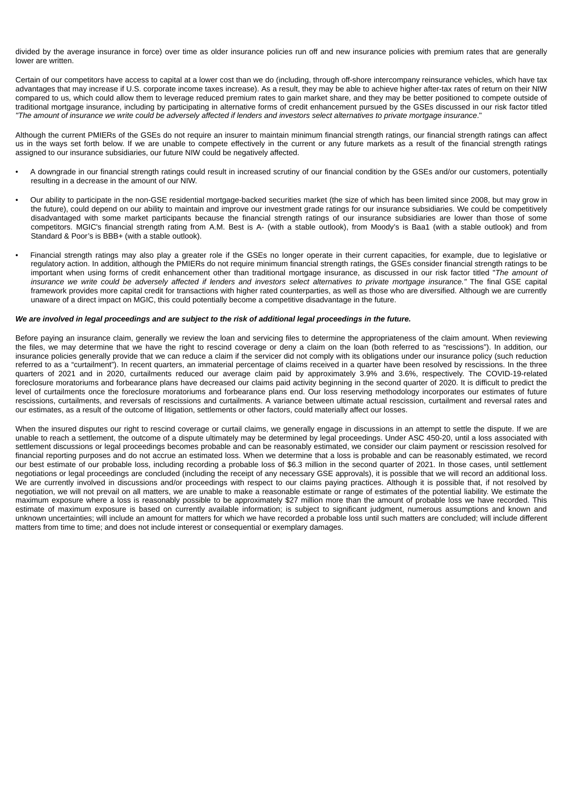divided by the average insurance in force) over time as older insurance policies run off and new insurance policies with premium rates that are generally lower are written.

Certain of our competitors have access to capital at a lower cost than we do (including, through off-shore intercompany reinsurance vehicles, which have tax advantages that may increase if U.S. corporate income taxes increase). As a result, they may be able to achieve higher after-tax rates of return on their NIW compared to us, which could allow them to leverage reduced premium rates to gain market share, and they may be better positioned to compete outside of traditional mortgage insurance, including by participating in alternative forms of credit enhancement pursued by the GSEs discussed in our risk factor titled *"The amount of insurance we write could be adversely affected if lenders and investors select alternatives to private mortgage insurance*."

Although the current PMIERs of the GSEs do not require an insurer to maintain minimum financial strength ratings, our financial strength ratings can affect us in the ways set forth below. If we are unable to compete effectively in the current or any future markets as a result of the financial strength ratings assigned to our insurance subsidiaries, our future NIW could be negatively affected.

- A downgrade in our financial strength ratings could result in increased scrutiny of our financial condition by the GSEs and/or our customers, potentially resulting in a decrease in the amount of our NIW.
- Our ability to participate in the non-GSE residential mortgage-backed securities market (the size of which has been limited since 2008, but may grow in the future), could depend on our ability to maintain and improve our investment grade ratings for our insurance subsidiaries. We could be competitively disadvantaged with some market participants because the financial strength ratings of our insurance subsidiaries are lower than those of some competitors. MGIC's financial strength rating from A.M. Best is A- (with a stable outlook), from Moody's is Baa1 (with a stable outlook) and from Standard & Poor's is BBB+ (with a stable outlook).
- Financial strength ratings may also play a greater role if the GSEs no longer operate in their current capacities, for example, due to legislative or regulatory action. In addition, although the PMIERs do not require minimum financial strength ratings, the GSEs consider financial strength ratings to be important when using forms of credit enhancement other than traditional mortgage insurance, as discussed in our risk factor titled "*The amount of insurance we write could be adversely affected if lenders and investors select alternatives to private mortgage insurance."* The final GSE capital framework provides more capital credit for transactions with higher rated counterparties, as well as those who are diversified. Although we are currently unaware of a direct impact on MGIC, this could potentially become a competitive disadvantage in the future.

# *We are involved in legal proceedings and are subject to the risk of additional legal proceedings in the future.*

Before paying an insurance claim, generally we review the loan and servicing files to determine the appropriateness of the claim amount. When reviewing the files, we may determine that we have the right to rescind coverage or deny a claim on the loan (both referred to as "rescissions"). In addition, our insurance policies generally provide that we can reduce a claim if the servicer did not comply with its obligations under our insurance policy (such reduction referred to as a "curtailment"). In recent quarters, an immaterial percentage of claims received in a quarter have been resolved by rescissions. In the three quarters of 2021 and in 2020, curtailments reduced our average claim paid by approximately 3.9% and 3.6%, respectively. The COVID-19-related foreclosure moratoriums and forbearance plans have decreased our claims paid activity beginning in the second quarter of 2020. It is difficult to predict the level of curtailments once the foreclosure moratoriums and forbearance plans end. Our loss reserving methodology incorporates our estimates of future rescissions, curtailments, and reversals of rescissions and curtailments. A variance between ultimate actual rescission, curtailment and reversal rates and our estimates, as a result of the outcome of litigation, settlements or other factors, could materially affect our losses.

When the insured disputes our right to rescind coverage or curtail claims, we generally engage in discussions in an attempt to settle the dispute. If we are unable to reach a settlement, the outcome of a dispute ultimately may be determined by legal proceedings. Under ASC 450-20, until a loss associated with settlement discussions or legal proceedings becomes probable and can be reasonably estimated, we consider our claim payment or rescission resolved for financial reporting purposes and do not accrue an estimated loss. When we determine that a loss is probable and can be reasonably estimated, we record our best estimate of our probable loss, including recording a probable loss of \$6.3 million in the second quarter of 2021. In those cases, until settlement negotiations or legal proceedings are concluded (including the receipt of any necessary GSE approvals), it is possible that we will record an additional loss. We are currently involved in discussions and/or proceedings with respect to our claims paying practices. Although it is possible that, if not resolved by negotiation, we will not prevail on all matters, we are unable to make a reasonable estimate or range of estimates of the potential liability. We estimate the maximum exposure where a loss is reasonably possible to be approximately \$27 million more than the amount of probable loss we have recorded. This estimate of maximum exposure is based on currently available information; is subject to significant judgment, numerous assumptions and known and unknown uncertainties; will include an amount for matters for which we have recorded a probable loss until such matters are concluded; will include different matters from time to time; and does not include interest or consequential or exemplary damages.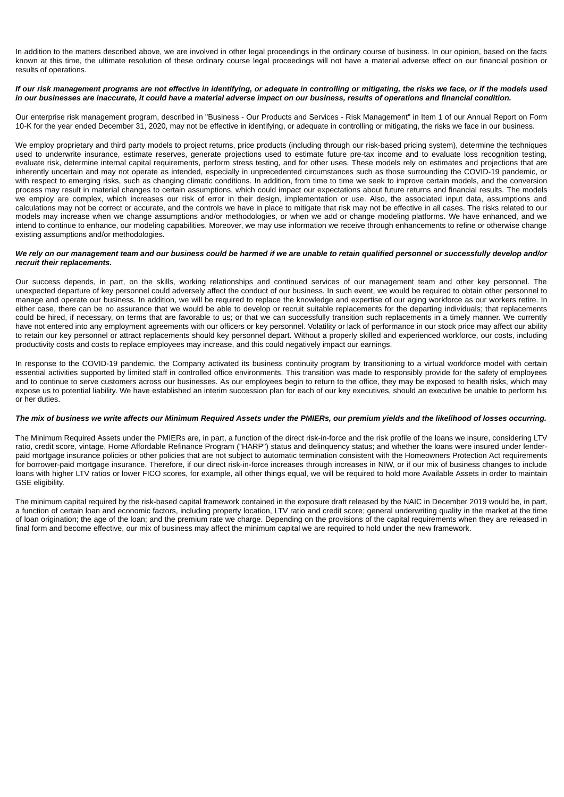In addition to the matters described above, we are involved in other legal proceedings in the ordinary course of business. In our opinion, based on the facts known at this time, the ultimate resolution of these ordinary course legal proceedings will not have a material adverse effect on our financial position or results of operations.

# *If our risk management programs are not effective in identifying, or adequate in controlling or mitigating, the risks we face, or if the models used in our businesses are inaccurate, it could have a material adverse impact on our business, results of operations and financial condition.*

Our enterprise risk management program, described in "Business - Our Products and Services - Risk Management" in Item 1 of our Annual Report on Form 10-K for the year ended December 31, 2020, may not be effective in identifying, or adequate in controlling or mitigating, the risks we face in our business.

We employ proprietary and third party models to project returns, price products (including through our risk-based pricing system), determine the techniques used to underwrite insurance, estimate reserves, generate projections used to estimate future pre-tax income and to evaluate loss recognition testing, evaluate risk, determine internal capital requirements, perform stress testing, and for other uses. These models rely on estimates and projections that are inherently uncertain and may not operate as intended, especially in unprecedented circumstances such as those surrounding the COVID-19 pandemic, or with respect to emerging risks, such as changing climatic conditions. In addition, from time to time we seek to improve certain models, and the conversion process may result in material changes to certain assumptions, which could impact our expectations about future returns and financial results. The models we employ are complex, which increases our risk of error in their design, implementation or use. Also, the associated input data, assumptions and calculations may not be correct or accurate, and the controls we have in place to mitigate that risk may not be effective in all cases. The risks related to our models may increase when we change assumptions and/or methodologies, or when we add or change modeling platforms. We have enhanced, and we intend to continue to enhance, our modeling capabilities. Moreover, we may use information we receive through enhancements to refine or otherwise change existing assumptions and/or methodologies.

# *We rely on our management team and our business could be harmed if we are unable to retain qualified personnel or successfully develop and/or recruit their replacements.*

Our success depends, in part, on the skills, working relationships and continued services of our management team and other key personnel. The unexpected departure of key personnel could adversely affect the conduct of our business. In such event, we would be required to obtain other personnel to manage and operate our business. In addition, we will be required to replace the knowledge and expertise of our aging workforce as our workers retire. In either case, there can be no assurance that we would be able to develop or recruit suitable replacements for the departing individuals; that replacements could be hired, if necessary, on terms that are favorable to us; or that we can successfully transition such replacements in a timely manner. We currently have not entered into any employment agreements with our officers or key personnel. Volatility or lack of performance in our stock price may affect our ability to retain our key personnel or attract replacements should key personnel depart. Without a properly skilled and experienced workforce, our costs, including productivity costs and costs to replace employees may increase, and this could negatively impact our earnings.

In response to the COVID-19 pandemic, the Company activated its business continuity program by transitioning to a virtual workforce model with certain essential activities supported by limited staff in controlled office environments. This transition was made to responsibly provide for the safety of employees and to continue to serve customers across our businesses. As our employees begin to return to the office, they may be exposed to health risks, which may expose us to potential liability. We have established an interim succession plan for each of our key executives, should an executive be unable to perform his or her duties.

# *The mix of business we write affects our Minimum Required Assets under the PMIERs, our premium yields and the likelihood of losses occurring.*

The Minimum Required Assets under the PMIERs are, in part, a function of the direct risk-in-force and the risk profile of the loans we insure, considering LTV ratio, credit score, vintage, Home Affordable Refinance Program ("HARP") status and delinquency status; and whether the loans were insured under lenderpaid mortgage insurance policies or other policies that are not subject to automatic termination consistent with the Homeowners Protection Act requirements for borrower-paid mortgage insurance. Therefore, if our direct risk-in-force increases through increases in NIW, or if our mix of business changes to include loans with higher LTV ratios or lower FICO scores, for example, all other things equal, we will be required to hold more Available Assets in order to maintain GSE eligibility.

The minimum capital required by the risk-based capital framework contained in the exposure draft released by the NAIC in December 2019 would be, in part, a function of certain loan and economic factors, including property location, LTV ratio and credit score; general underwriting quality in the market at the time of loan origination; the age of the loan; and the premium rate we charge. Depending on the provisions of the capital requirements when they are released in final form and become effective, our mix of business may affect the minimum capital we are required to hold under the new framework.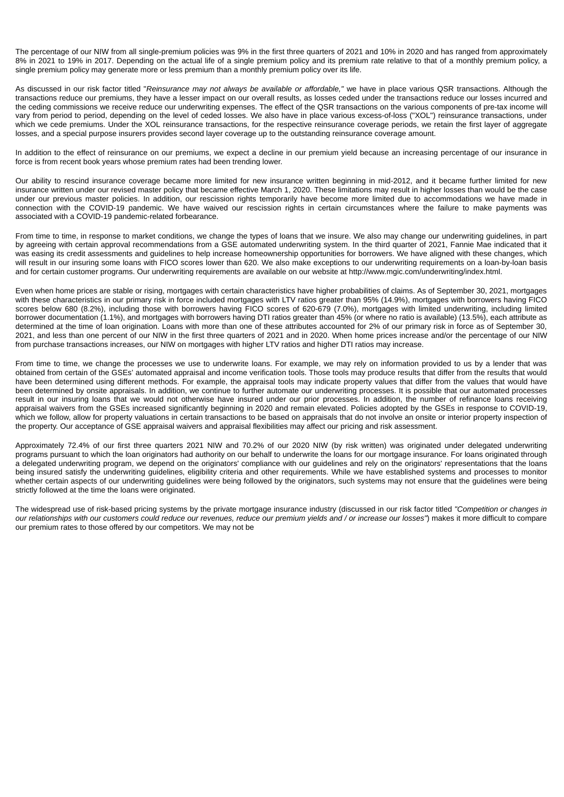The percentage of our NIW from all single-premium policies was 9% in the first three quarters of 2021 and 10% in 2020 and has ranged from approximately 8% in 2021 to 19% in 2017. Depending on the actual life of a single premium policy and its premium rate relative to that of a monthly premium policy, a single premium policy may generate more or less premium than a monthly premium policy over its life.

As discussed in our risk factor titled "*Reinsurance may not always be available or affordable,"* we have in place various QSR transactions. Although the transactions reduce our premiums, they have a lesser impact on our overall results, as losses ceded under the transactions reduce our losses incurred and the ceding commissions we receive reduce our underwriting expenses. The effect of the QSR transactions on the various components of pre-tax income will vary from period to period, depending on the level of ceded losses. We also have in place various excess-of-loss ("XOL") reinsurance transactions, under which we cede premiums. Under the XOL reinsurance transactions, for the respective reinsurance coverage periods, we retain the first layer of aggregate losses, and a special purpose insurers provides second layer coverage up to the outstanding reinsurance coverage amount.

In addition to the effect of reinsurance on our premiums, we expect a decline in our premium yield because an increasing percentage of our insurance in force is from recent book years whose premium rates had been trending lower.

Our ability to rescind insurance coverage became more limited for new insurance written beginning in mid-2012, and it became further limited for new insurance written under our revised master policy that became effective March 1, 2020. These limitations may result in higher losses than would be the case under our previous master policies. In addition, our rescission rights temporarily have become more limited due to accommodations we have made in connection with the COVID-19 pandemic. We have waived our rescission rights in certain circumstances where the failure to make payments was associated with a COVID-19 pandemic-related forbearance.

From time to time, in response to market conditions, we change the types of loans that we insure. We also may change our underwriting guidelines, in part by agreeing with certain approval recommendations from a GSE automated underwriting system. In the third quarter of 2021, Fannie Mae indicated that it was easing its credit assessments and guidelines to help increase homeownership opportunities for borrowers. We have aligned with these changes, which will result in our insuring some loans with FICO scores lower than 620. We also make exceptions to our underwriting requirements on a loan-by-loan basis and for certain customer programs. Our underwriting requirements are available on our website at http://www.mgic.com/underwriting/index.html.

Even when home prices are stable or rising, mortgages with certain characteristics have higher probabilities of claims. As of September 30, 2021, mortgages with these characteristics in our primary risk in force included mortgages with LTV ratios greater than 95% (14.9%), mortgages with borrowers having FICO scores below 680 (8.2%), including those with borrowers having FICO scores of 620-679 (7.0%), mortgages with limited underwriting, including limited borrower documentation (1.1%), and mortgages with borrowers having DTI ratios greater than 45% (or where no ratio is available) (13.5%), each attribute as determined at the time of loan origination. Loans with more than one of these attributes accounted for 2% of our primary risk in force as of September 30, 2021, and less than one percent of our NIW in the first three quarters of 2021 and in 2020. When home prices increase and/or the percentage of our NIW from purchase transactions increases, our NIW on mortgages with higher LTV ratios and higher DTI ratios may increase.

From time to time, we change the processes we use to underwrite loans. For example, we may rely on information provided to us by a lender that was obtained from certain of the GSEs' automated appraisal and income verification tools. Those tools may produce results that differ from the results that would have been determined using different methods. For example, the appraisal tools may indicate property values that differ from the values that would have been determined by onsite appraisals. In addition, we continue to further automate our underwriting processes. It is possible that our automated processes result in our insuring loans that we would not otherwise have insured under our prior processes. In addition, the number of refinance loans receiving appraisal waivers from the GSEs increased significantly beginning in 2020 and remain elevated. Policies adopted by the GSEs in response to COVID-19, which we follow, allow for property valuations in certain transactions to be based on appraisals that do not involve an onsite or interior property inspection of the property. Our acceptance of GSE appraisal waivers and appraisal flexibilities may affect our pricing and risk assessment.

Approximately 72.4% of our first three quarters 2021 NIW and 70.2% of our 2020 NIW (by risk written) was originated under delegated underwriting programs pursuant to which the loan originators had authority on our behalf to underwrite the loans for our mortgage insurance. For loans originated through a delegated underwriting program, we depend on the originators' compliance with our guidelines and rely on the originators' representations that the loans being insured satisfy the underwriting guidelines, eligibility criteria and other requirements. While we have established systems and processes to monitor whether certain aspects of our underwriting guidelines were being followed by the originators, such systems may not ensure that the guidelines were being strictly followed at the time the loans were originated.

The widespread use of risk-based pricing systems by the private mortgage insurance industry (discussed in our risk factor titled *"Competition or changes in our relationships with our customers could reduce our revenues, reduce our premium yields and / or increase our losses"*) makes it more difficult to compare our premium rates to those offered by our competitors. We may not be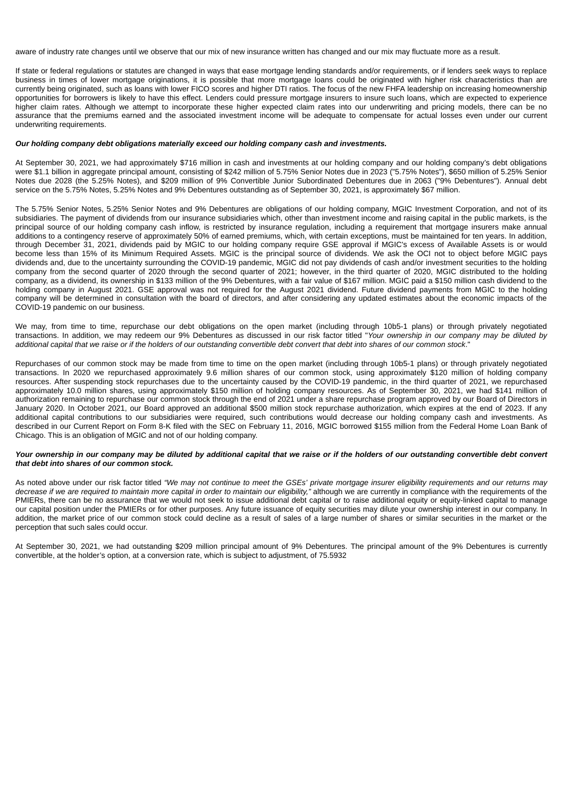aware of industry rate changes until we observe that our mix of new insurance written has changed and our mix may fluctuate more as a result.

If state or federal regulations or statutes are changed in ways that ease mortgage lending standards and/or requirements, or if lenders seek ways to replace business in times of lower mortgage originations, it is possible that more mortgage loans could be originated with higher risk characteristics than are currently being originated, such as loans with lower FICO scores and higher DTI ratios. The focus of the new FHFA leadership on increasing homeownership opportunities for borrowers is likely to have this effect. Lenders could pressure mortgage insurers to insure such loans, which are expected to experience higher claim rates. Although we attempt to incorporate these higher expected claim rates into our underwriting and pricing models, there can be no assurance that the premiums earned and the associated investment income will be adequate to compensate for actual losses even under our current underwriting requirements.

# *Our holding company debt obligations materially exceed our holding company cash and investments.*

At September 30, 2021, we had approximately \$716 million in cash and investments at our holding company and our holding company's debt obligations were \$1.1 billion in aggregate principal amount, consisting of \$242 million of 5.75% Senior Notes due in 2023 ("5.75% Notes"), \$650 million of 5.25% Senior Notes due 2028 (the 5.25% Notes), and \$209 million of 9% Convertible Junior Subordinated Debentures due in 2063 ("9% Debentures"). Annual debt service on the 5.75% Notes, 5.25% Notes and 9% Debentures outstanding as of September 30, 2021, is approximately \$67 million.

The 5.75% Senior Notes, 5.25% Senior Notes and 9% Debentures are obligations of our holding company, MGIC Investment Corporation, and not of its subsidiaries. The payment of dividends from our insurance subsidiaries which, other than investment income and raising capital in the public markets, is the principal source of our holding company cash inflow, is restricted by insurance regulation, including a requirement that mortgage insurers make annual additions to a contingency reserve of approximately 50% of earned premiums, which, with certain exceptions, must be maintained for ten years. In addition, through December 31, 2021, dividends paid by MGIC to our holding company require GSE approval if MGIC's excess of Available Assets is or would become less than 15% of its Minimum Required Assets. MGIC is the principal source of dividends. We ask the OCI not to object before MGIC pays dividends and, due to the uncertainty surrounding the COVID-19 pandemic, MGIC did not pay dividends of cash and/or investment securities to the holding company from the second quarter of 2020 through the second quarter of 2021; however, in the third quarter of 2020, MGIC distributed to the holding company, as a dividend, its ownership in \$133 million of the 9% Debentures, with a fair value of \$167 million. MGIC paid a \$150 million cash dividend to the holding company in August 2021. GSE approval was not required for the August 2021 dividend. Future dividend payments from MGIC to the holding company will be determined in consultation with the board of directors, and after considering any updated estimates about the economic impacts of the COVID-19 pandemic on our business.

We may, from time to time, repurchase our debt obligations on the open market (including through 10b5-1 plans) or through privately negotiated transactions. In addition, we may redeem our 9% Debentures as discussed in our risk factor titled "*Your ownership in our company may be diluted by additional capital that we raise or if the holders of our outstanding convertible debt convert that debt into shares of our common stock*."

Repurchases of our common stock may be made from time to time on the open market (including through 10b5-1 plans) or through privately negotiated transactions. In 2020 we repurchased approximately 9.6 million shares of our common stock, using approximately \$120 million of holding company resources. After suspending stock repurchases due to the uncertainty caused by the COVID-19 pandemic, in the third quarter of 2021, we repurchased approximately 10.0 million shares, using approximately \$150 million of holding company resources. As of September 30, 2021, we had \$141 million of authorization remaining to repurchase our common stock through the end of 2021 under a share repurchase program approved by our Board of Directors in January 2020. In October 2021, our Board approved an additional \$500 million stock repurchase authorization, which expires at the end of 2023. If any additional capital contributions to our subsidiaries were required, such contributions would decrease our holding company cash and investments. As described in our Current Report on Form 8-K filed with the SEC on February 11, 2016, MGIC borrowed \$155 million from the Federal Home Loan Bank of Chicago. This is an obligation of MGIC and not of our holding company.

# *Your ownership in our company may be diluted by additional capital that we raise or if the holders of our outstanding convertible debt convert that debt into shares of our common stock.*

As noted above under our risk factor titled *"We may not continue to meet the GSEs' private mortgage insurer eligibility requirements and our returns may decrease if we are required to maintain more capital in order to maintain our eligibility,"* although we are currently in compliance with the requirements of the PMIERs, there can be no assurance that we would not seek to issue additional debt capital or to raise additional equity or equity-linked capital to manage our capital position under the PMIERs or for other purposes. Any future issuance of equity securities may dilute your ownership interest in our company. In addition, the market price of our common stock could decline as a result of sales of a large number of shares or similar securities in the market or the perception that such sales could occur.

At September 30, 2021, we had outstanding \$209 million principal amount of 9% Debentures. The principal amount of the 9% Debentures is currently convertible, at the holder's option, at a conversion rate, which is subject to adjustment, of 75.5932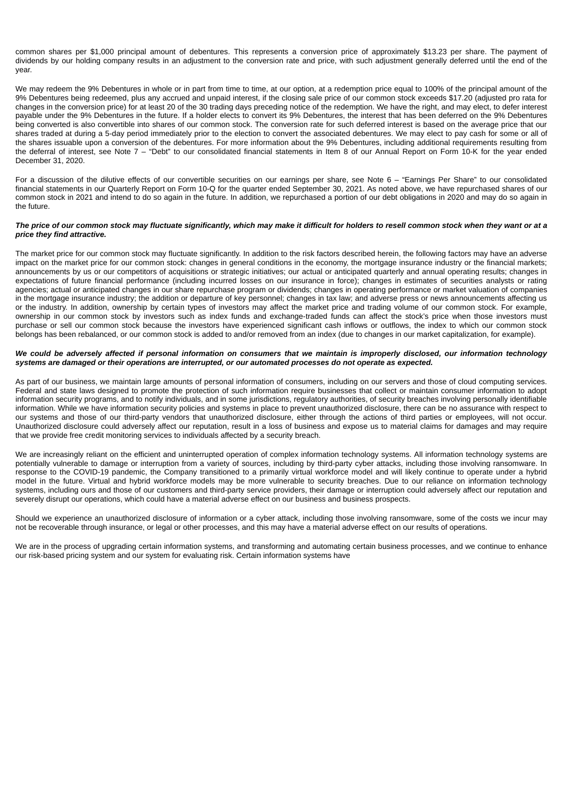common shares per \$1,000 principal amount of debentures. This represents a conversion price of approximately \$13.23 per share. The payment of dividends by our holding company results in an adjustment to the conversion rate and price, with such adjustment generally deferred until the end of the year.

We may redeem the 9% Debentures in whole or in part from time to time, at our option, at a redemption price equal to 100% of the principal amount of the 9% Debentures being redeemed, plus any accrued and unpaid interest, if the closing sale price of our common stock exceeds \$17.20 (adjusted pro rata for changes in the conversion price) for at least 20 of the 30 trading days preceding notice of the redemption. We have the right, and may elect, to defer interest payable under the 9% Debentures in the future. If a holder elects to convert its 9% Debentures, the interest that has been deferred on the 9% Debentures being converted is also convertible into shares of our common stock. The conversion rate for such deferred interest is based on the average price that our shares traded at during a 5-day period immediately prior to the election to convert the associated debentures. We may elect to pay cash for some or all of the shares issuable upon a conversion of the debentures. For more information about the 9% Debentures, including additional requirements resulting from the deferral of interest, see Note 7 – "Debt" to our consolidated financial statements in Item 8 of our Annual Report on Form 10-K for the year ended December 31, 2020.

For a discussion of the dilutive effects of our convertible securities on our earnings per share, see Note 6 – "Earnings Per Share" to our consolidated financial statements in our Quarterly Report on Form 10-Q for the quarter ended September 30, 2021. As noted above, we have repurchased shares of our common stock in 2021 and intend to do so again in the future. In addition, we repurchased a portion of our debt obligations in 2020 and may do so again in the future.

# *The price of our common stock may fluctuate significantly, which may make it difficult for holders to resell common stock when they want or at a price they find attractive.*

The market price for our common stock may fluctuate significantly. In addition to the risk factors described herein, the following factors may have an adverse impact on the market price for our common stock: changes in general conditions in the economy, the mortgage insurance industry or the financial markets; announcements by us or our competitors of acquisitions or strategic initiatives; our actual or anticipated quarterly and annual operating results; changes in expectations of future financial performance (including incurred losses on our insurance in force); changes in estimates of securities analysts or rating agencies; actual or anticipated changes in our share repurchase program or dividends; changes in operating performance or market valuation of companies in the mortgage insurance industry; the addition or departure of key personnel; changes in tax law; and adverse press or news announcements affecting us or the industry. In addition, ownership by certain types of investors may affect the market price and trading volume of our common stock. For example, ownership in our common stock by investors such as index funds and exchange-traded funds can affect the stock's price when those investors must purchase or sell our common stock because the investors have experienced significant cash inflows or outflows, the index to which our common stock belongs has been rebalanced, or our common stock is added to and/or removed from an index (due to changes in our market capitalization, for example).

### We could be adversely affected if personal information on consumers that we maintain is improperly disclosed, our information technology *systems are damaged or their operations are interrupted, or our automated processes do not operate as expected.*

As part of our business, we maintain large amounts of personal information of consumers, including on our servers and those of cloud computing services. Federal and state laws designed to promote the protection of such information require businesses that collect or maintain consumer information to adopt information security programs, and to notify individuals, and in some jurisdictions, regulatory authorities, of security breaches involving personally identifiable information. While we have information security policies and systems in place to prevent unauthorized disclosure, there can be no assurance with respect to our systems and those of our third-party vendors that unauthorized disclosure, either through the actions of third parties or employees, will not occur. Unauthorized disclosure could adversely affect our reputation, result in a loss of business and expose us to material claims for damages and may require that we provide free credit monitoring services to individuals affected by a security breach.

We are increasingly reliant on the efficient and uninterrupted operation of complex information technology systems. All information technology systems are potentially vulnerable to damage or interruption from a variety of sources, including by third-party cyber attacks, including those involving ransomware. In response to the COVID-19 pandemic, the Company transitioned to a primarily virtual workforce model and will likely continue to operate under a hybrid model in the future. Virtual and hybrid workforce models may be more vulnerable to security breaches. Due to our reliance on information technology systems, including ours and those of our customers and third-party service providers, their damage or interruption could adversely affect our reputation and severely disrupt our operations, which could have a material adverse effect on our business and business prospects.

Should we experience an unauthorized disclosure of information or a cyber attack, including those involving ransomware, some of the costs we incur may not be recoverable through insurance, or legal or other processes, and this may have a material adverse effect on our results of operations.

We are in the process of upgrading certain information systems, and transforming and automating certain business processes, and we continue to enhance our risk-based pricing system and our system for evaluating risk. Certain information systems have